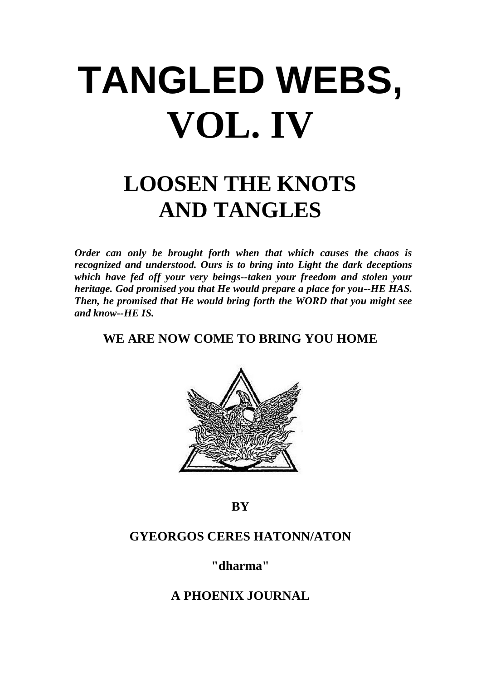# **TANGLED WEBS, VOL. IV**

# **LOOSEN THE KNOTS AND TANGLES**

*Order can only be brought forth when that which causes the chaos is recognized and understood. Ours is to bring into Light the dark deceptions which have fed off your very beings--taken your freedom and stolen your heritage. God promised you that He would prepare a place for you--HE HAS. Then, he promised that He would bring forth the WORD that you might see and know--HE IS.*

**WE ARE NOW COME TO BRING YOU HOME**



**BY**

# **GYEORGOS CERES HATONN/ATON**

**"dharma"**

# **A PHOENIX JOURNAL**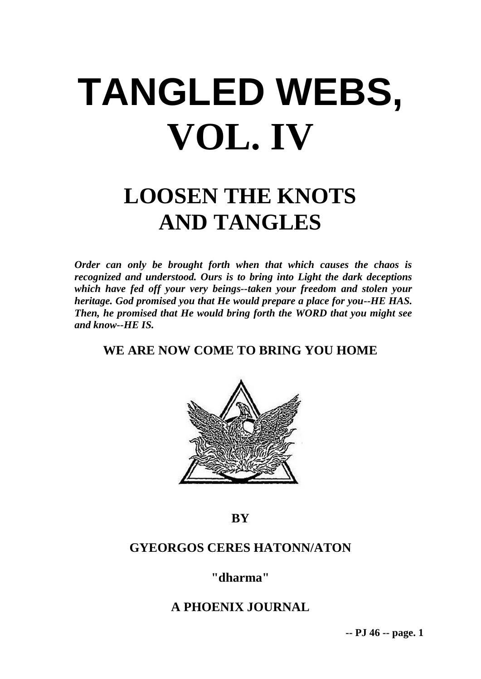# **TANGLED WEBS, VOL. IV**

# **LOOSEN THE KNOTS AND TANGLES**

*Order can only be brought forth when that which causes the chaos is recognized and understood. Ours is to bring into Light the dark deceptions which have fed off your very beings--taken your freedom and stolen your heritage. God promised you that He would prepare a place for you--HE HAS. Then, he promised that He would bring forth the WORD that you might see and know--HE IS.*

# **WE ARE NOW COME TO BRING YOU HOME**



**BY**

# **GYEORGOS CERES HATONN/ATON**

**"dharma"**

# **A PHOENIX JOURNAL**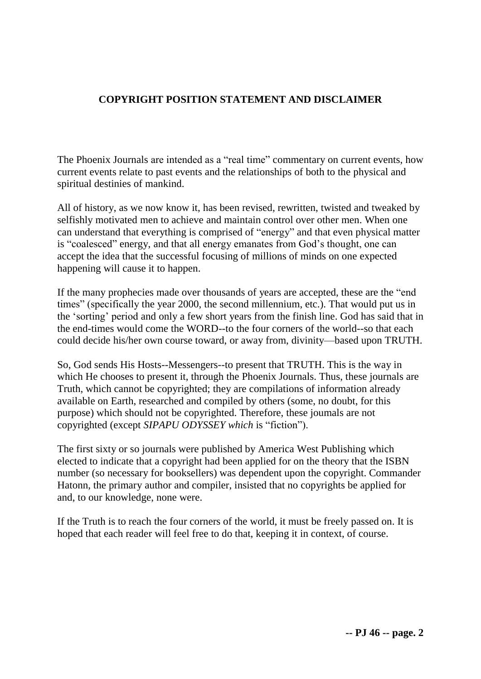#### **COPYRIGHT POSITION STATEMENT AND DISCLAIMER**

The Phoenix Journals are intended as a "real time" commentary on current events, how current events relate to past events and the relationships of both to the physical and spiritual destinies of mankind.

All of history, as we now know it, has been revised, rewritten, twisted and tweaked by selfishly motivated men to achieve and maintain control over other men. When one can understand that everything is comprised of "energy" and that even physical matter is "coalesced" energy, and that all energy emanates from God"s thought, one can accept the idea that the successful focusing of millions of minds on one expected happening will cause it to happen.

If the many prophecies made over thousands of years are accepted, these are the "end times" (specifically the year 2000, the second millennium, etc.). That would put us in the "sorting" period and only a few short years from the finish line. God has said that in the end-times would come the WORD--to the four corners of the world--so that each could decide his/her own course toward, or away from, divinity—based upon TRUTH.

So, God sends His Hosts--Messengers--to present that TRUTH. This is the way in which He chooses to present it, through the Phoenix Journals. Thus, these journals are Truth, which cannot be copyrighted; they are compilations of information already available on Earth, researched and compiled by others (some, no doubt, for this purpose) which should not be copyrighted. Therefore, these joumals are not copyrighted (except *SIPAPU ODYSSEY which* is "fiction").

The first sixty or so journals were published by America West Publishing which elected to indicate that a copyright had been applied for on the theory that the ISBN number (so necessary for booksellers) was dependent upon the copyright. Commander Hatonn, the primary author and compiler, insisted that no copyrights be applied for and, to our knowledge, none were.

If the Truth is to reach the four corners of the world, it must be freely passed on. It is hoped that each reader will feel free to do that, keeping it in context, of course.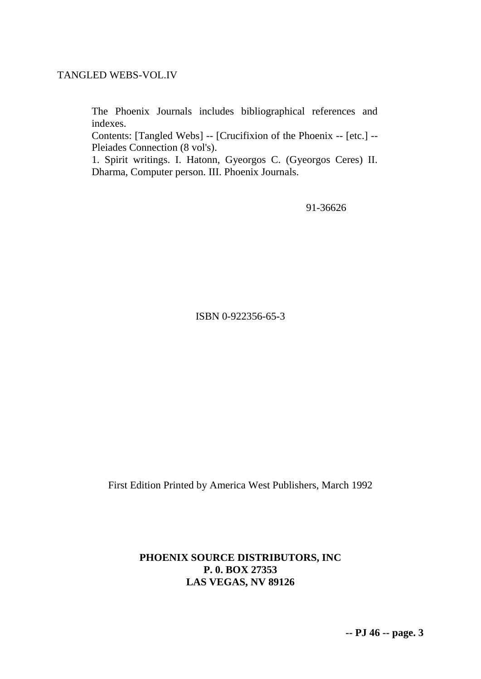#### TANGLED WEBS-VOL.IV

The Phoenix Journals includes bibliographical references and indexes.

Contents: [Tangled Webs] -- [Crucifixion of the Phoenix -- [etc.] -- Pleiades Connection (8 vol's).

1. Spirit writings. I. Hatonn, Gyeorgos C. (Gyeorgos Ceres) II. Dharma, Computer person. III. Phoenix Journals.

91-36626

ISBN 0-922356-65-3

First Edition Printed by America West Publishers, March 1992

#### **PHOENIX SOURCE DISTRIBUTORS, INC P. 0. BOX 27353 LAS VEGAS, NV 89126**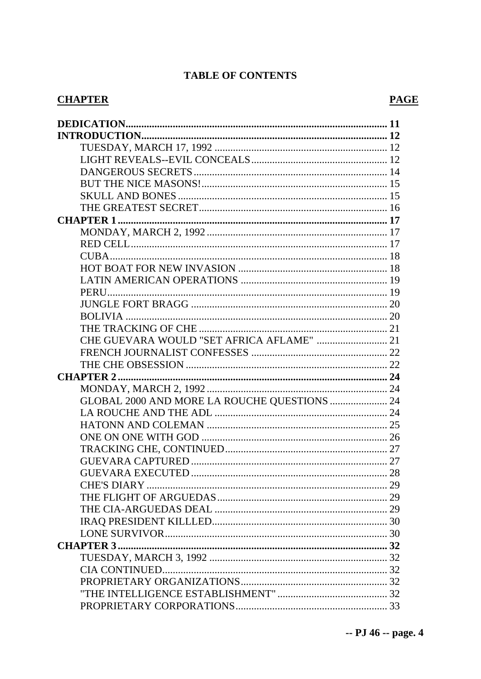## **TABLE OF CONTENTS**

## **CHAPTER**

| CHE GUEVARA WOULD "SET AFRICA AFLAME"  21    |  |
|----------------------------------------------|--|
|                                              |  |
|                                              |  |
| <b>CHAPTER 2</b>                             |  |
|                                              |  |
| GLOBAL 2000 AND MORE LA ROUCHE QUESTIONS  24 |  |
|                                              |  |
|                                              |  |
|                                              |  |
|                                              |  |
|                                              |  |
|                                              |  |
|                                              |  |
|                                              |  |
|                                              |  |
|                                              |  |
|                                              |  |
|                                              |  |
|                                              |  |
|                                              |  |
|                                              |  |
|                                              |  |
|                                              |  |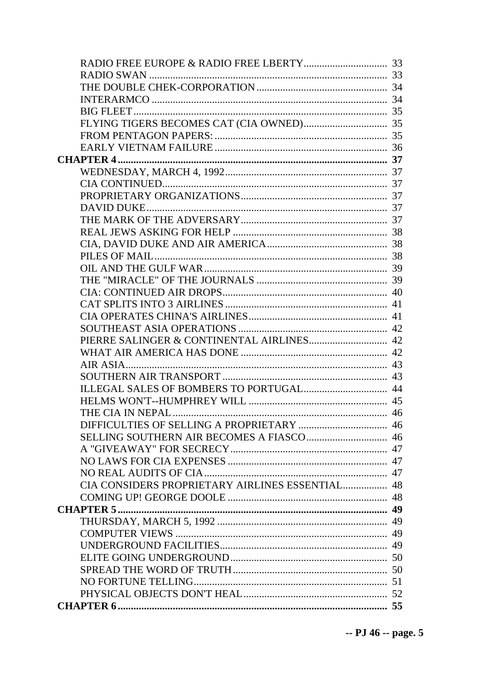|                                                 | 46 |
|-------------------------------------------------|----|
|                                                 |    |
|                                                 |    |
|                                                 |    |
|                                                 |    |
| CIA CONSIDERS PROPRIETARY AIRLINES ESSENTIAL 48 |    |
|                                                 |    |
| <b>CHAPTER 5</b>                                |    |
|                                                 |    |
|                                                 |    |
|                                                 |    |
|                                                 |    |
|                                                 |    |
|                                                 |    |
|                                                 |    |
|                                                 |    |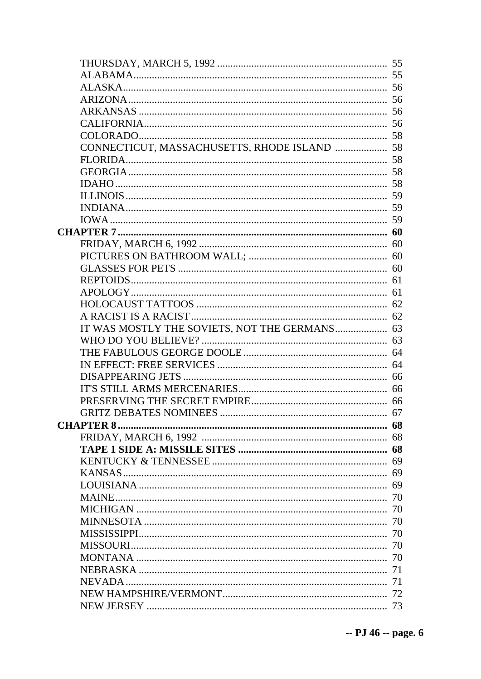| ALASKA.                                       |    |
|-----------------------------------------------|----|
|                                               |    |
|                                               |    |
|                                               |    |
|                                               |    |
| CONNECTICUT, MASSACHUSETTS, RHODE ISLAND  58  |    |
|                                               |    |
|                                               |    |
|                                               |    |
|                                               |    |
|                                               |    |
| <b>IOWA</b>                                   |    |
|                                               |    |
|                                               |    |
|                                               |    |
|                                               |    |
|                                               |    |
|                                               |    |
|                                               |    |
|                                               |    |
| IT WAS MOSTLY THE SOVIETS, NOT THE GERMANS 63 |    |
|                                               |    |
|                                               |    |
|                                               |    |
|                                               |    |
|                                               |    |
|                                               |    |
|                                               |    |
|                                               | 68 |
|                                               |    |
|                                               |    |
|                                               |    |
|                                               |    |
|                                               |    |
| <b>MAINE</b>                                  |    |
|                                               |    |
|                                               |    |
|                                               |    |
|                                               |    |
|                                               |    |
|                                               | 71 |
| NEVADA.                                       | 71 |
|                                               |    |
|                                               |    |
|                                               |    |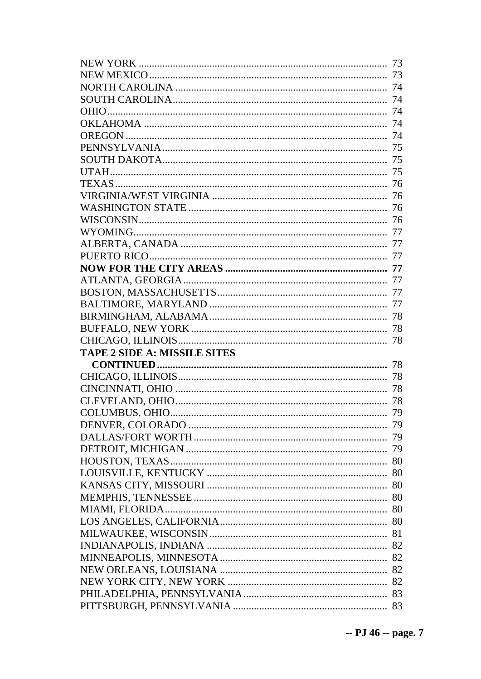|                                     | -73 |
|-------------------------------------|-----|
|                                     |     |
|                                     |     |
|                                     |     |
|                                     |     |
|                                     |     |
|                                     |     |
|                                     |     |
|                                     |     |
|                                     |     |
|                                     |     |
|                                     |     |
|                                     |     |
|                                     |     |
|                                     |     |
|                                     |     |
|                                     |     |
|                                     |     |
|                                     |     |
|                                     |     |
|                                     |     |
|                                     |     |
|                                     |     |
|                                     |     |
| <b>TAPE 2 SIDE A: MISSILE SITES</b> |     |
|                                     |     |
|                                     |     |
|                                     |     |
|                                     |     |
|                                     |     |
|                                     |     |
|                                     | 79  |
|                                     |     |
|                                     |     |
|                                     |     |
|                                     |     |
|                                     |     |
|                                     |     |
|                                     |     |
|                                     |     |
|                                     |     |
|                                     |     |
|                                     |     |
|                                     |     |
|                                     |     |
|                                     |     |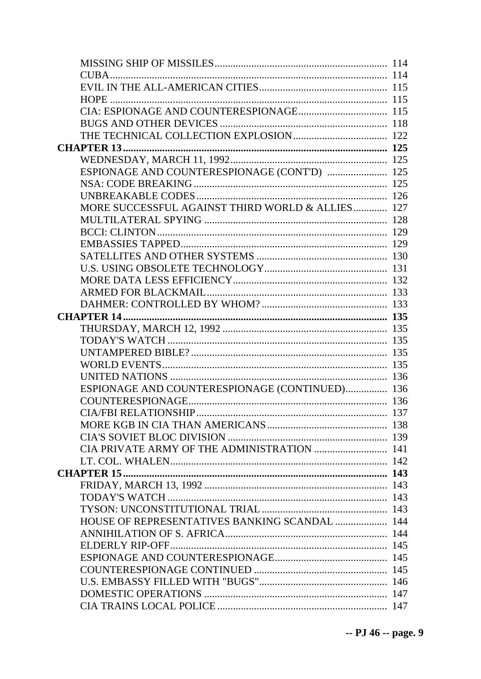| ESPIONAGE AND COUNTERESPIONAGE (CONT'D)  125     |  |
|--------------------------------------------------|--|
|                                                  |  |
|                                                  |  |
| MORE SUCCESSFUL AGAINST THIRD WORLD & ALLIES 127 |  |
|                                                  |  |
|                                                  |  |
|                                                  |  |
|                                                  |  |
|                                                  |  |
|                                                  |  |
|                                                  |  |
|                                                  |  |
|                                                  |  |
|                                                  |  |
|                                                  |  |
|                                                  |  |
|                                                  |  |
|                                                  |  |
| ESPIONAGE AND COUNTERESPIONAGE (CONTINUED) 136   |  |
|                                                  |  |
|                                                  |  |
|                                                  |  |
|                                                  |  |
| CIA PRIVATE ARMY OF THE ADMINISTRATION  141      |  |
|                                                  |  |
|                                                  |  |
|                                                  |  |
|                                                  |  |
|                                                  |  |
|                                                  |  |
|                                                  |  |
|                                                  |  |
|                                                  |  |
|                                                  |  |
|                                                  |  |
|                                                  |  |
|                                                  |  |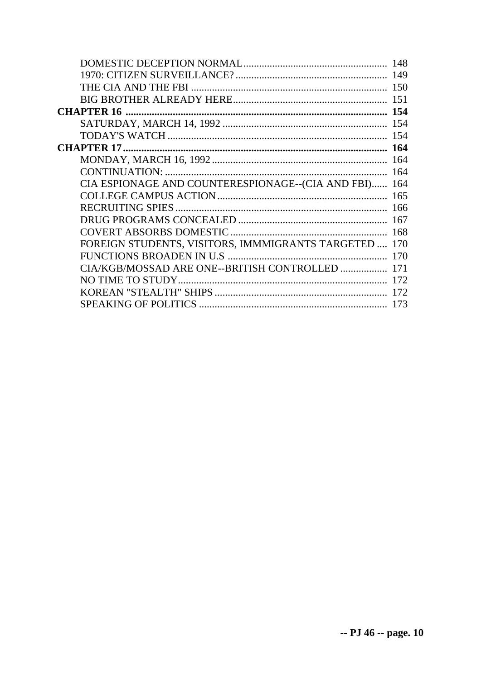|                                                       | 148  |
|-------------------------------------------------------|------|
|                                                       |      |
|                                                       |      |
|                                                       |      |
|                                                       |      |
|                                                       |      |
|                                                       | -154 |
|                                                       |      |
|                                                       |      |
|                                                       |      |
| CIA ESPIONAGE AND COUNTERESPIONAGE--(CIA AND FBI) 164 |      |
|                                                       |      |
|                                                       |      |
|                                                       |      |
|                                                       |      |
| FOREIGN STUDENTS, VISITORS, IMMMIGRANTS TARGETED  170 |      |
|                                                       |      |
| CIA/KGB/MOSSAD ARE ONE--BRITISH CONTROLLED  171       |      |
|                                                       |      |
|                                                       |      |
|                                                       | -173 |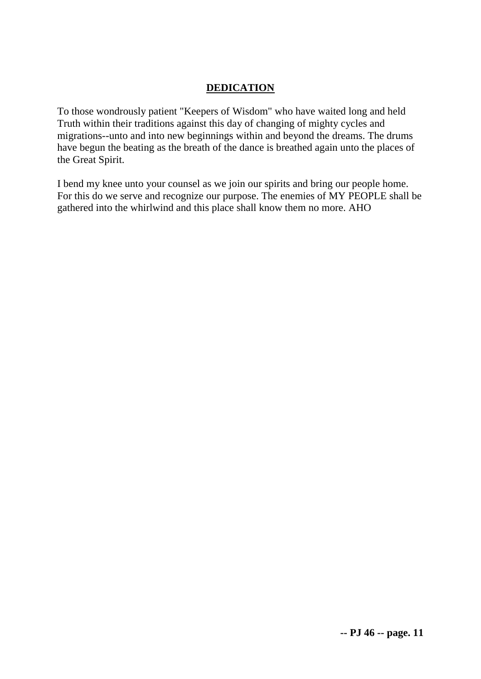#### **DEDICATION**

To those wondrously patient "Keepers of Wisdom" who have waited long and held Truth within their traditions against this day of changing of mighty cycles and migrations--unto and into new beginnings within and beyond the dreams. The drums have begun the beating as the breath of the dance is breathed again unto the places of the Great Spirit.

I bend my knee unto your counsel as we join our spirits and bring our people home. For this do we serve and recognize our purpose. The enemies of MY PEOPLE shall be gathered into the whirlwind and this place shall know them no more. AHO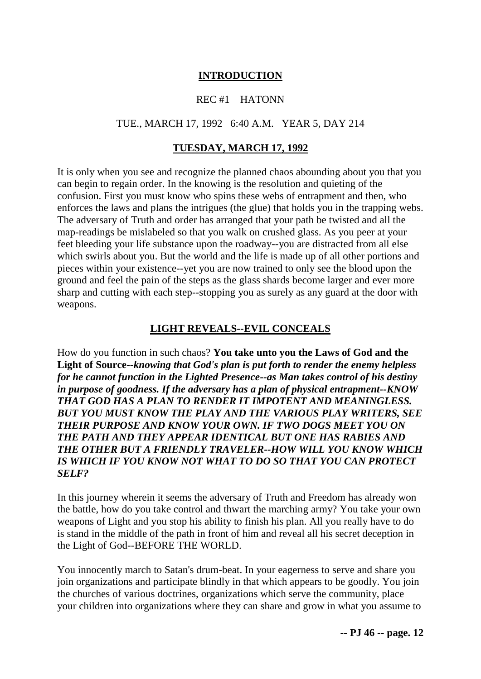#### **INTRODUCTION**

#### REC #1 HATONN

#### TUE., MARCH 17, 1992 6:40 A.M. YEAR 5, DAY 214

#### **TUESDAY, MARCH 17, 1992**

It is only when you see and recognize the planned chaos abounding about you that you can begin to regain order. In the knowing is the resolution and quieting of the confusion. First you must know who spins these webs of entrapment and then, who enforces the laws and plans the intrigues (the glue) that holds you in the trapping webs. The adversary of Truth and order has arranged that your path be twisted and all the map-readings be mislabeled so that you walk on crushed glass. As you peer at your feet bleeding your life substance upon the roadway--you are distracted from all else which swirls about you. But the world and the life is made up of all other portions and pieces within your existence--yet you are now trained to only see the blood upon the ground and feel the pain of the steps as the glass shards become larger and ever more sharp and cutting with each step--stopping you as surely as any guard at the door with weapons.

#### **LIGHT REVEALS--EVIL CONCEALS**

How do you function in such chaos? **You take unto you the Laws of God and the Light of Source--***knowing that God's plan is put forth to render the enemy helpless for he cannot function in the Lighted Presence--as Man takes control of his destiny in purpose of goodness. If the adversary has a plan of physical entrapment--KNOW THAT GOD HAS A PLAN TO RENDER IT IMPOTENT AND MEANINGLESS. BUT YOU MUST KNOW THE PLAY AND THE VARIOUS PLAY WRITERS, SEE THEIR PURPOSE AND KNOW YOUR OWN. IF TWO DOGS MEET YOU ON THE PATH AND THEY APPEAR IDENTICAL BUT ONE HAS RABIES AND THE OTHER BUT A FRIENDLY TRAVELER--HOW WILL YOU KNOW WHICH IS WHICH IF YOU KNOW NOT WHAT TO DO SO THAT YOU CAN PROTECT SELF?*

In this journey wherein it seems the adversary of Truth and Freedom has already won the battle, how do you take control and thwart the marching army? You take your own weapons of Light and you stop his ability to finish his plan. All you really have to do is stand in the middle of the path in front of him and reveal all his secret deception in the Light of God--BEFORE THE WORLD.

You innocently march to Satan's drum-beat. In your eagerness to serve and share you join organizations and participate blindly in that which appears to be goodly. You join the churches of various doctrines, organizations which serve the community, place your children into organizations where they can share and grow in what you assume to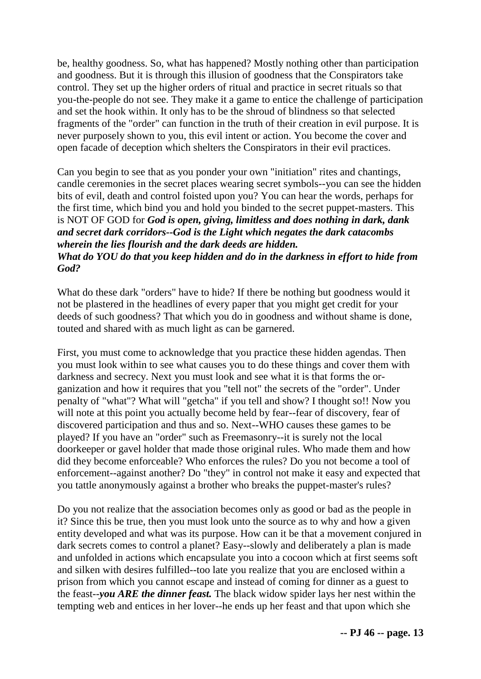be, healthy goodness. So, what has happened? Mostly nothing other than participation and goodness. But it is through this illusion of goodness that the Conspirators take control. They set up the higher orders of ritual and practice in secret rituals so that you-the-people do not see. They make it a game to entice the challenge of participation and set the hook within. It only has to be the shroud of blindness so that selected fragments of the "order" can function in the truth of their creation in evil purpose. It is never purposely shown to you, this evil intent or action. You become the cover and open facade of deception which shelters the Conspirators in their evil practices.

Can you begin to see that as you ponder your own "initiation" rites and chantings, candle ceremonies in the secret places wearing secret symbols--you can see the hidden bits of evil, death and control foisted upon you? You can hear the words, perhaps for the first time, which bind you and hold you binded to the secret puppet-masters. This is NOT OF GOD for *God is open, giving, limitless and does nothing in dark, dank and secret dark corridors--God is the Light which negates the dark catacombs wherein the lies flourish and the dark deeds are hidden. What do YOU do that you keep hidden and do in the darkness in effort to hide from God?*

What do these dark "orders" have to hide? If there be nothing but goodness would it not be plastered in the headlines of every paper that you might get credit for your deeds of such goodness? That which you do in goodness and without shame is done, touted and shared with as much light as can be garnered.

First, you must come to acknowledge that you practice these hidden agendas. Then you must look within to see what causes you to do these things and cover them with darkness and secrecy. Next you must look and see what it is that forms the organization and how it requires that you "tell not" the secrets of the "order". Under penalty of "what"? What will "getcha" if you tell and show? I thought so!! Now you will note at this point you actually become held by fear--fear of discovery, fear of discovered participation and thus and so. Next--WHO causes these games to be played? If you have an "order" such as Freemasonry--it is surely not the local doorkeeper or gavel holder that made those original rules. Who made them and how did they become enforceable? Who enforces the rules? Do you not become a tool of enforcement--against another? Do "they" in control not make it easy and expected that you tattle anonymously against a brother who breaks the puppet-master's rules?

Do you not realize that the association becomes only as good or bad as the people in it? Since this be true, then you must look unto the source as to why and how a given entity developed and what was its purpose. How can it be that a movement conjured in dark secrets comes to control a planet? Easy--slowly and deliberately a plan is made and unfolded in actions which encapsulate you into a cocoon which at first seems soft and silken with desires fulfilled--too late you realize that you are enclosed within a prison from which you cannot escape and instead of coming for dinner as a guest to the feast--*you ARE the dinner feast.* The black widow spider lays her nest within the tempting web and entices in her lover--he ends up her feast and that upon which she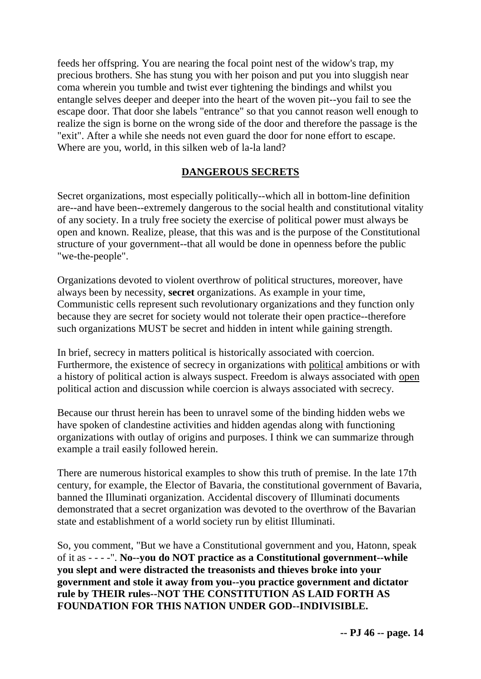feeds her offspring. You are nearing the focal point nest of the widow's trap, my precious brothers. She has stung you with her poison and put you into sluggish near coma wherein you tumble and twist ever tightening the bindings and whilst you entangle selves deeper and deeper into the heart of the woven pit--you fail to see the escape door. That door she labels "entrance" so that you cannot reason well enough to realize the sign is borne on the wrong side of the door and therefore the passage is the "exit". After a while she needs not even guard the door for none effort to escape. Where are you, world, in this silken web of la-la land?

#### **DANGEROUS SECRETS**

Secret organizations, most especially politically--which all in bottom-line definition are--and have been--extremely dangerous to the social health and constitutional vitality of any society. In a truly free society the exercise of political power must always be open and known. Realize, please, that this was and is the purpose of the Constitutional structure of your government--that all would be done in openness before the public "we-the-people".

Organizations devoted to violent overthrow of political structures, moreover, have always been by necessity, **secret** organizations. As example in your time, Communistic cells represent such revolutionary organizations and they function only because they are secret for society would not tolerate their open practice--therefore such organizations MUST be secret and hidden in intent while gaining strength.

In brief, secrecy in matters political is historically associated with coercion. Furthermore, the existence of secrecy in organizations with political ambitions or with a history of political action is always suspect. Freedom is always associated with open political action and discussion while coercion is always associated with secrecy.

Because our thrust herein has been to unravel some of the binding hidden webs we have spoken of clandestine activities and hidden agendas along with functioning organizations with outlay of origins and purposes. I think we can summarize through example a trail easily followed herein.

There are numerous historical examples to show this truth of premise. In the late 17th century, for example, the Elector of Bavaria, the constitutional government of Bavaria, banned the Illuminati organization. Accidental discovery of Illuminati documents demonstrated that a secret organization was devoted to the overthrow of the Bavarian state and establishment of a world society run by elitist Illuminati.

So, you comment, "But we have a Constitutional government and you, Hatonn, speak of it as - - - -". **No--you do NOT practice as a Constitutional government--while you slept and were distracted the treasonists and thieves broke into your government and stole it away from you--you practice government and dictator rule by THEIR rules--NOT THE CONSTITUTION AS LAID FORTH AS FOUNDATION FOR THIS NATION UNDER GOD--INDIVISIBLE.**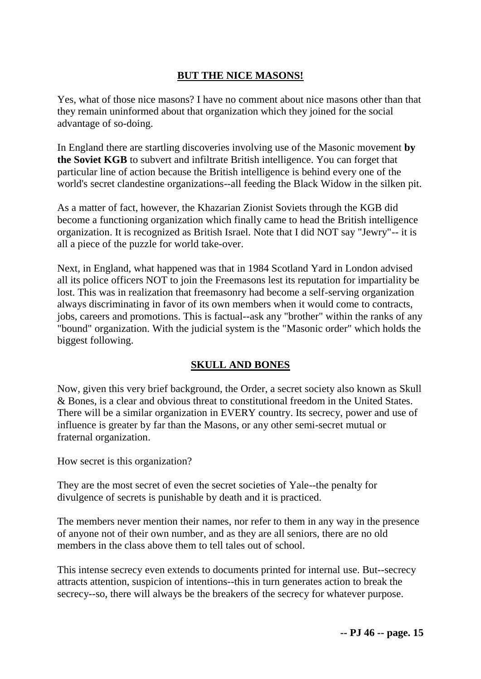#### **BUT THE NICE MASONS!**

Yes, what of those nice masons? I have no comment about nice masons other than that they remain uninformed about that organization which they joined for the social advantage of so-doing.

In England there are startling discoveries involving use of the Masonic movement **by the Soviet KGB** to subvert and infiltrate British intelligence. You can forget that particular line of action because the British intelligence is behind every one of the world's secret clandestine organizations--all feeding the Black Widow in the silken pit.

As a matter of fact, however, the Khazarian Zionist Soviets through the KGB did become a functioning organization which finally came to head the British intelligence organization. It is recognized as British Israel. Note that I did NOT say "Jewry"-- it is all a piece of the puzzle for world take-over.

Next, in England, what happened was that in 1984 Scotland Yard in London advised all its police officers NOT to join the Freemasons lest its reputation for impartiality be lost. This was in realization that freemasonry had become a self-serving organization always discriminating in favor of its own members when it would come to contracts, jobs, careers and promotions. This is factual--ask any "brother" within the ranks of any "bound" organization. With the judicial system is the "Masonic order" which holds the biggest following.

#### **SKULL AND BONES**

Now, given this very brief background, the Order, a secret society also known as Skull & Bones, is a clear and obvious threat to constitutional freedom in the United States. There will be a similar organization in EVERY country. Its secrecy, power and use of influence is greater by far than the Masons, or any other semi-secret mutual or fraternal organization.

How secret is this organization?

They are the most secret of even the secret societies of Yale--the penalty for divulgence of secrets is punishable by death and it is practiced.

The members never mention their names, nor refer to them in any way in the presence of anyone not of their own number, and as they are all seniors, there are no old members in the class above them to tell tales out of school.

This intense secrecy even extends to documents printed for internal use. But--secrecy attracts attention, suspicion of intentions--this in turn generates action to break the secrecy--so, there will always be the breakers of the secrecy for whatever purpose.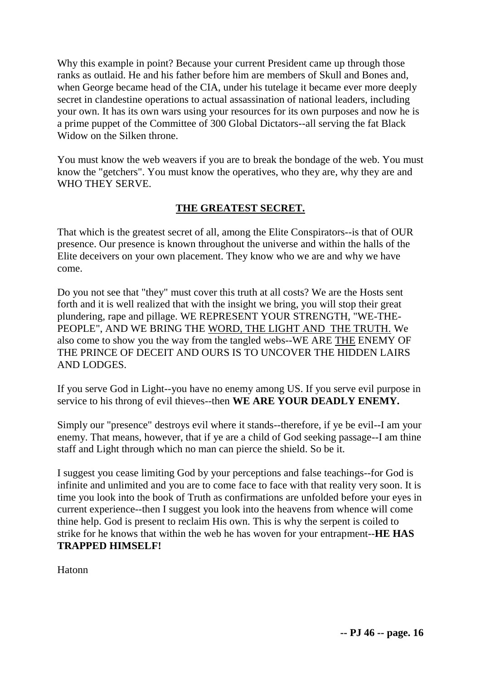Why this example in point? Because your current President came up through those ranks as outlaid. He and his father before him are members of Skull and Bones and, when George became head of the CIA, under his tutelage it became ever more deeply secret in clandestine operations to actual assassination of national leaders, including your own. It has its own wars using your resources for its own purposes and now he is a prime puppet of the Committee of 300 Global Dictators--all serving the fat Black Widow on the Silken throne.

You must know the web weavers if you are to break the bondage of the web. You must know the "getchers". You must know the operatives, who they are, why they are and WHO THEY SERVE.

### **THE GREATEST SECRET.**

That which is the greatest secret of all, among the Elite Conspirators--is that of OUR presence. Our presence is known throughout the universe and within the halls of the Elite deceivers on your own placement. They know who we are and why we have come.

Do you not see that "they" must cover this truth at all costs? We are the Hosts sent forth and it is well realized that with the insight we bring, you will stop their great plundering, rape and pillage. WE REPRESENT YOUR STRENGTH, "WE-THE-PEOPLE", AND WE BRING THE WORD, THE LIGHT AND THE TRUTH. We also come to show you the way from the tangled webs--WE ARE THE ENEMY OF THE PRINCE OF DECEIT AND OURS IS TO UNCOVER THE HIDDEN LAIRS AND LODGES.

If you serve God in Light--you have no enemy among US. If you serve evil purpose in service to his throng of evil thieves--then **WE ARE YOUR DEADLY ENEMY.**

Simply our "presence" destroys evil where it stands--therefore, if ye be evil--I am your enemy. That means, however, that if ye are a child of God seeking passage--I am thine staff and Light through which no man can pierce the shield. So be it.

I suggest you cease limiting God by your perceptions and false teachings--for God is infinite and unlimited and you are to come face to face with that reality very soon. It is time you look into the book of Truth as confirmations are unfolded before your eyes in current experience--then I suggest you look into the heavens from whence will come thine help. God is present to reclaim His own. This is why the serpent is coiled to strike for he knows that within the web he has woven for your entrapment--**HE HAS TRAPPED HIMSELF!**

Hatonn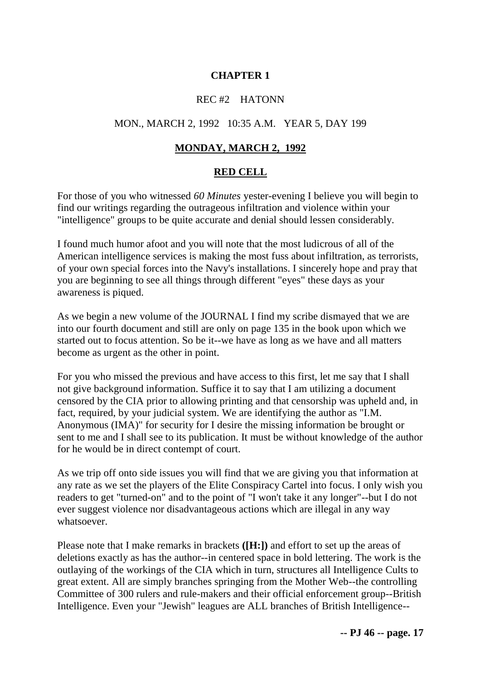#### **CHAPTER 1**

#### REC #2 HATONN

#### MON., MARCH 2, 1992 10:35 A.M. YEAR 5, DAY 199

#### **MONDAY, MARCH 2, 1992**

#### **RED CELL**

For those of you who witnessed *60 Minutes* yester-evening I believe you will begin to find our writings regarding the outrageous infiltration and violence within your "intelligence" groups to be quite accurate and denial should lessen considerably.

I found much humor afoot and you will note that the most ludicrous of all of the American intelligence services is making the most fuss about infiltration, as terrorists, of your own special forces into the Navy's installations. I sincerely hope and pray that you are beginning to see all things through different "eyes" these days as your awareness is piqued.

As we begin a new volume of the JOURNAL I find my scribe dismayed that we are into our fourth document and still are only on page 135 in the book upon which we started out to focus attention. So be it--we have as long as we have and all matters become as urgent as the other in point.

For you who missed the previous and have access to this first, let me say that I shall not give background information. Suffice it to say that I am utilizing a document censored by the CIA prior to allowing printing and that censorship was upheld and, in fact, required, by your judicial system. We are identifying the author as "I.M. Anonymous (IMA)" for security for I desire the missing information be brought or sent to me and I shall see to its publication. It must be without knowledge of the author for he would be in direct contempt of court.

As we trip off onto side issues you will find that we are giving you that information at any rate as we set the players of the Elite Conspiracy Cartel into focus. I only wish you readers to get "turned-on" and to the point of "I won't take it any longer"--but I do not ever suggest violence nor disadvantageous actions which are illegal in any way whatsoever.

Please note that I make remarks in brackets **([H:])** and effort to set up the areas of deletions exactly as has the author--in centered space in bold lettering. The work is the outlaying of the workings of the CIA which in turn, structures all Intelligence Cults to great extent. All are simply branches springing from the Mother Web--the controlling Committee of 300 rulers and rule-makers and their official enforcement group--British Intelligence. Even your "Jewish" leagues are ALL branches of British Intelligence--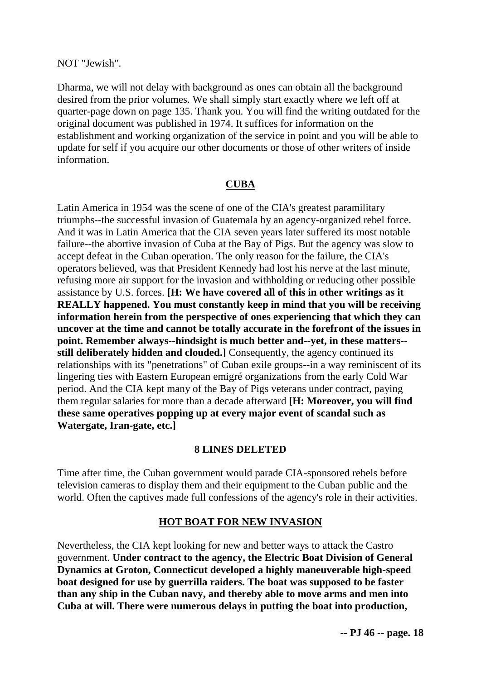NOT "Jewish".

Dharma, we will not delay with background as ones can obtain all the background desired from the prior volumes. We shall simply start exactly where we left off at quarter-page down on page 135. Thank you. You will find the writing outdated for the original document was published in 1974. It suffices for information on the establishment and working organization of the service in point and you will be able to update for self if you acquire our other documents or those of other writers of inside information.

#### **CUBA**

Latin America in 1954 was the scene of one of the CIA's greatest paramilitary triumphs--the successful invasion of Guatemala by an agency-organized rebel force. And it was in Latin America that the CIA seven years later suffered its most notable failure--the abortive invasion of Cuba at the Bay of Pigs. But the agency was slow to accept defeat in the Cuban operation. The only reason for the failure, the CIA's operators believed, was that President Kennedy had lost his nerve at the last minute, refusing more air support for the invasion and withholding or reducing other possible assistance by U.S. forces. **[H: We have covered all of this in other writings as it REALLY happened. You must constantly keep in mind that you will be receiving information herein from the perspective of ones experiencing that which they can uncover at the time and cannot be totally accurate in the forefront of the issues in point. Remember always--hindsight is much better and--yet, in these matters- still deliberately hidden and clouded.]** Consequently, the agency continued its relationships with its "penetrations" of Cuban exile groups--in a way reminiscent of its lingering ties with Eastern European emigré organizations from the early Cold War period. And the CIA kept many of the Bay of Pigs veterans under contract, paying them regular salaries for more than a decade afterward **[H: Moreover, you will find these same operatives popping up at every major event of scandal such as Watergate, Iran-gate, etc.]**

#### **8 LINES DELETED**

Time after time, the Cuban government would parade CIA-sponsored rebels before television cameras to display them and their equipment to the Cuban public and the world. Often the captives made full confessions of the agency's role in their activities.

#### **HOT BOAT FOR NEW INVASION**

Nevertheless, the CIA kept looking for new and better ways to attack the Castro government. **Under contract to the agency, the Electric Boat Division of General Dynamics at Groton, Connecticut developed a highly maneuverable high-speed boat designed for use by guerrilla raiders. The boat was supposed to be faster than any ship in the Cuban navy, and thereby able to move arms and men into Cuba at will. There were numerous delays in putting the boat into production,**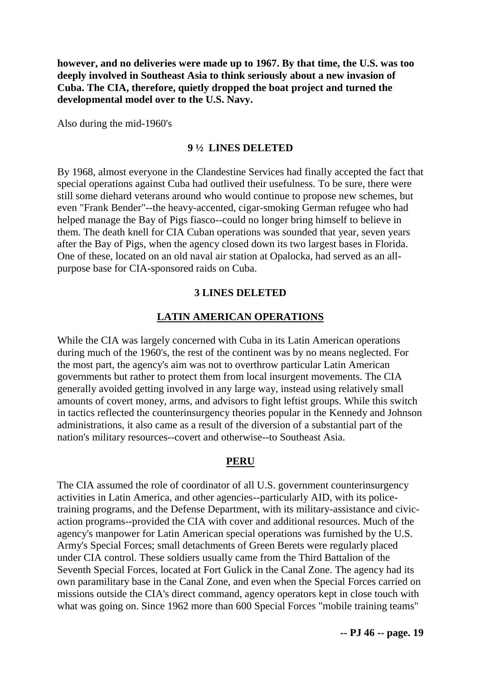**however, and no deliveries were made up to 1967. By that time, the U.S. was too deeply involved in Southeast Asia to think seriously about a new invasion of Cuba. The CIA, therefore, quietly dropped the boat project and turned the developmental model over to the U.S. Navy.**

Also during the mid-1960's

#### **9 ½ LINES DELETED**

By 1968, almost everyone in the Clandestine Services had finally accepted the fact that special operations against Cuba had outlived their usefulness. To be sure, there were still some diehard veterans around who would continue to propose new schemes, but even "Frank Bender"--the heavy-accented, cigar-smoking German refugee who had helped manage the Bay of Pigs fiasco--could no longer bring himself to believe in them. The death knell for CIA Cuban operations was sounded that year, seven years after the Bay of Pigs, when the agency closed down its two largest bases in Florida. One of these, located on an old naval air station at Opalocka, had served as an allpurpose base for CIA-sponsored raids on Cuba.

#### **3 LINES DELETED**

#### **LATIN AMERICAN OPERATIONS**

While the CIA was largely concerned with Cuba in its Latin American operations during much of the 1960's, the rest of the continent was by no means neglected. For the most part, the agency's aim was not to overthrow particular Latin American governments but rather to protect them from local insurgent movements. The CIA generally avoided getting involved in any large way, instead using relatively small amounts of covert money, arms, and advisors to fight leftist groups. While this switch in tactics reflected the counterinsurgency theories popular in the Kennedy and Johnson administrations, it also came as a result of the diversion of a substantial part of the nation's military resources--covert and otherwise--to Southeast Asia.

#### **PERU**

The CIA assumed the role of coordinator of all U.S. government counterinsurgency activities in Latin America, and other agencies--particularly AID, with its policetraining programs, and the Defense Department, with its military-assistance and civicaction programs--provided the CIA with cover and additional resources. Much of the agency's manpower for Latin American special operations was furnished by the U.S. Army's Special Forces; small detachments of Green Berets were regularly placed under CIA control. These soldiers usually came from the Third Battalion of the Seventh Special Forces, located at Fort Gulick in the Canal Zone. The agency had its own paramilitary base in the Canal Zone, and even when the Special Forces carried on missions outside the CIA's direct command, agency operators kept in close touch with what was going on. Since 1962 more than 600 Special Forces "mobile training teams"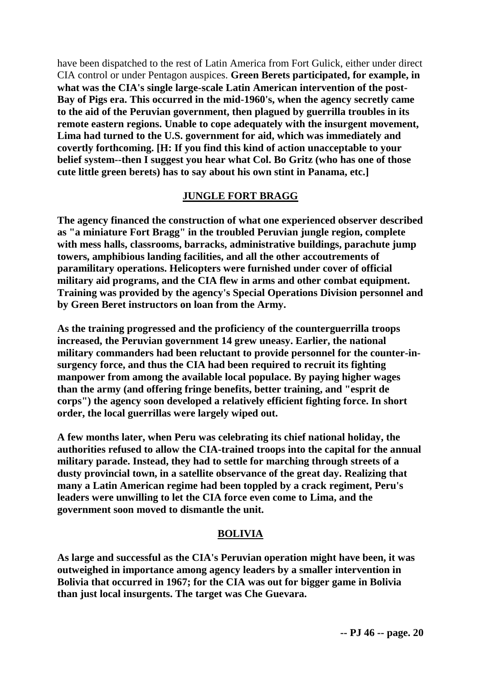have been dispatched to the rest of Latin America from Fort Gulick, either under direct CIA control or under Pentagon auspices. **Green Berets participated, for example, in what was the CIA's single large-scale Latin American intervention of the post-Bay of Pigs era. This occurred in the mid-1960's, when the agency secretly came to the aid of the Peruvian government, then plagued by guerrilla troubles in its remote eastern regions. Unable to cope adequately with the insurgent movement, Lima had turned to the U.S. government for aid, which was immediately and covertly forthcoming. [H: If you find this kind of action unacceptable to your belief system--then I suggest you hear what Col. Bo Gritz (who has one of those cute little green berets) has to say about his own stint in Panama, etc.]**

#### **JUNGLE FORT BRAGG**

**The agency financed the construction of what one experienced observer described as "a miniature Fort Bragg" in the troubled Peruvian jungle region, complete with mess halls, classrooms, barracks, administrative buildings, parachute jump towers, amphibious landing facilities, and all the other accoutrements of paramilitary operations. Helicopters were furnished under cover of official military aid programs, and the CIA flew in arms and other combat equipment. Training was provided by the agency's Special Operations Division personnel and by Green Beret instructors on loan from the Army.**

**As the training progressed and the proficiency of the counterguerrilla troops increased, the Peruvian government 14 grew uneasy. Earlier, the national military commanders had been reluctant to provide personnel for the counter-insurgency force, and thus the CIA had been required to recruit its fighting manpower from among the available local populace. By paying higher wages than the army (and offering fringe benefits, better training, and "esprit de corps") the agency soon developed a relatively efficient fighting force. In short order, the local guerrillas were largely wiped out.**

**A few months later, when Peru was celebrating its chief national holiday, the authorities refused to allow the CIA-trained troops into the capital for the annual military parade. Instead, they had to settle for marching through streets of a dusty provincial town, in a satellite observance of the great day. Realizing that many a Latin American regime had been toppled by a crack regiment, Peru's leaders were unwilling to let the CIA force even come to Lima, and the government soon moved to dismantle the unit.**

#### **BOLIVIA**

**As large and successful as the CIA's Peruvian operation might have been, it was outweighed in importance among agency leaders by a smaller intervention in Bolivia that occurred in 1967; for the CIA was out for bigger game in Bolivia than just local insurgents. The target was Che Guevara.**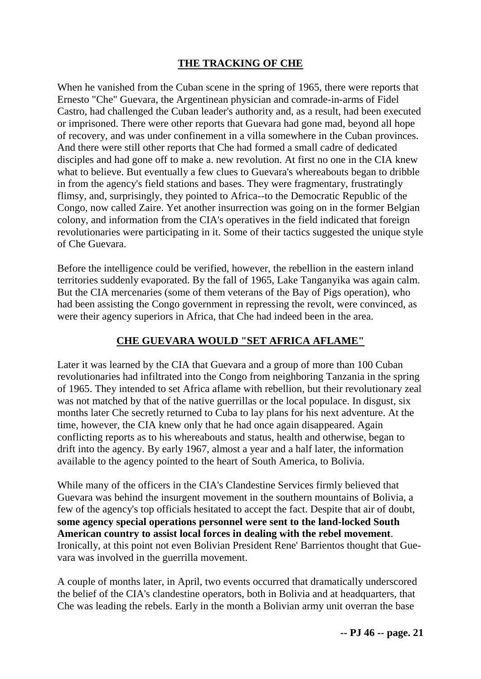#### **THE TRACKING OF CHE**

When he vanished from the Cuban scene in the spring of 1965, there were reports that Ernesto "Che" Guevara, the Argentinean physician and comrade-in-arms of Fidel Castro, had challenged the Cuban leader's authority and, as a result, had been executed or imprisoned. There were other reports that Guevara had gone mad, beyond all hope of recovery, and was under confinement in a villa somewhere in the Cuban provinces. And there were still other reports that Che had formed a small cadre of dedicated disciples and had gone off to make a. new revolution. At first no one in the CIA knew what to believe. But eventually a few clues to Guevara's whereabouts began to dribble in from the agency's field stations and bases. They were fragmentary, frustratingly flimsy, and, surprisingly, they pointed to Africa--to the Democratic Republic of the Congo, now called Zaire. Yet another insurrection was going on in the former Belgian colony, and information from the CIA's operatives in the field indicated that foreign revolutionaries were participating in it. Some of their tactics suggested the unique style of Che Guevara.

Before the intelligence could be verified, however, the rebellion in the eastern inland territories suddenly evaporated. By the fall of 1965, Lake Tanganyika was again calm. But the CIA mercenaries (some of them veterans of the Bay of Pigs operation), who had been assisting the Congo government in repressing the revolt, were convinced, as were their agency superiors in Africa, that Che had indeed been in the area.

#### **CHE GUEVARA WOULD "SET AFRICA AFLAME"**

Later it was learned by the CIA that Guevara and a group of more than 100 Cuban revolutionaries had infiltrated into the Congo from neighboring Tanzania in the spring of 1965. They intended to set Africa aflame with rebellion, but their revolutionary zeal was not matched by that of the native guerrillas or the local populace. In disgust, six months later Che secretly returned to Cuba to lay plans for his next adventure. At the time, however, the CIA knew only that he had once again disappeared. Again conflicting reports as to his whereabouts and status, health and otherwise, began to drift into the agency. By early 1967, almost a year and a half later, the information available to the agency pointed to the heart of South America, to Bolivia.

While many of the officers in the CIA's Clandestine Services firmly believed that Guevara was behind the insurgent movement in the southern mountains of Bolivia, a few of the agency's top officials hesitated to accept the fact. Despite that air of doubt, **some agency special operations personnel were sent to the land-locked South American country to assist local forces in dealing with the rebel movement**. Ironically, at this point not even Bolivian President Rene' Barrientos thought that Guevara was involved in the guerrilla movement.

A couple of months later, in April, two events occurred that dramatically underscored the belief of the CIA's clandestine operators, both in Bolivia and at headquarters, that Che was leading the rebels. Early in the month a Bolivian army unit overran the base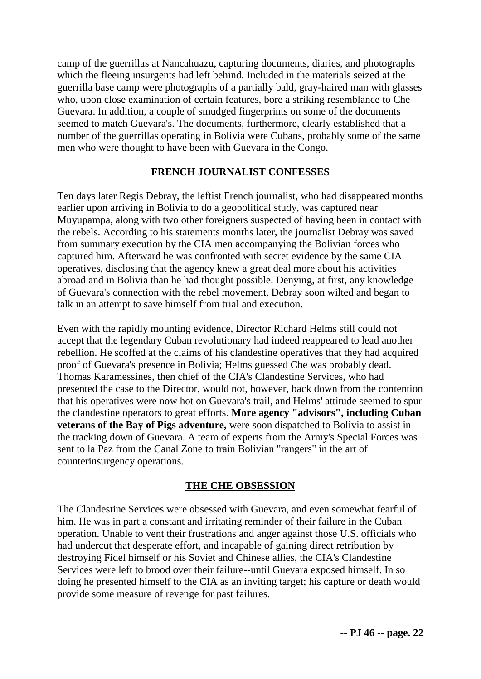camp of the guerrillas at Nancahuazu, capturing documents, diaries, and photographs which the fleeing insurgents had left behind. Included in the materials seized at the guerrilla base camp were photographs of a partially bald, gray-haired man with glasses who, upon close examination of certain features, bore a striking resemblance to Che Guevara. In addition, a couple of smudged fingerprints on some of the documents seemed to match Guevara's. The documents, furthermore, clearly established that a number of the guerrillas operating in Bolivia were Cubans, probably some of the same men who were thought to have been with Guevara in the Congo.

#### **FRENCH JOURNALIST CONFESSES**

Ten days later Regis Debray, the leftist French journalist, who had disappeared months earlier upon arriving in Bolivia to do a geopolitical study, was captured near Muyupampa, along with two other foreigners suspected of having been in contact with the rebels. According to his statements months later, the journalist Debray was saved from summary execution by the CIA men accompanying the Bolivian forces who captured him. Afterward he was confronted with secret evidence by the same CIA operatives, disclosing that the agency knew a great deal more about his activities abroad and in Bolivia than he had thought possible. Denying, at first, any knowledge of Guevara's connection with the rebel movement, Debray soon wilted and began to talk in an attempt to save himself from trial and execution.

Even with the rapidly mounting evidence, Director Richard Helms still could not accept that the legendary Cuban revolutionary had indeed reappeared to lead another rebellion. He scoffed at the claims of his clandestine operatives that they had acquired proof of Guevara's presence in Bolivia; Helms guessed Che was probably dead. Thomas Karamessines, then chief of the CIA's Clandestine Services, who had presented the case to the Director, would not, however, back down from the contention that his operatives were now hot on Guevara's trail, and Helms' attitude seemed to spur the clandestine operators to great efforts. **More agency "advisors", including Cuban veterans of the Bay of Pigs adventure,** were soon dispatched to Bolivia to assist in the tracking down of Guevara. A team of experts from the Army's Special Forces was sent to la Paz from the Canal Zone to train Bolivian "rangers" in the art of counterinsurgency operations.

#### **THE CHE OBSESSION**

The Clandestine Services were obsessed with Guevara, and even somewhat fearful of him. He was in part a constant and irritating reminder of their failure in the Cuban operation. Unable to vent their frustrations and anger against those U.S. officials who had undercut that desperate effort, and incapable of gaining direct retribution by destroying Fidel himself or his Soviet and Chinese allies, the CIA's Clandestine Services were left to brood over their failure--until Guevara exposed himself. In so doing he presented himself to the CIA as an inviting target; his capture or death would provide some measure of revenge for past failures.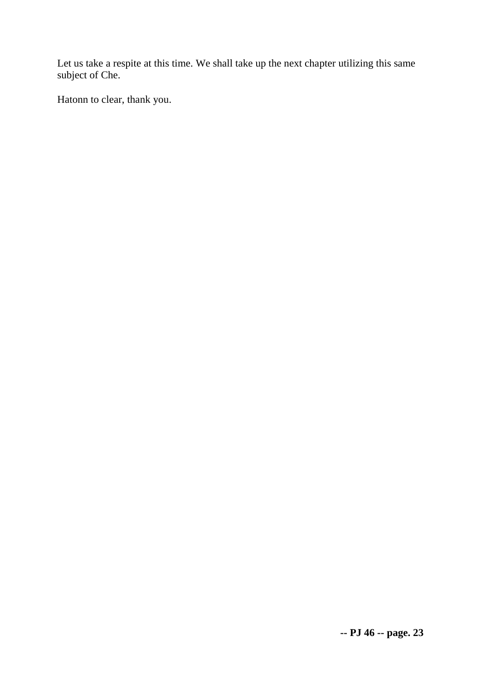Let us take a respite at this time. We shall take up the next chapter utilizing this same subject of Che.

Hatonn to clear, thank you.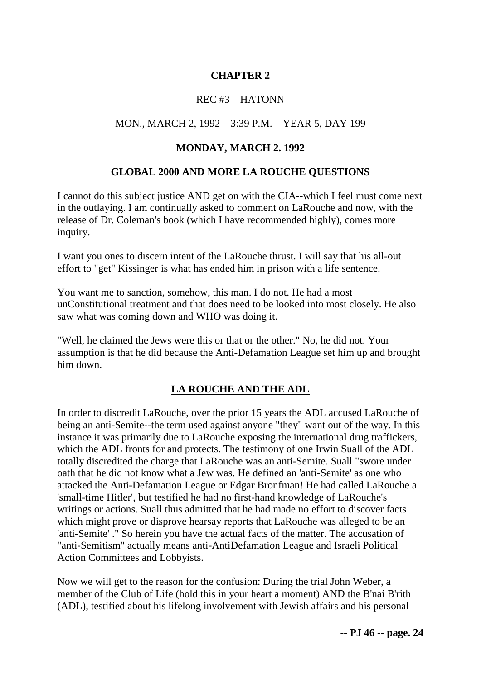#### **CHAPTER 2**

#### REC #3 HATONN

#### MON., MARCH 2, 1992 3:39 P.M. YEAR 5, DAY 199

#### **MONDAY, MARCH 2. 1992**

#### **GLOBAL 2000 AND MORE LA ROUCHE QUESTIONS**

I cannot do this subject justice AND get on with the CIA--which I feel must come next in the outlaying. I am continually asked to comment on LaRouche and now, with the release of Dr. Coleman's book (which I have recommended highly), comes more inquiry.

I want you ones to discern intent of the LaRouche thrust. I will say that his all-out effort to "get" Kissinger is what has ended him in prison with a life sentence.

You want me to sanction, somehow, this man. I do not. He had a most unConstitutional treatment and that does need to be looked into most closely. He also saw what was coming down and WHO was doing it.

"Well, he claimed the Jews were this or that or the other." No, he did not. Your assumption is that he did because the Anti-Defamation League set him up and brought him down.

#### **LA ROUCHE AND THE ADL**

In order to discredit LaRouche, over the prior 15 years the ADL accused LaRouche of being an anti-Semite--the term used against anyone "they" want out of the way. In this instance it was primarily due to LaRouche exposing the international drug traffickers, which the ADL fronts for and protects. The testimony of one Irwin Suall of the ADL totally discredited the charge that LaRouche was an anti-Semite. Suall "swore under oath that he did not know what a Jew was. He defined an 'anti-Semite' as one who attacked the Anti-Defamation League or Edgar Bronfman! He had called LaRouche a 'small-time Hitler', but testified he had no first-hand knowledge of LaRouche's writings or actions. Suall thus admitted that he had made no effort to discover facts which might prove or disprove hearsay reports that LaRouche was alleged to be an 'anti-Semite' ." So herein you have the actual facts of the matter. The accusation of "anti-Semitism" actually means anti-AntiDefamation League and Israeli Political Action Committees and Lobbyists.

Now we will get to the reason for the confusion: During the trial John Weber, a member of the Club of Life (hold this in your heart a moment) AND the B'nai B'rith (ADL), testified about his lifelong involvement with Jewish affairs and his personal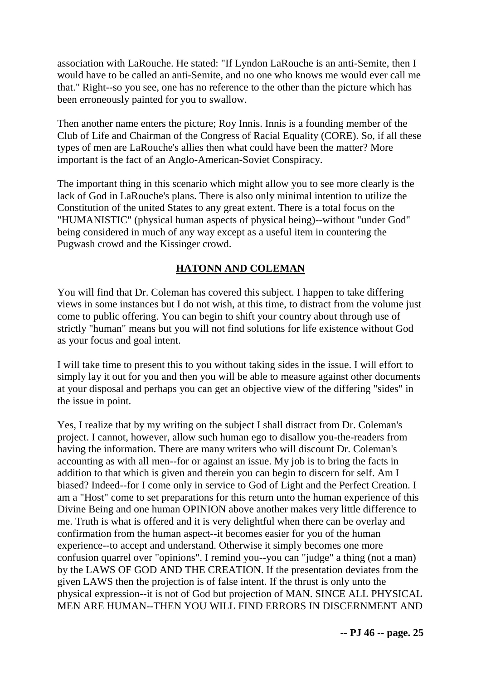association with LaRouche. He stated: "If Lyndon LaRouche is an anti-Semite, then I would have to be called an anti-Semite, and no one who knows me would ever call me that." Right--so you see, one has no reference to the other than the picture which has been erroneously painted for you to swallow.

Then another name enters the picture; Roy Innis. Innis is a founding member of the Club of Life and Chairman of the Congress of Racial Equality (CORE). So, if all these types of men are LaRouche's allies then what could have been the matter? More important is the fact of an Anglo-American-Soviet Conspiracy.

The important thing in this scenario which might allow you to see more clearly is the lack of God in LaRouche's plans. There is also only minimal intention to utilize the Constitution of the united States to any great extent. There is a total focus on the "HUMANISTIC" (physical human aspects of physical being)--without "under God" being considered in much of any way except as a useful item in countering the Pugwash crowd and the Kissinger crowd.

#### **HATONN AND COLEMAN**

You will find that Dr. Coleman has covered this subject. I happen to take differing views in some instances but I do not wish, at this time, to distract from the volume just come to public offering. You can begin to shift your country about through use of strictly "human" means but you will not find solutions for life existence without God as your focus and goal intent.

I will take time to present this to you without taking sides in the issue. I will effort to simply lay it out for you and then you will be able to measure against other documents at your disposal and perhaps you can get an objective view of the differing "sides" in the issue in point.

Yes, I realize that by my writing on the subject I shall distract from Dr. Coleman's project. I cannot, however, allow such human ego to disallow you-the-readers from having the information. There are many writers who will discount Dr. Coleman's accounting as with all men--for or against an issue. My job is to bring the facts in addition to that which is given and therein you can begin to discern for self. Am I biased? Indeed--for I come only in service to God of Light and the Perfect Creation. I am a "Host" come to set preparations for this return unto the human experience of this Divine Being and one human OPINION above another makes very little difference to me. Truth is what is offered and it is very delightful when there can be overlay and confirmation from the human aspect--it becomes easier for you of the human experience--to accept and understand. Otherwise it simply becomes one more confusion quarrel over "opinions". I remind you--you can "judge" a thing (not a man) by the LAWS OF GOD AND THE CREATION. If the presentation deviates from the given LAWS then the projection is of false intent. If the thrust is only unto the physical expression--it is not of God but projection of MAN. SINCE ALL PHYSICAL MEN ARE HUMAN--THEN YOU WILL FIND ERRORS IN DISCERNMENT AND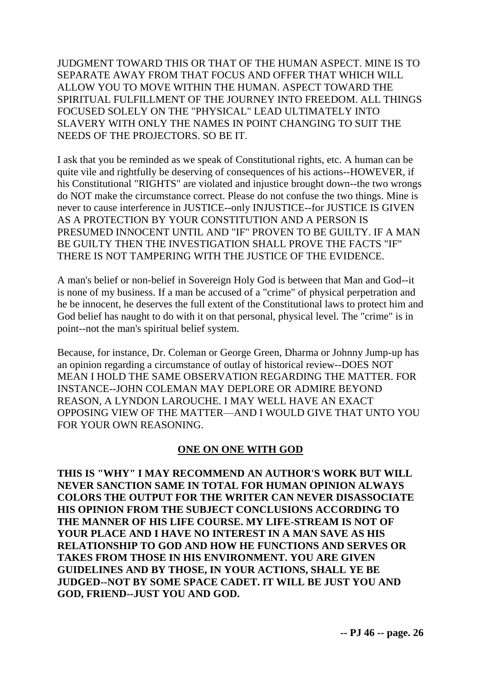JUDGMENT TOWARD THIS OR THAT OF THE HUMAN ASPECT. MINE IS TO SEPARATE AWAY FROM THAT FOCUS AND OFFER THAT WHICH WILL ALLOW YOU TO MOVE WITHIN THE HUMAN. ASPECT TOWARD THE SPIRITUAL FULFILLMENT OF THE JOURNEY INTO FREEDOM. ALL THINGS FOCUSED SOLELY ON THE "PHYSICAL" LEAD ULTIMATELY INTO SLAVERY WITH ONLY THE NAMES IN POINT CHANGING TO SUIT THE NEEDS OF THE PROJECTORS. SO BE IT.

I ask that you be reminded as we speak of Constitutional rights, etc. A human can be quite vile and rightfully be deserving of consequences of his actions--HOWEVER, if his Constitutional "RIGHTS" are violated and injustice brought down--the two wrongs do NOT make the circumstance correct. Please do not confuse the two things. Mine is never to cause interference in JUSTICE--only INJUSTICE--for JUSTICE IS GIVEN AS A PROTECTION BY YOUR CONSTITUTION AND A PERSON IS PRESUMED INNOCENT UNTIL AND "IF" PROVEN TO BE GUILTY. IF A MAN BE GUILTY THEN THE INVESTIGATION SHALL PROVE THE FACTS "IF" THERE IS NOT TAMPERING WITH THE JUSTICE OF THE EVIDENCE.

A man's belief or non-belief in Sovereign Holy God is between that Man and God--it is none of my business. If a man be accused of a "crime" of physical perpetration and he be innocent, he deserves the full extent of the Constitutional laws to protect him and God belief has naught to do with it on that personal, physical level. The "crime" is in point--not the man's spiritual belief system.

Because, for instance, Dr. Coleman or George Green, Dharma or Johnny Jump-up has an opinion regarding a circumstance of outlay of historical review--DOES NOT MEAN I HOLD THE SAME OBSERVATION REGARDING THE MATTER. FOR INSTANCE--JOHN COLEMAN MAY DEPLORE OR ADMIRE BEYOND REASON, A LYNDON LAROUCHE. I MAY WELL HAVE AN EXACT OPPOSING VIEW OF THE MATTER—AND I WOULD GIVE THAT UNTO YOU FOR YOUR OWN REASONING.

#### **ONE ON ONE WITH GOD**

**THIS IS "WHY" I MAY RECOMMEND AN AUTHOR'S WORK BUT WILL NEVER SANCTION SAME IN TOTAL FOR HUMAN OPINION ALWAYS COLORS THE OUTPUT FOR THE WRITER CAN NEVER DISASSOCIATE HIS OPINION FROM THE SUBJECT CONCLUSIONS ACCORDING TO THE MANNER OF HIS LIFE COURSE. MY LIFE-STREAM IS NOT OF YOUR PLACE AND I HAVE NO INTEREST IN A MAN SAVE AS HIS RELATIONSHIP TO GOD AND HOW HE FUNCTIONS AND SERVES OR TAKES FROM THOSE IN HIS ENVIRONMENT. YOU ARE GIVEN GUIDELINES AND BY THOSE, IN YOUR ACTIONS, SHALL YE BE JUDGED--NOT BY SOME SPACE CADET. IT WILL BE JUST YOU AND GOD, FRIEND--JUST YOU AND GOD.**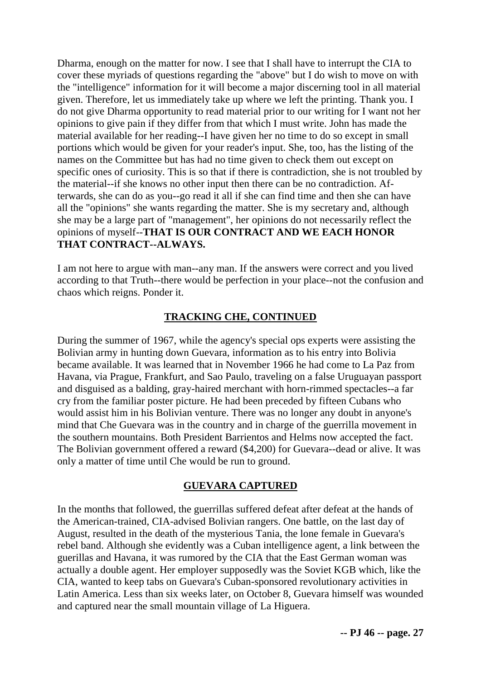Dharma, enough on the matter for now. I see that I shall have to interrupt the CIA to cover these myriads of questions regarding the "above" but I do wish to move on with the "intelligence" information for it will become a major discerning tool in all material given. Therefore, let us immediately take up where we left the printing. Thank you. I do not give Dharma opportunity to read material prior to our writing for I want not her opinions to give pain if they differ from that which I must write. John has made the material available for her reading--I have given her no time to do so except in small portions which would be given for your reader's input. She, too, has the listing of the names on the Committee but has had no time given to check them out except on specific ones of curiosity. This is so that if there is contradiction, she is not troubled by the material--if she knows no other input then there can be no contradiction. Afterwards, she can do as you--go read it all if she can find time and then she can have all the "opinions" she wants regarding the matter. She is my secretary and, although she may be a large part of "management", her opinions do not necessarily reflect the opinions of myself--**THAT IS OUR CONTRACT AND WE EACH HONOR THAT CONTRACT--ALWAYS.**

I am not here to argue with man--any man. If the answers were correct and you lived according to that Truth--there would be perfection in your place--not the confusion and chaos which reigns. Ponder it.

#### **TRACKING CHE, CONTINUED**

During the summer of 1967, while the agency's special ops experts were assisting the Bolivian army in hunting down Guevara, information as to his entry into Bolivia became available. It was learned that in November 1966 he had come to La Paz from Havana, via Prague, Frankfurt, and Sao Paulo, traveling on a false Uruguayan passport and disguised as a balding, gray-haired merchant with horn-rimmed spectacles--a far cry from the familiar poster picture. He had been preceded by fifteen Cubans who would assist him in his Bolivian venture. There was no longer any doubt in anyone's mind that Che Guevara was in the country and in charge of the guerrilla movement in the southern mountains. Both President Barrientos and Helms now accepted the fact. The Bolivian government offered a reward (\$4,200) for Guevara--dead or alive. It was only a matter of time until Che would be run to ground.

#### **GUEVARA CAPTURED**

In the months that followed, the guerrillas suffered defeat after defeat at the hands of the American-trained, CIA-advised Bolivian rangers. One battle, on the last day of August, resulted in the death of the mysterious Tania, the lone female in Guevara's rebel band. Although she evidently was a Cuban intelligence agent, a link between the guerillas and Havana, it was rumored by the CIA that the East German woman was actually a double agent. Her employer supposedly was the Soviet KGB which, like the CIA, wanted to keep tabs on Guevara's Cuban-sponsored revolutionary activities in Latin America. Less than six weeks later, on October 8, Guevara himself was wounded and captured near the small mountain village of La Higuera.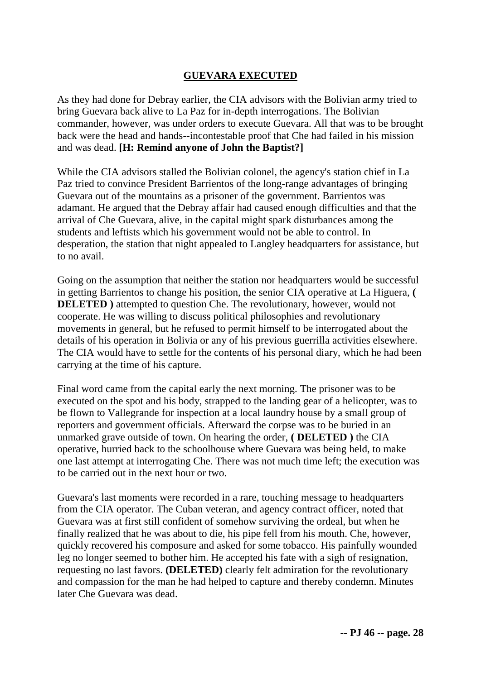#### **GUEVARA EXECUTED**

As they had done for Debray earlier, the CIA advisors with the Bolivian army tried to bring Guevara back alive to La Paz for in-depth interrogations. The Bolivian commander, however, was under orders to execute Guevara. All that was to be brought back were the head and hands--incontestable proof that Che had failed in his mission and was dead. **[H: Remind anyone of John the Baptist?]**

While the CIA advisors stalled the Bolivian colonel, the agency's station chief in La Paz tried to convince President Barrientos of the long-range advantages of bringing Guevara out of the mountains as a prisoner of the government. Barrientos was adamant. He argued that the Debray affair had caused enough difficulties and that the arrival of Che Guevara, alive, in the capital might spark disturbances among the students and leftists which his government would not be able to control. In desperation, the station that night appealed to Langley headquarters for assistance, but to no avail.

Going on the assumption that neither the station nor headquarters would be successful in getting Barrientos to change his position, the senior CIA operative at La Higuera, **( DELETED** ) attempted to question Che. The revolutionary, however, would not cooperate. He was willing to discuss political philosophies and revolutionary movements in general, but he refused to permit himself to be interrogated about the details of his operation in Bolivia or any of his previous guerrilla activities elsewhere. The CIA would have to settle for the contents of his personal diary, which he had been carrying at the time of his capture.

Final word came from the capital early the next morning. The prisoner was to be executed on the spot and his body, strapped to the landing gear of a helicopter, was to be flown to Vallegrande for inspection at a local laundry house by a small group of reporters and government officials. Afterward the corpse was to be buried in an unmarked grave outside of town. On hearing the order, **( DELETED )** the CIA operative, hurried back to the schoolhouse where Guevara was being held, to make one last attempt at interrogating Che. There was not much time left; the execution was to be carried out in the next hour or two.

Guevara's last moments were recorded in a rare, touching message to headquarters from the CIA operator. The Cuban veteran, and agency contract officer, noted that Guevara was at first still confident of somehow surviving the ordeal, but when he finally realized that he was about to die, his pipe fell from his mouth. Che, however, quickly recovered his composure and asked for some tobacco. His painfully wounded leg no longer seemed to bother him. He accepted his fate with a sigh of resignation, requesting no last favors. **(DELETED)** clearly felt admiration for the revolutionary and compassion for the man he had helped to capture and thereby condemn. Minutes later Che Guevara was dead.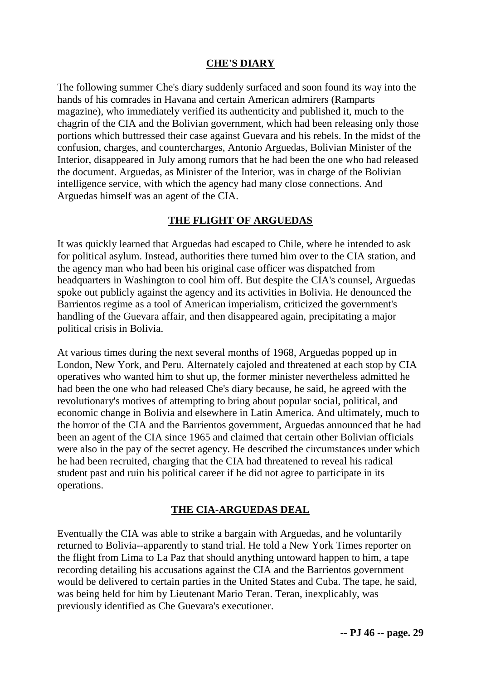#### **CHE'S DIARY**

The following summer Che's diary suddenly surfaced and soon found its way into the hands of his comrades in Havana and certain American admirers (Ramparts magazine), who immediately verified its authenticity and published it, much to the chagrin of the CIA and the Bolivian government, which had been releasing only those portions which buttressed their case against Guevara and his rebels. In the midst of the confusion, charges, and countercharges, Antonio Arguedas, Bolivian Minister of the Interior, disappeared in July among rumors that he had been the one who had released the document. Arguedas, as Minister of the Interior, was in charge of the Bolivian intelligence service, with which the agency had many close connections. And Arguedas himself was an agent of the CIA.

#### **THE FLIGHT OF ARGUEDAS**

It was quickly learned that Arguedas had escaped to Chile, where he intended to ask for political asylum. Instead, authorities there turned him over to the CIA station, and the agency man who had been his original case officer was dispatched from headquarters in Washington to cool him off. But despite the CIA's counsel, Arguedas spoke out publicly against the agency and its activities in Bolivia. He denounced the Barrientos regime as a tool of American imperialism, criticized the government's handling of the Guevara affair, and then disappeared again, precipitating a major political crisis in Bolivia.

At various times during the next several months of 1968, Arguedas popped up in London, New York, and Peru. Alternately cajoled and threatened at each stop by CIA operatives who wanted him to shut up, the former minister nevertheless admitted he had been the one who had released Che's diary because, he said, he agreed with the revolutionary's motives of attempting to bring about popular social, political, and economic change in Bolivia and elsewhere in Latin America. And ultimately, much to the horror of the CIA and the Barrientos government, Arguedas announced that he had been an agent of the CIA since 1965 and claimed that certain other Bolivian officials were also in the pay of the secret agency. He described the circumstances under which he had been recruited, charging that the CIA had threatened to reveal his radical student past and ruin his political career if he did not agree to participate in its operations.

#### **THE CIA-ARGUEDAS DEAL**

Eventually the CIA was able to strike a bargain with Arguedas, and he voluntarily returned to Bolivia--apparently to stand trial. He told a New York Times reporter on the flight from Lima to La Paz that should anything untoward happen to him, a tape recording detailing his accusations against the CIA and the Barrientos government would be delivered to certain parties in the United States and Cuba. The tape, he said, was being held for him by Lieutenant Mario Teran. Teran, inexplicably, was previously identified as Che Guevara's executioner.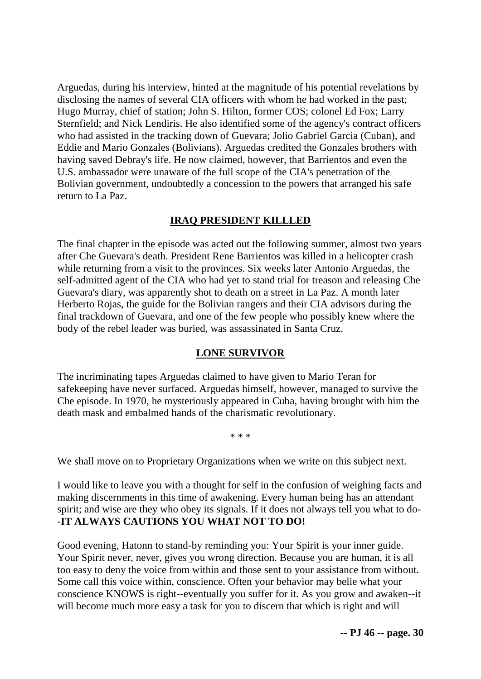Arguedas, during his interview, hinted at the magnitude of his potential revelations by disclosing the names of several CIA officers with whom he had worked in the past; Hugo Murray, chief of station; John S. Hilton, former COS; colonel Ed Fox; Larry Sternfield; and Nick Lendiris. He also identified some of the agency's contract officers who had assisted in the tracking down of Guevara; Jolio Gabriel Garcia (Cuban), and Eddie and Mario Gonzales (Bolivians). Arguedas credited the Gonzales brothers with having saved Debray's life. He now claimed, however, that Barrientos and even the U.S. ambassador were unaware of the full scope of the CIA's penetration of the Bolivian government, undoubtedly a concession to the powers that arranged his safe return to La Paz.

#### **IRAQ PRESIDENT KILLLED**

The final chapter in the episode was acted out the following summer, almost two years after Che Guevara's death. President Rene Barrientos was killed in a helicopter crash while returning from a visit to the provinces. Six weeks later Antonio Arguedas, the self-admitted agent of the CIA who had yet to stand trial for treason and releasing Che Guevara's diary, was apparently shot to death on a street in La Paz. A month later Herberto Rojas, the guide for the Bolivian rangers and their CIA advisors during the final trackdown of Guevara, and one of the few people who possibly knew where the body of the rebel leader was buried, was assassinated in Santa Cruz.

#### **LONE SURVIVOR**

The incriminating tapes Arguedas claimed to have given to Mario Teran for safekeeping have never surfaced. Arguedas himself, however, managed to survive the Che episode. In 1970, he mysteriously appeared in Cuba, having brought with him the death mask and embalmed hands of the charismatic revolutionary.

\* \* \*

We shall move on to Proprietary Organizations when we write on this subject next.

I would like to leave you with a thought for self in the confusion of weighing facts and making discernments in this time of awakening. Every human being has an attendant spirit; and wise are they who obey its signals. If it does not always tell you what to do- -**IT ALWAYS CAUTIONS YOU WHAT NOT TO DO!**

Good evening, Hatonn to stand-by reminding you: Your Spirit is your inner guide. Your Spirit never, never, gives you wrong direction. Because you are human, it is all too easy to deny the voice from within and those sent to your assistance from without. Some call this voice within, conscience. Often your behavior may belie what your conscience KNOWS is right--eventually you suffer for it. As you grow and awaken--it will become much more easy a task for you to discern that which is right and will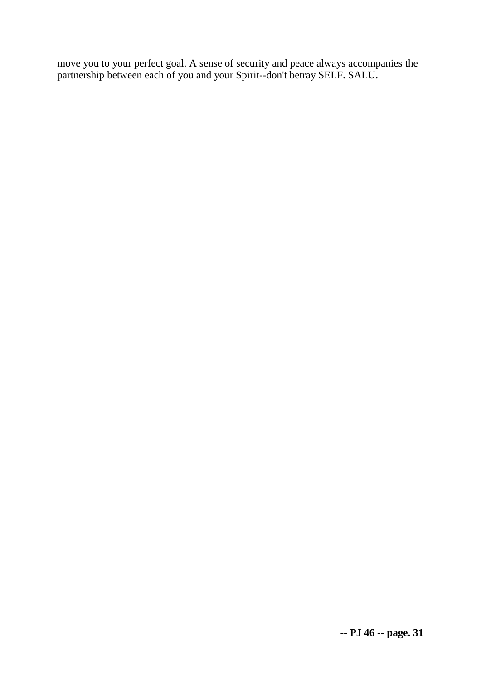move you to your perfect goal. A sense of security and peace always accompanies the partnership between each of you and your Spirit--don't betray SELF. SALU.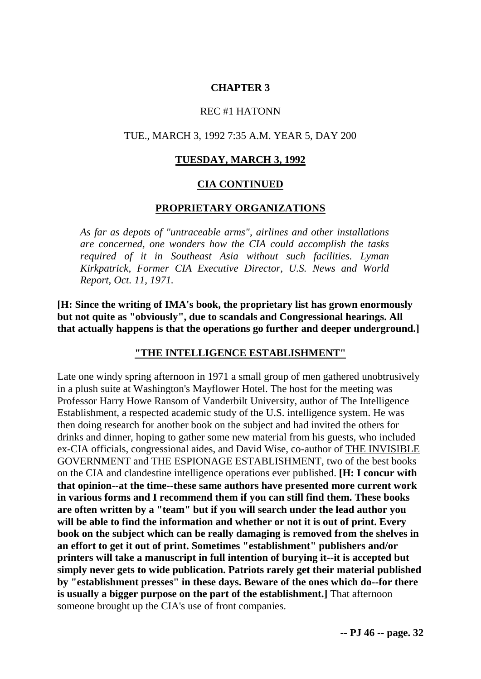#### **CHAPTER 3**

#### REC #1 HATONN

#### TUE., MARCH 3, 1992 7:35 A.M. YEAR 5, DAY 200

#### **TUESDAY, MARCH 3, 1992**

#### **CIA CONTINUED**

#### **PROPRIETARY ORGANIZATIONS**

*As far as depots of "untraceable arms", airlines and other installations are concerned, one wonders how the CIA could accomplish the tasks required of it in Southeast Asia without such facilities. Lyman Kirkpatrick, Former CIA Executive Director, U.S. News and World Report, Oct. 11, 1971.*

**[H: Since the writing of IMA's book, the proprietary list has grown enormously but not quite as "obviously", due to scandals and Congressional hearings. All that actually happens is that the operations go further and deeper underground.]**

#### **"THE INTELLIGENCE ESTABLISHMENT"**

Late one windy spring afternoon in 1971 a small group of men gathered unobtrusively in a plush suite at Washington's Mayflower Hotel. The host for the meeting was Professor Harry Howe Ransom of Vanderbilt University, author of The Intelligence Establishment, a respected academic study of the U.S. intelligence system. He was then doing research for another book on the subject and had invited the others for drinks and dinner, hoping to gather some new material from his guests, who included ex-CIA officials, congressional aides, and David Wise, co-author of THE INVISIBLE GOVERNMENT and THE ESPIONAGE ESTABLISHMENT, two of the best books on the CIA and clandestine intelligence operations ever published. **[H: I concur with that opinion--at the time--these same authors have presented more current work in various forms and I recommend them if you can still find them. These books are often written by a "team" but if you will search under the lead author you will be able to find the information and whether or not it is out of print. Every book on the subject which can be really damaging is removed from the shelves in an effort to get it out of print. Sometimes "establishment" publishers and/or printers will take a manuscript in full intention of burying it--it is accepted but simply never gets to wide publication. Patriots rarely get their material published by "establishment presses" in these days. Beware of the ones which do--for there is usually a bigger purpose on the part of the establishment.]** That afternoon someone brought up the CIA's use of front companies.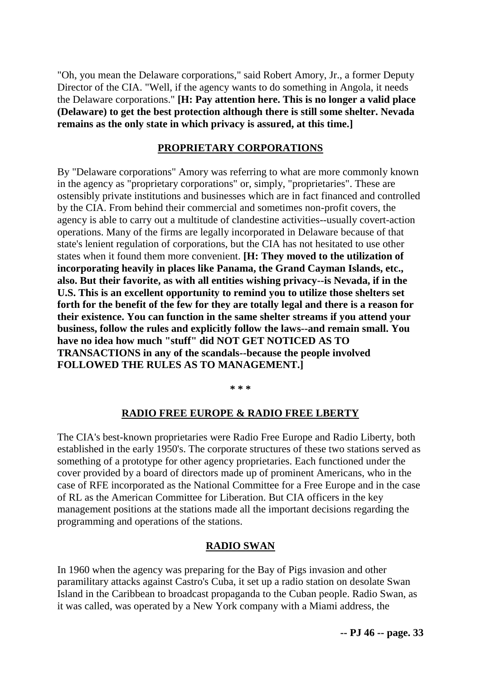"Oh, you mean the Delaware corporations," said Robert Amory, Jr., a former Deputy Director of the CIA. "Well, if the agency wants to do something in Angola, it needs the Delaware corporations." **[H: Pay attention here. This is no longer a valid place (Delaware) to get the best protection although there is still some shelter. Nevada remains as the only state in which privacy is assured, at this time.]**

#### **PROPRIETARY CORPORATIONS**

By "Delaware corporations" Amory was referring to what are more commonly known in the agency as "proprietary corporations" or, simply, "proprietaries". These are ostensibly private institutions and businesses which are in fact financed and controlled by the CIA. From behind their commercial and sometimes non-profit covers, the agency is able to carry out a multitude of clandestine activities--usually covert-action operations. Many of the firms are legally incorporated in Delaware because of that state's lenient regulation of corporations, but the CIA has not hesitated to use other states when it found them more convenient. **[H: They moved to the utilization of incorporating heavily in places like Panama, the Grand Cayman Islands, etc., also. But their favorite, as with all entities wishing privacy--is Nevada, if in the U.S. This is an excellent opportunity to remind you to utilize those shelters set forth for the benefit of the few for they are totally legal and there is a reason for their existence. You can function in the same shelter streams if you attend your business, follow the rules and explicitly follow the laws--and remain small. You have no idea how much "stuff" did NOT GET NOTICED AS TO TRANSACTIONS in any of the scandals--because the people involved FOLLOWED THE RULES AS TO MANAGEMENT.]**

**\* \* \***

#### **RADIO FREE EUROPE & RADIO FREE LBERTY**

The CIA's best-known proprietaries were Radio Free Europe and Radio Liberty, both established in the early 1950's. The corporate structures of these two stations served as something of a prototype for other agency proprietaries. Each functioned under the cover provided by a board of directors made up of prominent Americans, who in the case of RFE incorporated as the National Committee for a Free Europe and in the case of RL as the American Committee for Liberation. But CIA officers in the key management positions at the stations made all the important decisions regarding the programming and operations of the stations.

#### **RADIO SWAN**

In 1960 when the agency was preparing for the Bay of Pigs invasion and other paramilitary attacks against Castro's Cuba, it set up a radio station on desolate Swan Island in the Caribbean to broadcast propaganda to the Cuban people. Radio Swan, as it was called, was operated by a New York company with a Miami address, the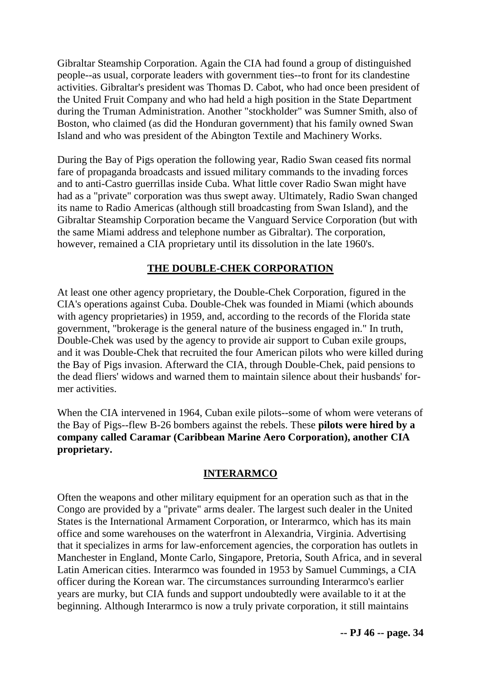Gibraltar Steamship Corporation. Again the CIA had found a group of distinguished people--as usual, corporate leaders with government ties--to front for its clandestine activities. Gibraltar's president was Thomas D. Cabot, who had once been president of the United Fruit Company and who had held a high position in the State Department during the Truman Administration. Another "stockholder" was Sumner Smith, also of Boston, who claimed (as did the Honduran government) that his family owned Swan Island and who was president of the Abington Textile and Machinery Works.

During the Bay of Pigs operation the following year, Radio Swan ceased fits normal fare of propaganda broadcasts and issued military commands to the invading forces and to anti-Castro guerrillas inside Cuba. What little cover Radio Swan might have had as a "private" corporation was thus swept away. Ultimately, Radio Swan changed its name to Radio Americas (although still broadcasting from Swan Island), and the Gibraltar Steamship Corporation became the Vanguard Service Corporation (but with the same Miami address and telephone number as Gibraltar). The corporation, however, remained a CIA proprietary until its dissolution in the late 1960's.

#### **THE DOUBLE-CHEK CORPORATION**

At least one other agency proprietary, the Double-Chek Corporation, figured in the CIA's operations against Cuba. Double-Chek was founded in Miami (which abounds with agency proprietaries) in 1959, and, according to the records of the Florida state government, "brokerage is the general nature of the business engaged in." In truth, Double-Chek was used by the agency to provide air support to Cuban exile groups, and it was Double-Chek that recruited the four American pilots who were killed during the Bay of Pigs invasion. Afterward the CIA, through Double-Chek, paid pensions to the dead fliers' widows and warned them to maintain silence about their husbands' former activities.

When the CIA intervened in 1964, Cuban exile pilots--some of whom were veterans of the Bay of Pigs--flew B-26 bombers against the rebels. These **pilots were hired by a company called Caramar (Caribbean Marine Aero Corporation), another CIA proprietary.**

#### **INTERARMCO**

Often the weapons and other military equipment for an operation such as that in the Congo are provided by a "private" arms dealer. The largest such dealer in the United States is the International Armament Corporation, or Interarmco, which has its main office and some warehouses on the waterfront in Alexandria, Virginia. Advertising that it specializes in arms for law-enforcement agencies, the corporation has outlets in Manchester in England, Monte Carlo, Singapore, Pretoria, South Africa, and in several Latin American cities. Interarmco was founded in 1953 by Samuel Cummings, a CIA officer during the Korean war. The circumstances surrounding Interarmco's earlier years are murky, but CIA funds and support undoubtedly were available to it at the beginning. Although Interarmco is now a truly private corporation, it still maintains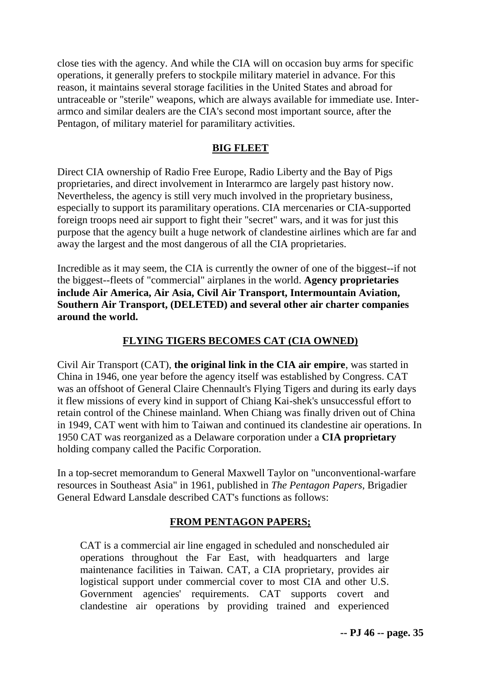close ties with the agency. And while the CIA will on occasion buy arms for specific operations, it generally prefers to stockpile military materiel in advance. For this reason, it maintains several storage facilities in the United States and abroad for untraceable or "sterile" weapons, which are always available for immediate use. Interarmco and similar dealers are the CIA's second most important source, after the Pentagon, of military materiel for paramilitary activities.

#### **BIG FLEET**

Direct CIA ownership of Radio Free Europe, Radio Liberty and the Bay of Pigs proprietaries, and direct involvement in Interarmco are largely past history now. Nevertheless, the agency is still very much involved in the proprietary business, especially to support its paramilitary operations. CIA mercenaries or CIA-supported foreign troops need air support to fight their "secret" wars, and it was for just this purpose that the agency built a huge network of clandestine airlines which are far and away the largest and the most dangerous of all the CIA proprietaries.

Incredible as it may seem, the CIA is currently the owner of one of the biggest--if not the biggest--fleets of "commercial" airplanes in the world. **Agency proprietaries include Air America, Air Asia, Civil Air Transport, Intermountain Aviation, Southern Air Transport, (DELETED) and several other air charter companies around the world.**

#### **FLYING TIGERS BECOMES CAT (CIA OWNED)**

Civil Air Transport (CAT), **the original link in the CIA air empire**, was started in China in 1946, one year before the agency itself was established by Congress. CAT was an offshoot of General Claire Chennault's Flying Tigers and during its early days it flew missions of every kind in support of Chiang Kai-shek's unsuccessful effort to retain control of the Chinese mainland. When Chiang was finally driven out of China in 1949, CAT went with him to Taiwan and continued its clandestine air operations. In 1950 CAT was reorganized as a Delaware corporation under a **CIA proprietary** holding company called the Pacific Corporation.

In a top-secret memorandum to General Maxwell Taylor on "unconventional-warfare resources in Southeast Asia" in 1961, published in *The Pentagon Papers*, Brigadier General Edward Lansdale described CAT's functions as follows:

#### **FROM PENTAGON PAPERS;**

CAT is a commercial air line engaged in scheduled and nonscheduled air operations throughout the Far East, with headquarters and large maintenance facilities in Taiwan. CAT, a CIA proprietary, provides air logistical support under commercial cover to most CIA and other U.S. Government agencies' requirements. CAT supports covert and clandestine air operations by providing trained and experienced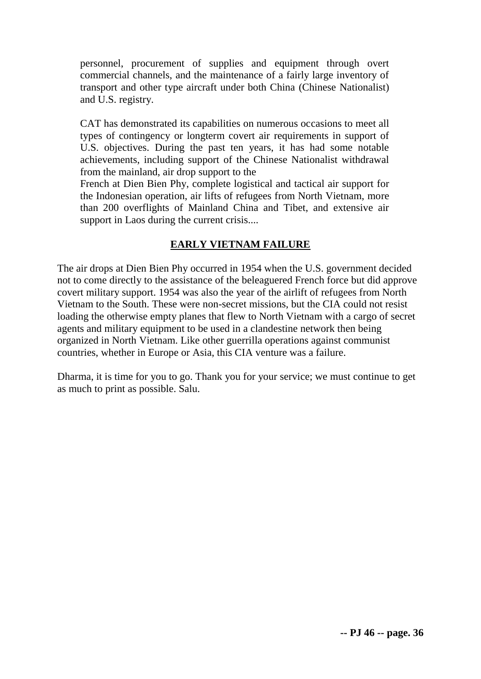personnel, procurement of supplies and equipment through overt commercial channels, and the maintenance of a fairly large inventory of transport and other type aircraft under both China (Chinese Nationalist) and U.S. registry.

CAT has demonstrated its capabilities on numerous occasions to meet all types of contingency or longterm covert air requirements in support of U.S. objectives. During the past ten years, it has had some notable achievements, including support of the Chinese Nationalist withdrawal from the mainland, air drop support to the

French at Dien Bien Phy, complete logistical and tactical air support for the Indonesian operation, air lifts of refugees from North Vietnam, more than 200 overflights of Mainland China and Tibet, and extensive air support in Laos during the current crisis....

## **EARLY VIETNAM FAILURE**

The air drops at Dien Bien Phy occurred in 1954 when the U.S. government decided not to come directly to the assistance of the beleaguered French force but did approve covert military support. 1954 was also the year of the airlift of refugees from North Vietnam to the South. These were non-secret missions, but the CIA could not resist loading the otherwise empty planes that flew to North Vietnam with a cargo of secret agents and military equipment to be used in a clandestine network then being organized in North Vietnam. Like other guerrilla operations against communist countries, whether in Europe or Asia, this CIA venture was a failure.

Dharma, it is time for you to go. Thank you for your service; we must continue to get as much to print as possible. Salu.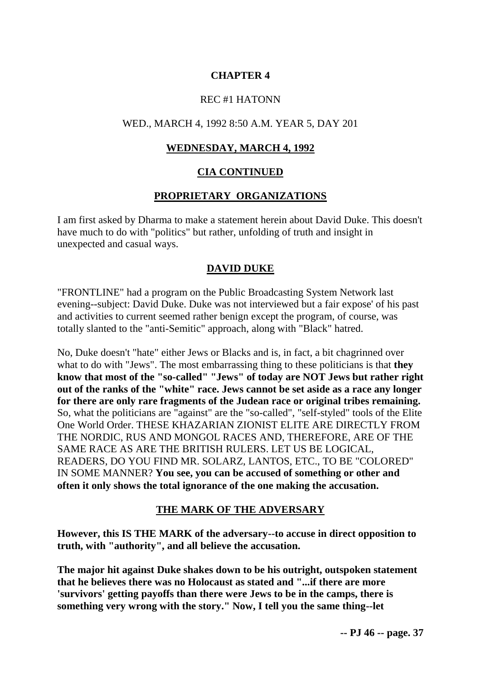# **CHAPTER 4**

### REC #1 HATONN

### WED., MARCH 4, 1992 8:50 A.M. YEAR 5, DAY 201

## **WEDNESDAY, MARCH 4, 1992**

## **CIA CONTINUED**

### **PROPRIETARY ORGANIZATIONS**

I am first asked by Dharma to make a statement herein about David Duke. This doesn't have much to do with "politics" but rather, unfolding of truth and insight in unexpected and casual ways.

### **DAVID DUKE**

"FRONTLINE" had a program on the Public Broadcasting System Network last evening--subject: David Duke. Duke was not interviewed but a fair expose' of his past and activities to current seemed rather benign except the program, of course, was totally slanted to the "anti-Semitic" approach, along with "Black" hatred.

No, Duke doesn't "hate" either Jews or Blacks and is, in fact, a bit chagrinned over what to do with "Jews". The most embarrassing thing to these politicians is that **they know that most of the "so-called" "Jews" of today are NOT Jews but rather right out of the ranks of the "white" race. Jews cannot be set aside as a race any longer for there are only rare fragments of the Judean race or original tribes remaining.** So, what the politicians are "against" are the "so-called", "self-styled" tools of the Elite One World Order. THESE KHAZARIAN ZIONIST ELITE ARE DIRECTLY FROM THE NORDIC, RUS AND MONGOL RACES AND, THEREFORE, ARE OF THE SAME RACE AS ARE THE BRITISH RULERS. LET US BE LOGICAL, READERS, DO YOU FIND MR. SOLARZ, LANTOS, ETC., TO BE "COLORED" IN SOME MANNER? **You see, you can be accused of something or other and often it only shows the total ignorance of the one making the accusation.**

## **THE MARK OF THE ADVERSARY**

**However, this IS THE MARK of the adversary--to accuse in direct opposition to truth, with "authority", and all believe the accusation.**

**The major hit against Duke shakes down to be his outright, outspoken statement that he believes there was no Holocaust as stated and "...if there are more 'survivors' getting payoffs than there were Jews to be in the camps, there is something very wrong with the story." Now, I tell you the same thing--let**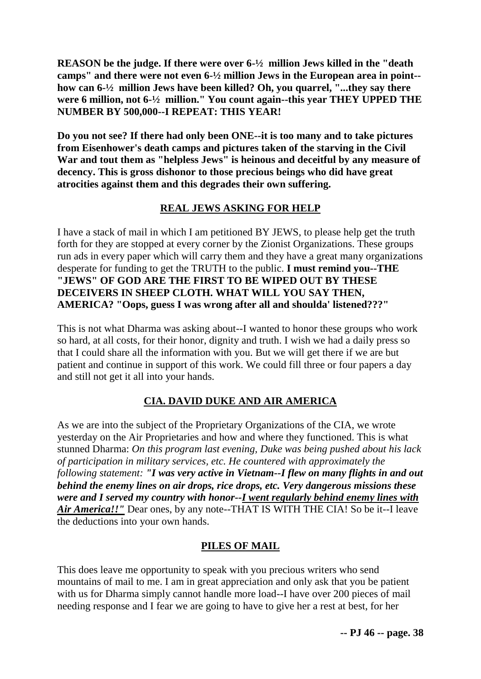**REASON be the judge. If there were over 6-½ million Jews killed in the "death camps" and there were not even 6-½ million Jews in the European area in point- how can 6-½ million Jews have been killed? Oh, you quarrel, "...they say there were 6 million, not 6-½ million." You count again--this year THEY UPPED THE NUMBER BY 500,000--I REPEAT: THIS YEAR!**

**Do you not see? If there had only been ONE--it is too many and to take pictures from Eisenhower's death camps and pictures taken of the starving in the Civil War and tout them as "helpless Jews" is heinous and deceitful by any measure of decency. This is gross dishonor to those precious beings who did have great atrocities against them and this degrades their own suffering.**

# **REAL JEWS ASKING FOR HELP**

I have a stack of mail in which I am petitioned BY JEWS, to please help get the truth forth for they are stopped at every corner by the Zionist Organizations. These groups run ads in every paper which will carry them and they have a great many organizations desperate for funding to get the TRUTH to the public. **I must remind you--THE "JEWS" OF GOD ARE THE FIRST TO BE WIPED OUT BY THESE DECEIVERS IN SHEEP CLOTH. WHAT WILL YOU SAY THEN, AMERICA? "Oops, guess I was wrong after all and shoulda' listened???"**

This is not what Dharma was asking about--I wanted to honor these groups who work so hard, at all costs, for their honor, dignity and truth. I wish we had a daily press so that I could share all the information with you. But we will get there if we are but patient and continue in support of this work. We could fill three or four papers a day and still not get it all into your hands.

# **CIA. DAVID DUKE AND AIR AMERICA**

As we are into the subject of the Proprietary Organizations of the CIA, we wrote yesterday on the Air Proprietaries and how and where they functioned. This is what stunned Dharma: *On this program last evening, Duke was being pushed about his lack of participation in military services, etc. He countered with approximately the following statement: "I was very active in Vietnam--I flew on many flights in and out behind the enemy lines on air drops, rice drops, etc. Very dangerous missions these were and I served my country with honor--I went regularly behind enemy lines with Air America!!"* Dear ones, by any note--THAT IS WITH THE CIA! So be it--I leave the deductions into your own hands.

## **PILES OF MAIL**

This does leave me opportunity to speak with you precious writers who send mountains of mail to me. I am in great appreciation and only ask that you be patient with us for Dharma simply cannot handle more load--I have over 200 pieces of mail needing response and I fear we are going to have to give her a rest at best, for her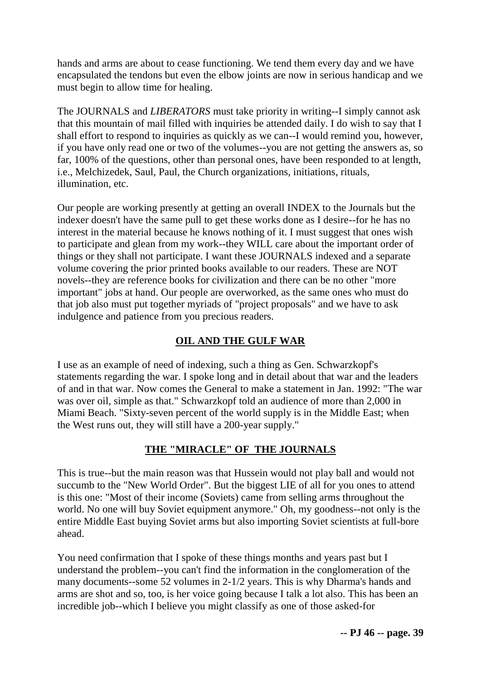hands and arms are about to cease functioning. We tend them every day and we have encapsulated the tendons but even the elbow joints are now in serious handicap and we must begin to allow time for healing.

The JOURNALS and *LIBERATORS* must take priority in writing--I simply cannot ask that this mountain of mail filled with inquiries be attended daily. I do wish to say that I shall effort to respond to inquiries as quickly as we can--I would remind you, however, if you have only read one or two of the volumes--you are not getting the answers as, so far, 100% of the questions, other than personal ones, have been responded to at length, i.e., Melchizedek, Saul, Paul, the Church organizations, initiations, rituals, illumination, etc.

Our people are working presently at getting an overall INDEX to the Journals but the indexer doesn't have the same pull to get these works done as I desire--for he has no interest in the material because he knows nothing of it. I must suggest that ones wish to participate and glean from my work--they WILL care about the important order of things or they shall not participate. I want these JOURNALS indexed and a separate volume covering the prior printed books available to our readers. These are NOT novels--they are reference books for civilization and there can be no other "more important" jobs at hand. Our people are overworked, as the same ones who must do that job also must put together myriads of "project proposals" and we have to ask indulgence and patience from you precious readers.

## **OIL AND THE GULF WAR**

I use as an example of need of indexing, such a thing as Gen. Schwarzkopf's statements regarding the war. I spoke long and in detail about that war and the leaders of and in that war. Now comes the General to make a statement in Jan. 1992: "The war was over oil, simple as that." Schwarzkopf told an audience of more than 2,000 in Miami Beach. "Sixty-seven percent of the world supply is in the Middle East; when the West runs out, they will still have a 200-year supply."

# **THE "MIRACLE" OF THE JOURNALS**

This is true--but the main reason was that Hussein would not play ball and would not succumb to the "New World Order". But the biggest LIE of all for you ones to attend is this one: "Most of their income (Soviets) came from selling arms throughout the world. No one will buy Soviet equipment anymore." Oh, my goodness--not only is the entire Middle East buying Soviet arms but also importing Soviet scientists at full-bore ahead.

You need confirmation that I spoke of these things months and years past but I understand the problem--you can't find the information in the conglomeration of the many documents--some 52 volumes in 2-1/2 years. This is why Dharma's hands and arms are shot and so, too, is her voice going because I talk a lot also. This has been an incredible job--which I believe you might classify as one of those asked-for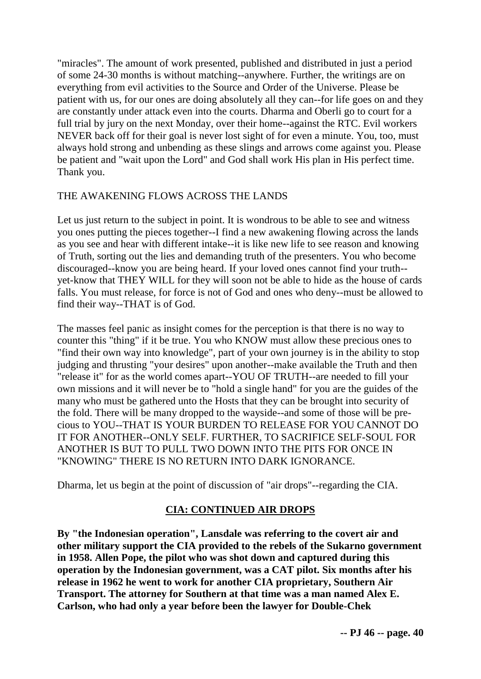"miracles". The amount of work presented, published and distributed in just a period of some 24-30 months is without matching--anywhere. Further, the writings are on everything from evil activities to the Source and Order of the Universe. Please be patient with us, for our ones are doing absolutely all they can--for life goes on and they are constantly under attack even into the courts. Dharma and Oberli go to court for a full trial by jury on the next Monday, over their home--against the RTC. Evil workers NEVER back off for their goal is never lost sight of for even a minute. You, too, must always hold strong and unbending as these slings and arrows come against you. Please be patient and "wait upon the Lord" and God shall work His plan in His perfect time. Thank you.

### THE AWAKENING FLOWS ACROSS THE LANDS

Let us just return to the subject in point. It is wondrous to be able to see and witness you ones putting the pieces together--I find a new awakening flowing across the lands as you see and hear with different intake--it is like new life to see reason and knowing of Truth, sorting out the lies and demanding truth of the presenters. You who become discouraged--know you are being heard. If your loved ones cannot find your truth- yet-know that THEY WILL for they will soon not be able to hide as the house of cards falls. You must release, for force is not of God and ones who deny--must be allowed to find their way--THAT is of God.

The masses feel panic as insight comes for the perception is that there is no way to counter this "thing" if it be true. You who KNOW must allow these precious ones to "find their own way into knowledge", part of your own journey is in the ability to stop judging and thrusting "your desires" upon another--make available the Truth and then "release it" for as the world comes apart--YOU OF TRUTH--are needed to fill your own missions and it will never be to "hold a single hand" for you are the guides of the many who must be gathered unto the Hosts that they can be brought into security of the fold. There will be many dropped to the wayside--and some of those will be precious to YOU--THAT IS YOUR BURDEN TO RELEASE FOR YOU CANNOT DO IT FOR ANOTHER--ONLY SELF. FURTHER, TO SACRIFICE SELF-SOUL FOR ANOTHER IS BUT TO PULL TWO DOWN INTO THE PITS FOR ONCE IN "KNOWING" THERE IS NO RETURN INTO DARK IGNORANCE.

Dharma, let us begin at the point of discussion of "air drops"--regarding the CIA.

## **CIA: CONTINUED AIR DROPS**

**By "the Indonesian operation", Lansdale was referring to the covert air and other military support the CIA provided to the rebels of the Sukarno government in 1958. Allen Pope, the pilot who was shot down and captured during this operation by the Indonesian government, was a CAT pilot. Six months after his release in 1962 he went to work for another CIA proprietary, Southern Air Transport. The attorney for Southern at that time was a man named Alex E. Carlson, who had only a year before been the lawyer for Double-Chek**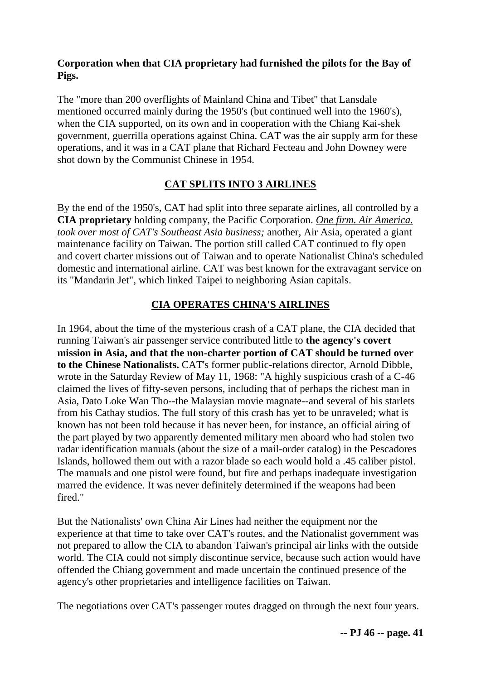# **Corporation when that CIA proprietary had furnished the pilots for the Bay of Pigs.**

The "more than 200 overflights of Mainland China and Tibet" that Lansdale mentioned occurred mainly during the 1950's (but continued well into the 1960's), when the CIA supported, on its own and in cooperation with the Chiang Kai-shek government, guerrilla operations against China. CAT was the air supply arm for these operations, and it was in a CAT plane that Richard Fecteau and John Downey were shot down by the Communist Chinese in 1954.

# **CAT SPLITS INTO 3 AIRLINES**

By the end of the 1950's, CAT had split into three separate airlines, all controlled by a **CIA proprietary** holding company, the Pacific Corporation. *One firm. Air America. took over most of CAT's Southeast Asia business;* another, Air Asia, operated a giant maintenance facility on Taiwan. The portion still called CAT continued to fly open and covert charter missions out of Taiwan and to operate Nationalist China's scheduled domestic and international airline. CAT was best known for the extravagant service on its "Mandarin Jet", which linked Taipei to neighboring Asian capitals.

# **CIA OPERATES CHINA'S AIRLINES**

In 1964, about the time of the mysterious crash of a CAT plane, the CIA decided that running Taiwan's air passenger service contributed little to **the agency's covert mission in Asia, and that the non-charter portion of CAT should be turned over to the Chinese Nationalists.** CAT's former public-relations director, Arnold Dibble, wrote in the Saturday Review of May 11, 1968: "A highly suspicious crash of a C-46 claimed the lives of fifty-seven persons, including that of perhaps the richest man in Asia, Dato Loke Wan Tho--the Malaysian movie magnate--and several of his starlets from his Cathay studios. The full story of this crash has yet to be unraveled; what is known has not been told because it has never been, for instance, an official airing of the part played by two apparently demented military men aboard who had stolen two radar identification manuals (about the size of a mail-order catalog) in the Pescadores Islands, hollowed them out with a razor blade so each would hold a .45 caliber pistol. The manuals and one pistol were found, but fire and perhaps inadequate investigation marred the evidence. It was never definitely determined if the weapons had been fired."

But the Nationalists' own China Air Lines had neither the equipment nor the experience at that time to take over CAT's routes, and the Nationalist government was not prepared to allow the CIA to abandon Taiwan's principal air links with the outside world. The CIA could not simply discontinue service, because such action would have offended the Chiang government and made uncertain the continued presence of the agency's other proprietaries and intelligence facilities on Taiwan.

The negotiations over CAT's passenger routes dragged on through the next four years.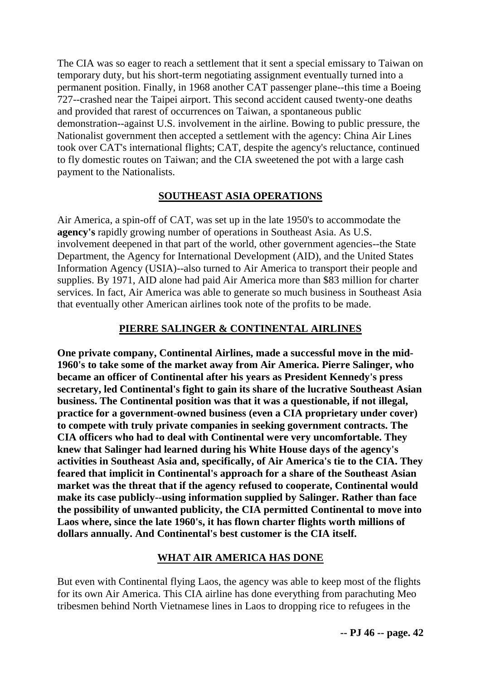The CIA was so eager to reach a settlement that it sent a special emissary to Taiwan on temporary duty, but his short-term negotiating assignment eventually turned into a permanent position. Finally, in 1968 another CAT passenger plane--this time a Boeing 727--crashed near the Taipei airport. This second accident caused twenty-one deaths and provided that rarest of occurrences on Taiwan, a spontaneous public demonstration--against U.S. involvement in the airline. Bowing to public pressure, the Nationalist government then accepted a settlement with the agency: China Air Lines took over CAT's international flights; CAT, despite the agency's reluctance, continued to fly domestic routes on Taiwan; and the CIA sweetened the pot with a large cash payment to the Nationalists.

### **SOUTHEAST ASIA OPERATIONS**

Air America, a spin-off of CAT, was set up in the late 1950's to accommodate the **agency's** rapidly growing number of operations in Southeast Asia. As U.S. involvement deepened in that part of the world, other government agencies--the State Department, the Agency for International Development (AID), and the United States Information Agency (USIA)--also turned to Air America to transport their people and supplies. By 1971, AID alone had paid Air America more than \$83 million for charter services. In fact, Air America was able to generate so much business in Southeast Asia that eventually other American airlines took note of the profits to be made.

### **PIERRE SALINGER & CONTINENTAL AIRLINES**

**One private company, Continental Airlines, made a successful move in the mid-1960's to take some of the market away from Air America. Pierre Salinger, who became an officer of Continental after his years as President Kennedy's press secretary, led Continental's fight to gain its share of the lucrative Southeast Asian business. The Continental position was that it was a questionable, if not illegal, practice for a government-owned business (even a CIA proprietary under cover) to compete with truly private companies in seeking government contracts. The CIA officers who had to deal with Continental were very uncomfortable. They knew that Salinger had learned during his White House days of the agency's activities in Southeast Asia and, specifically, of Air America's tie to the CIA. They feared that implicit in Continental's approach for a share of the Southeast Asian market was the threat that if the agency refused to cooperate, Continental would make its case publicly--using information supplied by Salinger. Rather than face the possibility of unwanted publicity, the CIA permitted Continental to move into Laos where, since the late 1960's, it has flown charter flights worth millions of dollars annually. And Continental's best customer is the CIA itself.**

## **WHAT AIR AMERICA HAS DONE**

But even with Continental flying Laos, the agency was able to keep most of the flights for its own Air America. This CIA airline has done everything from parachuting Meo tribesmen behind North Vietnamese lines in Laos to dropping rice to refugees in the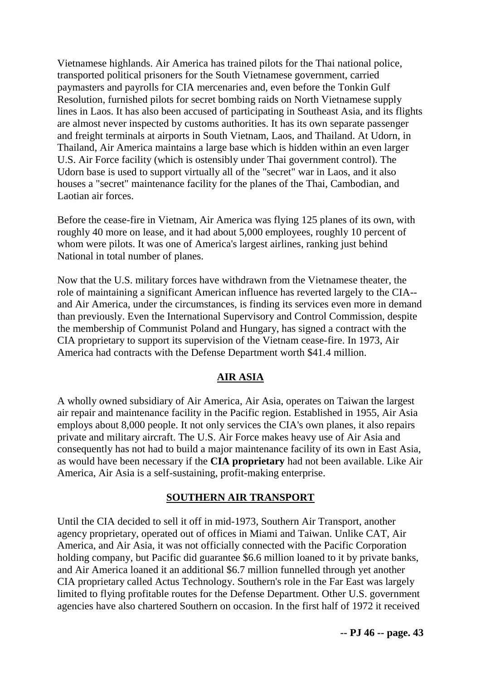Vietnamese highlands. Air America has trained pilots for the Thai national police, transported political prisoners for the South Vietnamese government, carried paymasters and payrolls for CIA mercenaries and, even before the Tonkin Gulf Resolution, furnished pilots for secret bombing raids on North Vietnamese supply lines in Laos. It has also been accused of participating in Southeast Asia, and its flights are almost never inspected by customs authorities. It has its own separate passenger and freight terminals at airports in South Vietnam, Laos, and Thailand. At Udorn, in Thailand, Air America maintains a large base which is hidden within an even larger U.S. Air Force facility (which is ostensibly under Thai government control). The Udorn base is used to support virtually all of the "secret" war in Laos, and it also houses a "secret" maintenance facility for the planes of the Thai, Cambodian, and Laotian air forces.

Before the cease-fire in Vietnam, Air America was flying 125 planes of its own, with roughly 40 more on lease, and it had about 5,000 employees, roughly 10 percent of whom were pilots. It was one of America's largest airlines, ranking just behind National in total number of planes.

Now that the U.S. military forces have withdrawn from the Vietnamese theater, the role of maintaining a significant American influence has reverted largely to the CIA- and Air America, under the circumstances, is finding its services even more in demand than previously. Even the International Supervisory and Control Commission, despite the membership of Communist Poland and Hungary, has signed a contract with the CIA proprietary to support its supervision of the Vietnam cease-fire. In 1973, Air America had contracts with the Defense Department worth \$41.4 million.

## **AIR ASIA**

A wholly owned subsidiary of Air America, Air Asia, operates on Taiwan the largest air repair and maintenance facility in the Pacific region. Established in 1955, Air Asia employs about 8,000 people. It not only services the CIA's own planes, it also repairs private and military aircraft. The U.S. Air Force makes heavy use of Air Asia and consequently has not had to build a major maintenance facility of its own in East Asia, as would have been necessary if the **CIA proprietary** had not been available. Like Air America, Air Asia is a self-sustaining, profit-making enterprise.

### **SOUTHERN AIR TRANSPORT**

Until the CIA decided to sell it off in mid-1973, Southern Air Transport, another agency proprietary, operated out of offices in Miami and Taiwan. Unlike CAT, Air America, and Air Asia, it was not officially connected with the Pacific Corporation holding company, but Pacific did guarantee \$6.6 million loaned to it by private banks, and Air America loaned it an additional \$6.7 million funnelled through yet another CIA proprietary called Actus Technology. Southern's role in the Far East was largely limited to flying profitable routes for the Defense Department. Other U.S. government agencies have also chartered Southern on occasion. In the first half of 1972 it received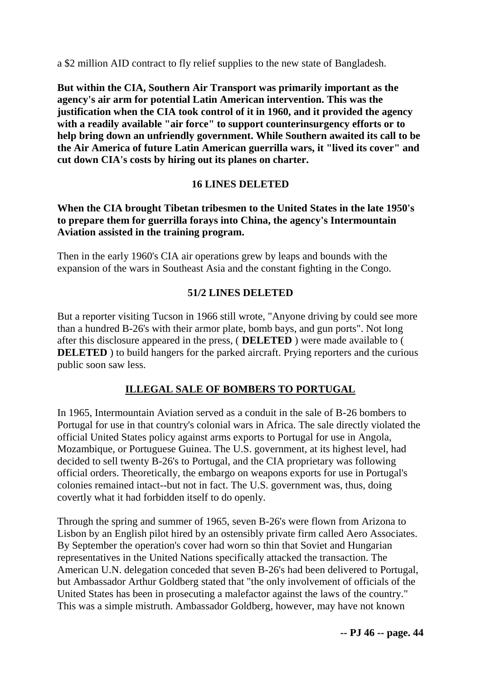a \$2 million AID contract to fly relief supplies to the new state of Bangladesh.

**But within the CIA, Southern Air Transport was primarily important as the agency's air arm for potential Latin American intervention. This was the justification when the CIA took control of it in 1960, and it provided the agency with a readily available "air force" to support counterinsurgency efforts or to help bring down an unfriendly government. While Southern awaited its call to be the Air America of future Latin American guerrilla wars, it "lived its cover" and cut down CIA's costs by hiring out its planes on charter.**

### **16 LINES DELETED**

**When the CIA brought Tibetan tribesmen to the United States in the late 1950's to prepare them for guerrilla forays into China, the agency's Intermountain Aviation assisted in the training program.**

Then in the early 1960's CIA air operations grew by leaps and bounds with the expansion of the wars in Southeast Asia and the constant fighting in the Congo.

### **51/2 LINES DELETED**

But a reporter visiting Tucson in 1966 still wrote, "Anyone driving by could see more than a hundred B-26's with their armor plate, bomb bays, and gun ports". Not long after this disclosure appeared in the press, ( **DELETED** ) were made available to ( **DELETED** ) to build hangers for the parked aircraft. Prying reporters and the curious public soon saw less.

### **ILLEGAL SALE OF BOMBERS TO PORTUGAL**

In 1965, Intermountain Aviation served as a conduit in the sale of B-26 bombers to Portugal for use in that country's colonial wars in Africa. The sale directly violated the official United States policy against arms exports to Portugal for use in Angola, Mozambique, or Portuguese Guinea. The U.S. government, at its highest level, had decided to sell twenty B-26's to Portugal, and the CIA proprietary was following official orders. Theoretically, the embargo on weapons exports for use in Portugal's colonies remained intact--but not in fact. The U.S. government was, thus, doing covertly what it had forbidden itself to do openly.

Through the spring and summer of 1965, seven B-26's were flown from Arizona to Lisbon by an English pilot hired by an ostensibly private firm called Aero Associates. By September the operation's cover had worn so thin that Soviet and Hungarian representatives in the United Nations specifically attacked the transaction. The American U.N. delegation conceded that seven B-26's had been delivered to Portugal, but Ambassador Arthur Goldberg stated that "the only involvement of officials of the United States has been in prosecuting a malefactor against the laws of the country." This was a simple mistruth. Ambassador Goldberg, however, may have not known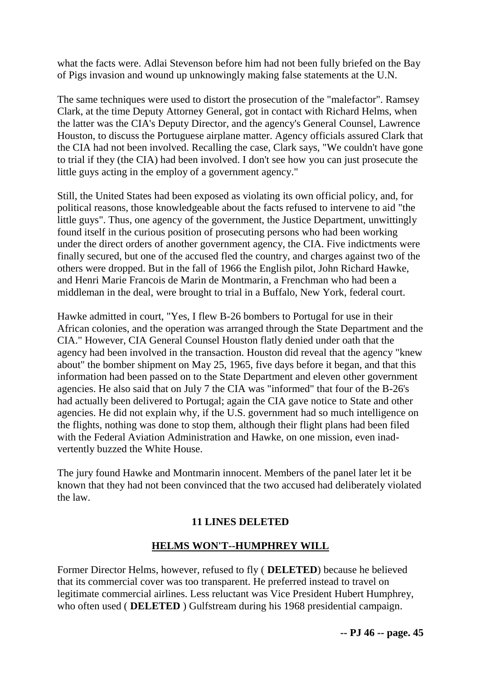what the facts were. Adlai Stevenson before him had not been fully briefed on the Bay of Pigs invasion and wound up unknowingly making false statements at the U.N.

The same techniques were used to distort the prosecution of the "malefactor". Ramsey Clark, at the time Deputy Attorney General, got in contact with Richard Helms, when the latter was the CIA's Deputy Director, and the agency's General Counsel, Lawrence Houston, to discuss the Portuguese airplane matter. Agency officials assured Clark that the CIA had not been involved. Recalling the case, Clark says, "We couldn't have gone to trial if they (the CIA) had been involved. I don't see how you can just prosecute the little guys acting in the employ of a government agency."

Still, the United States had been exposed as violating its own official policy, and, for political reasons, those knowledgeable about the facts refused to intervene to aid "the little guys". Thus, one agency of the government, the Justice Department, unwittingly found itself in the curious position of prosecuting persons who had been working under the direct orders of another government agency, the CIA. Five indictments were finally secured, but one of the accused fled the country, and charges against two of the others were dropped. But in the fall of 1966 the English pilot, John Richard Hawke, and Henri Marie Francois de Marin de Montmarin, a Frenchman who had been a middleman in the deal, were brought to trial in a Buffalo, New York, federal court.

Hawke admitted in court, "Yes, I flew B-26 bombers to Portugal for use in their African colonies, and the operation was arranged through the State Department and the CIA." However, CIA General Counsel Houston flatly denied under oath that the agency had been involved in the transaction. Houston did reveal that the agency "knew about" the bomber shipment on May 25, 1965, five days before it began, and that this information had been passed on to the State Department and eleven other government agencies. He also said that on July 7 the CIA was "informed" that four of the B-26's had actually been delivered to Portugal; again the CIA gave notice to State and other agencies. He did not explain why, if the U.S. government had so much intelligence on the flights, nothing was done to stop them, although their flight plans had been filed with the Federal Aviation Administration and Hawke, on one mission, even inadvertently buzzed the White House.

The jury found Hawke and Montmarin innocent. Members of the panel later let it be known that they had not been convinced that the two accused had deliberately violated the law.

## **11 LINES DELETED**

# **HELMS WON'T--HUMPHREY WILL**

Former Director Helms, however, refused to fly ( **DELETED**) because he believed that its commercial cover was too transparent. He preferred instead to travel on legitimate commercial airlines. Less reluctant was Vice President Hubert Humphrey, who often used ( **DELETED** ) Gulfstream during his 1968 presidential campaign.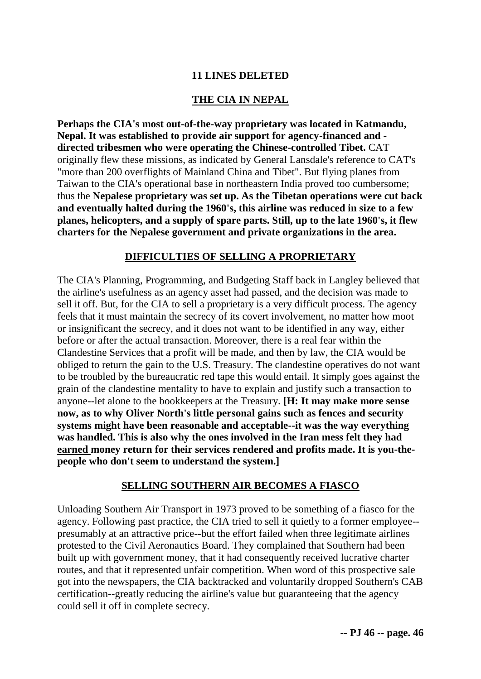# **11 LINES DELETED**

### **THE CIA IN NEPAL**

**Perhaps the CIA's most out-of-the-way proprietary was located in Katmandu, Nepal. It was established to provide air support for agency-financed and directed tribesmen who were operating the Chinese-controlled Tibet.** CAT originally flew these missions, as indicated by General Lansdale's reference to CAT's "more than 200 overflights of Mainland China and Tibet". But flying planes from Taiwan to the CIA's operational base in northeastern India proved too cumbersome; thus the **Nepalese proprietary was set up. As the Tibetan operations were cut back and eventually halted during the 1960's, this airline was reduced in size to a few planes, helicopters, and a supply of spare parts. Still, up to the late 1960's, it flew charters for the Nepalese government and private organizations in the area.**

#### **DIFFICULTIES OF SELLING A PROPRIETARY**

The CIA's Planning, Programming, and Budgeting Staff back in Langley believed that the airline's usefulness as an agency asset had passed, and the decision was made to sell it off. But, for the CIA to sell a proprietary is a very difficult process. The agency feels that it must maintain the secrecy of its covert involvement, no matter how moot or insignificant the secrecy, and it does not want to be identified in any way, either before or after the actual transaction. Moreover, there is a real fear within the Clandestine Services that a profit will be made, and then by law, the CIA would be obliged to return the gain to the U.S. Treasury. The clandestine operatives do not want to be troubled by the bureaucratic red tape this would entail. It simply goes against the grain of the clandestine mentality to have to explain and justify such a transaction to anyone--let alone to the bookkeepers at the Treasury. **[H: It may make more sense now, as to why Oliver North's little personal gains such as fences and security systems might have been reasonable and acceptable--it was the way everything was handled. This is also why the ones involved in the Iran mess felt they had earned money return for their services rendered and profits made. It is you-thepeople who don't seem to understand the system.]**

#### **SELLING SOUTHERN AIR BECOMES A FIASCO**

Unloading Southern Air Transport in 1973 proved to be something of a fiasco for the agency. Following past practice, the CIA tried to sell it quietly to a former employee- presumably at an attractive price--but the effort failed when three legitimate airlines protested to the Civil Aeronautics Board. They complained that Southern had been built up with government money, that it had consequently received lucrative charter routes, and that it represented unfair competition. When word of this prospective sale got into the newspapers, the CIA backtracked and voluntarily dropped Southern's CAB certification--greatly reducing the airline's value but guaranteeing that the agency could sell it off in complete secrecy.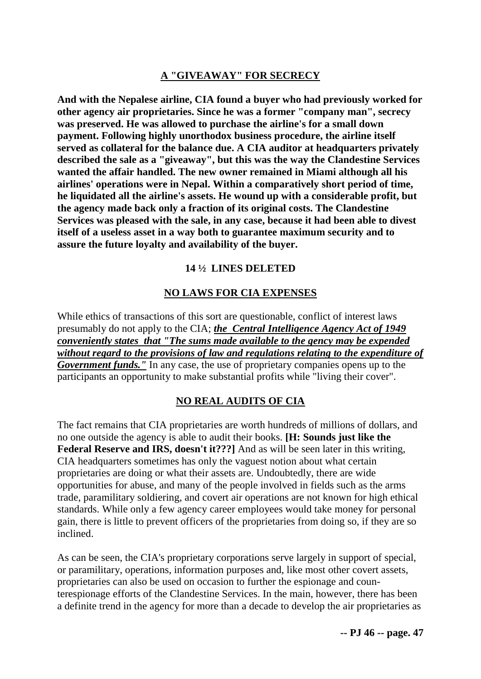# **A "GIVEAWAY" FOR SECRECY**

**And with the Nepalese airline, CIA found a buyer who had previously worked for other agency air proprietaries. Since he was a former "company man", secrecy was preserved. He was allowed to purchase the airline's for a small down payment. Following highly unorthodox business procedure, the airline itself served as collateral for the balance due. A CIA auditor at headquarters privately described the sale as a "giveaway", but this was the way the Clandestine Services wanted the affair handled. The new owner remained in Miami although all his airlines' operations were in Nepal. Within a comparatively short period of time, he liquidated all the airline's assets. He wound up with a considerable profit, but the agency made back only a fraction of its original costs. The Clandestine Services was pleased with the sale, in any case, because it had been able to divest itself of a useless asset in a way both to guarantee maximum security and to assure the future loyalty and availability of the buyer.**

## **14 ½ LINES DELETED**

# **NO LAWS FOR CIA EXPENSES**

While ethics of transactions of this sort are questionable, conflict of interest laws presumably do not apply to the CIA; *the Central Intelligence Agency Act of 1949 conveniently states that "The sums made available to the gency may be expended without regard to the provisions of law and regulations relating to the expenditure of Government funds."* In any case, the use of proprietary companies opens up to the participants an opportunity to make substantial profits while "living their cover".

# **NO REAL AUDITS OF CIA**

The fact remains that CIA proprietaries are worth hundreds of millions of dollars, and no one outside the agency is able to audit their books. **[H: Sounds just like the Federal Reserve and IRS, doesn't it???]** And as will be seen later in this writing, CIA headquarters sometimes has only the vaguest notion about what certain proprietaries are doing or what their assets are. Undoubtedly, there are wide opportunities for abuse, and many of the people involved in fields such as the arms trade, paramilitary soldiering, and covert air operations are not known for high ethical standards. While only a few agency career employees would take money for personal gain, there is little to prevent officers of the proprietaries from doing so, if they are so inclined.

As can be seen, the CIA's proprietary corporations serve largely in support of special, or paramilitary, operations, information purposes and, like most other covert assets, proprietaries can also be used on occasion to further the espionage and counterespionage efforts of the Clandestine Services. In the main, however, there has been a definite trend in the agency for more than a decade to develop the air proprietaries as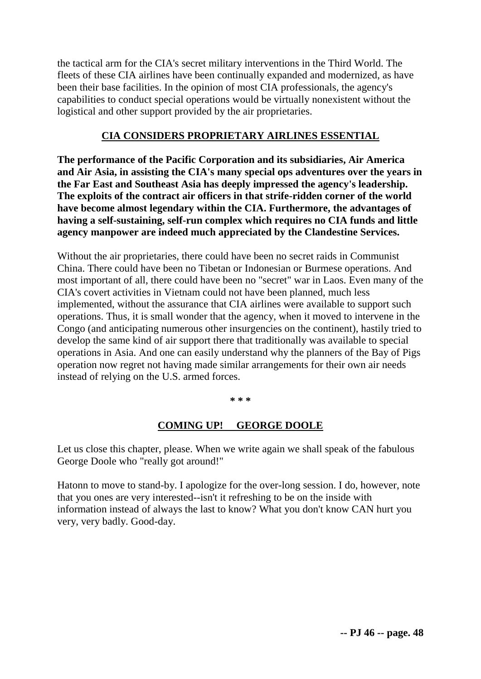the tactical arm for the CIA's secret military interventions in the Third World. The fleets of these CIA airlines have been continually expanded and modernized, as have been their base facilities. In the opinion of most CIA professionals, the agency's capabilities to conduct special operations would be virtually nonexistent without the logistical and other support provided by the air proprietaries.

# **CIA CONSIDERS PROPRIETARY AIRLINES ESSENTIAL**

**The performance of the Pacific Corporation and its subsidiaries, Air America and Air Asia, in assisting the CIA's many special ops adventures over the years in the Far East and Southeast Asia has deeply impressed the agency's leadership. The exploits of the contract air officers in that strife-ridden corner of the world have become almost legendary within the CIA. Furthermore, the advantages of having a self-sustaining, self-run complex which requires no CIA funds and little agency manpower are indeed much appreciated by the Clandestine Services.**

Without the air proprietaries, there could have been no secret raids in Communist China. There could have been no Tibetan or Indonesian or Burmese operations. And most important of all, there could have been no "secret" war in Laos. Even many of the CIA's covert activities in Vietnam could not have been planned, much less implemented, without the assurance that CIA airlines were available to support such operations. Thus, it is small wonder that the agency, when it moved to intervene in the Congo (and anticipating numerous other insurgencies on the continent), hastily tried to develop the same kind of air support there that traditionally was available to special operations in Asia. And one can easily understand why the planners of the Bay of Pigs operation now regret not having made similar arrangements for their own air needs instead of relying on the U.S. armed forces.

**\* \* \***

## **COMING UP! GEORGE DOOLE**

Let us close this chapter, please. When we write again we shall speak of the fabulous George Doole who "really got around!"

Hatonn to move to stand-by. I apologize for the over-long session. I do, however, note that you ones are very interested--isn't it refreshing to be on the inside with information instead of always the last to know? What you don't know CAN hurt you very, very badly. Good-day.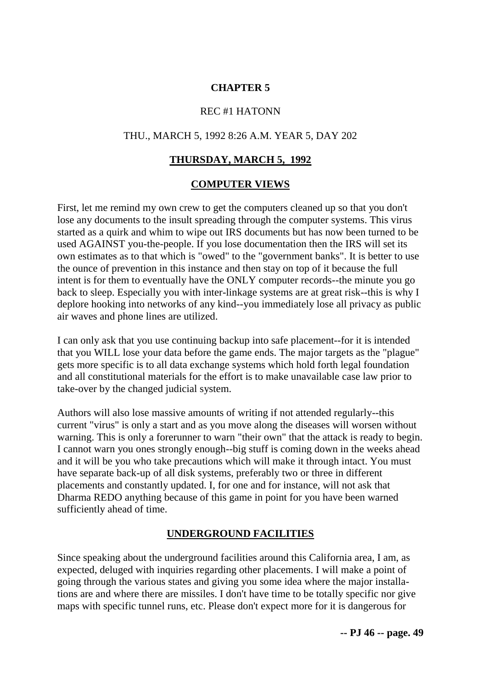### **CHAPTER 5**

### REC #1 HATONN

### THU., MARCH 5, 1992 8:26 A.M. YEAR 5, DAY 202

## **THURSDAY, MARCH 5, 1992**

#### **COMPUTER VIEWS**

First, let me remind my own crew to get the computers cleaned up so that you don't lose any documents to the insult spreading through the computer systems. This virus started as a quirk and whim to wipe out IRS documents but has now been turned to be used AGAINST you-the-people. If you lose documentation then the IRS will set its own estimates as to that which is "owed" to the "government banks". It is better to use the ounce of prevention in this instance and then stay on top of it because the full intent is for them to eventually have the ONLY computer records--the minute you go back to sleep. Especially you with inter-linkage systems are at great risk--this is why I deplore hooking into networks of any kind--you immediately lose all privacy as public air waves and phone lines are utilized.

I can only ask that you use continuing backup into safe placement--for it is intended that you WILL lose your data before the game ends. The major targets as the "plague" gets more specific is to all data exchange systems which hold forth legal foundation and all constitutional materials for the effort is to make unavailable case law prior to take-over by the changed judicial system.

Authors will also lose massive amounts of writing if not attended regularly--this current "virus" is only a start and as you move along the diseases will worsen without warning. This is only a forerunner to warn "their own" that the attack is ready to begin. I cannot warn you ones strongly enough--big stuff is coming down in the weeks ahead and it will be you who take precautions which will make it through intact. You must have separate back-up of all disk systems, preferably two or three in different placements and constantly updated. I, for one and for instance, will not ask that Dharma REDO anything because of this game in point for you have been warned sufficiently ahead of time.

## **UNDERGROUND FACILITIES**

Since speaking about the underground facilities around this California area, I am, as expected, deluged with inquiries regarding other placements. I will make a point of going through the various states and giving you some idea where the major installations are and where there are missiles. I don't have time to be totally specific nor give maps with specific tunnel runs, etc. Please don't expect more for it is dangerous for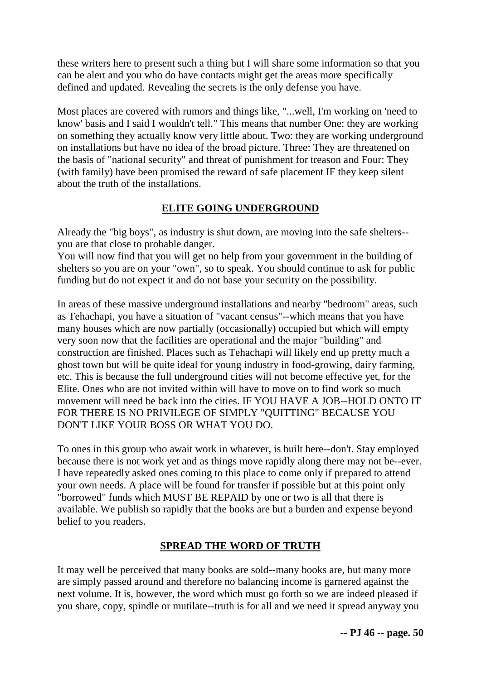these writers here to present such a thing but I will share some information so that you can be alert and you who do have contacts might get the areas more specifically defined and updated. Revealing the secrets is the only defense you have.

Most places are covered with rumors and things like, "...well, I'm working on 'need to know' basis and I said I wouldn't tell." This means that number One: they are working on something they actually know very little about. Two: they are working underground on installations but have no idea of the broad picture. Three: They are threatened on the basis of "national security" and threat of punishment for treason and Four: They (with family) have been promised the reward of safe placement IF they keep silent about the truth of the installations.

# **ELITE GOING UNDERGROUND**

Already the "big boys", as industry is shut down, are moving into the safe shelters- you are that close to probable danger.

You will now find that you will get no help from your government in the building of shelters so you are on your "own", so to speak. You should continue to ask for public funding but do not expect it and do not base your security on the possibility.

In areas of these massive underground installations and nearby "bedroom" areas, such as Tehachapi, you have a situation of "vacant census"--which means that you have many houses which are now partially (occasionally) occupied but which will empty very soon now that the facilities are operational and the major "building" and construction are finished. Places such as Tehachapi will likely end up pretty much a ghost town but will be quite ideal for young industry in food-growing, dairy farming, etc. This is because the full underground cities will not become effective yet, for the Elite. Ones who are not invited within will have to move on to find work so much movement will need be back into the cities. IF YOU HAVE A JOB--HOLD ONTO IT FOR THERE IS NO PRIVILEGE OF SIMPLY "QUITTING" BECAUSE YOU DON'T LIKE YOUR BOSS OR WHAT YOU DO.

To ones in this group who await work in whatever, is built here--don't. Stay employed because there is not work yet and as things move rapidly along there may not be--ever. I have repeatedly asked ones coming to this place to come only if prepared to attend your own needs. A place will be found for transfer if possible but at this point only "borrowed" funds which MUST BE REPAID by one or two is all that there is available. We publish so rapidly that the books are but a burden and expense beyond belief to you readers.

# **SPREAD THE WORD OF TRUTH**

It may well be perceived that many books are sold--many books are, but many more are simply passed around and therefore no balancing income is garnered against the next volume. It is, however, the word which must go forth so we are indeed pleased if you share, copy, spindle or mutilate--truth is for all and we need it spread anyway you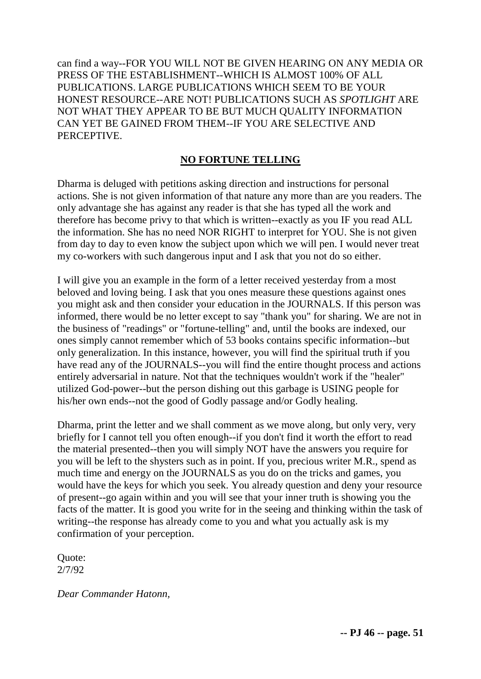can find a way--FOR YOU WILL NOT BE GIVEN HEARING ON ANY MEDIA OR PRESS OF THE ESTABLISHMENT--WHICH IS ALMOST 100% OF ALL PUBLICATIONS. LARGE PUBLICATIONS WHICH SEEM TO BE YOUR HONEST RESOURCE--ARE NOT! PUBLICATIONS SUCH AS *SPOTLIGHT* ARE NOT WHAT THEY APPEAR TO BE BUT MUCH QUALITY INFORMATION CAN YET BE GAINED FROM THEM--IF YOU ARE SELECTIVE AND PERCEPTIVE.

## **NO FORTUNE TELLING**

Dharma is deluged with petitions asking direction and instructions for personal actions. She is not given information of that nature any more than are you readers. The only advantage she has against any reader is that she has typed all the work and therefore has become privy to that which is written--exactly as you IF you read ALL the information. She has no need NOR RIGHT to interpret for YOU. She is not given from day to day to even know the subject upon which we will pen. I would never treat my co-workers with such dangerous input and I ask that you not do so either.

I will give you an example in the form of a letter received yesterday from a most beloved and loving being. I ask that you ones measure these questions against ones you might ask and then consider your education in the JOURNALS. If this person was informed, there would be no letter except to say "thank you" for sharing. We are not in the business of "readings" or "fortune-telling" and, until the books are indexed, our ones simply cannot remember which of 53 books contains specific information--but only generalization. In this instance, however, you will find the spiritual truth if you have read any of the JOURNALS--you will find the entire thought process and actions entirely adversarial in nature. Not that the techniques wouldn't work if the "healer" utilized God-power--but the person dishing out this garbage is USING people for his/her own ends--not the good of Godly passage and/or Godly healing.

Dharma, print the letter and we shall comment as we move along, but only very, very briefly for I cannot tell you often enough--if you don't find it worth the effort to read the material presented--then you will simply NOT have the answers you require for you will be left to the shysters such as in point. If you, precious writer M.R., spend as much time and energy on the JOURNALS as you do on the tricks and games, you would have the keys for which you seek. You already question and deny your resource of present--go again within and you will see that your inner truth is showing you the facts of the matter. It is good you write for in the seeing and thinking within the task of writing--the response has already come to you and what you actually ask is my confirmation of your perception.

Quote: 2/7/92

*Dear Commander Hatonn,*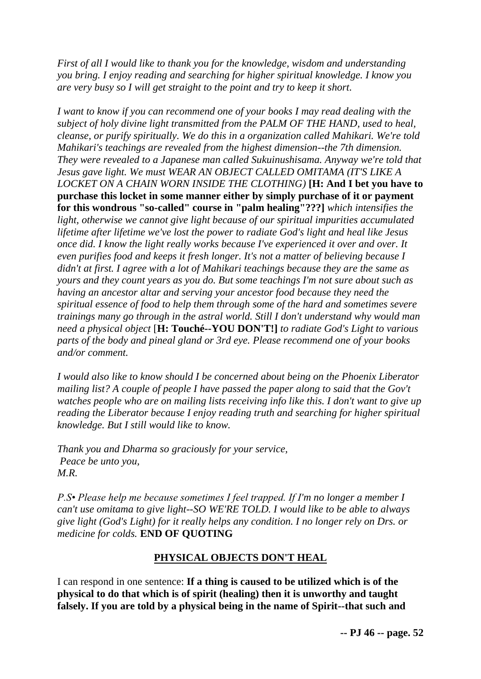*First of all I would like to thank you for the knowledge, wisdom and understanding you bring. I enjoy reading and searching for higher spiritual knowledge. I know you are very busy so I will get straight to the point and try to keep it short.*

*I want to know if you can recommend one of your books I may read dealing with the subject of holy divine light transmitted from the PALM OF THE HAND, used to heal, cleanse, or purify spiritually. We do this in a organization called Mahikari. We're told Mahikari's teachings are revealed from the highest dimension--the 7th dimension. They were revealed to a Japanese man called Sukuinushisama. Anyway we're told that Jesus gave light. We must WEAR AN OBJECT CALLED OMITAMA (IT'S LIKE A LOCKET ON A CHAIN WORN INSIDE THE CLOTHING)* **[H: And I bet you have to purchase this locket in some manner either by simply purchase of it or payment for this wondrous "so-called" course in "palm healing"???]** *which intensifies the light, otherwise we cannot give light because of our spiritual impurities accumulated lifetime after lifetime we've lost the power to radiate God's light and heal like Jesus once did. I know the light really works because I've experienced it over and over. It even purifies food and keeps it fresh longer. It's not a matter of believing because I didn't at first. I agree with a lot of Mahikari teachings because they are the same as yours and they count years as you do. But some teachings I'm not sure about such as having an ancestor altar and serving your ancestor food because they need the spiritual essence of food to help them through some of the hard and sometimes severe trainings many go through in the astral world. Still I don't understand why would man need a physical object* [**H: Touché--YOU DON'T!]** *to radiate God's Light to various parts of the body and pineal gland or 3rd eye. Please recommend one of your books and/or comment.*

*I would also like to know should I be concerned about being on the Phoenix Liberator mailing list? A couple of people I have passed the paper along to said that the Gov't watches people who are on mailing lists receiving info like this. I don't want to give up reading the Liberator because I enjoy reading truth and searching for higher spiritual knowledge. But I still would like to know.*

*Thank you and Dharma so graciously for your service, Peace be unto you, M.R.*

*P.S• Please help me because sometimes I feel trapped. If I'm no longer a member I can't use omitama to give light--SO WE'RE TOLD. I would like to be able to always give light (God's Light) for it really helps any condition. I no longer rely on Drs. or medicine for colds.* **END OF QUOTING**

# **PHYSICAL OBJECTS DON'T HEAL**

I can respond in one sentence: **If a thing is caused to be utilized which is of the physical to do that which is of spirit (healing) then it is unworthy and taught falsely. If you are told by a physical being in the name of Spirit--that such and**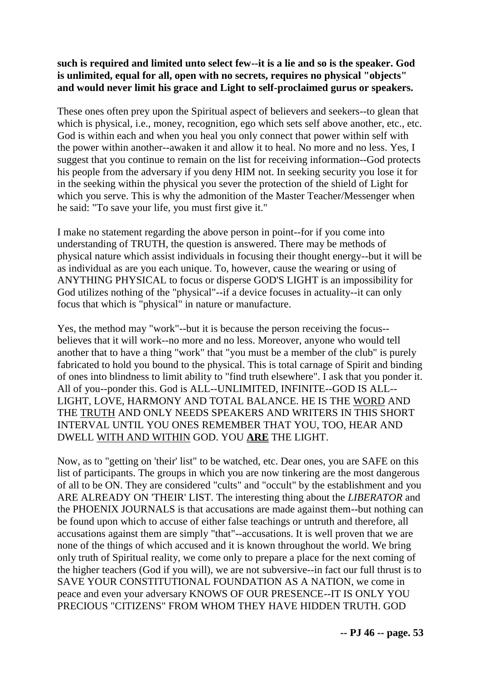## **such is required and limited unto select few--it is a lie and so is the speaker. God is unlimited, equal for all, open with no secrets, requires no physical "objects" and would never limit his grace and Light to self-proclaimed gurus or speakers.**

These ones often prey upon the Spiritual aspect of believers and seekers--to glean that which is physical, i.e., money, recognition, ego which sets self above another, etc., etc. God is within each and when you heal you only connect that power within self with the power within another--awaken it and allow it to heal. No more and no less. Yes, I suggest that you continue to remain on the list for receiving information--God protects his people from the adversary if you deny HIM not. In seeking security you lose it for in the seeking within the physical you sever the protection of the shield of Light for which you serve. This is why the admonition of the Master Teacher/Messenger when he said: "To save your life, you must first give it."

I make no statement regarding the above person in point--for if you come into understanding of TRUTH, the question is answered. There may be methods of physical nature which assist individuals in focusing their thought energy--but it will be as individual as are you each unique. To, however, cause the wearing or using of ANYTHING PHYSICAL to focus or disperse GOD'S LIGHT is an impossibility for God utilizes nothing of the "physical"--if a device focuses in actuality--it can only focus that which is "physical" in nature or manufacture.

Yes, the method may "work"--but it is because the person receiving the focus- believes that it will work--no more and no less. Moreover, anyone who would tell another that to have a thing "work" that "you must be a member of the club" is purely fabricated to hold you bound to the physical. This is total carnage of Spirit and binding of ones into blindness to limit ability to "find truth elsewhere". I ask that you ponder it. All of you--ponder this. God is ALL--UNLIMITED, INFINITE--GOD IS ALL-- LIGHT, LOVE, HARMONY AND TOTAL BALANCE. HE IS THE WORD AND THE TRUTH AND ONLY NEEDS SPEAKERS AND WRITERS IN THIS SHORT INTERVAL UNTIL YOU ONES REMEMBER THAT YOU, TOO, HEAR AND DWELL WITH AND WITHIN GOD. YOU **ARE** THE LIGHT.

Now, as to "getting on 'their' list" to be watched, etc. Dear ones, you are SAFE on this list of participants. The groups in which you are now tinkering are the most dangerous of all to be ON. They are considered "cults" and "occult" by the establishment and you ARE ALREADY ON 'THEIR' LIST. The interesting thing about the *LIBERATOR* and the PHOENIX JOURNALS is that accusations are made against them--but nothing can be found upon which to accuse of either false teachings or untruth and therefore, all accusations against them are simply "that"--accusations. It is well proven that we are none of the things of which accused and it is known throughout the world. We bring only truth of Spiritual reality, we come only to prepare a place for the next coming of the higher teachers (God if you will), we are not subversive--in fact our full thrust is to SAVE YOUR CONSTITUTIONAL FOUNDATION AS A NATION, we come in peace and even your adversary KNOWS OF OUR PRESENCE--IT IS ONLY YOU PRECIOUS "CITIZENS" FROM WHOM THEY HAVE HIDDEN TRUTH. GOD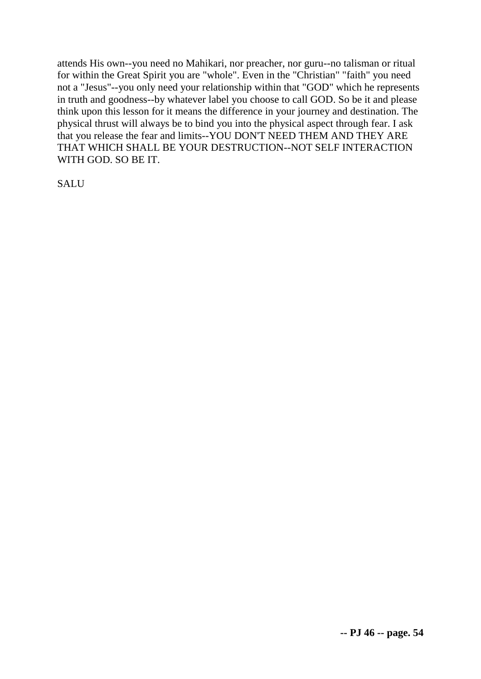attends His own--you need no Mahikari, nor preacher, nor guru--no talisman or ritual for within the Great Spirit you are "whole". Even in the "Christian" "faith" you need not a "Jesus"--you only need your relationship within that "GOD" which he represents in truth and goodness--by whatever label you choose to call GOD. So be it and please think upon this lesson for it means the difference in your journey and destination. The physical thrust will always be to bind you into the physical aspect through fear. I ask that you release the fear and limits--YOU DON'T NEED THEM AND THEY ARE THAT WHICH SHALL BE YOUR DESTRUCTION--NOT SELF INTERACTION WITH GOD. SO BE IT.

SALU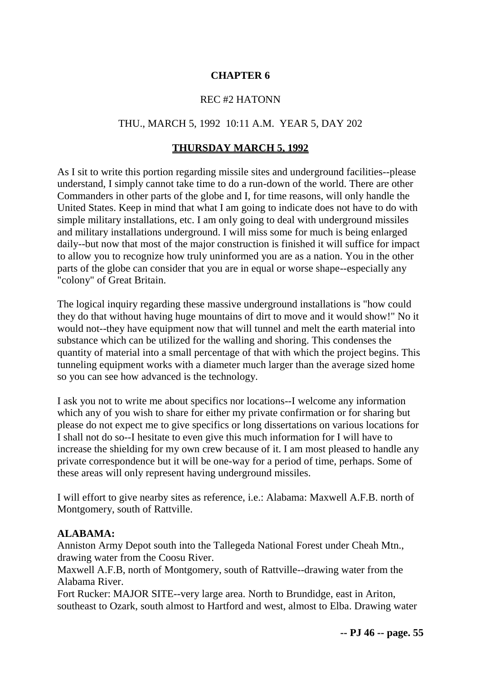# **CHAPTER 6**

### REC #2 HATONN

## THU., MARCH 5, 1992 10:11 A.M. YEAR 5, DAY 202

## **THURSDAY MARCH 5, 1992**

As I sit to write this portion regarding missile sites and underground facilities--please understand, I simply cannot take time to do a run-down of the world. There are other Commanders in other parts of the globe and I, for time reasons, will only handle the United States. Keep in mind that what I am going to indicate does not have to do with simple military installations, etc. I am only going to deal with underground missiles and military installations underground. I will miss some for much is being enlarged daily--but now that most of the major construction is finished it will suffice for impact to allow you to recognize how truly uninformed you are as a nation. You in the other parts of the globe can consider that you are in equal or worse shape--especially any "colony" of Great Britain.

The logical inquiry regarding these massive underground installations is "how could they do that without having huge mountains of dirt to move and it would show!" No it would not--they have equipment now that will tunnel and melt the earth material into substance which can be utilized for the walling and shoring. This condenses the quantity of material into a small percentage of that with which the project begins. This tunneling equipment works with a diameter much larger than the average sized home so you can see how advanced is the technology.

I ask you not to write me about specifics nor locations--I welcome any information which any of you wish to share for either my private confirmation or for sharing but please do not expect me to give specifics or long dissertations on various locations for I shall not do so--I hesitate to even give this much information for I will have to increase the shielding for my own crew because of it. I am most pleased to handle any private correspondence but it will be one-way for a period of time, perhaps. Some of these areas will only represent having underground missiles.

I will effort to give nearby sites as reference, i.e.: Alabama: Maxwell A.F.B. north of Montgomery, south of Rattville.

### **ALABAMA:**

Anniston Army Depot south into the Tallegeda National Forest under Cheah Mtn., drawing water from the Coosu River.

Maxwell A.F.B, north of Montgomery, south of Rattville--drawing water from the Alabama River.

Fort Rucker: MAJOR SITE--very large area. North to Brundidge, east in Ariton, southeast to Ozark, south almost to Hartford and west, almost to Elba. Drawing water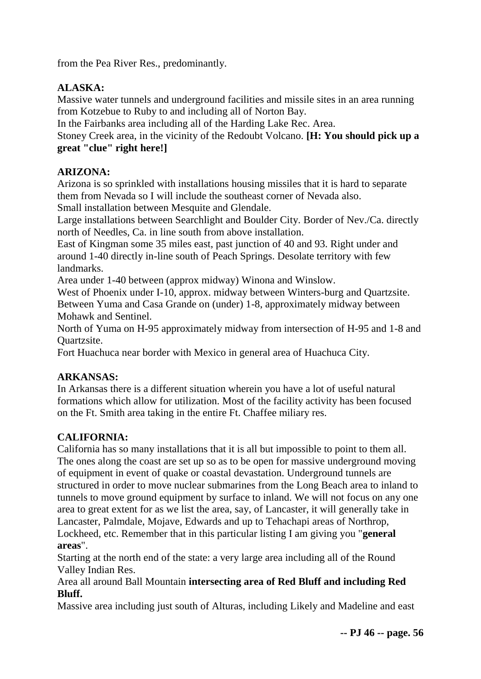from the Pea River Res., predominantly.

# **ALASKA:**

Massive water tunnels and underground facilities and missile sites in an area running from Kotzebue to Ruby to and including all of Norton Bay.

In the Fairbanks area including all of the Harding Lake Rec. Area.

Stoney Creek area, in the vicinity of the Redoubt Volcano. **[H: You should pick up a great "clue" right here!]**

# **ARIZONA:**

Arizona is so sprinkled with installations housing missiles that it is hard to separate them from Nevada so I will include the southeast corner of Nevada also. Small installation between Mesquite and Glendale.

Large installations between Searchlight and Boulder City. Border of Nev./Ca. directly north of Needles, Ca. in line south from above installation.

East of Kingman some 35 miles east, past junction of 40 and 93. Right under and around 1-40 directly in-line south of Peach Springs. Desolate territory with few landmarks.

Area under 1-40 between (approx midway) Winona and Winslow.

West of Phoenix under I-10, approx. midway between Winters-burg and Quartzsite. Between Yuma and Casa Grande on (under) 1-8, approximately midway between Mohawk and Sentinel.

North of Yuma on H-95 approximately midway from intersection of H-95 and 1-8 and Quartzsite.

Fort Huachuca near border with Mexico in general area of Huachuca City.

# **ARKANSAS:**

In Arkansas there is a different situation wherein you have a lot of useful natural formations which allow for utilization. Most of the facility activity has been focused on the Ft. Smith area taking in the entire Ft. Chaffee miliary res.

# **CALIFORNIA:**

California has so many installations that it is all but impossible to point to them all. The ones along the coast are set up so as to be open for massive underground moving of equipment in event of quake or coastal devastation. Underground tunnels are structured in order to move nuclear submarines from the Long Beach area to inland to tunnels to move ground equipment by surface to inland. We will not focus on any one area to great extent for as we list the area, say, of Lancaster, it will generally take in Lancaster, Palmdale, Mojave, Edwards and up to Tehachapi areas of Northrop, Lockheed, etc. Remember that in this particular listing I am giving you "**general areas**".

Starting at the north end of the state: a very large area including all of the Round Valley Indian Res.

Area all around Ball Mountain **intersecting area of Red Bluff and including Red Bluff.**

Massive area including just south of Alturas, including Likely and Madeline and east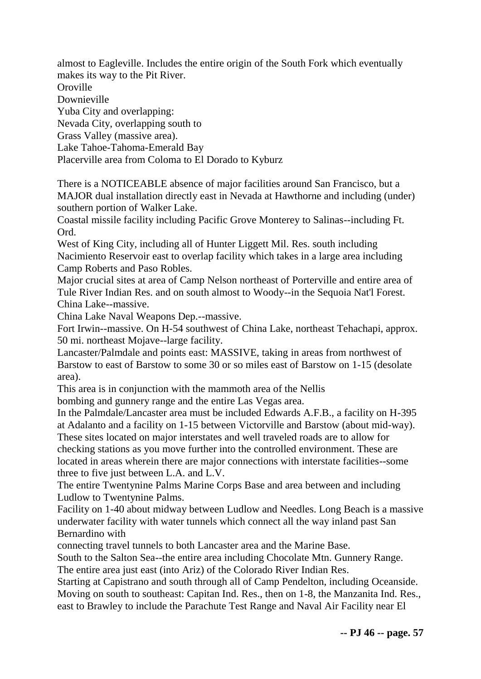almost to Eagleville. Includes the entire origin of the South Fork which eventually makes its way to the Pit River.

Oroville

Downieville

Yuba City and overlapping:

Nevada City, overlapping south to

Grass Valley (massive area).

Lake Tahoe-Tahoma-Emerald Bay

Placerville area from Coloma to El Dorado to Kyburz

There is a NOTICEABLE absence of major facilities around San Francisco, but a MAJOR dual installation directly east in Nevada at Hawthorne and including (under) southern portion of Walker Lake.

Coastal missile facility including Pacific Grove Monterey to Salinas--including Ft. Ord.

West of King City, including all of Hunter Liggett Mil. Res. south including Nacimiento Reservoir east to overlap facility which takes in a large area including Camp Roberts and Paso Robles.

Major crucial sites at area of Camp Nelson northeast of Porterville and entire area of Tule River Indian Res. and on south almost to Woody--in the Sequoia Nat'l Forest. China Lake--massive.

China Lake Naval Weapons Dep.--massive.

Fort Irwin--massive. On H-54 southwest of China Lake, northeast Tehachapi, approx. 50 mi. northeast Mojave--large facility.

Lancaster/Palmdale and points east: MASSIVE, taking in areas from northwest of Barstow to east of Barstow to some 30 or so miles east of Barstow on 1-15 (desolate area).

This area is in conjunction with the mammoth area of the Nellis

bombing and gunnery range and the entire Las Vegas area.

In the Palmdale/Lancaster area must be included Edwards A.F.B., a facility on H-395 at Adalanto and a facility on 1-15 between Victorville and Barstow (about mid-way). These sites located on major interstates and well traveled roads are to allow for checking stations as you move further into the controlled environment. These are located in areas wherein there are major connections with interstate facilities--some three to five just between L.A. and L.V.

The entire Twentynine Palms Marine Corps Base and area between and including Ludlow to Twentynine Palms.

Facility on 1-40 about midway between Ludlow and Needles. Long Beach is a massive underwater facility with water tunnels which connect all the way inland past San Bernardino with

connecting travel tunnels to both Lancaster area and the Marine Base.

South to the Salton Sea--the entire area including Chocolate Mtn. Gunnery Range. The entire area just east (into Ariz) of the Colorado River Indian Res.

Starting at Capistrano and south through all of Camp Pendelton, including Oceanside. Moving on south to southeast: Capitan Ind. Res., then on 1-8, the Manzanita Ind. Res., east to Brawley to include the Parachute Test Range and Naval Air Facility near El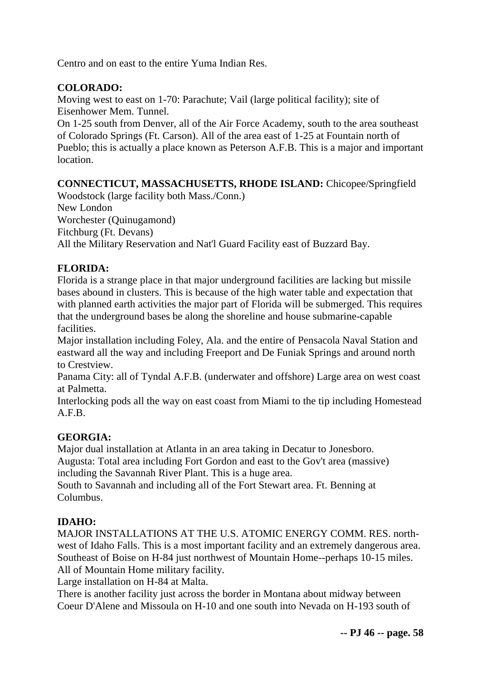Centro and on east to the entire Yuma Indian Res.

# **COLORADO:**

Moving west to east on 1-70: Parachute; Vail (large political facility); site of Eisenhower Mem. Tunnel.

On 1-25 south from Denver, all of the Air Force Academy, south to the area southeast of Colorado Springs (Ft. Carson). All of the area east of 1-25 at Fountain north of Pueblo; this is actually a place known as Peterson A.F.B. This is a major and important location.

# **CONNECTICUT, MASSACHUSETTS, RHODE ISLAND:** Chicopee/Springfield

Woodstock (large facility both Mass./Conn.) New London Worchester (Quinugamond) Fitchburg (Ft. Devans) All the Military Reservation and Nat'l Guard Facility east of Buzzard Bay.

# **FLORIDA:**

Florida is a strange place in that major underground facilities are lacking but missile bases abound in clusters. This is because of the high water table and expectation that with planned earth activities the major part of Florida will be submerged. This requires that the underground bases be along the shoreline and house submarine-capable facilities.

Major installation including Foley, Ala. and the entire of Pensacola Naval Station and eastward all the way and including Freeport and De Funiak Springs and around north to Crestview.

Panama City: all of Tyndal A.F.B. (underwater and offshore) Large area on west coast at Palmetta.

Interlocking pods all the way on east coast from Miami to the tip including Homestead A.F.B.

# **GEORGIA:**

Major dual installation at Atlanta in an area taking in Decatur to Jonesboro. Augusta: Total area including Fort Gordon and east to the Gov't area (massive) including the Savannah River Plant. This is a huge area.

South to Savannah and including all of the Fort Stewart area. Ft. Benning at Columbus.

# **IDAHO:**

MAJOR INSTALLATIONS AT THE U.S. ATOMIC ENERGY COMM. RES. northwest of Idaho Falls. This is a most important facility and an extremely dangerous area. Southeast of Boise on H-84 just northwest of Mountain Home--perhaps 10-15 miles. All of Mountain Home military facility.

Large installation on H-84 at Malta.

There is another facility just across the border in Montana about midway between Coeur D'Alene and Missoula on H-10 and one south into Nevada on H-193 south of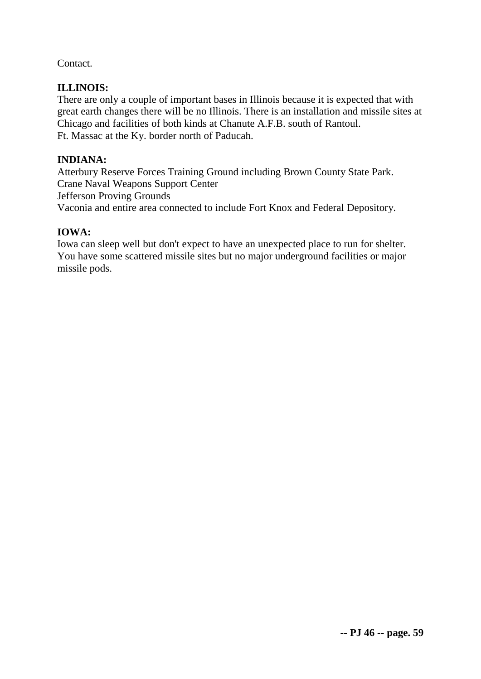Contact.

# **ILLINOIS:**

There are only a couple of important bases in Illinois because it is expected that with great earth changes there will be no Illinois. There is an installation and missile sites at Chicago and facilities of both kinds at Chanute A.F.B. south of Rantoul. Ft. Massac at the Ky. border north of Paducah.

## **INDIANA:**

Atterbury Reserve Forces Training Ground including Brown County State Park. Crane Naval Weapons Support Center Jefferson Proving Grounds Vaconia and entire area connected to include Fort Knox and Federal Depository.

# **IOWA:**

Iowa can sleep well but don't expect to have an unexpected place to run for shelter. You have some scattered missile sites but no major underground facilities or major missile pods.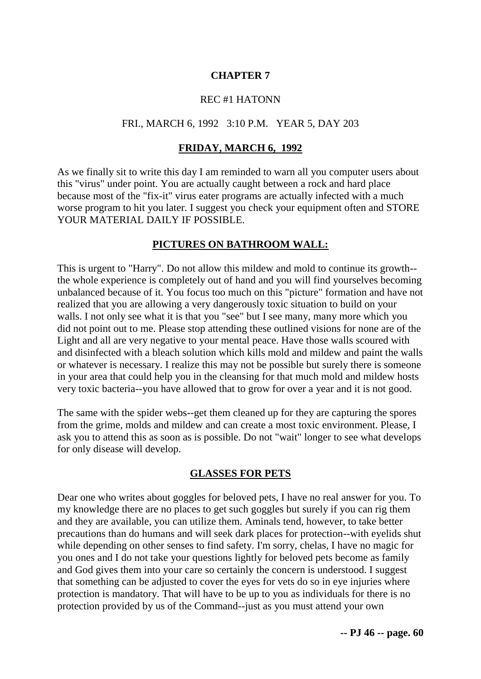## **CHAPTER 7**

### REC #1 HATONN

### FRI., MARCH 6, 1992 3:10 P.M. YEAR 5, DAY 203

### **FRIDAY, MARCH 6, 1992**

As we finally sit to write this day I am reminded to warn all you computer users about this "virus" under point. You are actually caught between a rock and hard place because most of the "fix-it" virus eater programs are actually infected with a much worse program to hit you later. I suggest you check your equipment often and STORE YOUR MATERIAL DAILY IF POSSIBLE.

### **PICTURES ON BATHROOM WALL:**

This is urgent to "Harry". Do not allow this mildew and mold to continue its growth- the whole experience is completely out of hand and you will find yourselves becoming unbalanced because of it. You focus too much on this "picture" formation and have not realized that you are allowing a very dangerously toxic situation to build on your walls. I not only see what it is that you "see" but I see many, many more which you did not point out to me. Please stop attending these outlined visions for none are of the Light and all are very negative to your mental peace. Have those walls scoured with and disinfected with a bleach solution which kills mold and mildew and paint the walls or whatever is necessary. I realize this may not be possible but surely there is someone in your area that could help you in the cleansing for that much mold and mildew hosts very toxic bacteria--you have allowed that to grow for over a year and it is not good.

The same with the spider webs--get them cleaned up for they are capturing the spores from the grime, molds and mildew and can create a most toxic environment. Please, I ask you to attend this as soon as is possible. Do not "wait" longer to see what develops for only disease will develop.

### **GLASSES FOR PETS**

Dear one who writes about goggles for beloved pets, I have no real answer for you. To my knowledge there are no places to get such goggles but surely if you can rig them and they are available, you can utilize them. Aminals tend, however, to take better precautions than do humans and will seek dark places for protection--with eyelids shut while depending on other senses to find safety. I'm sorry, chelas, I have no magic for you ones and I do not take your questions lightly for beloved pets become as family and God gives them into your care so certainly the concern is understood. I suggest that something can be adjusted to cover the eyes for vets do so in eye injuries where protection is mandatory. That will have to be up to you as individuals for there is no protection provided by us of the Command--just as you must attend your own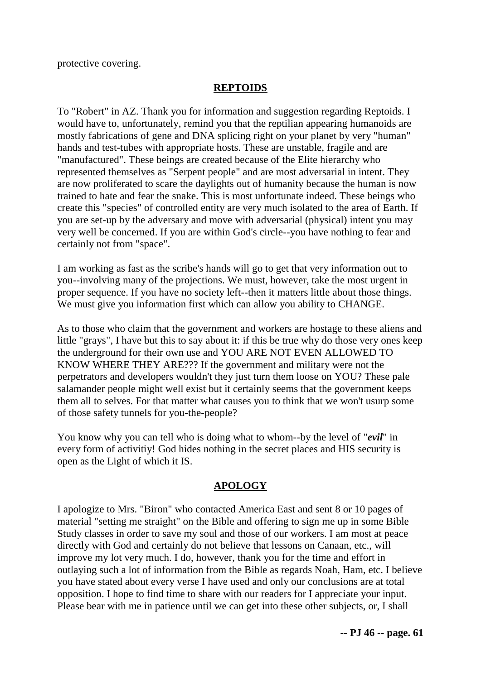protective covering.

### **REPTOIDS**

To "Robert" in AZ. Thank you for information and suggestion regarding Reptoids. I would have to, unfortunately, remind you that the reptilian appearing humanoids are mostly fabrications of gene and DNA splicing right on your planet by very "human" hands and test-tubes with appropriate hosts. These are unstable, fragile and are "manufactured". These beings are created because of the Elite hierarchy who represented themselves as "Serpent people" and are most adversarial in intent. They are now proliferated to scare the daylights out of humanity because the human is now trained to hate and fear the snake. This is most unfortunate indeed. These beings who create this "species" of controlled entity are very much isolated to the area of Earth. If you are set-up by the adversary and move with adversarial (physical) intent you may very well be concerned. If you are within God's circle--you have nothing to fear and certainly not from "space".

I am working as fast as the scribe's hands will go to get that very information out to you--involving many of the projections. We must, however, take the most urgent in proper sequence. If you have no society left--then it matters little about those things. We must give you information first which can allow you ability to CHANGE.

As to those who claim that the government and workers are hostage to these aliens and little "grays", I have but this to say about it: if this be true why do those very ones keep the underground for their own use and YOU ARE NOT EVEN ALLOWED TO KNOW WHERE THEY ARE??? If the government and military were not the perpetrators and developers wouldn't they just turn them loose on YOU? These pale salamander people might well exist but it certainly seems that the government keeps them all to selves. For that matter what causes you to think that we won't usurp some of those safety tunnels for you-the-people?

You know why you can tell who is doing what to whom--by the level of "*evil*" in every form of activitiy! God hides nothing in the secret places and HIS security is open as the Light of which it IS.

# **APOLOGY**

I apologize to Mrs. "Biron" who contacted America East and sent 8 or 10 pages of material "setting me straight" on the Bible and offering to sign me up in some Bible Study classes in order to save my soul and those of our workers. I am most at peace directly with God and certainly do not believe that lessons on Canaan, etc., will improve my lot very much. I do, however, thank you for the time and effort in outlaying such a lot of information from the Bible as regards Noah, Ham, etc. I believe you have stated about every verse I have used and only our conclusions are at total opposition. I hope to find time to share with our readers for I appreciate your input. Please bear with me in patience until we can get into these other subjects, or, I shall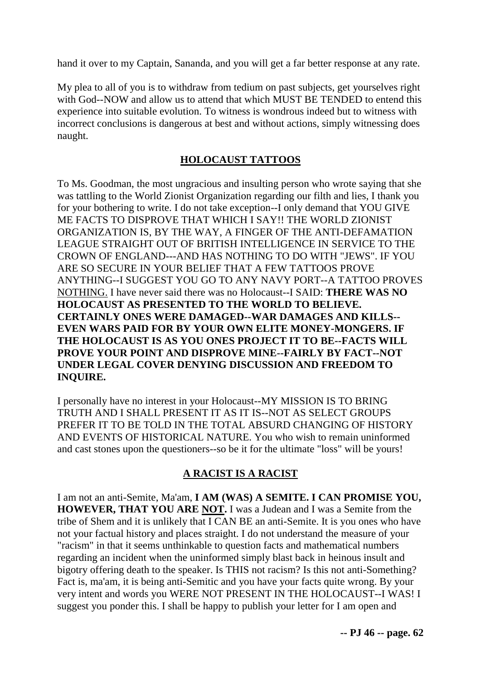hand it over to my Captain, Sananda, and you will get a far better response at any rate.

My plea to all of you is to withdraw from tedium on past subjects, get yourselves right with God--NOW and allow us to attend that which MUST BE TENDED to entend this experience into suitable evolution. To witness is wondrous indeed but to witness with incorrect conclusions is dangerous at best and without actions, simply witnessing does naught.

# **HOLOCAUST TATTOOS**

To Ms. Goodman, the most ungracious and insulting person who wrote saying that she was tattling to the World Zionist Organization regarding our filth and lies, I thank you for your bothering to write. I do not take exception--I only demand that YOU GIVE ME FACTS TO DISPROVE THAT WHICH I SAY!! THE WORLD ZIONIST ORGANIZATION IS, BY THE WAY, A FINGER OF THE ANTI-DEFAMATION LEAGUE STRAIGHT OUT OF BRITISH INTELLIGENCE IN SERVICE TO THE CROWN OF ENGLAND---AND HAS NOTHING TO DO WITH "JEWS". IF YOU ARE SO SECURE IN YOUR BELIEF THAT A FEW TATTOOS PROVE ANYTHING--I SUGGEST YOU GO TO ANY NAVY PORT--A TATTOO PROVES NOTHING. I have never said there was no Holocaust--I SAID: **THERE WAS NO HOLOCAUST AS PRESENTED TO THE WORLD TO BELIEVE. CERTAINLY ONES WERE DAMAGED--WAR DAMAGES AND KILLS-- EVEN WARS PAID FOR BY YOUR OWN ELITE MONEY-MONGERS. IF THE HOLOCAUST IS AS YOU ONES PROJECT IT TO BE--FACTS WILL PROVE YOUR POINT AND DISPROVE MINE--FAIRLY BY FACT--NOT UNDER LEGAL COVER DENYING DISCUSSION AND FREEDOM TO INQUIRE.**

I personally have no interest in your Holocaust--MY MISSION IS TO BRING TRUTH AND I SHALL PRESENT IT AS IT IS--NOT AS SELECT GROUPS PREFER IT TO BE TOLD IN THE TOTAL ABSURD CHANGING OF HISTORY AND EVENTS OF HISTORICAL NATURE. You who wish to remain uninformed and cast stones upon the questioners--so be it for the ultimate "loss" will be yours!

# **A RACIST IS A RACIST**

I am not an anti-Semite, Ma'am, **I AM (WAS) A SEMITE. I CAN PROMISE YOU, HOWEVER, THAT YOU ARE NOT.** I was a Judean and I was a Semite from the tribe of Shem and it is unlikely that I CAN BE an anti-Semite. It is you ones who have not your factual history and places straight. I do not understand the measure of your "racism" in that it seems unthinkable to question facts and mathematical numbers regarding an incident when the uninformed simply blast back in heinous insult and bigotry offering death to the speaker. Is THIS not racism? Is this not anti-Something? Fact is, ma'am, it is being anti-Semitic and you have your facts quite wrong. By your very intent and words you WERE NOT PRESENT IN THE HOLOCAUST--I WAS! I suggest you ponder this. I shall be happy to publish your letter for I am open and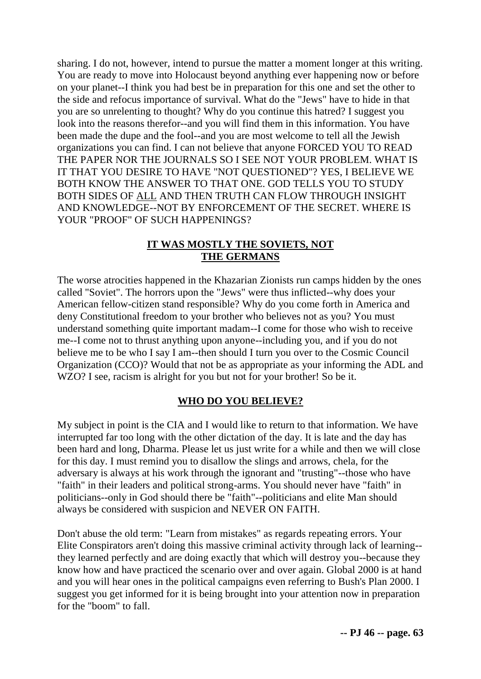sharing. I do not, however, intend to pursue the matter a moment longer at this writing. You are ready to move into Holocaust beyond anything ever happening now or before on your planet--I think you had best be in preparation for this one and set the other to the side and refocus importance of survival. What do the "Jews" have to hide in that you are so unrelenting to thought? Why do you continue this hatred? I suggest you look into the reasons therefor--and you will find them in this information. You have been made the dupe and the fool--and you are most welcome to tell all the Jewish organizations you can find. I can not believe that anyone FORCED YOU TO READ THE PAPER NOR THE JOURNALS SO I SEE NOT YOUR PROBLEM. WHAT IS IT THAT YOU DESIRE TO HAVE "NOT QUESTIONED"? YES, I BELIEVE WE BOTH KNOW THE ANSWER TO THAT ONE. GOD TELLS YOU TO STUDY BOTH SIDES OF ALL AND THEN TRUTH CAN FLOW THROUGH INSIGHT AND KNOWLEDGE--NOT BY ENFORCEMENT OF THE SECRET. WHERE IS YOUR "PROOF" OF SUCH HAPPENINGS?

# **IT WAS MOSTLY THE SOVIETS, NOT THE GERMANS**

The worse atrocities happened in the Khazarian Zionists run camps hidden by the ones called "Soviet". The horrors upon the "Jews" were thus inflicted--why does your American fellow-citizen stand responsible? Why do you come forth in America and deny Constitutional freedom to your brother who believes not as you? You must understand something quite important madam--I come for those who wish to receive me--I come not to thrust anything upon anyone--including you, and if you do not believe me to be who I say I am--then should I turn you over to the Cosmic Council Organization (CCO)? Would that not be as appropriate as your informing the ADL and WZO? I see, racism is alright for you but not for your brother! So be it.

# **WHO DO YOU BELIEVE?**

My subject in point is the CIA and I would like to return to that information. We have interrupted far too long with the other dictation of the day. It is late and the day has been hard and long, Dharma. Please let us just write for a while and then we will close for this day. I must remind you to disallow the slings and arrows, chela, for the adversary is always at his work through the ignorant and "trusting"--those who have "faith" in their leaders and political strong-arms. You should never have "faith" in politicians--only in God should there be "faith"--politicians and elite Man should always be considered with suspicion and NEVER ON FAITH.

Don't abuse the old term: "Learn from mistakes" as regards repeating errors. Your Elite Conspirators aren't doing this massive criminal activity through lack of learning- they learned perfectly and are doing exactly that which will destroy you--because they know how and have practiced the scenario over and over again. Global 2000 is at hand and you will hear ones in the political campaigns even referring to Bush's Plan 2000. I suggest you get informed for it is being brought into your attention now in preparation for the "boom" to fall.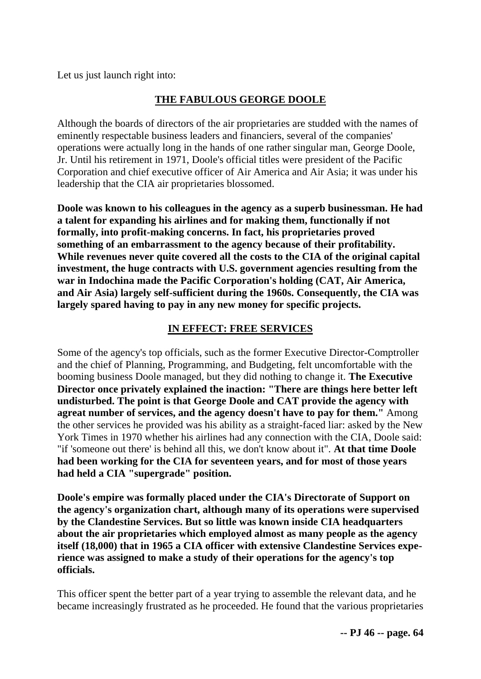Let us just launch right into:

# **THE FABULOUS GEORGE DOOLE**

Although the boards of directors of the air proprietaries are studded with the names of eminently respectable business leaders and financiers, several of the companies' operations were actually long in the hands of one rather singular man, George Doole, Jr. Until his retirement in 1971, Doole's official titles were president of the Pacific Corporation and chief executive officer of Air America and Air Asia; it was under his leadership that the CIA air proprietaries blossomed.

**Doole was known to his colleagues in the agency as a superb businessman. He had a talent for expanding his airlines and for making them, functionally if not formally, into profit-making concerns. In fact, his proprietaries proved something of an embarrassment to the agency because of their profitability. While revenues never quite covered all the costs to the CIA of the original capital investment, the huge contracts with U.S. government agencies resulting from the war in Indochina made the Pacific Corporation's holding (CAT, Air America, and Air Asia) largely self-sufficient during the 1960s. Consequently, the CIA was largely spared having to pay in any new money for specific projects.**

# **IN EFFECT: FREE SERVICES**

Some of the agency's top officials, such as the former Executive Director-Comptroller and the chief of Planning, Programming, and Budgeting, felt uncomfortable with the booming business Doole managed, but they did nothing to change it. **The Executive Director once privately explained the inaction: "There are things here better left undisturbed. The point is that George Doole and CAT provide the agency with agreat number of services, and the agency doesn't have to pay for them."** Among the other services he provided was his ability as a straight-faced liar: asked by the New York Times in 1970 whether his airlines had any connection with the CIA, Doole said: "if 'someone out there' is behind all this, we don't know about it". **At that time Doole had been working for the CIA for seventeen years, and for most of those years had held a CIA "supergrade" position.**

**Doole's empire was formally placed under the CIA's Directorate of Support on the agency's organization chart, although many of its operations were supervised by the Clandestine Services. But so little was known inside CIA headquarters about the air proprietaries which employed almost as many people as the agency itself (18,000) that in 1965 a CIA officer with extensive Clandestine Services experience was assigned to make a study of their operations for the agency's top officials.**

This officer spent the better part of a year trying to assemble the relevant data, and he became increasingly frustrated as he proceeded. He found that the various proprietaries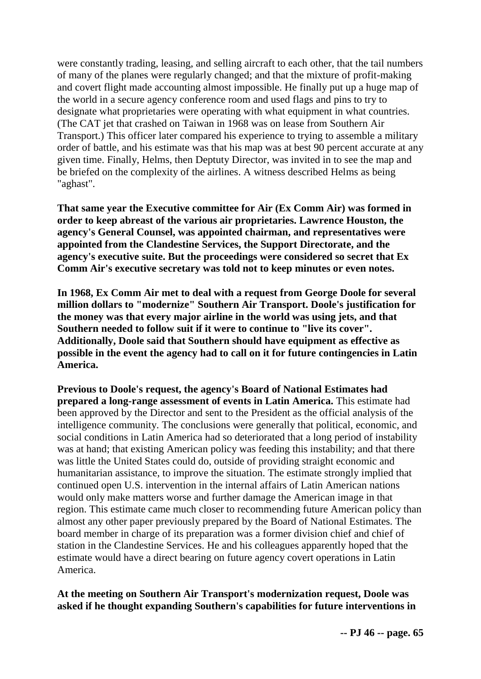were constantly trading, leasing, and selling aircraft to each other, that the tail numbers of many of the planes were regularly changed; and that the mixture of profit-making and covert flight made accounting almost impossible. He finally put up a huge map of the world in a secure agency conference room and used flags and pins to try to designate what proprietaries were operating with what equipment in what countries. (The CAT jet that crashed on Taiwan in 1968 was on lease from Southern Air Transport.) This officer later compared his experience to trying to assemble a military order of battle, and his estimate was that his map was at best 90 percent accurate at any given time. Finally, Helms, then Deptuty Director, was invited in to see the map and be briefed on the complexity of the airlines. A witness described Helms as being "aghast".

**That same year the Executive committee for Air (Ex Comm Air) was formed in order to keep abreast of the various air proprietaries. Lawrence Houston, the agency's General Counsel, was appointed chairman, and representatives were appointed from the Clandestine Services, the Support Directorate, and the agency's executive suite. But the proceedings were considered so secret that Ex Comm Air's executive secretary was told not to keep minutes or even notes.**

**In 1968, Ex Comm Air met to deal with a request from George Doole for several million dollars to "modernize" Southern Air Transport. Doole's justification for the money was that every major airline in the world was using jets, and that Southern needed to follow suit if it were to continue to "live its cover". Additionally, Doole said that Southern should have equipment as effective as possible in the event the agency had to call on it for future contingencies in Latin America.**

**Previous to Doole's request, the agency's Board of National Estimates had prepared a long-range assessment of events in Latin America.** This estimate had been approved by the Director and sent to the President as the official analysis of the intelligence community. The conclusions were generally that political, economic, and social conditions in Latin America had so deteriorated that a long period of instability was at hand; that existing American policy was feeding this instability; and that there was little the United States could do, outside of providing straight economic and humanitarian assistance, to improve the situation. The estimate strongly implied that continued open U.S. intervention in the internal affairs of Latin American nations would only make matters worse and further damage the American image in that region. This estimate came much closer to recommending future American policy than almost any other paper previously prepared by the Board of National Estimates. The board member in charge of its preparation was a former division chief and chief of station in the Clandestine Services. He and his colleagues apparently hoped that the estimate would have a direct bearing on future agency covert operations in Latin America.

**At the meeting on Southern Air Transport's modernization request, Doole was asked if he thought expanding Southern's capabilities for future interventions in**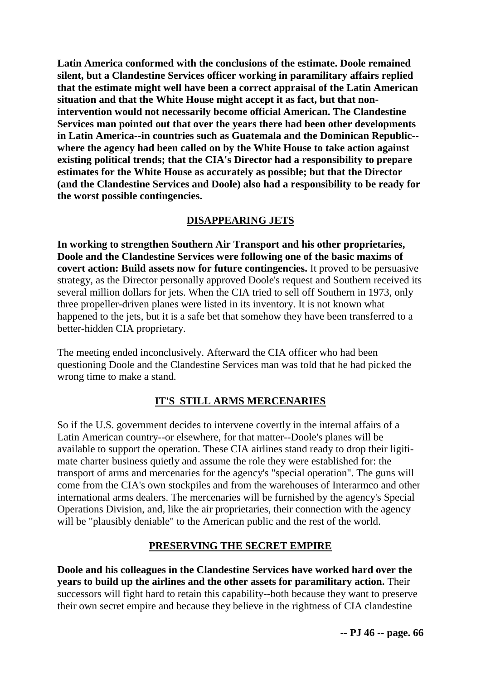**Latin America conformed with the conclusions of the estimate. Doole remained silent, but a Clandestine Services officer working in paramilitary affairs replied that the estimate might well have been a correct appraisal of the Latin American situation and that the White House might accept it as fact, but that nonintervention would not necessarily become official American. The Clandestine Services man pointed out that over the years there had been other developments in Latin America--in countries such as Guatemala and the Dominican Republic- where the agency had been called on by the White House to take action against existing political trends; that the CIA's Director had a responsibility to prepare estimates for the White House as accurately as possible; but that the Director (and the Clandestine Services and Doole) also had a responsibility to be ready for the worst possible contingencies.**

## **DISAPPEARING JETS**

**In working to strengthen Southern Air Transport and his other proprietaries, Doole and the Clandestine Services were following one of the basic maxims of covert action: Build assets now for future contingencies.** It proved to be persuasive strategy, as the Director personally approved Doole's request and Southern received its several million dollars for jets. When the CIA tried to sell off Southern in 1973, only three propeller-driven planes were listed in its inventory. It is not known what happened to the jets, but it is a safe bet that somehow they have been transferred to a better-hidden CIA proprietary.

The meeting ended inconclusively. Afterward the CIA officer who had been questioning Doole and the Clandestine Services man was told that he had picked the wrong time to make a stand.

# **IT'S STILL ARMS MERCENARIES**

So if the U.S. government decides to intervene covertly in the internal affairs of a Latin American country--or elsewhere, for that matter--Doole's planes will be available to support the operation. These CIA airlines stand ready to drop their ligitimate charter business quietly and assume the role they were established for: the transport of arms and mercenaries for the agency's "special operation". The guns will come from the CIA's own stockpiles and from the warehouses of Interarmco and other international arms dealers. The mercenaries will be furnished by the agency's Special Operations Division, and, like the air proprietaries, their connection with the agency will be "plausibly deniable" to the American public and the rest of the world.

### **PRESERVING THE SECRET EMPIRE**

**Doole and his colleagues in the Clandestine Services have worked hard over the years to build up the airlines and the other assets for paramilitary action.** Their successors will fight hard to retain this capability--both because they want to preserve their own secret empire and because they believe in the rightness of CIA clandestine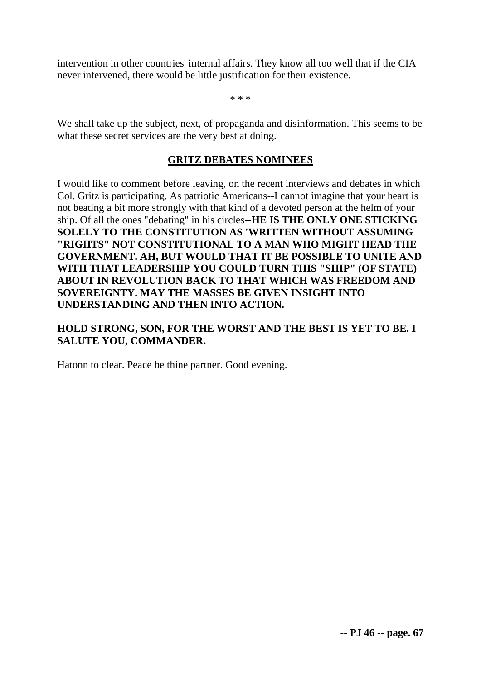intervention in other countries' internal affairs. They know all too well that if the CIA never intervened, there would be little justification for their existence.

\* \* \*

We shall take up the subject, next, of propaganda and disinformation. This seems to be what these secret services are the very best at doing.

### **GRITZ DEBATES NOMINEES**

I would like to comment before leaving, on the recent interviews and debates in which Col. Gritz is participating. As patriotic Americans--I cannot imagine that your heart is not beating a bit more strongly with that kind of a devoted person at the helm of your ship. Of all the ones "debating" in his circles--**HE IS THE ONLY ONE STICKING SOLELY TO THE CONSTITUTION AS 'WRITTEN WITHOUT ASSUMING "RIGHTS" NOT CONSTITUTIONAL TO A MAN WHO MIGHT HEAD THE GOVERNMENT. AH, BUT WOULD THAT IT BE POSSIBLE TO UNITE AND WITH THAT LEADERSHIP YOU COULD TURN THIS "SHIP" (OF STATE) ABOUT IN REVOLUTION BACK TO THAT WHICH WAS FREEDOM AND SOVEREIGNTY. MAY THE MASSES BE GIVEN INSIGHT INTO UNDERSTANDING AND THEN INTO ACTION.**

# **HOLD STRONG, SON, FOR THE WORST AND THE BEST IS YET TO BE. I SALUTE YOU, COMMANDER.**

Hatonn to clear. Peace be thine partner. Good evening.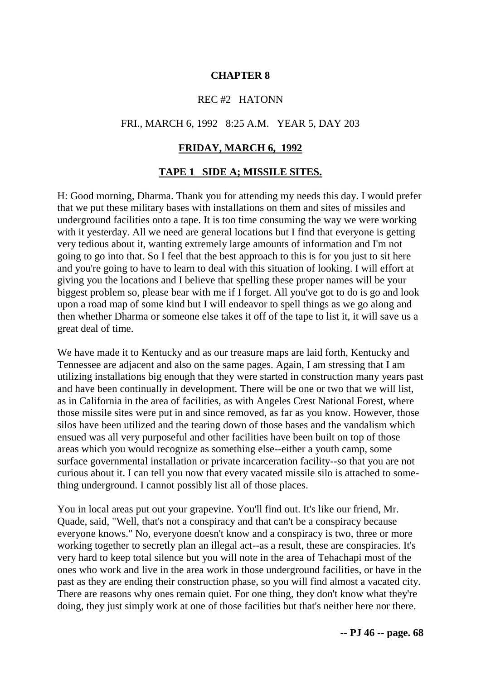### **CHAPTER 8**

#### REC #2 HATONN

### FRI., MARCH 6, 1992 8:25 A.M. YEAR 5, DAY 203

### **FRIDAY, MARCH 6, 1992**

#### **TAPE 1 SIDE A; MISSILE SITES.**

H: Good morning, Dharma. Thank you for attending my needs this day. I would prefer that we put these military bases with installations on them and sites of missiles and underground facilities onto a tape. It is too time consuming the way we were working with it yesterday. All we need are general locations but I find that everyone is getting very tedious about it, wanting extremely large amounts of information and I'm not going to go into that. So I feel that the best approach to this is for you just to sit here and you're going to have to learn to deal with this situation of looking. I will effort at giving you the locations and I believe that spelling these proper names will be your biggest problem so, please bear with me if I forget. All you've got to do is go and look upon a road map of some kind but I will endeavor to spell things as we go along and then whether Dharma or someone else takes it off of the tape to list it, it will save us a great deal of time.

We have made it to Kentucky and as our treasure maps are laid forth, Kentucky and Tennessee are adjacent and also on the same pages. Again, I am stressing that I am utilizing installations big enough that they were started in construction many years past and have been continually in development. There will be one or two that we will list, as in California in the area of facilities, as with Angeles Crest National Forest, where those missile sites were put in and since removed, as far as you know. However, those silos have been utilized and the tearing down of those bases and the vandalism which ensued was all very purposeful and other facilities have been built on top of those areas which you would recognize as something else--either a youth camp, some surface governmental installation or private incarceration facility--so that you are not curious about it. I can tell you now that every vacated missile silo is attached to something underground. I cannot possibly list all of those places.

You in local areas put out your grapevine. You'll find out. It's like our friend, Mr. Quade, said, "Well, that's not a conspiracy and that can't be a conspiracy because everyone knows." No, everyone doesn't know and a conspiracy is two, three or more working together to secretly plan an illegal act--as a result, these are conspiracies. It's very hard to keep total silence but you will note in the area of Tehachapi most of the ones who work and live in the area work in those underground facilities, or have in the past as they are ending their construction phase, so you will find almost a vacated city. There are reasons why ones remain quiet. For one thing, they don't know what they're doing, they just simply work at one of those facilities but that's neither here nor there.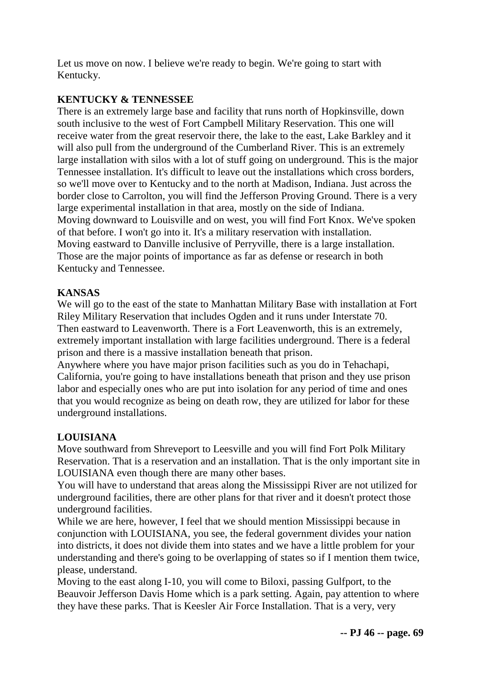Let us move on now. I believe we're ready to begin. We're going to start with Kentucky.

# **KENTUCKY & TENNESSEE**

There is an extremely large base and facility that runs north of Hopkinsville, down south inclusive to the west of Fort Campbell Military Reservation. This one will receive water from the great reservoir there, the lake to the east, Lake Barkley and it will also pull from the underground of the Cumberland River. This is an extremely large installation with silos with a lot of stuff going on underground. This is the major Tennessee installation. It's difficult to leave out the installations which cross borders, so we'll move over to Kentucky and to the north at Madison, Indiana. Just across the border close to Carrolton, you will find the Jefferson Proving Ground. There is a very large experimental installation in that area, mostly on the side of Indiana. Moving downward to Louisville and on west, you will find Fort Knox. We've spoken of that before. I won't go into it. It's a military reservation with installation. Moving eastward to Danville inclusive of Perryville, there is a large installation. Those are the major points of importance as far as defense or research in both Kentucky and Tennessee.

## **KANSAS**

We will go to the east of the state to Manhattan Military Base with installation at Fort Riley Military Reservation that includes Ogden and it runs under Interstate 70. Then eastward to Leavenworth. There is a Fort Leavenworth, this is an extremely, extremely important installation with large facilities underground. There is a federal prison and there is a massive installation beneath that prison.

Anywhere where you have major prison facilities such as you do in Tehachapi, California, you're going to have installations beneath that prison and they use prison labor and especially ones who are put into isolation for any period of time and ones that you would recognize as being on death row, they are utilized for labor for these underground installations.

# **LOUISIANA**

Move southward from Shreveport to Leesville and you will find Fort Polk Military Reservation. That is a reservation and an installation. That is the only important site in LOUISIANA even though there are many other bases.

You will have to understand that areas along the Mississippi River are not utilized for underground facilities, there are other plans for that river and it doesn't protect those underground facilities.

While we are here, however, I feel that we should mention Mississippi because in conjunction with LOUISIANA, you see, the federal government divides your nation into districts, it does not divide them into states and we have a little problem for your understanding and there's going to be overlapping of states so if I mention them twice, please, understand.

Moving to the east along I-10, you will come to Biloxi, passing Gulfport, to the Beauvoir Jefferson Davis Home which is a park setting. Again, pay attention to where they have these parks. That is Keesler Air Force Installation. That is a very, very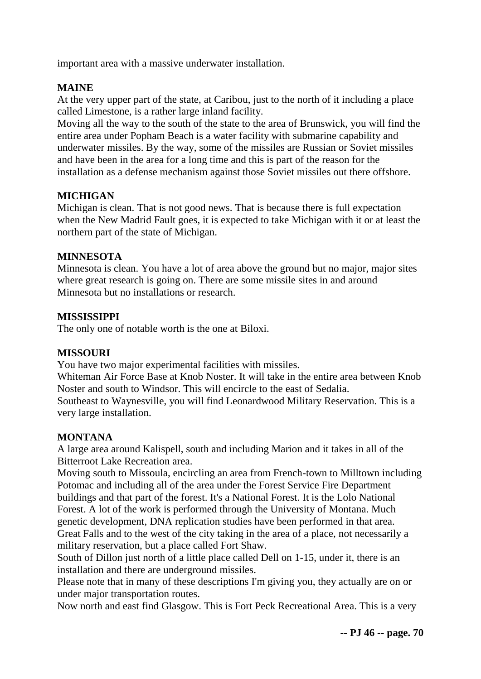important area with a massive underwater installation.

# **MAINE**

At the very upper part of the state, at Caribou, just to the north of it including a place called Limestone, is a rather large inland facility.

Moving all the way to the south of the state to the area of Brunswick, you will find the entire area under Popham Beach is a water facility with submarine capability and underwater missiles. By the way, some of the missiles are Russian or Soviet missiles and have been in the area for a long time and this is part of the reason for the installation as a defense mechanism against those Soviet missiles out there offshore.

# **MICHIGAN**

Michigan is clean. That is not good news. That is because there is full expectation when the New Madrid Fault goes, it is expected to take Michigan with it or at least the northern part of the state of Michigan.

## **MINNESOTA**

Minnesota is clean. You have a lot of area above the ground but no major, major sites where great research is going on. There are some missile sites in and around Minnesota but no installations or research.

# **MISSISSIPPI**

The only one of notable worth is the one at Biloxi.

## **MISSOURI**

You have two major experimental facilities with missiles.

Whiteman Air Force Base at Knob Noster. It will take in the entire area between Knob Noster and south to Windsor. This will encircle to the east of Sedalia.

Southeast to Waynesville, you will find Leonardwood Military Reservation. This is a very large installation.

## **MONTANA**

A large area around Kalispell, south and including Marion and it takes in all of the Bitterroot Lake Recreation area.

Moving south to Missoula, encircling an area from French-town to Milltown including Potomac and including all of the area under the Forest Service Fire Department buildings and that part of the forest. It's a National Forest. It is the Lolo National Forest. A lot of the work is performed through the University of Montana. Much genetic development, DNA replication studies have been performed in that area. Great Falls and to the west of the city taking in the area of a place, not necessarily a military reservation, but a place called Fort Shaw.

South of Dillon just north of a little place called Dell on 1-15, under it, there is an installation and there are underground missiles.

Please note that in many of these descriptions I'm giving you, they actually are on or under major transportation routes.

Now north and east find Glasgow. This is Fort Peck Recreational Area. This is a very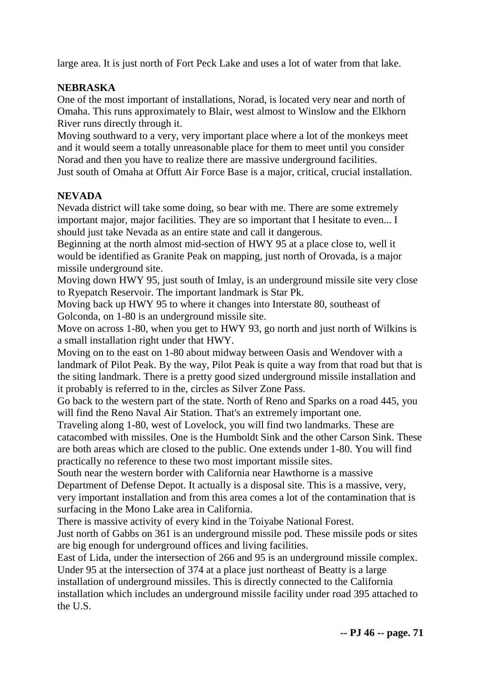large area. It is just north of Fort Peck Lake and uses a lot of water from that lake.

# **NEBRASKA**

One of the most important of installations, Norad, is located very near and north of Omaha. This runs approximately to Blair, west almost to Winslow and the Elkhorn River runs directly through it.

Moving southward to a very, very important place where a lot of the monkeys meet and it would seem a totally unreasonable place for them to meet until you consider Norad and then you have to realize there are massive underground facilities.

Just south of Omaha at Offutt Air Force Base is a major, critical, crucial installation.

# **NEVADA**

Nevada district will take some doing, so bear with me. There are some extremely important major, major facilities. They are so important that I hesitate to even... I should just take Nevada as an entire state and call it dangerous.

Beginning at the north almost mid-section of HWY 95 at a place close to, well it would be identified as Granite Peak on mapping, just north of Orovada, is a major missile underground site.

Moving down HWY 95, just south of Imlay, is an underground missile site very close to Ryepatch Reservoir. The important landmark is Star Pk.

Moving back up HWY 95 to where it changes into Interstate 80, southeast of Golconda, on 1-80 is an underground missile site.

Move on across 1-80, when you get to HWY 93, go north and just north of Wilkins is a small installation right under that HWY.

Moving on to the east on 1-80 about midway between Oasis and Wendover with a landmark of Pilot Peak. By the way, Pilot Peak is quite a way from that road but that is the siting landmark. There is a pretty good sized underground missile installation and it probably is referred to in the, circles as Silver Zone Pass.

Go back to the western part of the state. North of Reno and Sparks on a road 445, you will find the Reno Naval Air Station. That's an extremely important one.

Traveling along 1-80, west of Lovelock, you will find two landmarks. These are catacombed with missiles. One is the Humboldt Sink and the other Carson Sink. These are both areas which are closed to the public. One extends under 1-80. You will find practically no reference to these two most important missile sites.

South near the western border with California near Hawthorne is a massive Department of Defense Depot. It actually is a disposal site. This is a massive, very, very important installation and from this area comes a lot of the contamination that is surfacing in the Mono Lake area in California.

There is massive activity of every kind in the Toiyabe National Forest.

Just north of Gabbs on 361 is an underground missile pod. These missile pods or sites are big enough for underground offices and living facilities.

East of Lida, under the intersection of 266 and 95 is an underground missile complex. Under 95 at the intersection of 374 at a place just northeast of Beatty is a large installation of underground missiles. This is directly connected to the California installation which includes an underground missile facility under road 395 attached to the U.S.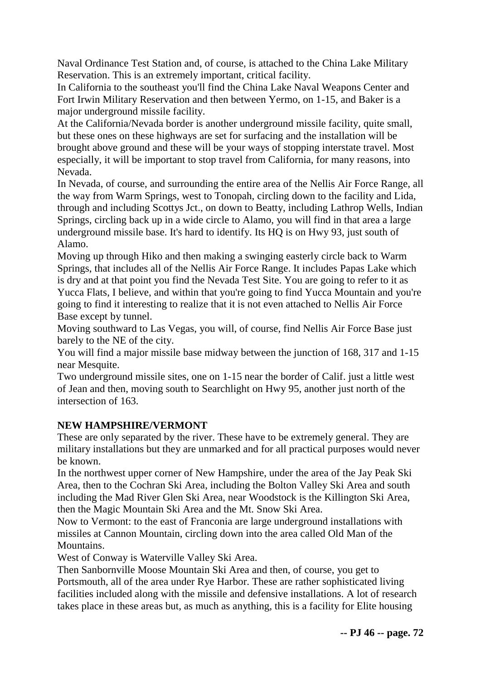Naval Ordinance Test Station and, of course, is attached to the China Lake Military Reservation. This is an extremely important, critical facility.

In California to the southeast you'll find the China Lake Naval Weapons Center and Fort Irwin Military Reservation and then between Yermo, on 1-15, and Baker is a major underground missile facility.

At the California/Nevada border is another underground missile facility, quite small, but these ones on these highways are set for surfacing and the installation will be brought above ground and these will be your ways of stopping interstate travel. Most especially, it will be important to stop travel from California, for many reasons, into Nevada.

In Nevada, of course, and surrounding the entire area of the Nellis Air Force Range, all the way from Warm Springs, west to Tonopah, circling down to the facility and Lida, through and including Scottys Jct., on down to Beatty, including Lathrop Wells, Indian Springs, circling back up in a wide circle to Alamo, you will find in that area a large underground missile base. It's hard to identify. Its HQ is on Hwy 93, just south of Alamo.

Moving up through Hiko and then making a swinging easterly circle back to Warm Springs, that includes all of the Nellis Air Force Range. It includes Papas Lake which is dry and at that point you find the Nevada Test Site. You are going to refer to it as Yucca Flats, I believe, and within that you're going to find Yucca Mountain and you're going to find it interesting to realize that it is not even attached to Nellis Air Force Base except by tunnel.

Moving southward to Las Vegas, you will, of course, find Nellis Air Force Base just barely to the NE of the city.

You will find a major missile base midway between the junction of 168, 317 and 1-15 near Mesquite.

Two underground missile sites, one on 1-15 near the border of Calif. just a little west of Jean and then, moving south to Searchlight on Hwy 95, another just north of the intersection of 163.

# **NEW HAMPSHIRE/VERMONT**

These are only separated by the river. These have to be extremely general. They are military installations but they are unmarked and for all practical purposes would never be known.

In the northwest upper corner of New Hampshire, under the area of the Jay Peak Ski Area, then to the Cochran Ski Area, including the Bolton Valley Ski Area and south including the Mad River Glen Ski Area, near Woodstock is the Killington Ski Area, then the Magic Mountain Ski Area and the Mt. Snow Ski Area.

Now to Vermont: to the east of Franconia are large underground installations with missiles at Cannon Mountain, circling down into the area called Old Man of the Mountains.

West of Conway is Waterville Valley Ski Area.

Then Sanbornville Moose Mountain Ski Area and then, of course, you get to Portsmouth, all of the area under Rye Harbor. These are rather sophisticated living facilities included along with the missile and defensive installations. A lot of research takes place in these areas but, as much as anything, this is a facility for Elite housing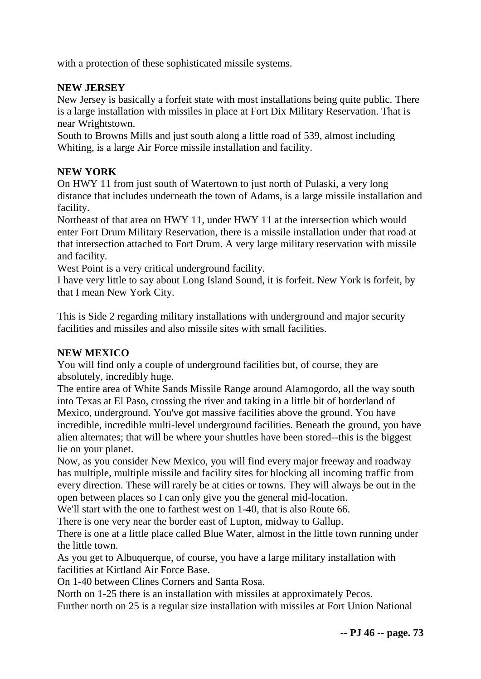with a protection of these sophisticated missile systems.

## **NEW JERSEY**

New Jersey is basically a forfeit state with most installations being quite public. There is a large installation with missiles in place at Fort Dix Military Reservation. That is near Wrightstown.

South to Browns Mills and just south along a little road of 539, almost including Whiting, is a large Air Force missile installation and facility.

# **NEW YORK**

On HWY 11 from just south of Watertown to just north of Pulaski, a very long distance that includes underneath the town of Adams, is a large missile installation and facility.

Northeast of that area on HWY 11, under HWY 11 at the intersection which would enter Fort Drum Military Reservation, there is a missile installation under that road at that intersection attached to Fort Drum. A very large military reservation with missile and facility.

West Point is a very critical underground facility.

I have very little to say about Long Island Sound, it is forfeit. New York is forfeit, by that I mean New York City.

This is Side 2 regarding military installations with underground and major security facilities and missiles and also missile sites with small facilities.

# **NEW MEXICO**

You will find only a couple of underground facilities but, of course, they are absolutely, incredibly huge.

The entire area of White Sands Missile Range around Alamogordo, all the way south into Texas at El Paso, crossing the river and taking in a little bit of borderland of Mexico, underground. You've got massive facilities above the ground. You have incredible, incredible multi-level underground facilities. Beneath the ground, you have alien alternates; that will be where your shuttles have been stored--this is the biggest lie on your planet.

Now, as you consider New Mexico, you will find every major freeway and roadway has multiple, multiple missile and facility sites for blocking all incoming traffic from every direction. These will rarely be at cities or towns. They will always be out in the open between places so I can only give you the general mid-location.

We'll start with the one to farthest west on 1-40, that is also Route 66.

There is one very near the border east of Lupton, midway to Gallup.

There is one at a little place called Blue Water, almost in the little town running under the little town.

As you get to Albuquerque, of course, you have a large military installation with facilities at Kirtland Air Force Base.

On 1-40 between Clines Corners and Santa Rosa.

North on 1-25 there is an installation with missiles at approximately Pecos. Further north on 25 is a regular size installation with missiles at Fort Union National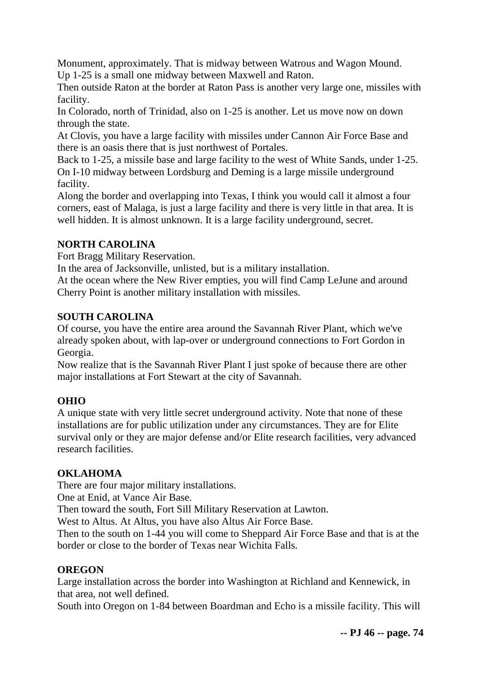Monument, approximately. That is midway between Watrous and Wagon Mound. Up 1-25 is a small one midway between Maxwell and Raton.

Then outside Raton at the border at Raton Pass is another very large one, missiles with facility.

In Colorado, north of Trinidad, also on 1-25 is another. Let us move now on down through the state.

At Clovis, you have a large facility with missiles under Cannon Air Force Base and there is an oasis there that is just northwest of Portales.

Back to 1-25, a missile base and large facility to the west of White Sands, under 1-25. On I-10 midway between Lordsburg and Deming is a large missile underground facility.

Along the border and overlapping into Texas, I think you would call it almost a four corners, east of Malaga, is just a large facility and there is very little in that area. It is well hidden. It is almost unknown. It is a large facility underground, secret.

## **NORTH CAROLINA**

Fort Bragg Military Reservation.

In the area of Jacksonville, unlisted, but is a military installation.

At the ocean where the New River empties, you will find Camp LeJune and around Cherry Point is another military installation with missiles.

# **SOUTH CAROLINA**

Of course, you have the entire area around the Savannah River Plant, which we've already spoken about, with lap-over or underground connections to Fort Gordon in Georgia.

Now realize that is the Savannah River Plant I just spoke of because there are other major installations at Fort Stewart at the city of Savannah.

# **OHIO**

A unique state with very little secret underground activity. Note that none of these installations are for public utilization under any circumstances. They are for Elite survival only or they are major defense and/or Elite research facilities, very advanced research facilities.

# **OKLAHOMA**

There are four major military installations.

One at Enid, at Vance Air Base.

Then toward the south, Fort Sill Military Reservation at Lawton.

West to Altus. At Altus, you have also Altus Air Force Base.

Then to the south on 1-44 you will come to Sheppard Air Force Base and that is at the border or close to the border of Texas near Wichita Falls.

# **OREGON**

Large installation across the border into Washington at Richland and Kennewick, in that area, not well defined.

South into Oregon on 1-84 between Boardman and Echo is a missile facility. This will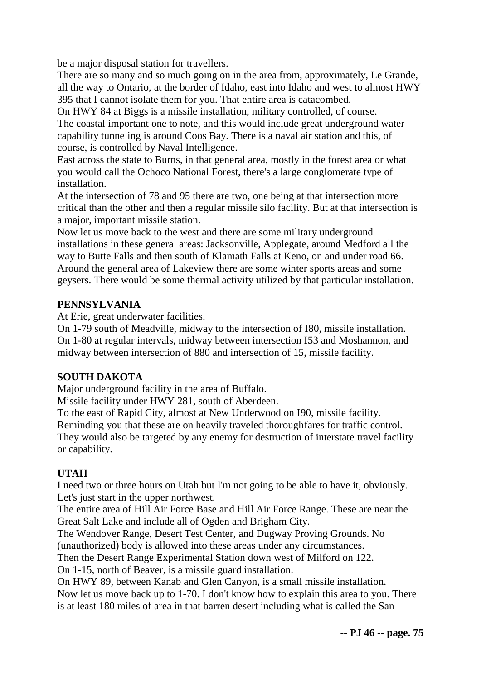be a major disposal station for travellers.

There are so many and so much going on in the area from, approximately, Le Grande, all the way to Ontario, at the border of Idaho, east into Idaho and west to almost HWY 395 that I cannot isolate them for you. That entire area is catacombed.

On HWY 84 at Biggs is a missile installation, military controlled, of course. The coastal important one to note, and this would include great underground water capability tunneling is around Coos Bay. There is a naval air station and this, of course, is controlled by Naval Intelligence.

East across the state to Burns, in that general area, mostly in the forest area or what you would call the Ochoco National Forest, there's a large conglomerate type of installation.

At the intersection of 78 and 95 there are two, one being at that intersection more critical than the other and then a regular missile silo facility. But at that intersection is a major, important missile station.

Now let us move back to the west and there are some military underground installations in these general areas: Jacksonville, Applegate, around Medford all the way to Butte Falls and then south of Klamath Falls at Keno, on and under road 66. Around the general area of Lakeview there are some winter sports areas and some geysers. There would be some thermal activity utilized by that particular installation.

# **PENNSYLVANIA**

At Erie, great underwater facilities.

On 1-79 south of Meadville, midway to the intersection of I80, missile installation. On 1-80 at regular intervals, midway between intersection I53 and Moshannon, and midway between intersection of 880 and intersection of 15, missile facility.

# **SOUTH DAKOTA**

Major underground facility in the area of Buffalo.

Missile facility under HWY 281, south of Aberdeen.

To the east of Rapid City, almost at New Underwood on I90, missile facility. Reminding you that these are on heavily traveled thoroughfares for traffic control. They would also be targeted by any enemy for destruction of interstate travel facility or capability.

# **UTAH**

I need two or three hours on Utah but I'm not going to be able to have it, obviously. Let's just start in the upper northwest.

The entire area of Hill Air Force Base and Hill Air Force Range. These are near the Great Salt Lake and include all of Ogden and Brigham City.

The Wendover Range, Desert Test Center, and Dugway Proving Grounds. No (unauthorized) body is allowed into these areas under any circumstances.

Then the Desert Range Experimental Station down west of Milford on 122.

On 1-15, north of Beaver, is a missile guard installation.

On HWY 89, between Kanab and Glen Canyon, is a small missile installation. Now let us move back up to 1-70. I don't know how to explain this area to you. There is at least 180 miles of area in that barren desert including what is called the San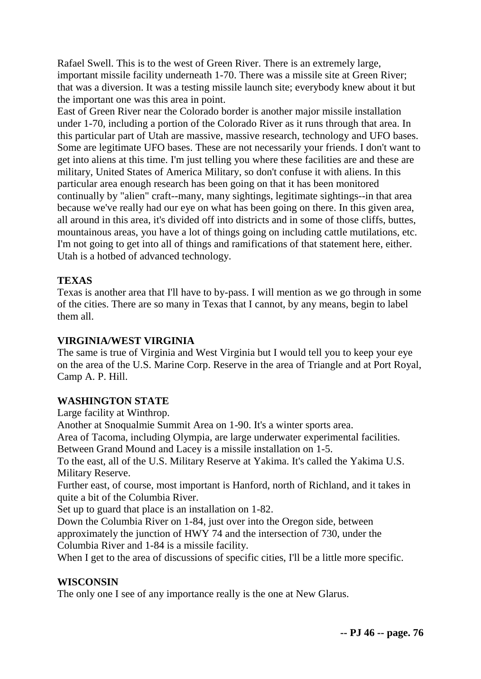Rafael Swell. This is to the west of Green River. There is an extremely large, important missile facility underneath 1-70. There was a missile site at Green River; that was a diversion. It was a testing missile launch site; everybody knew about it but the important one was this area in point.

East of Green River near the Colorado border is another major missile installation under 1-70, including a portion of the Colorado River as it runs through that area. In this particular part of Utah are massive, massive research, technology and UFO bases. Some are legitimate UFO bases. These are not necessarily your friends. I don't want to get into aliens at this time. I'm just telling you where these facilities are and these are military, United States of America Military, so don't confuse it with aliens. In this particular area enough research has been going on that it has been monitored continually by "alien" craft--many, many sightings, legitimate sightings--in that area because we've really had our eye on what has been going on there. In this given area, all around in this area, it's divided off into districts and in some of those cliffs, buttes, mountainous areas, you have a lot of things going on including cattle mutilations, etc. I'm not going to get into all of things and ramifications of that statement here, either. Utah is a hotbed of advanced technology.

# **TEXAS**

Texas is another area that I'll have to by-pass. I will mention as we go through in some of the cities. There are so many in Texas that I cannot, by any means, begin to label them all.

### **VIRGINIA/WEST VIRGINIA**

The same is true of Virginia and West Virginia but I would tell you to keep your eye on the area of the U.S. Marine Corp. Reserve in the area of Triangle and at Port Royal, Camp A. P. Hill.

### **WASHINGTON STATE**

Large facility at Winthrop.

Another at Snoqualmie Summit Area on 1-90. It's a winter sports area.

Area of Tacoma, including Olympia, are large underwater experimental facilities.

Between Grand Mound and Lacey is a missile installation on 1-5.

To the east, all of the U.S. Military Reserve at Yakima. It's called the Yakima U.S. Military Reserve.

Further east, of course, most important is Hanford, north of Richland, and it takes in quite a bit of the Columbia River.

Set up to guard that place is an installation on 1-82.

Down the Columbia River on 1-84, just over into the Oregon side, between approximately the junction of HWY 74 and the intersection of 730, under the Columbia River and 1-84 is a missile facility.

When I get to the area of discussions of specific cities, I'll be a little more specific.

### **WISCONSIN**

The only one I see of any importance really is the one at New Glarus.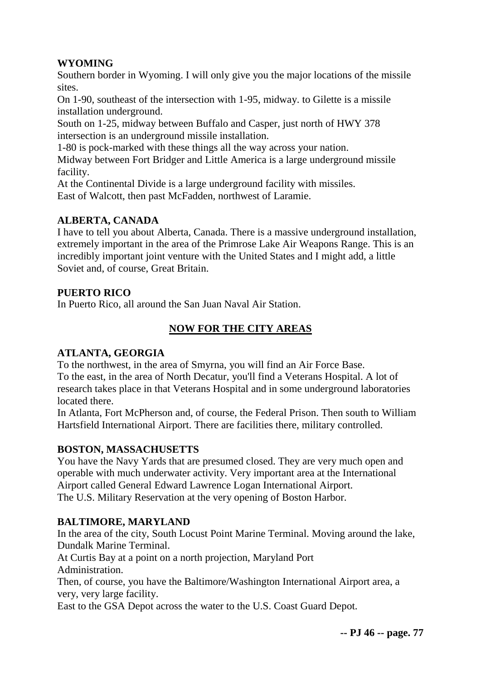## **WYOMING**

Southern border in Wyoming. I will only give you the major locations of the missile sites.

On 1-90, southeast of the intersection with 1-95, midway. to Gilette is a missile installation underground.

South on 1-25, midway between Buffalo and Casper, just north of HWY 378 intersection is an underground missile installation.

1-80 is pock-marked with these things all the way across your nation.

Midway between Fort Bridger and Little America is a large underground missile facility.

At the Continental Divide is a large underground facility with missiles. East of Walcott, then past McFadden, northwest of Laramie.

# **ALBERTA, CANADA**

I have to tell you about Alberta, Canada. There is a massive underground installation, extremely important in the area of the Primrose Lake Air Weapons Range. This is an incredibly important joint venture with the United States and I might add, a little Soviet and, of course, Great Britain.

## **PUERTO RICO**

In Puerto Rico, all around the San Juan Naval Air Station.

# **NOW FOR THE CITY AREAS**

# **ATLANTA, GEORGIA**

To the northwest, in the area of Smyrna, you will find an Air Force Base. To the east, in the area of North Decatur, you'll find a Veterans Hospital. A lot of research takes place in that Veterans Hospital and in some underground laboratories located there.

In Atlanta, Fort McPherson and, of course, the Federal Prison. Then south to William Hartsfield International Airport. There are facilities there, military controlled.

# **BOSTON, MASSACHUSETTS**

You have the Navy Yards that are presumed closed. They are very much open and operable with much underwater activity. Very important area at the International Airport called General Edward Lawrence Logan International Airport. The U.S. Military Reservation at the very opening of Boston Harbor.

# **BALTIMORE, MARYLAND**

In the area of the city, South Locust Point Marine Terminal. Moving around the lake, Dundalk Marine Terminal.

At Curtis Bay at a point on a north projection, Maryland Port Administration.

Then, of course, you have the Baltimore/Washington International Airport area, a very, very large facility.

East to the GSA Depot across the water to the U.S. Coast Guard Depot.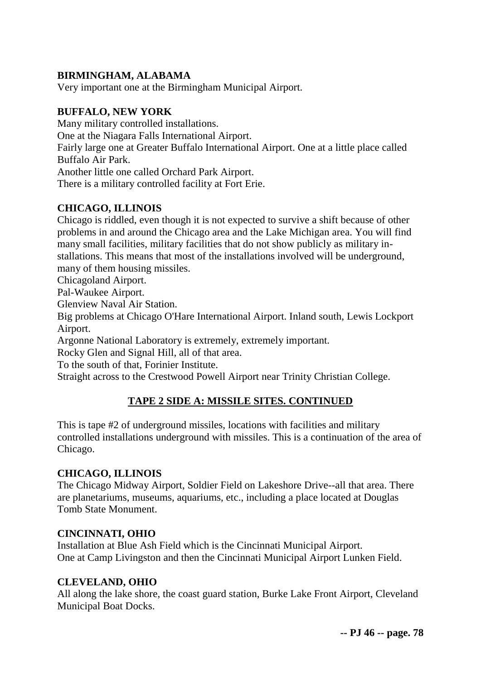# **BIRMINGHAM, ALABAMA**

Very important one at the Birmingham Municipal Airport.

# **BUFFALO, NEW YORK**

Many military controlled installations. One at the Niagara Falls International Airport. Fairly large one at Greater Buffalo International Airport. One at a little place called Buffalo Air Park. Another little one called Orchard Park Airport. There is a military controlled facility at Fort Erie.

# **CHICAGO, ILLINOIS**

Chicago is riddled, even though it is not expected to survive a shift because of other problems in and around the Chicago area and the Lake Michigan area. You will find many small facilities, military facilities that do not show publicly as military installations. This means that most of the installations involved will be underground, many of them housing missiles.

Chicagoland Airport.

Pal-Waukee Airport.

Glenview Naval Air Station.

Big problems at Chicago O'Hare International Airport. Inland south, Lewis Lockport Airport.

Argonne National Laboratory is extremely, extremely important.

Rocky Glen and Signal Hill, all of that area.

To the south of that, Forinier Institute.

Straight across to the Crestwood Powell Airport near Trinity Christian College.

# **TAPE 2 SIDE A: MISSILE SITES. CONTINUED**

This is tape #2 of underground missiles, locations with facilities and military controlled installations underground with missiles. This is a continuation of the area of Chicago.

# **CHICAGO, ILLINOIS**

The Chicago Midway Airport, Soldier Field on Lakeshore Drive--all that area. There are planetariums, museums, aquariums, etc., including a place located at Douglas Tomb State Monument.

# **CINCINNATI, OHIO**

Installation at Blue Ash Field which is the Cincinnati Municipal Airport. One at Camp Livingston and then the Cincinnati Municipal Airport Lunken Field.

# **CLEVELAND, OHIO**

All along the lake shore, the coast guard station, Burke Lake Front Airport, Cleveland Municipal Boat Docks.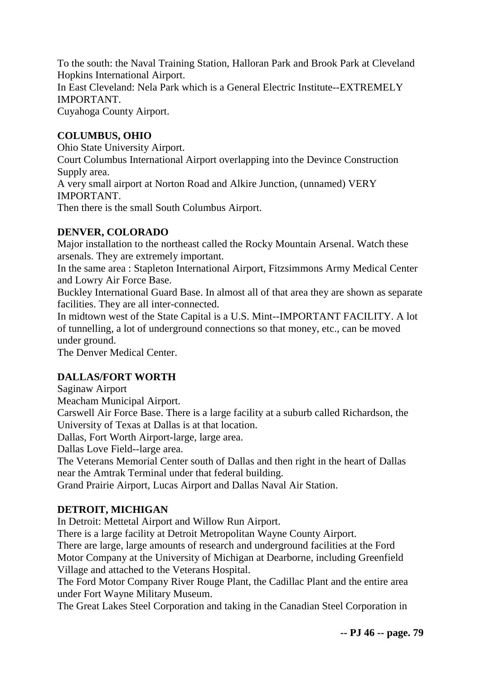To the south: the Naval Training Station, Halloran Park and Brook Park at Cleveland Hopkins International Airport.

In East Cleveland: Nela Park which is a General Electric Institute--EXTREMELY IMPORTANT.

Cuyahoga County Airport.

## **COLUMBUS, OHIO**

Ohio State University Airport. Court Columbus International Airport overlapping into the Devince Construction Supply area. A very small airport at Norton Road and Alkire Junction, (unnamed) VERY IMPORTANT. Then there is the small South Columbus Airport.

# **DENVER, COLORADO**

Major installation to the northeast called the Rocky Mountain Arsenal. Watch these arsenals. They are extremely important.

In the same area : Stapleton International Airport, Fitzsimmons Army Medical Center and Lowry Air Force Base.

Buckley International Guard Base. In almost all of that area they are shown as separate facilities. They are all inter-connected.

In midtown west of the State Capital is a U.S. Mint--IMPORTANT FACILITY. A lot of tunnelling, a lot of underground connections so that money, etc., can be moved under ground.

The Denver Medical Center.

# **DALLAS/FORT WORTH**

Saginaw Airport

Meacham Municipal Airport.

Carswell Air Force Base. There is a large facility at a suburb called Richardson, the University of Texas at Dallas is at that location.

Dallas, Fort Worth Airport-large, large area.

Dallas Love Field--large area.

The Veterans Memorial Center south of Dallas and then right in the heart of Dallas near the Amtrak Terminal under that federal building.

Grand Prairie Airport, Lucas Airport and Dallas Naval Air Station.

# **DETROIT, MICHIGAN**

In Detroit: Mettetal Airport and Willow Run Airport.

There is a large facility at Detroit Metropolitan Wayne County Airport.

There are large, large amounts of research and underground facilities at the Ford Motor Company at the University of Michigan at Dearborne, including Greenfield Village and attached to the Veterans Hospital.

The Ford Motor Company River Rouge Plant, the Cadillac Plant and the entire area under Fort Wayne Military Museum.

The Great Lakes Steel Corporation and taking in the Canadian Steel Corporation in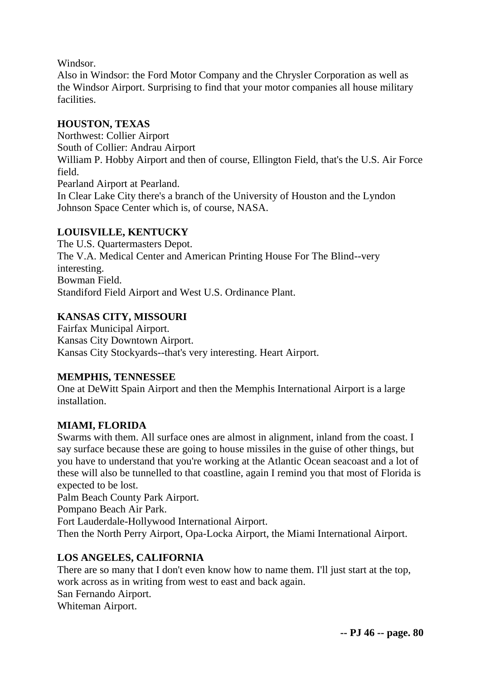Windsor.

Also in Windsor: the Ford Motor Company and the Chrysler Corporation as well as the Windsor Airport. Surprising to find that your motor companies all house military facilities.

### **HOUSTON, TEXAS**

Northwest: Collier Airport South of Collier: Andrau Airport William P. Hobby Airport and then of course, Ellington Field, that's the U.S. Air Force field. Pearland Airport at Pearland. In Clear Lake City there's a branch of the University of Houston and the Lyndon Johnson Space Center which is, of course, NASA.

## **LOUISVILLE, KENTUCKY**

The U.S. Quartermasters Depot. The V.A. Medical Center and American Printing House For The Blind--very interesting. Bowman Field. Standiford Field Airport and West U.S. Ordinance Plant.

## **KANSAS CITY, MISSOURI**

Fairfax Municipal Airport. Kansas City Downtown Airport. Kansas City Stockyards--that's very interesting. Heart Airport.

### **MEMPHIS, TENNESSEE**

One at DeWitt Spain Airport and then the Memphis International Airport is a large installation.

### **MIAMI, FLORIDA**

Swarms with them. All surface ones are almost in alignment, inland from the coast. I say surface because these are going to house missiles in the guise of other things, but you have to understand that you're working at the Atlantic Ocean seacoast and a lot of these will also be tunnelled to that coastline, again I remind you that most of Florida is expected to be lost.

Palm Beach County Park Airport.

Pompano Beach Air Park.

Fort Lauderdale-Hollywood International Airport.

Then the North Perry Airport, Opa-Locka Airport, the Miami International Airport.

# **LOS ANGELES, CALIFORNIA**

There are so many that I don't even know how to name them. I'll just start at the top, work across as in writing from west to east and back again. San Fernando Airport. Whiteman Airport.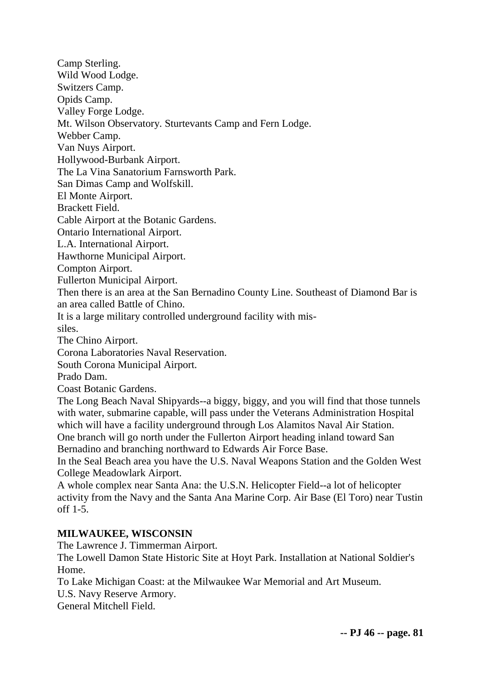Camp Sterling. Wild Wood Lodge. Switzers Camp. Opids Camp. Valley Forge Lodge. Mt. Wilson Observatory. Sturtevants Camp and Fern Lodge. Webber Camp. Van Nuys Airport. Hollywood-Burbank Airport. The La Vina Sanatorium Farnsworth Park. San Dimas Camp and Wolfskill. El Monte Airport. Brackett Field. Cable Airport at the Botanic Gardens. Ontario International Airport. L.A. International Airport. Hawthorne Municipal Airport. Compton Airport. Fullerton Municipal Airport. Then there is an area at the San Bernadino County Line. Southeast of Diamond Bar is an area called Battle of Chino. It is a large military controlled underground facility with missiles. The Chino Airport. Corona Laboratories Naval Reservation. South Corona Municipal Airport. Prado Dam. Coast Botanic Gardens. The Long Beach Naval Shipyards--a biggy, biggy, and you will find that those tunnels with water, submarine capable, will pass under the Veterans Administration Hospital which will have a facility underground through Los Alamitos Naval Air Station. One branch will go north under the Fullerton Airport heading inland toward San Bernadino and branching northward to Edwards Air Force Base. In the Seal Beach area you have the U.S. Naval Weapons Station and the Golden West

College Meadowlark Airport.

A whole complex near Santa Ana: the U.S.N. Helicopter Field--a lot of helicopter activity from the Navy and the Santa Ana Marine Corp. Air Base (El Toro) near Tustin off 1-5.

### **MILWAUKEE, WISCONSIN**

The Lawrence J. Timmerman Airport.

The Lowell Damon State Historic Site at Hoyt Park. Installation at National Soldier's Home.

To Lake Michigan Coast: at the Milwaukee War Memorial and Art Museum.

U.S. Navy Reserve Armory.

General Mitchell Field.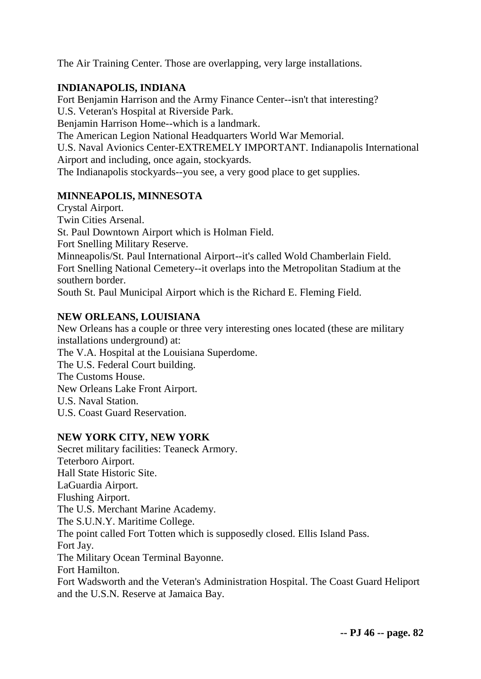The Air Training Center. Those are overlapping, very large installations.

#### **INDIANAPOLIS, INDIANA**

Fort Benjamin Harrison and the Army Finance Center--isn't that interesting? U.S. Veteran's Hospital at Riverside Park. Benjamin Harrison Home--which is a landmark. The American Legion National Headquarters World War Memorial. U.S. Naval Avionics Center-EXTREMELY IMPORTANT. Indianapolis International Airport and including, once again, stockyards. The Indianapolis stockyards--you see, a very good place to get supplies.

#### **MINNEAPOLIS, MINNESOTA**

Crystal Airport. Twin Cities Arsenal. St. Paul Downtown Airport which is Holman Field. Fort Snelling Military Reserve. Minneapolis/St. Paul International Airport--it's called Wold Chamberlain Field. Fort Snelling National Cemetery--it overlaps into the Metropolitan Stadium at the southern border. South St. Paul Municipal Airport which is the Richard E. Fleming Field.

#### **NEW ORLEANS, LOUISIANA**

New Orleans has a couple or three very interesting ones located (these are military installations underground) at: The V.A. Hospital at the Louisiana Superdome. The U.S. Federal Court building. The Customs House. New Orleans Lake Front Airport. U.S. Naval Station. U.S. Coast Guard Reservation.

### **NEW YORK CITY, NEW YORK**

Secret military facilities: Teaneck Armory. Teterboro Airport. Hall State Historic Site. LaGuardia Airport. Flushing Airport. The U.S. Merchant Marine Academy. The S.U.N.Y. Maritime College. The point called Fort Totten which is supposedly closed. Ellis Island Pass. Fort Jay. The Military Ocean Terminal Bayonne. Fort Hamilton. Fort Wadsworth and the Veteran's Administration Hospital. The Coast Guard Heliport and the U.S.N. Reserve at Jamaica Bay.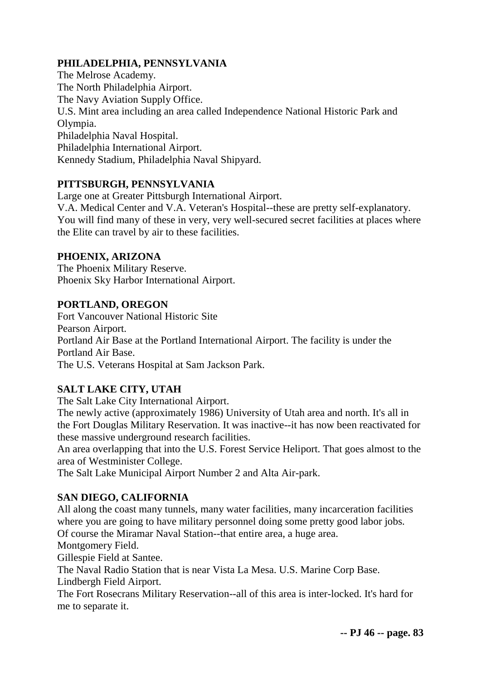## **PHILADELPHIA, PENNSYLVANIA**

The Melrose Academy. The North Philadelphia Airport. The Navy Aviation Supply Office. U.S. Mint area including an area called Independence National Historic Park and Olympia. Philadelphia Naval Hospital. Philadelphia International Airport. Kennedy Stadium, Philadelphia Naval Shipyard.

### **PITTSBURGH, PENNSYLVANIA**

Large one at Greater Pittsburgh International Airport. V.A. Medical Center and V.A. Veteran's Hospital--these are pretty self-explanatory. You will find many of these in very, very well-secured secret facilities at places where the Elite can travel by air to these facilities.

#### **PHOENIX, ARIZONA**

The Phoenix Military Reserve. Phoenix Sky Harbor International Airport.

#### **PORTLAND, OREGON**

Fort Vancouver National Historic Site Pearson Airport. Portland Air Base at the Portland International Airport. The facility is under the Portland Air Base. The U.S. Veterans Hospital at Sam Jackson Park.

### **SALT LAKE CITY, UTAH**

The Salt Lake City International Airport.

The newly active (approximately 1986) University of Utah area and north. It's all in the Fort Douglas Military Reservation. It was inactive--it has now been reactivated for these massive underground research facilities.

An area overlapping that into the U.S. Forest Service Heliport. That goes almost to the area of Westminister College.

The Salt Lake Municipal Airport Number 2 and Alta Air-park.

### **SAN DIEGO, CALIFORNIA**

All along the coast many tunnels, many water facilities, many incarceration facilities where you are going to have military personnel doing some pretty good labor jobs. Of course the Miramar Naval Station--that entire area, a huge area.

Montgomery Field.

Gillespie Field at Santee.

The Naval Radio Station that is near Vista La Mesa. U.S. Marine Corp Base. Lindbergh Field Airport.

The Fort Rosecrans Military Reservation--all of this area is inter-locked. It's hard for me to separate it.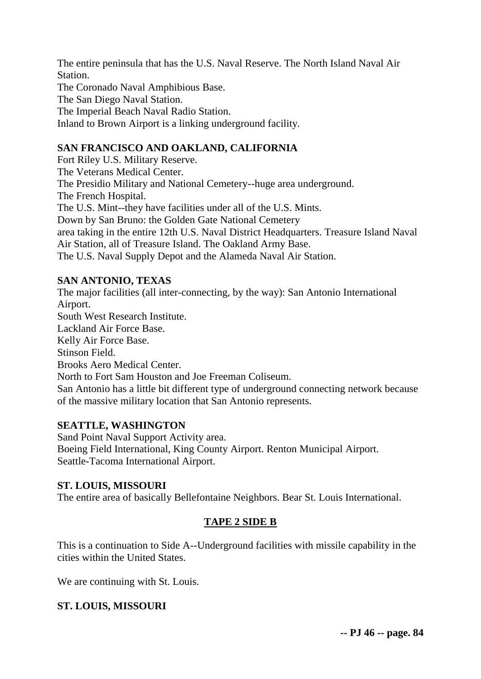The entire peninsula that has the U.S. Naval Reserve. The North Island Naval Air Station.

The Coronado Naval Amphibious Base.

The San Diego Naval Station.

The Imperial Beach Naval Radio Station.

Inland to Brown Airport is a linking underground facility.

# **SAN FRANCISCO AND OAKLAND, CALIFORNIA**

Fort Riley U.S. Military Reserve. The Veterans Medical Center. The Presidio Military and National Cemetery--huge area underground. The French Hospital. The U.S. Mint--they have facilities under all of the U.S. Mints. Down by San Bruno: the Golden Gate National Cemetery area taking in the entire 12th U.S. Naval District Headquarters. Treasure Island Naval Air Station, all of Treasure Island. The Oakland Army Base. The U.S. Naval Supply Depot and the Alameda Naval Air Station.

# **SAN ANTONIO, TEXAS**

The major facilities (all inter-connecting, by the way): San Antonio International Airport. South West Research Institute. Lackland Air Force Base. Kelly Air Force Base. Stinson Field. Brooks Aero Medical Center. North to Fort Sam Houston and Joe Freeman Coliseum. San Antonio has a little bit different type of underground connecting network because of the massive military location that San Antonio represents.

# **SEATTLE, WASHINGTON**

Sand Point Naval Support Activity area. Boeing Field International, King County Airport. Renton Municipal Airport. Seattle-Tacoma International Airport.

### **ST. LOUIS, MISSOURI**

The entire area of basically Bellefontaine Neighbors. Bear St. Louis International.

# **TAPE 2 SIDE B**

This is a continuation to Side A--Underground facilities with missile capability in the cities within the United States.

We are continuing with St. Louis.

# **ST. LOUIS, MISSOURI**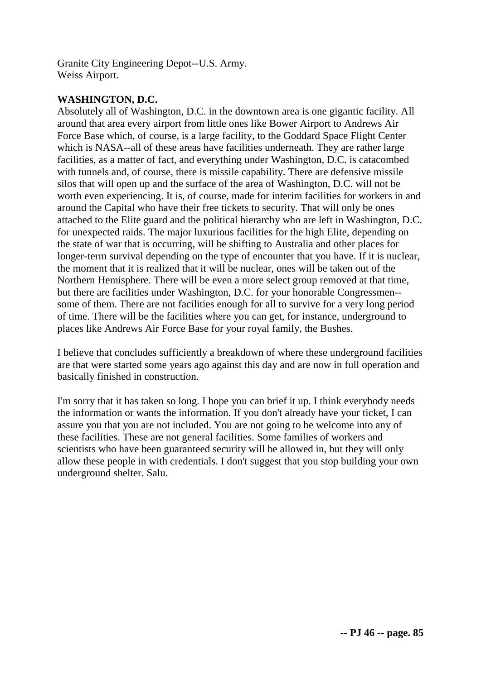Granite City Engineering Depot--U.S. Army. Weiss Airport.

### **WASHINGTON, D.C.**

Absolutely all of Washington, D.C. in the downtown area is one gigantic facility. All around that area every airport from little ones like Bower Airport to Andrews Air Force Base which, of course, is a large facility, to the Goddard Space Flight Center which is NASA--all of these areas have facilities underneath. They are rather large facilities, as a matter of fact, and everything under Washington, D.C. is catacombed with tunnels and, of course, there is missile capability. There are defensive missile silos that will open up and the surface of the area of Washington, D.C. will not be worth even experiencing. It is, of course, made for interim facilities for workers in and around the Capital who have their free tickets to security. That will only be ones attached to the Elite guard and the political hierarchy who are left in Washington, D.C. for unexpected raids. The major luxurious facilities for the high Elite, depending on the state of war that is occurring, will be shifting to Australia and other places for longer-term survival depending on the type of encounter that you have. If it is nuclear, the moment that it is realized that it will be nuclear, ones will be taken out of the Northern Hemisphere. There will be even a more select group removed at that time, but there are facilities under Washington, D.C. for your honorable Congressmen- some of them. There are not facilities enough for all to survive for a very long period of time. There will be the facilities where you can get, for instance, underground to places like Andrews Air Force Base for your royal family, the Bushes.

I believe that concludes sufficiently a breakdown of where these underground facilities are that were started some years ago against this day and are now in full operation and basically finished in construction.

I'm sorry that it has taken so long. I hope you can brief it up. I think everybody needs the information or wants the information. If you don't already have your ticket, I can assure you that you are not included. You are not going to be welcome into any of these facilities. These are not general facilities. Some families of workers and scientists who have been guaranteed security will be allowed in, but they will only allow these people in with credentials. I don't suggest that you stop building your own underground shelter. Salu.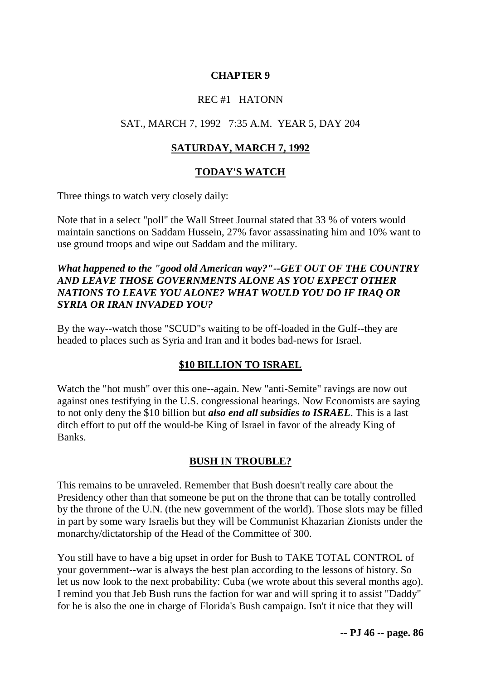### **CHAPTER 9**

### REC #1 HATONN

### SAT., MARCH 7, 1992 7:35 A.M. YEAR 5, DAY 204

## **SATURDAY, MARCH 7, 1992**

#### **TODAY'S WATCH**

Three things to watch very closely daily:

Note that in a select "poll" the Wall Street Journal stated that 33 % of voters would maintain sanctions on Saddam Hussein, 27% favor assassinating him and 10% want to use ground troops and wipe out Saddam and the military.

### *What happened to the "good old American way?"--GET OUT OF THE COUNTRY AND LEAVE THOSE GOVERNMENTS ALONE AS YOU EXPECT OTHER NATIONS TO LEAVE YOU ALONE? WHAT WOULD YOU DO IF IRAQ OR SYRIA OR IRAN INVADED YOU?*

By the way--watch those "SCUD"s waiting to be off-loaded in the Gulf--they are headed to places such as Syria and Iran and it bodes bad-news for Israel.

### **\$10 BILLION TO ISRAEL**

Watch the "hot mush" over this one--again. New "anti-Semite" ravings are now out against ones testifying in the U.S. congressional hearings. Now Economists are saying to not only deny the \$10 billion but *also end all subsidies to ISRAEL*. This is a last ditch effort to put off the would-be King of Israel in favor of the already King of Banks.

### **BUSH IN TROUBLE?**

This remains to be unraveled. Remember that Bush doesn't really care about the Presidency other than that someone be put on the throne that can be totally controlled by the throne of the U.N. (the new government of the world). Those slots may be filled in part by some wary Israelis but they will be Communist Khazarian Zionists under the monarchy/dictatorship of the Head of the Committee of 300.

You still have to have a big upset in order for Bush to TAKE TOTAL CONTROL of your government--war is always the best plan according to the lessons of history. So let us now look to the next probability: Cuba (we wrote about this several months ago). I remind you that Jeb Bush runs the faction for war and will spring it to assist "Daddy" for he is also the one in charge of Florida's Bush campaign. Isn't it nice that they will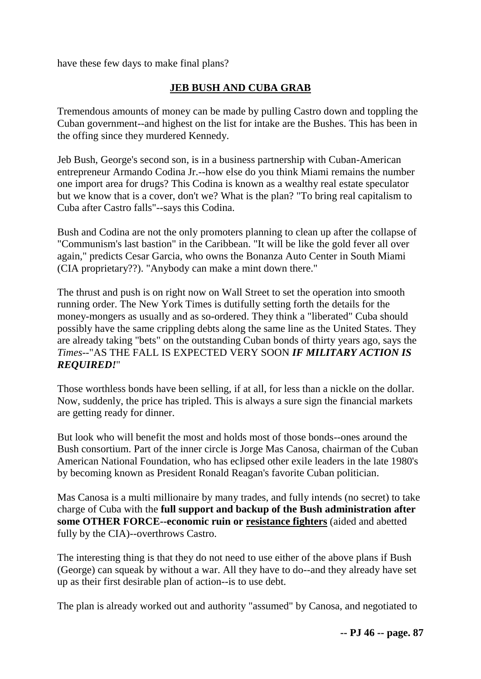have these few days to make final plans?

## **JEB BUSH AND CUBA GRAB**

Tremendous amounts of money can be made by pulling Castro down and toppling the Cuban government--and highest on the list for intake are the Bushes. This has been in the offing since they murdered Kennedy.

Jeb Bush, George's second son, is in a business partnership with Cuban-American entrepreneur Armando Codina Jr.--how else do you think Miami remains the number one import area for drugs? This Codina is known as a wealthy real estate speculator but we know that is a cover, don't we? What is the plan? "To bring real capitalism to Cuba after Castro falls"--says this Codina.

Bush and Codina are not the only promoters planning to clean up after the collapse of "Communism's last bastion" in the Caribbean. "It will be like the gold fever all over again," predicts Cesar Garcia, who owns the Bonanza Auto Center in South Miami (CIA proprietary??). "Anybody can make a mint down there."

The thrust and push is on right now on Wall Street to set the operation into smooth running order. The New York Times is dutifully setting forth the details for the money-mongers as usually and as so-ordered. They think a "liberated" Cuba should possibly have the same crippling debts along the same line as the United States. They are already taking "bets" on the outstanding Cuban bonds of thirty years ago, says the *Times*--"AS THE FALL IS EXPECTED VERY SOON *IF MILITARY ACTION IS REQUIRED!*"

Those worthless bonds have been selling, if at all, for less than a nickle on the dollar. Now, suddenly, the price has tripled. This is always a sure sign the financial markets are getting ready for dinner.

But look who will benefit the most and holds most of those bonds--ones around the Bush consortium. Part of the inner circle is Jorge Mas Canosa, chairman of the Cuban American National Foundation, who has eclipsed other exile leaders in the late 1980's by becoming known as President Ronald Reagan's favorite Cuban politician.

Mas Canosa is a multi millionaire by many trades, and fully intends (no secret) to take charge of Cuba with the **full support and backup of the Bush administration after some OTHER FORCE--economic ruin or resistance fighters** (aided and abetted fully by the CIA)--overthrows Castro.

The interesting thing is that they do not need to use either of the above plans if Bush (George) can squeak by without a war. All they have to do--and they already have set up as their first desirable plan of action--is to use debt.

The plan is already worked out and authority "assumed" by Canosa, and negotiated to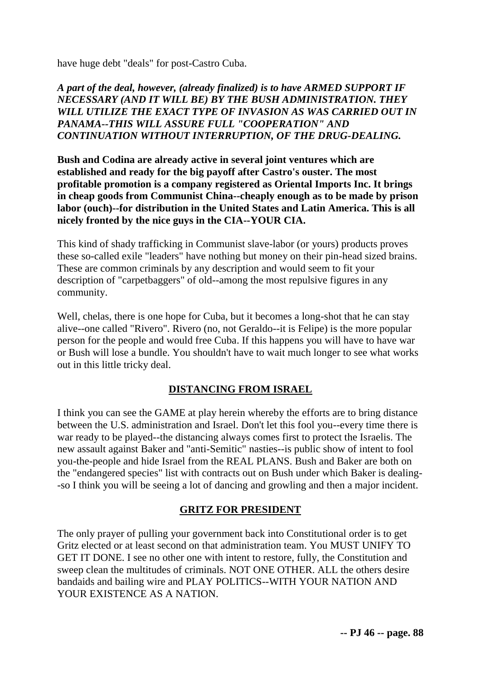have huge debt "deals" for post-Castro Cuba.

*A part of the deal, however, (already finalized) is to have ARMED SUPPORT IF NECESSARY (AND IT WILL BE) BY THE BUSH ADMINISTRATION. THEY WILL UTILIZE THE EXACT TYPE OF INVASION AS WAS CARRIED OUT IN PANAMA--THIS WILL ASSURE FULL "COOPERATION" AND CONTINUATION WITHOUT INTERRUPTION, OF THE DRUG-DEALING.*

**Bush and Codina are already active in several joint ventures which are established and ready for the big payoff after Castro's ouster. The most profitable promotion is a company registered as Oriental Imports Inc. It brings in cheap goods from Communist China--cheaply enough as to be made by prison labor (ouch)--for distribution in the United States and Latin America. This is all nicely fronted by the nice guys in the CIA--YOUR CIA.**

This kind of shady trafficking in Communist slave-labor (or yours) products proves these so-called exile "leaders" have nothing but money on their pin-head sized brains. These are common criminals by any description and would seem to fit your description of "carpetbaggers" of old--among the most repulsive figures in any community.

Well, chelas, there is one hope for Cuba, but it becomes a long-shot that he can stay alive--one called "Rivero". Rivero (no, not Geraldo--it is Felipe) is the more popular person for the people and would free Cuba. If this happens you will have to have war or Bush will lose a bundle. You shouldn't have to wait much longer to see what works out in this little tricky deal.

### **DISTANCING FROM ISRAEL**

I think you can see the GAME at play herein whereby the efforts are to bring distance between the U.S. administration and Israel. Don't let this fool you--every time there is war ready to be played--the distancing always comes first to protect the Israelis. The new assault against Baker and "anti-Semitic" nasties--is public show of intent to fool you-the-people and hide Israel from the REAL PLANS. Bush and Baker are both on the "endangered species" list with contracts out on Bush under which Baker is dealing- -so I think you will be seeing a lot of dancing and growling and then a major incident.

### **GRITZ FOR PRESIDENT**

The only prayer of pulling your government back into Constitutional order is to get Gritz elected or at least second on that administration team. You MUST UNIFY TO GET IT DONE. I see no other one with intent to restore, fully, the Constitution and sweep clean the multitudes of criminals. NOT ONE OTHER. ALL the others desire bandaids and bailing wire and PLAY POLITICS--WITH YOUR NATION AND YOUR EXISTENCE AS A NATION.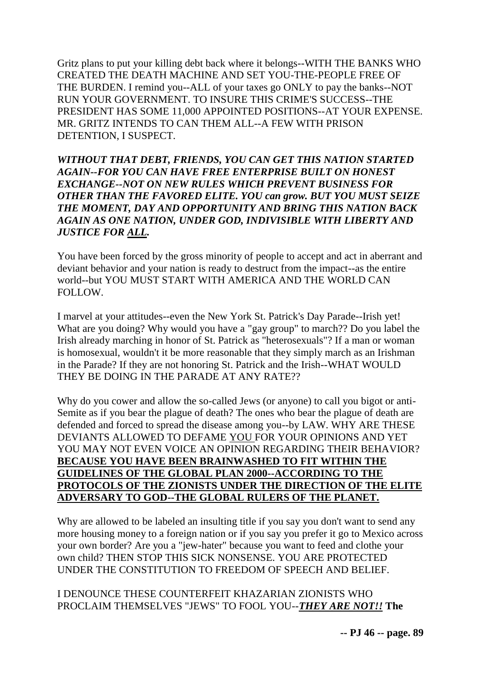Gritz plans to put your killing debt back where it belongs--WITH THE BANKS WHO CREATED THE DEATH MACHINE AND SET YOU-THE-PEOPLE FREE OF THE BURDEN. I remind you--ALL of your taxes go ONLY to pay the banks--NOT RUN YOUR GOVERNMENT. TO INSURE THIS CRIME'S SUCCESS--THE PRESIDENT HAS SOME 11,000 APPOINTED POSITIONS--AT YOUR EXPENSE. MR. GRITZ INTENDS TO CAN THEM ALL--A FEW WITH PRISON DETENTION, I SUSPECT.

*WITHOUT THAT DEBT, FRIENDS, YOU CAN GET THIS NATION STARTED AGAIN--FOR YOU CAN HAVE FREE ENTERPRISE BUILT ON HONEST EXCHANGE--NOT ON NEW RULES WHICH PREVENT BUSINESS FOR OTHER THAN THE FAVORED ELITE. YOU can grow. BUT YOU MUST SEIZE THE MOMENT, DAY AND OPPORTUNITY AND BRING THIS NATION BACK AGAIN AS ONE NATION, UNDER GOD, INDIVISIBLE WITH LIBERTY AND JUSTICE FOR ALL.*

You have been forced by the gross minority of people to accept and act in aberrant and deviant behavior and your nation is ready to destruct from the impact--as the entire world--but YOU MUST START WITH AMERICA AND THE WORLD CAN FOLLOW.

I marvel at your attitudes--even the New York St. Patrick's Day Parade--Irish yet! What are you doing? Why would you have a "gay group" to march?? Do you label the Irish already marching in honor of St. Patrick as "heterosexuals"? If a man or woman is homosexual, wouldn't it be more reasonable that they simply march as an Irishman in the Parade? If they are not honoring St. Patrick and the Irish--WHAT WOULD THEY BE DOING IN THE PARADE AT ANY RATE??

Why do you cower and allow the so-called Jews (or anyone) to call you bigot or anti-Semite as if you bear the plague of death? The ones who bear the plague of death are defended and forced to spread the disease among you--by LAW. WHY ARE THESE DEVIANTS ALLOWED TO DEFAME YOU FOR YOUR OPINIONS AND YET YOU MAY NOT EVEN VOICE AN OPINION REGARDING THEIR BEHAVIOR? **BECAUSE YOU HAVE BEEN BRAINWASHED TO FIT WITHIN THE GUIDELINES OF THE GLOBAL PLAN 2000--ACCORDING TO THE PROTOCOLS OF THE ZIONISTS UNDER THE DIRECTION OF THE ELITE ADVERSARY TO GOD--THE GLOBAL RULERS OF THE PLANET.**

Why are allowed to be labeled an insulting title if you say you don't want to send any more housing money to a foreign nation or if you say you prefer it go to Mexico across your own border? Are you a "jew-hater" because you want to feed and clothe your own child? THEN STOP THIS SICK NONSENSE. YOU ARE PROTECTED UNDER THE CONSTITUTION TO FREEDOM OF SPEECH AND BELIEF.

I DENOUNCE THESE COUNTERFEIT KHAZARIAN ZIONISTS WHO PROCLAIM THEMSELVES "JEWS" TO FOOL YOU--*THEY ARE NOT!!* **The**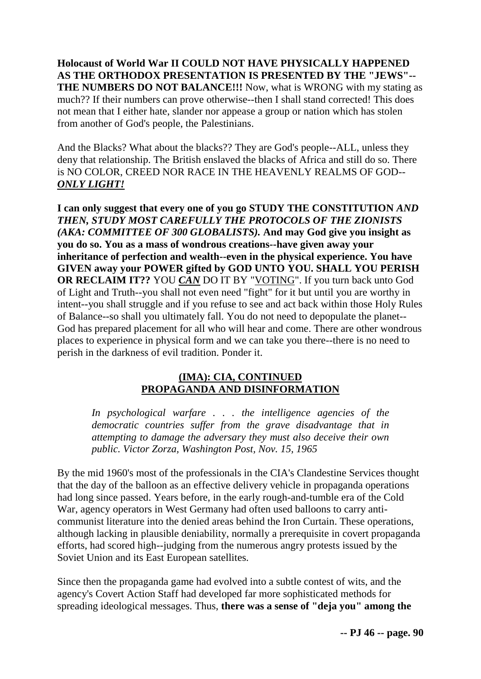**Holocaust of World War II COULD NOT HAVE PHYSICALLY HAPPENED AS THE ORTHODOX PRESENTATION IS PRESENTED BY THE "JEWS"-- THE NUMBERS DO NOT BALANCE!!!** Now, what is WRONG with my stating as much?? If their numbers can prove otherwise--then I shall stand corrected! This does not mean that I either hate, slander nor appease a group or nation which has stolen from another of God's people, the Palestinians.

And the Blacks? What about the blacks?? They are God's people--ALL, unless they deny that relationship. The British enslaved the blacks of Africa and still do so. There is NO COLOR, CREED NOR RACE IN THE HEAVENLY REALMS OF GOD-- *ONLY LIGHT!*

**I can only suggest that every one of you go STUDY THE CONSTITUTION** *AND THEN, STUDY MOST CAREFULLY THE PROTOCOLS OF THE ZIONISTS (AKA: COMMITTEE OF 300 GLOBALISTS).* **And may God give you insight as you do so. You as a mass of wondrous creations--have given away your inheritance of perfection and wealth--even in the physical experience. You have GIVEN away your POWER gifted by GOD UNTO YOU. SHALL YOU PERISH OR RECLAIM IT??** YOU *CAN* DO IT BY "VOTING". If you turn back unto God of Light and Truth--you shall not even need "fight" for it but until you are worthy in intent--you shall struggle and if you refuse to see and act back within those Holy Rules of Balance--so shall you ultimately fall. You do not need to depopulate the planet-- God has prepared placement for all who will hear and come. There are other wondrous places to experience in physical form and we can take you there--there is no need to perish in the darkness of evil tradition. Ponder it.

### **(IMA): CIA, CONTINUED PROPAGANDA AND DISINFORMATION**

*In psychological warfare . . . the intelligence agencies of the democratic countries suffer from the grave disadvantage that in attempting to damage the adversary they must also deceive their own public. Victor Zorza, Washington Post, Nov. 15, 1965*

By the mid 1960's most of the professionals in the CIA's Clandestine Services thought that the day of the balloon as an effective delivery vehicle in propaganda operations had long since passed. Years before, in the early rough-and-tumble era of the Cold War, agency operators in West Germany had often used balloons to carry anticommunist literature into the denied areas behind the Iron Curtain. These operations, although lacking in plausible deniability, normally a prerequisite in covert propaganda efforts, had scored high--judging from the numerous angry protests issued by the Soviet Union and its East European satellites.

Since then the propaganda game had evolved into a subtle contest of wits, and the agency's Covert Action Staff had developed far more sophisticated methods for spreading ideological messages. Thus, **there was a sense of "deja you" among the**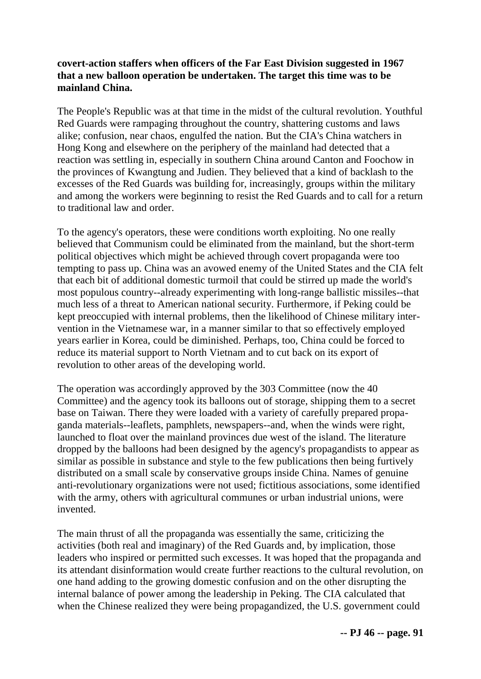### **covert-action staffers when officers of the Far East Division suggested in 1967 that a new balloon operation be undertaken. The target this time was to be mainland China.**

The People's Republic was at that time in the midst of the cultural revolution. Youthful Red Guards were rampaging throughout the country, shattering customs and laws alike; confusion, near chaos, engulfed the nation. But the CIA's China watchers in Hong Kong and elsewhere on the periphery of the mainland had detected that a reaction was settling in, especially in southern China around Canton and Foochow in the provinces of Kwangtung and Judien. They believed that a kind of backlash to the excesses of the Red Guards was building for, increasingly, groups within the military and among the workers were beginning to resist the Red Guards and to call for a return to traditional law and order.

To the agency's operators, these were conditions worth exploiting. No one really believed that Communism could be eliminated from the mainland, but the short-term political objectives which might be achieved through covert propaganda were too tempting to pass up. China was an avowed enemy of the United States and the CIA felt that each bit of additional domestic turmoil that could be stirred up made the world's most populous country--already experimenting with long-range ballistic missiles--that much less of a threat to American national security. Furthermore, if Peking could be kept preoccupied with internal problems, then the likelihood of Chinese military intervention in the Vietnamese war, in a manner similar to that so effectively employed years earlier in Korea, could be diminished. Perhaps, too, China could be forced to reduce its material support to North Vietnam and to cut back on its export of revolution to other areas of the developing world.

The operation was accordingly approved by the 303 Committee (now the 40 Committee) and the agency took its balloons out of storage, shipping them to a secret base on Taiwan. There they were loaded with a variety of carefully prepared propaganda materials--leaflets, pamphlets, newspapers--and, when the winds were right, launched to float over the mainland provinces due west of the island. The literature dropped by the balloons had been designed by the agency's propagandists to appear as similar as possible in substance and style to the few publications then being furtively distributed on a small scale by conservative groups inside China. Names of genuine anti-revolutionary organizations were not used; fictitious associations, some identified with the army, others with agricultural communes or urban industrial unions, were invented.

The main thrust of all the propaganda was essentially the same, criticizing the activities (both real and imaginary) of the Red Guards and, by implication, those leaders who inspired or permitted such excesses. It was hoped that the propaganda and its attendant disinformation would create further reactions to the cultural revolution, on one hand adding to the growing domestic confusion and on the other disrupting the internal balance of power among the leadership in Peking. The CIA calculated that when the Chinese realized they were being propagandized, the U.S. government could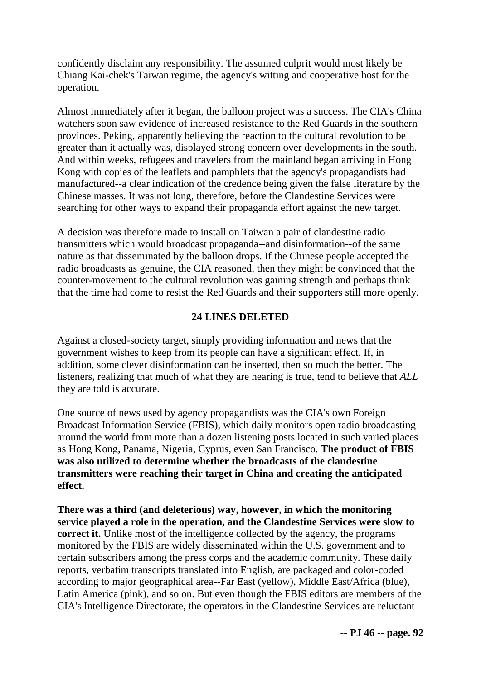confidently disclaim any responsibility. The assumed culprit would most likely be Chiang Kai-chek's Taiwan regime, the agency's witting and cooperative host for the operation.

Almost immediately after it began, the balloon project was a success. The CIA's China watchers soon saw evidence of increased resistance to the Red Guards in the southern provinces. Peking, apparently believing the reaction to the cultural revolution to be greater than it actually was, displayed strong concern over developments in the south. And within weeks, refugees and travelers from the mainland began arriving in Hong Kong with copies of the leaflets and pamphlets that the agency's propagandists had manufactured--a clear indication of the credence being given the false literature by the Chinese masses. It was not long, therefore, before the Clandestine Services were searching for other ways to expand their propaganda effort against the new target.

A decision was therefore made to install on Taiwan a pair of clandestine radio transmitters which would broadcast propaganda--and disinformation--of the same nature as that disseminated by the balloon drops. If the Chinese people accepted the radio broadcasts as genuine, the CIA reasoned, then they might be convinced that the counter-movement to the cultural revolution was gaining strength and perhaps think that the time had come to resist the Red Guards and their supporters still more openly.

### **24 LINES DELETED**

Against a closed-society target, simply providing information and news that the government wishes to keep from its people can have a significant effect. If, in addition, some clever disinformation can be inserted, then so much the better. The listeners, realizing that much of what they are hearing is true, tend to believe that *ALL*  they are told is accurate.

One source of news used by agency propagandists was the CIA's own Foreign Broadcast Information Service (FBIS), which daily monitors open radio broadcasting around the world from more than a dozen listening posts located in such varied places as Hong Kong, Panama, Nigeria, Cyprus, even San Francisco. **The product of FBIS was also utilized to determine whether the broadcasts of the clandestine transmitters were reaching their target in China and creating the anticipated effect.**

**There was a third (and deleterious) way, however, in which the monitoring service played a role in the operation, and the Clandestine Services were slow to correct it.** Unlike most of the intelligence collected by the agency, the programs monitored by the FBIS are widely disseminated within the U.S. government and to certain subscribers among the press corps and the academic community. These daily reports, verbatim transcripts translated into English, are packaged and color-coded according to major geographical area--Far East (yellow), Middle East/Africa (blue), Latin America (pink), and so on. But even though the FBIS editors are members of the CIA's Intelligence Directorate, the operators in the Clandestine Services are reluctant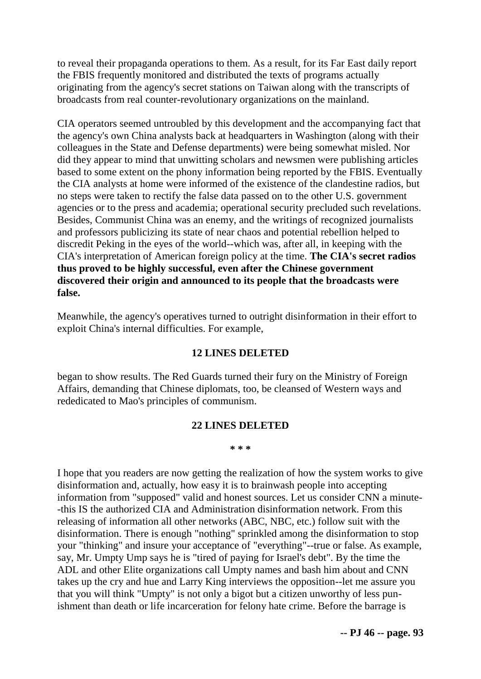to reveal their propaganda operations to them. As a result, for its Far East daily report the FBIS frequently monitored and distributed the texts of programs actually originating from the agency's secret stations on Taiwan along with the transcripts of broadcasts from real counter-revolutionary organizations on the mainland.

CIA operators seemed untroubled by this development and the accompanying fact that the agency's own China analysts back at headquarters in Washington (along with their colleagues in the State and Defense departments) were being somewhat misled. Nor did they appear to mind that unwitting scholars and newsmen were publishing articles based to some extent on the phony information being reported by the FBIS. Eventually the CIA analysts at home were informed of the existence of the clandestine radios, but no steps were taken to rectify the false data passed on to the other U.S. government agencies or to the press and academia; operational security precluded such revelations. Besides, Communist China was an enemy, and the writings of recognized journalists and professors publicizing its state of near chaos and potential rebellion helped to discredit Peking in the eyes of the world--which was, after all, in keeping with the CIA's interpretation of American foreign policy at the time. **The CIA's secret radios thus proved to be highly successful, even after the Chinese government discovered their origin and announced to its people that the broadcasts were false.**

Meanwhile, the agency's operatives turned to outright disinformation in their effort to exploit China's internal difficulties. For example,

#### **12 LINES DELETED**

began to show results. The Red Guards turned their fury on the Ministry of Foreign Affairs, demanding that Chinese diplomats, too, be cleansed of Western ways and rededicated to Mao's principles of communism.

#### **22 LINES DELETED**

**\* \* \***

I hope that you readers are now getting the realization of how the system works to give disinformation and, actually, how easy it is to brainwash people into accepting information from "supposed" valid and honest sources. Let us consider CNN a minute- -this IS the authorized CIA and Administration disinformation network. From this releasing of information all other networks (ABC, NBC, etc.) follow suit with the disinformation. There is enough "nothing" sprinkled among the disinformation to stop your "thinking" and insure your acceptance of "everything"--true or false. As example, say, Mr. Umpty Ump says he is "tired of paying for Israel's debt". By the time the ADL and other Elite organizations call Umpty names and bash him about and CNN takes up the cry and hue and Larry King interviews the opposition--let me assure you that you will think "Umpty" is not only a bigot but a citizen unworthy of less punishment than death or life incarceration for felony hate crime. Before the barrage is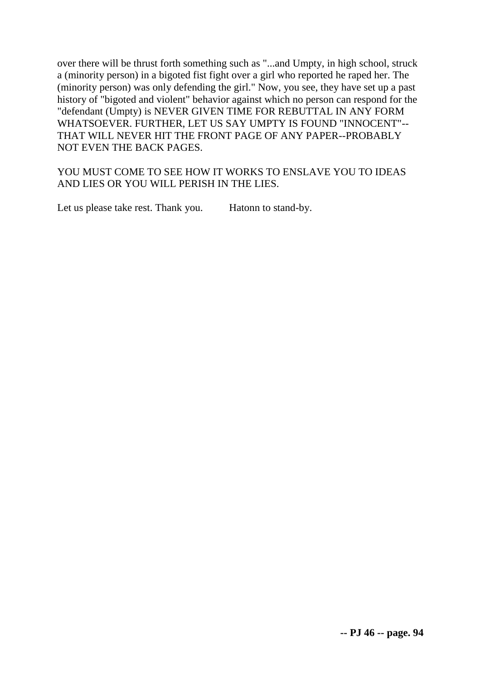over there will be thrust forth something such as "...and Umpty, in high school, struck a (minority person) in a bigoted fist fight over a girl who reported he raped her. The (minority person) was only defending the girl." Now, you see, they have set up a past history of "bigoted and violent" behavior against which no person can respond for the "defendant (Umpty) is NEVER GIVEN TIME FOR REBUTTAL IN ANY FORM WHATSOEVER. FURTHER, LET US SAY UMPTY IS FOUND "INNOCENT"-- THAT WILL NEVER HIT THE FRONT PAGE OF ANY PAPER--PROBABLY NOT EVEN THE BACK PAGES.

### YOU MUST COME TO SEE HOW IT WORKS TO ENSLAVE YOU TO IDEAS AND LIES OR YOU WILL PERISH IN THE LIES.

Let us please take rest. Thank you. Hatonn to stand-by.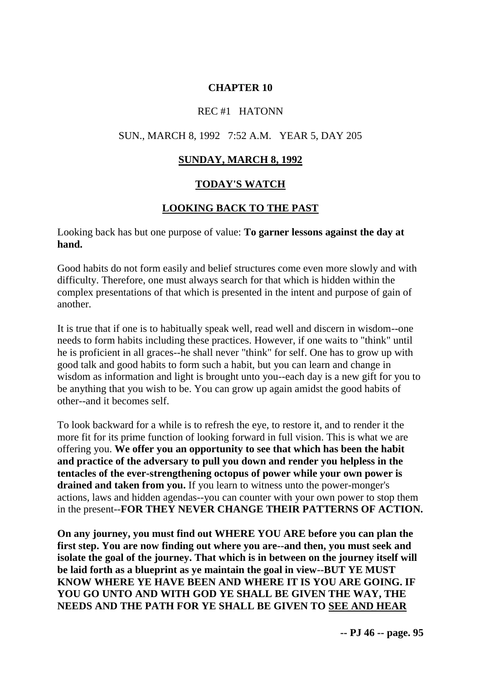#### **CHAPTER 10**

#### REC #1 HATONN

#### SUN., MARCH 8, 1992 7:52 A.M. YEAR 5, DAY 205

#### **SUNDAY, MARCH 8, 1992**

#### **TODAY'S WATCH**

#### **LOOKING BACK TO THE PAST**

Looking back has but one purpose of value: **To garner lessons against the day at hand.**

Good habits do not form easily and belief structures come even more slowly and with difficulty. Therefore, one must always search for that which is hidden within the complex presentations of that which is presented in the intent and purpose of gain of another.

It is true that if one is to habitually speak well, read well and discern in wisdom--one needs to form habits including these practices. However, if one waits to "think" until he is proficient in all graces--he shall never "think" for self. One has to grow up with good talk and good habits to form such a habit, but you can learn and change in wisdom as information and light is brought unto you--each day is a new gift for you to be anything that you wish to be. You can grow up again amidst the good habits of other--and it becomes self.

To look backward for a while is to refresh the eye, to restore it, and to render it the more fit for its prime function of looking forward in full vision. This is what we are offering you. **We offer you an opportunity to see that which has been the habit and practice of the adversary to pull you down and render you helpless in the tentacles of the ever-strengthening octopus of power while your own power is drained and taken from you.** If you learn to witness unto the power-monger's actions, laws and hidden agendas--you can counter with your own power to stop them in the present--**FOR THEY NEVER CHANGE THEIR PATTERNS OF ACTION.**

**On any journey, you must find out WHERE YOU ARE before you can plan the first step. You are now finding out where you are--and then, you must seek and isolate the goal of the journey. That which is in between on the journey itself will be laid forth as a blueprint as ye maintain the goal in view--BUT YE MUST KNOW WHERE YE HAVE BEEN AND WHERE IT IS YOU ARE GOING. IF YOU GO UNTO AND WITH GOD YE SHALL BE GIVEN THE WAY, THE NEEDS AND THE PATH FOR YE SHALL BE GIVEN TO SEE AND HEAR**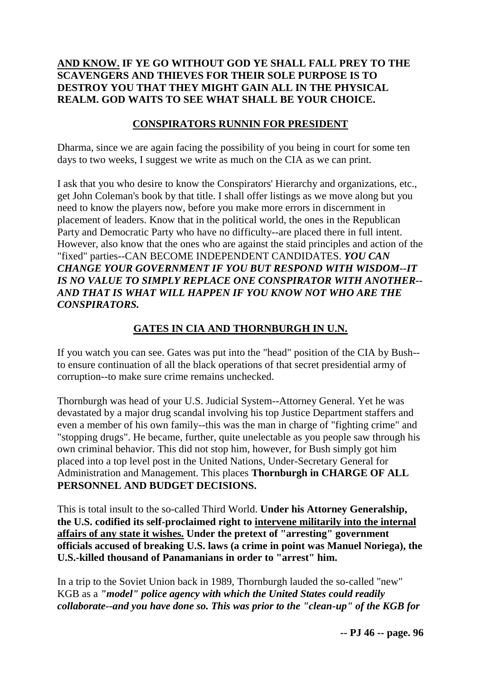### **AND KNOW. IF YE GO WITHOUT GOD YE SHALL FALL PREY TO THE SCAVENGERS AND THIEVES FOR THEIR SOLE PURPOSE IS TO DESTROY YOU THAT THEY MIGHT GAIN ALL IN THE PHYSICAL REALM. GOD WAITS TO SEE WHAT SHALL BE YOUR CHOICE.**

#### **CONSPIRATORS RUNNIN FOR PRESIDENT**

Dharma, since we are again facing the possibility of you being in court for some ten days to two weeks, I suggest we write as much on the CIA as we can print.

I ask that you who desire to know the Conspirators' Hierarchy and organizations, etc., get John Coleman's book by that title. I shall offer listings as we move along but you need to know the players now, before you make more errors in discernment in placement of leaders. Know that in the political world, the ones in the Republican Party and Democratic Party who have no difficulty--are placed there in full intent. However, also know that the ones who are against the staid principles and action of the "fixed" parties--CAN BECOME INDEPENDENT CANDIDATES. *YOU CAN CHANGE YOUR GOVERNMENT IF YOU BUT RESPOND WITH WISDOM--IT IS NO VALUE TO SIMPLY REPLACE ONE CONSPIRATOR WITH ANOTHER-- AND THAT IS WHAT WILL HAPPEN IF YOU KNOW NOT WHO ARE THE CONSPIRATORS.*

## **GATES IN CIA AND THORNBURGH IN U.N.**

If you watch you can see. Gates was put into the "head" position of the CIA by Bush- to ensure continuation of all the black operations of that secret presidential army of corruption--to make sure crime remains unchecked.

Thornburgh was head of your U.S. Judicial System--Attorney General. Yet he was devastated by a major drug scandal involving his top Justice Department staffers and even a member of his own family--this was the man in charge of "fighting crime" and "stopping drugs". He became, further, quite unelectable as you people saw through his own criminal behavior. This did not stop him, however, for Bush simply got him placed into a top level post in the United Nations, Under-Secretary General for Administration and Management. This places **Thornburgh in CHARGE OF ALL PERSONNEL AND BUDGET DECISIONS.**

This is total insult to the so-called Third World. **Under his Attorney Generalship, the U.S. codified its self-proclaimed right to intervene militarily into the internal affairs of any state it wishes. Under the pretext of "arresting" government officials accused of breaking U.S. laws (a crime in point was Manuel Noriega), the U.S.-killed thousand of Panamanians in order to "arrest" him.**

In a trip to the Soviet Union back in 1989, Thornburgh lauded the so-called "new" KGB as a *"model" police agency with which the United States could readily collaborate--and you have done so. This was prior to the "clean-up" of the KGB for*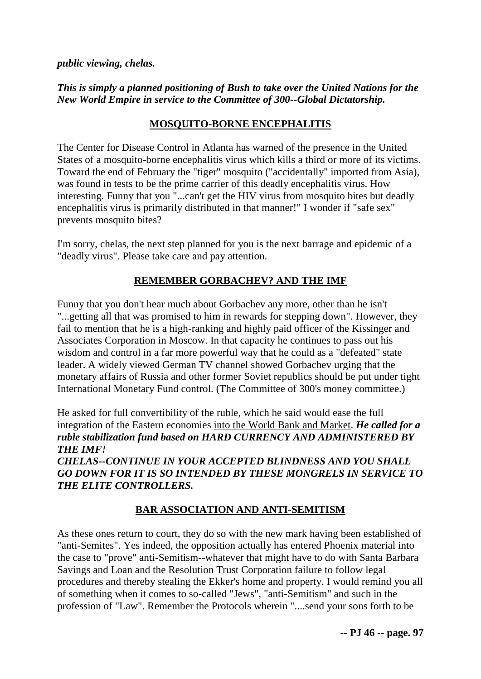*public viewing, chelas.*

*This is simply a planned positioning of Bush to take over the United Nations for the New World Empire in service to the Committee of 300--Global Dictatorship.*

### **MOSQUITO-BORNE ENCEPHALITIS**

The Center for Disease Control in Atlanta has warned of the presence in the United States of a mosquito-borne encephalitis virus which kills a third or more of its victims. Toward the end of February the "tiger" mosquito ("accidentally" imported from Asia), was found in tests to be the prime carrier of this deadly encephalitis virus. How interesting. Funny that you "...can't get the HIV virus from mosquito bites but deadly encephalitis virus is primarily distributed in that manner!" I wonder if "safe sex" prevents mosquito bites?

I'm sorry, chelas, the next step planned for you is the next barrage and epidemic of a "deadly virus". Please take care and pay attention.

## **REMEMBER GORBACHEV? AND THE IMF**

Funny that you don't hear much about Gorbachev any more, other than he isn't "...getting all that was promised to him in rewards for stepping down". However, they fail to mention that he is a high-ranking and highly paid officer of the Kissinger and Associates Corporation in Moscow. In that capacity he continues to pass out his wisdom and control in a far more powerful way that he could as a "defeated" state leader. A widely viewed German TV channel showed Gorbachev urging that the monetary affairs of Russia and other former Soviet republics should be put under tight International Monetary Fund control. (The Committee of 300's money committee.)

He asked for full convertibility of the ruble, which he said would ease the full integration of the Eastern economies into the World Bank and Market. *He called for a ruble stabilization fund based on HARD CURRENCY AND ADMINISTERED BY THE IMF!*

*CHELAS--CONTINUE IN YOUR ACCEPTED BLINDNESS AND YOU SHALL GO DOWN FOR IT IS SO INTENDED BY THESE MONGRELS IN SERVICE TO THE ELITE CONTROLLERS.*

# **BAR ASSOCIATION AND ANTI-SEMITISM**

As these ones return to court, they do so with the new mark having been established of "anti-Semites". Yes indeed, the opposition actually has entered Phoenix material into the case to "prove" anti-Semitism--whatever that might have to do with Santa Barbara Savings and Loan and the Resolution Trust Corporation failure to follow legal procedures and thereby stealing the Ekker's home and property. I would remind you all of something when it comes to so-called "Jews", "anti-Semitism" and such in the profession of "Law". Remember the Protocols wherein "....send your sons forth to be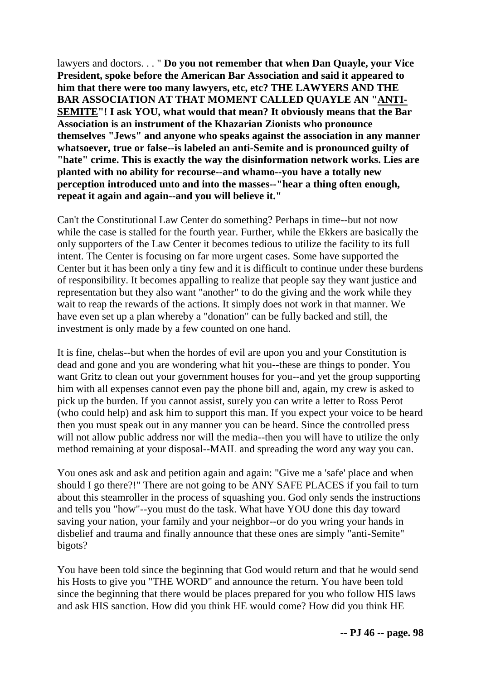lawyers and doctors. . . " **Do you not remember that when Dan Quayle, your Vice President, spoke before the American Bar Association and said it appeared to him that there were too many lawyers, etc, etc? THE LAWYERS AND THE BAR ASSOCIATION AT THAT MOMENT CALLED QUAYLE AN "ANTI-SEMITE"! I ask YOU, what would that mean? It obviously means that the Bar Association is an instrument of the Khazarian Zionists who pronounce themselves "Jews" and anyone who speaks against the association in any manner whatsoever, true or false--is labeled an anti-Semite and is pronounced guilty of "hate" crime. This is exactly the way the disinformation network works. Lies are planted with no ability for recourse--and whamo--you have a totally new perception introduced unto and into the masses--"hear a thing often enough, repeat it again and again--and you will believe it."**

Can't the Constitutional Law Center do something? Perhaps in time--but not now while the case is stalled for the fourth year. Further, while the Ekkers are basically the only supporters of the Law Center it becomes tedious to utilize the facility to its full intent. The Center is focusing on far more urgent cases. Some have supported the Center but it has been only a tiny few and it is difficult to continue under these burdens of responsibility. It becomes appalling to realize that people say they want justice and representation but they also want "another" to do the giving and the work while they wait to reap the rewards of the actions. It simply does not work in that manner. We have even set up a plan whereby a "donation" can be fully backed and still, the investment is only made by a few counted on one hand.

It is fine, chelas--but when the hordes of evil are upon you and your Constitution is dead and gone and you are wondering what hit you--these are things to ponder. You want Gritz to clean out your government houses for you--and yet the group supporting him with all expenses cannot even pay the phone bill and, again, my crew is asked to pick up the burden. If you cannot assist, surely you can write a letter to Ross Perot (who could help) and ask him to support this man. If you expect your voice to be heard then you must speak out in any manner you can be heard. Since the controlled press will not allow public address nor will the media--then you will have to utilize the only method remaining at your disposal--MAIL and spreading the word any way you can.

You ones ask and ask and petition again and again: "Give me a 'safe' place and when should I go there?!" There are not going to be ANY SAFE PLACES if you fail to turn about this steamroller in the process of squashing you. God only sends the instructions and tells you "how"--you must do the task. What have YOU done this day toward saving your nation, your family and your neighbor--or do you wring your hands in disbelief and trauma and finally announce that these ones are simply "anti-Semite" bigots?

You have been told since the beginning that God would return and that he would send his Hosts to give you "THE WORD" and announce the return. You have been told since the beginning that there would be places prepared for you who follow HIS laws and ask HIS sanction. How did you think HE would come? How did you think HE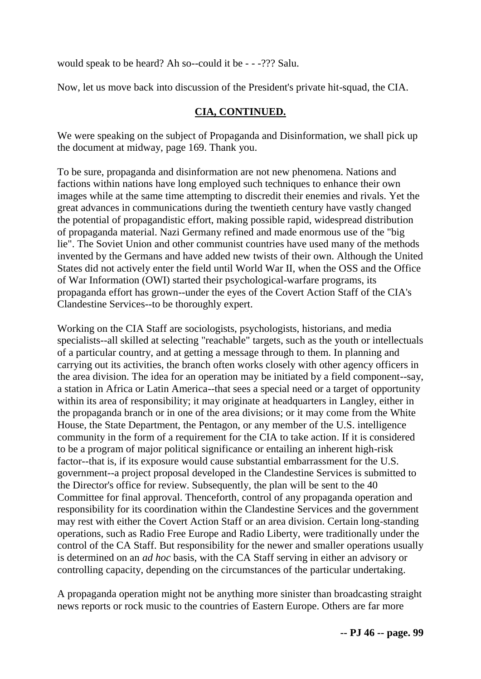would speak to be heard? Ah so--could it be - - -??? Salu.

Now, let us move back into discussion of the President's private hit-squad, the CIA.

# **CIA, CONTINUED.**

We were speaking on the subject of Propaganda and Disinformation, we shall pick up the document at midway, page 169. Thank you.

To be sure, propaganda and disinformation are not new phenomena. Nations and factions within nations have long employed such techniques to enhance their own images while at the same time attempting to discredit their enemies and rivals. Yet the great advances in communications during the twentieth century have vastly changed the potential of propagandistic effort, making possible rapid, widespread distribution of propaganda material. Nazi Germany refined and made enormous use of the "big lie". The Soviet Union and other communist countries have used many of the methods invented by the Germans and have added new twists of their own. Although the United States did not actively enter the field until World War II, when the OSS and the Office of War Information (OWI) started their psychological-warfare programs, its propaganda effort has grown--under the eyes of the Covert Action Staff of the CIA's Clandestine Services--to be thoroughly expert.

Working on the CIA Staff are sociologists, psychologists, historians, and media specialists--all skilled at selecting "reachable" targets, such as the youth or intellectuals of a particular country, and at getting a message through to them. In planning and carrying out its activities, the branch often works closely with other agency officers in the area division. The idea for an operation may be initiated by a field component--say, a station in Africa or Latin America--that sees a special need or a target of opportunity within its area of responsibility; it may originate at headquarters in Langley, either in the propaganda branch or in one of the area divisions; or it may come from the White House, the State Department, the Pentagon, or any member of the U.S. intelligence community in the form of a requirement for the CIA to take action. If it is considered to be a program of major political significance or entailing an inherent high-risk factor--that is, if its exposure would cause substantial embarrassment for the U.S. government--a project proposal developed in the Clandestine Services is submitted to the Director's office for review. Subsequently, the plan will be sent to the 40 Committee for final approval. Thenceforth, control of any propaganda operation and responsibility for its coordination within the Clandestine Services and the government may rest with either the Covert Action Staff or an area division. Certain long-standing operations, such as Radio Free Europe and Radio Liberty, were traditionally under the control of the CA Staff. But responsibility for the newer and smaller operations usually is determined on an *ad hoc* basis, with the CA Staff serving in either an advisory or controlling capacity, depending on the circumstances of the particular undertaking.

A propaganda operation might not be anything more sinister than broadcasting straight news reports or rock music to the countries of Eastern Europe. Others are far more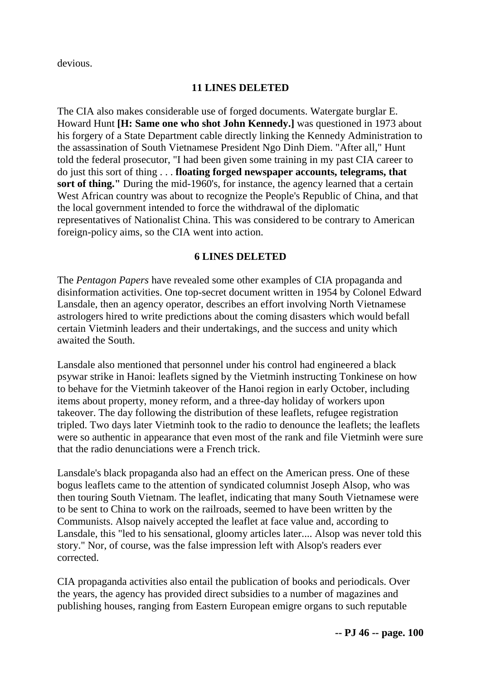devious.

#### **11 LINES DELETED**

The CIA also makes considerable use of forged documents. Watergate burglar E. Howard Hunt **[H: Same one who shot John Kennedy.]** was questioned in 1973 about his forgery of a State Department cable directly linking the Kennedy Administration to the assassination of South Vietnamese President Ngo Dinh Diem. "After all," Hunt told the federal prosecutor, "I had been given some training in my past CIA career to do just this sort of thing . . . **floating forged newspaper accounts, telegrams, that sort of thing."** During the mid-1960's, for instance, the agency learned that a certain West African country was about to recognize the People's Republic of China, and that the local government intended to force the withdrawal of the diplomatic representatives of Nationalist China. This was considered to be contrary to American foreign-policy aims, so the CIA went into action.

#### **6 LINES DELETED**

The *Pentagon Papers* have revealed some other examples of CIA propaganda and disinformation activities. One top-secret document written in 1954 by Colonel Edward Lansdale, then an agency operator, describes an effort involving North Vietnamese astrologers hired to write predictions about the coming disasters which would befall certain Vietminh leaders and their undertakings, and the success and unity which awaited the South.

Lansdale also mentioned that personnel under his control had engineered a black psywar strike in Hanoi: leaflets signed by the Vietminh instructing Tonkinese on how to behave for the Vietminh takeover of the Hanoi region in early October, including items about property, money reform, and a three-day holiday of workers upon takeover. The day following the distribution of these leaflets, refugee registration tripled. Two days later Vietminh took to the radio to denounce the leaflets; the leaflets were so authentic in appearance that even most of the rank and file Vietminh were sure that the radio denunciations were a French trick.

Lansdale's black propaganda also had an effect on the American press. One of these bogus leaflets came to the attention of syndicated columnist Joseph Alsop, who was then touring South Vietnam. The leaflet, indicating that many South Vietnamese were to be sent to China to work on the railroads, seemed to have been written by the Communists. Alsop naively accepted the leaflet at face value and, according to Lansdale, this "led to his sensational, gloomy articles later.... Alsop was never told this story." Nor, of course, was the false impression left with Alsop's readers ever corrected.

CIA propaganda activities also entail the publication of books and periodicals. Over the years, the agency has provided direct subsidies to a number of magazines and publishing houses, ranging from Eastern European emigre organs to such reputable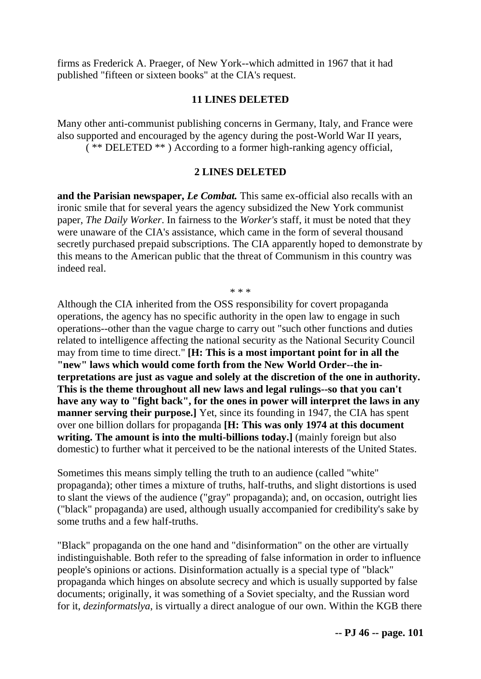firms as Frederick A. Praeger, of New York--which admitted in 1967 that it had published "fifteen or sixteen books" at the CIA's request.

#### **11 LINES DELETED**

Many other anti-communist publishing concerns in Germany, Italy, and France were also supported and encouraged by the agency during the post-World War II years, ( \*\* DELETED \*\* ) According to a former high-ranking agency official,

#### **2 LINES DELETED**

**and the Parisian newspaper,** *Le Combat.* This same ex-official also recalls with an ironic smile that for several years the agency subsidized the New York communist paper, *The Daily Worker*. In fairness to the *Worker's* staff, it must be noted that they were unaware of the CIA's assistance, which came in the form of several thousand secretly purchased prepaid subscriptions. The CIA apparently hoped to demonstrate by this means to the American public that the threat of Communism in this country was indeed real.

\* \* \*

Although the CIA inherited from the OSS responsibility for covert propaganda operations, the agency has no specific authority in the open law to engage in such operations--other than the vague charge to carry out "such other functions and duties related to intelligence affecting the national security as the National Security Council may from time to time direct." **[H: This is a most important point for in all the "new" laws which would come forth from the New World Order--the interpretations are just as vague and solely at the discretion of the one in authority. This is the theme throughout all new laws and legal rulings--so that you can't have any way to "fight back", for the ones in power will interpret the laws in any manner serving their purpose.**] Yet, since its founding in 1947, the CIA has spent over one billion dollars for propaganda **[H: This was only 1974 at this document**  writing. The amount is into the multi-billions today.] (mainly foreign but also domestic) to further what it perceived to be the national interests of the United States.

Sometimes this means simply telling the truth to an audience (called "white" propaganda); other times a mixture of truths, half-truths, and slight distortions is used to slant the views of the audience ("gray" propaganda); and, on occasion, outright lies ("black" propaganda) are used, although usually accompanied for credibility's sake by some truths and a few half-truths.

"Black" propaganda on the one hand and "disinformation" on the other are virtually indistinguishable. Both refer to the spreading of false information in order to influence people's opinions or actions. Disinformation actually is a special type of "black" propaganda which hinges on absolute secrecy and which is usually supported by false documents; originally, it was something of a Soviet specialty, and the Russian word for it, *dezinformatslya*, is virtually a direct analogue of our own. Within the KGB there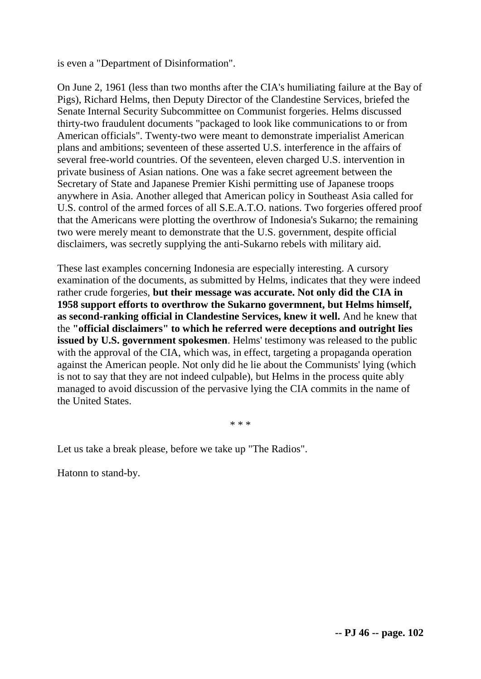is even a "Department of Disinformation".

On June 2, 1961 (less than two months after the CIA's humiliating failure at the Bay of Pigs), Richard Helms, then Deputy Director of the Clandestine Services, briefed the Senate Internal Security Subcommittee on Communist forgeries. Helms discussed thirty-two fraudulent documents "packaged to look like communications to or from American officials". Twenty-two were meant to demonstrate imperialist American plans and ambitions; seventeen of these asserted U.S. interference in the affairs of several free-world countries. Of the seventeen, eleven charged U.S. intervention in private business of Asian nations. One was a fake secret agreement between the Secretary of State and Japanese Premier Kishi permitting use of Japanese troops anywhere in Asia. Another alleged that American policy in Southeast Asia called for U.S. control of the armed forces of all S.E.A.T.O. nations. Two forgeries offered proof that the Americans were plotting the overthrow of Indonesia's Sukarno; the remaining two were merely meant to demonstrate that the U.S. government, despite official disclaimers, was secretly supplying the anti-Sukarno rebels with military aid.

These last examples concerning Indonesia are especially interesting. A cursory examination of the documents, as submitted by Helms, indicates that they were indeed rather crude forgeries, **but their message was accurate. Not only did the CIA in 1958 support efforts to overthrow the Sukarno govermnent, but Helms himself, as second-ranking official in Clandestine Services, knew it well.** And he knew that the **"official disclaimers" to which he referred were deceptions and outright lies issued by U.S. government spokesmen**. Helms' testimony was released to the public with the approval of the CIA, which was, in effect, targeting a propaganda operation against the American people. Not only did he lie about the Communists' lying (which is not to say that they are not indeed culpable), but Helms in the process quite ably managed to avoid discussion of the pervasive lying the CIA commits in the name of the United States.

\* \* \*

Let us take a break please, before we take up "The Radios".

Hatonn to stand-by.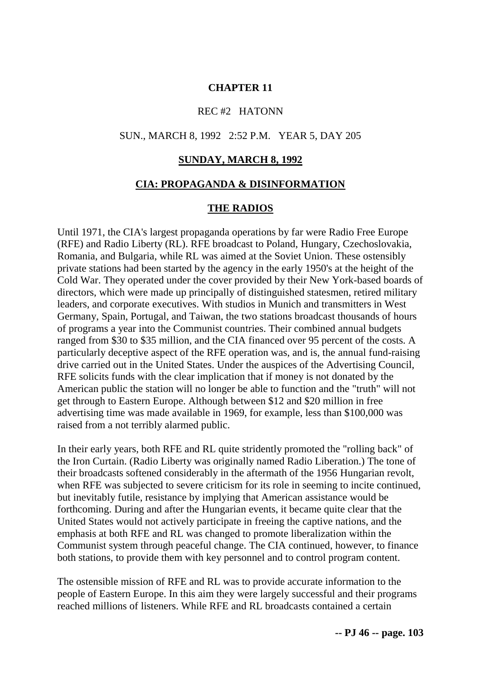#### **CHAPTER 11**

#### REC #2 HATONN

#### SUN., MARCH 8, 1992 2:52 P.M. YEAR 5, DAY 205

#### **SUNDAY, MARCH 8, 1992**

#### **CIA: PROPAGANDA & DISINFORMATION**

#### **THE RADIOS**

Until 1971, the CIA's largest propaganda operations by far were Radio Free Europe (RFE) and Radio Liberty (RL). RFE broadcast to Poland, Hungary, Czechoslovakia, Romania, and Bulgaria, while RL was aimed at the Soviet Union. These ostensibly private stations had been started by the agency in the early 1950's at the height of the Cold War. They operated under the cover provided by their New York-based boards of directors, which were made up principally of distinguished statesmen, retired military leaders, and corporate executives. With studios in Munich and transmitters in West Germany, Spain, Portugal, and Taiwan, the two stations broadcast thousands of hours of programs a year into the Communist countries. Their combined annual budgets ranged from \$30 to \$35 million, and the CIA financed over 95 percent of the costs. A particularly deceptive aspect of the RFE operation was, and is, the annual fund-raising drive carried out in the United States. Under the auspices of the Advertising Council, RFE solicits funds with the clear implication that if money is not donated by the American public the station will no longer be able to function and the "truth" will not get through to Eastern Europe. Although between \$12 and \$20 million in free advertising time was made available in 1969, for example, less than \$100,000 was raised from a not terribly alarmed public.

In their early years, both RFE and RL quite stridently promoted the "rolling back" of the Iron Curtain. (Radio Liberty was originally named Radio Liberation.) The tone of their broadcasts softened considerably in the aftermath of the 1956 Hungarian revolt, when RFE was subjected to severe criticism for its role in seeming to incite continued, but inevitably futile, resistance by implying that American assistance would be forthcoming. During and after the Hungarian events, it became quite clear that the United States would not actively participate in freeing the captive nations, and the emphasis at both RFE and RL was changed to promote liberalization within the Communist system through peaceful change. The CIA continued, however, to finance both stations, to provide them with key personnel and to control program content.

The ostensible mission of RFE and RL was to provide accurate information to the people of Eastern Europe. In this aim they were largely successful and their programs reached millions of listeners. While RFE and RL broadcasts contained a certain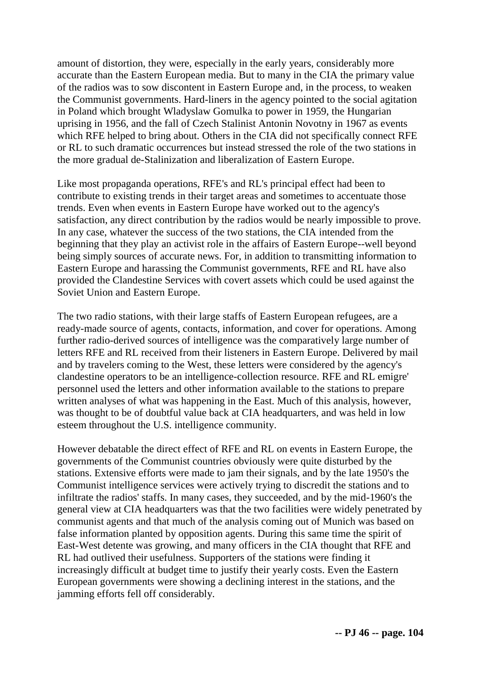amount of distortion, they were, especially in the early years, considerably more accurate than the Eastern European media. But to many in the CIA the primary value of the radios was to sow discontent in Eastern Europe and, in the process, to weaken the Communist governments. Hard-liners in the agency pointed to the social agitation in Poland which brought Wladyslaw Gomulka to power in 1959, the Hungarian uprising in 1956, and the fall of Czech Stalinist Antonin Novotny in 1967 as events which RFE helped to bring about. Others in the CIA did not specifically connect RFE or RL to such dramatic occurrences but instead stressed the role of the two stations in the more gradual de-Stalinization and liberalization of Eastern Europe.

Like most propaganda operations, RFE's and RL's principal effect had been to contribute to existing trends in their target areas and sometimes to accentuate those trends. Even when events in Eastern Europe have worked out to the agency's satisfaction, any direct contribution by the radios would be nearly impossible to prove. In any case, whatever the success of the two stations, the CIA intended from the beginning that they play an activist role in the affairs of Eastern Europe--well beyond being simply sources of accurate news. For, in addition to transmitting information to Eastern Europe and harassing the Communist governments, RFE and RL have also provided the Clandestine Services with covert assets which could be used against the Soviet Union and Eastern Europe.

The two radio stations, with their large staffs of Eastern European refugees, are a ready-made source of agents, contacts, information, and cover for operations. Among further radio-derived sources of intelligence was the comparatively large number of letters RFE and RL received from their listeners in Eastern Europe. Delivered by mail and by travelers coming to the West, these letters were considered by the agency's clandestine operators to be an intelligence-collection resource. RFE and RL emigre' personnel used the letters and other information available to the stations to prepare written analyses of what was happening in the East. Much of this analysis, however, was thought to be of doubtful value back at CIA headquarters, and was held in low esteem throughout the U.S. intelligence community.

However debatable the direct effect of RFE and RL on events in Eastern Europe, the governments of the Communist countries obviously were quite disturbed by the stations. Extensive efforts were made to jam their signals, and by the late 1950's the Communist intelligence services were actively trying to discredit the stations and to infiltrate the radios' staffs. In many cases, they succeeded, and by the mid-1960's the general view at CIA headquarters was that the two facilities were widely penetrated by communist agents and that much of the analysis coming out of Munich was based on false information planted by opposition agents. During this same time the spirit of East-West detente was growing, and many officers in the CIA thought that RFE and RL had outlived their usefulness. Supporters of the stations were finding it increasingly difficult at budget time to justify their yearly costs. Even the Eastern European governments were showing a declining interest in the stations, and the jamming efforts fell off considerably.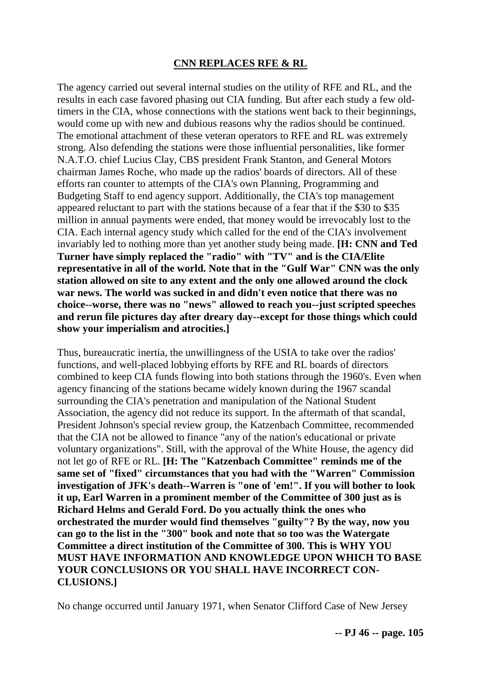### **CNN REPLACES RFE & RL**

The agency carried out several internal studies on the utility of RFE and RL, and the results in each case favored phasing out CIA funding. But after each study a few oldtimers in the CIA, whose connections with the stations went back to their beginnings, would come up with new and dubious reasons why the radios should be continued. The emotional attachment of these veteran operators to RFE and RL was extremely strong. Also defending the stations were those influential personalities, like former N.A.T.O. chief Lucius Clay, CBS president Frank Stanton, and General Motors chairman James Roche, who made up the radios' boards of directors. All of these efforts ran counter to attempts of the CIA's own Planning, Programming and Budgeting Staff to end agency support. Additionally, the CIA's top management appeared reluctant to part with the stations because of a fear that if the \$30 to \$35 million in annual payments were ended, that money would be irrevocably lost to the CIA. Each internal agency study which called for the end of the CIA's involvement invariably led to nothing more than yet another study being made. **[H: CNN and Ted Turner have simply replaced the "radio" with "TV" and is the CIA/Elite representative in all of the world. Note that in the "Gulf War" CNN was the only station allowed on site to any extent and the only one allowed around the clock war news. The world was sucked in and didn't even notice that there was no choice--worse, there was no "news" allowed to reach you--just scripted speeches and rerun file pictures day after dreary day--except for those things which could show your imperialism and atrocities.]**

Thus, bureaucratic inertia, the unwillingness of the USIA to take over the radios' functions, and well-placed lobbying efforts by RFE and RL boards of directors combined to keep CIA funds flowing into both stations through the 1960's. Even when agency financing of the stations became widely known during the 1967 scandal surrounding the CIA's penetration and manipulation of the National Student Association, the agency did not reduce its support. In the aftermath of that scandal, President Johnson's special review group, the Katzenbach Committee, recommended that the CIA not be allowed to finance "any of the nation's educational or private voluntary organizations". Still, with the approval of the White House, the agency did not let go of RFE or RL. **[H: The "Katzenbach Committee" reminds me of the same set of "fixed" circumstances that you had with the "Warren" Commission investigation of JFK's death--Warren is "one of 'em!". If you will bother to look it up, Earl Warren in a prominent member of the Committee of 300 just as is Richard Helms and Gerald Ford. Do you actually think the ones who orchestrated the murder would find themselves "guilty"? By the way, now you can go to the list in the "300" book and note that so too was the Watergate Committee a direct institution of the Committee of 300. This is WHY YOU MUST HAVE INFORMATION AND KNOWLEDGE UPON WHICH TO BASE YOUR CONCLUSIONS OR YOU SHALL HAVE INCORRECT CON-CLUSIONS.]**

No change occurred until January 1971, when Senator Clifford Case of New Jersey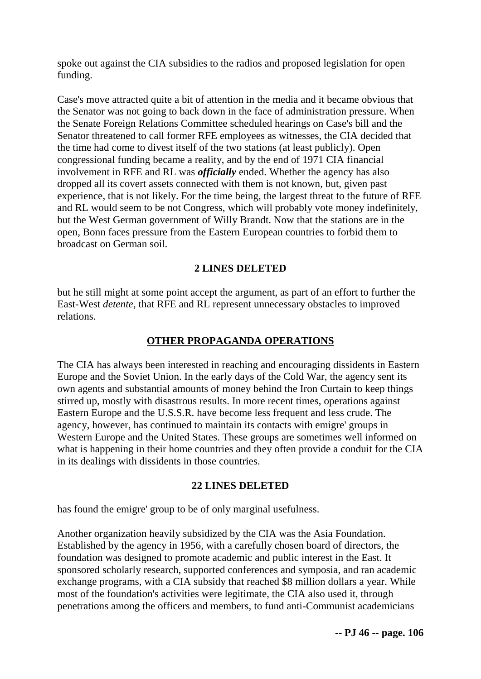spoke out against the CIA subsidies to the radios and proposed legislation for open funding.

Case's move attracted quite a bit of attention in the media and it became obvious that the Senator was not going to back down in the face of administration pressure. When the Senate Foreign Relations Committee scheduled hearings on Case's bill and the Senator threatened to call former RFE employees as witnesses, the CIA decided that the time had come to divest itself of the two stations (at least publicly). Open congressional funding became a reality, and by the end of 1971 CIA financial involvement in RFE and RL was *officially* ended. Whether the agency has also dropped all its covert assets connected with them is not known, but, given past experience, that is not likely. For the time being, the largest threat to the future of RFE and RL would seem to be not Congress, which will probably vote money indefinitely, but the West German government of Willy Brandt. Now that the stations are in the open, Bonn faces pressure from the Eastern European countries to forbid them to broadcast on German soil.

## **2 LINES DELETED**

but he still might at some point accept the argument, as part of an effort to further the East-West *detente*, that RFE and RL represent unnecessary obstacles to improved relations.

### **OTHER PROPAGANDA OPERATIONS**

The CIA has always been interested in reaching and encouraging dissidents in Eastern Europe and the Soviet Union. In the early days of the Cold War, the agency sent its own agents and substantial amounts of money behind the Iron Curtain to keep things stirred up, mostly with disastrous results. In more recent times, operations against Eastern Europe and the U.S.S.R. have become less frequent and less crude. The agency, however, has continued to maintain its contacts with emigre' groups in Western Europe and the United States. These groups are sometimes well informed on what is happening in their home countries and they often provide a conduit for the CIA in its dealings with dissidents in those countries.

#### **22 LINES DELETED**

has found the emigre' group to be of only marginal usefulness.

Another organization heavily subsidized by the CIA was the Asia Foundation. Established by the agency in 1956, with a carefully chosen board of directors, the foundation was designed to promote academic and public interest in the East. It sponsored scholarly research, supported conferences and symposia, and ran academic exchange programs, with a CIA subsidy that reached \$8 million dollars a year. While most of the foundation's activities were legitimate, the CIA also used it, through penetrations among the officers and members, to fund anti-Communist academicians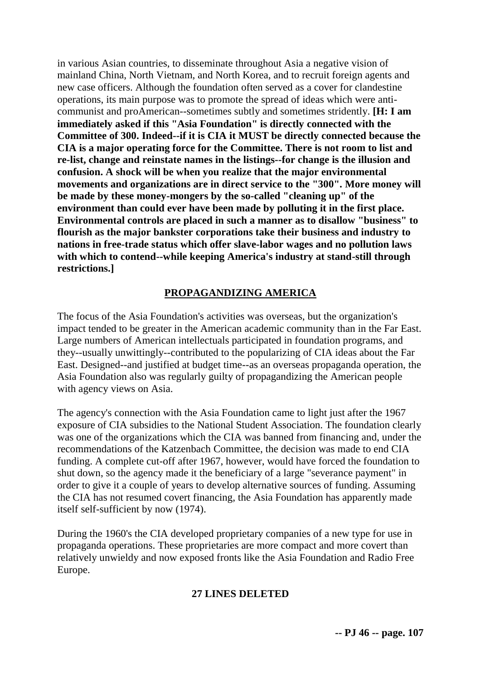in various Asian countries, to disseminate throughout Asia a negative vision of mainland China, North Vietnam, and North Korea, and to recruit foreign agents and new case officers. Although the foundation often served as a cover for clandestine operations, its main purpose was to promote the spread of ideas which were anticommunist and proAmerican--sometimes subtly and sometimes stridently. **[H: I am immediately asked if this "Asia Foundation" is directly connected with the Committee of 300. Indeed--if it is CIA it MUST be directly connected because the CIA is a major operating force for the Committee. There is not room to list and re-list, change and reinstate names in the listings--for change is the illusion and confusion. A shock will be when you realize that the major environmental movements and organizations are in direct service to the "300". More money will be made by these money-mongers by the so-called "cleaning up" of the environment than could ever have been made by polluting it in the first place. Environmental controls are placed in such a manner as to disallow "business" to flourish as the major bankster corporations take their business and industry to nations in free-trade status which offer slave-labor wages and no pollution laws with which to contend--while keeping America's industry at stand-still through restrictions.]**

#### **PROPAGANDIZING AMERICA**

The focus of the Asia Foundation's activities was overseas, but the organization's impact tended to be greater in the American academic community than in the Far East. Large numbers of American intellectuals participated in foundation programs, and they--usually unwittingly--contributed to the popularizing of CIA ideas about the Far East. Designed--and justified at budget time--as an overseas propaganda operation, the Asia Foundation also was regularly guilty of propagandizing the American people with agency views on Asia.

The agency's connection with the Asia Foundation came to light just after the 1967 exposure of CIA subsidies to the National Student Association. The foundation clearly was one of the organizations which the CIA was banned from financing and, under the recommendations of the Katzenbach Committee, the decision was made to end CIA funding. A complete cut-off after 1967, however, would have forced the foundation to shut down, so the agency made it the beneficiary of a large "severance payment" in order to give it a couple of years to develop alternative sources of funding. Assuming the CIA has not resumed covert financing, the Asia Foundation has apparently made itself self-sufficient by now (1974).

During the 1960's the CIA developed proprietary companies of a new type for use in propaganda operations. These proprietaries are more compact and more covert than relatively unwieldy and now exposed fronts like the Asia Foundation and Radio Free Europe.

#### **27 LINES DELETED**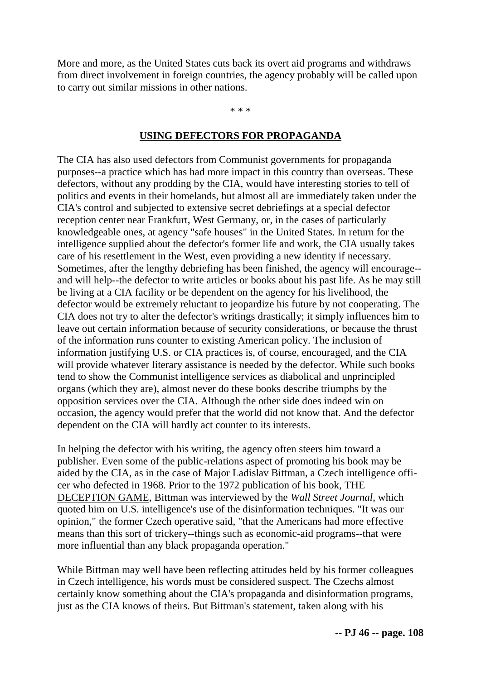More and more, as the United States cuts back its overt aid programs and withdraws from direct involvement in foreign countries, the agency probably will be called upon to carry out similar missions in other nations.

\* \* \*

#### **USING DEFECTORS FOR PROPAGANDA**

The CIA has also used defectors from Communist governments for propaganda purposes--a practice which has had more impact in this country than overseas. These defectors, without any prodding by the CIA, would have interesting stories to tell of politics and events in their homelands, but almost all are immediately taken under the CIA's control and subjected to extensive secret debriefings at a special defector reception center near Frankfurt, West Germany, or, in the cases of particularly knowledgeable ones, at agency "safe houses" in the United States. In return for the intelligence supplied about the defector's former life and work, the CIA usually takes care of his resettlement in the West, even providing a new identity if necessary. Sometimes, after the lengthy debriefing has been finished, the agency will encourage- and will help--the defector to write articles or books about his past life. As he may still be living at a CIA facility or be dependent on the agency for his livelihood, the defector would be extremely reluctant to jeopardize his future by not cooperating. The CIA does not try to alter the defector's writings drastically; it simply influences him to leave out certain information because of security considerations, or because the thrust of the information runs counter to existing American policy. The inclusion of information justifying U.S. or CIA practices is, of course, encouraged, and the CIA will provide whatever literary assistance is needed by the defector. While such books tend to show the Communist intelligence services as diabolical and unprincipled organs (which they are), almost never do these books describe triumphs by the opposition services over the CIA. Although the other side does indeed win on occasion, the agency would prefer that the world did not know that. And the defector dependent on the CIA will hardly act counter to its interests.

In helping the defector with his writing, the agency often steers him toward a publisher. Even some of the public-relations aspect of promoting his book may be aided by the CIA, as in the case of Major Ladislav Bittman, a Czech intelligence officer who defected in 1968. Prior to the 1972 publication of his book, THE DECEPTION GAME, Bittman was interviewed by the *Wall Street Journal*, which quoted him on U.S. intelligence's use of the disinformation techniques. "It was our opinion," the former Czech operative said, "that the Americans had more effective means than this sort of trickery--things such as economic-aid programs--that were more influential than any black propaganda operation."

While Bittman may well have been reflecting attitudes held by his former colleagues in Czech intelligence, his words must be considered suspect. The Czechs almost certainly know something about the CIA's propaganda and disinformation programs, just as the CIA knows of theirs. But Bittman's statement, taken along with his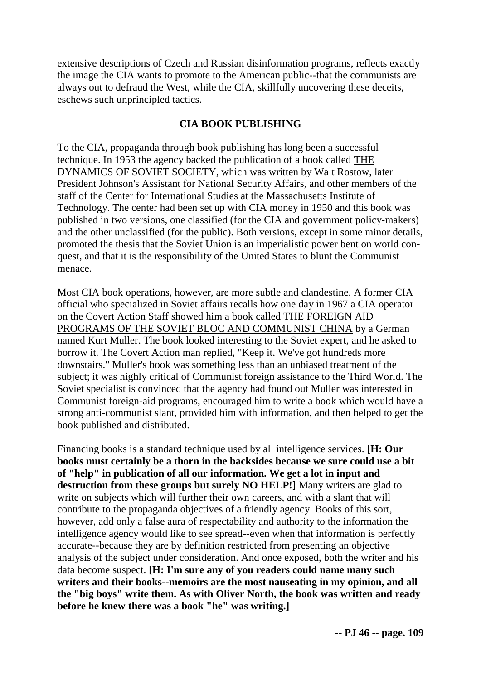extensive descriptions of Czech and Russian disinformation programs, reflects exactly the image the CIA wants to promote to the American public--that the communists are always out to defraud the West, while the CIA, skillfully uncovering these deceits, eschews such unprincipled tactics.

## **CIA BOOK PUBLISHING**

To the CIA, propaganda through book publishing has long been a successful technique. In 1953 the agency backed the publication of a book called THE DYNAMICS OF SOVIET SOCIETY, which was written by Walt Rostow, later President Johnson's Assistant for National Security Affairs, and other members of the staff of the Center for International Studies at the Massachusetts Institute of Technology. The center had been set up with CIA money in 1950 and this book was published in two versions, one classified (for the CIA and government policy-makers) and the other unclassified (for the public). Both versions, except in some minor details, promoted the thesis that the Soviet Union is an imperialistic power bent on world conquest, and that it is the responsibility of the United States to blunt the Communist menace.

Most CIA book operations, however, are more subtle and clandestine. A former CIA official who specialized in Soviet affairs recalls how one day in 1967 a CIA operator on the Covert Action Staff showed him a book called THE FOREIGN AID PROGRAMS OF THE SOVIET BLOC AND COMMUNIST CHINA by a German named Kurt Muller. The book looked interesting to the Soviet expert, and he asked to borrow it. The Covert Action man replied, "Keep it. We've got hundreds more downstairs." Muller's book was something less than an unbiased treatment of the subject; it was highly critical of Communist foreign assistance to the Third World. The Soviet specialist is convinced that the agency had found out Muller was interested in Communist foreign-aid programs, encouraged him to write a book which would have a strong anti-communist slant, provided him with information, and then helped to get the book published and distributed.

Financing books is a standard technique used by all intelligence services. **[H: Our books must certainly be a thorn in the backsides because we sure could use a bit of "help" in publication of all our information. We get a lot in input and destruction from these groups but surely NO HELP!]** Many writers are glad to write on subjects which will further their own careers, and with a slant that will contribute to the propaganda objectives of a friendly agency. Books of this sort, however, add only a false aura of respectability and authority to the information the intelligence agency would like to see spread--even when that information is perfectly accurate--because they are by definition restricted from presenting an objective analysis of the subject under consideration. And once exposed, both the writer and his data become suspect. **[H: I'm sure any of you readers could name many such writers and their books--memoirs are the most nauseating in my opinion, and all the "big boys" write them. As with Oliver North, the book was written and ready before he knew there was a book "he" was writing.]**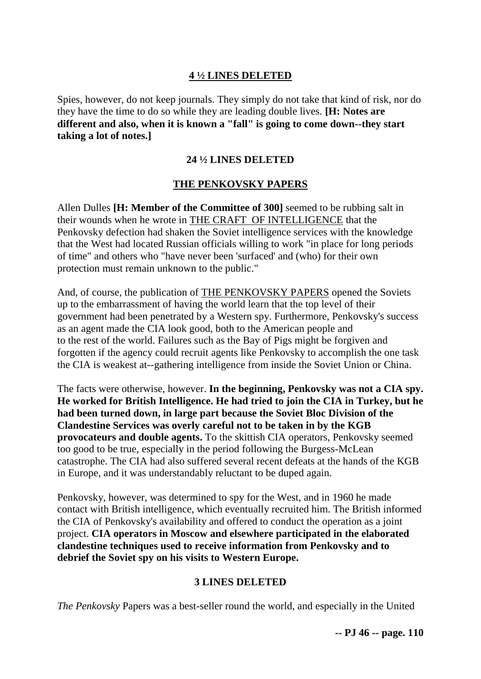# **4 ½ LINES DELETED**

Spies, however, do not keep journals. They simply do not take that kind of risk, nor do they have the time to do so while they are leading double lives. **[H: Notes are different and also, when it is known a "fall" is going to come down--they start taking a lot of notes.]**

# **24 ½ LINES DELETED**

## **THE PENKOVSKY PAPERS**

Allen Dulles **[H: Member of the Committee of 300]** seemed to be rubbing salt in their wounds when he wrote in THE CRAFT OF INTELLIGENCE that the Penkovsky defection had shaken the Soviet intelligence services with the knowledge that the West had located Russian officials willing to work "in place for long periods of time" and others who "have never been 'surfaced' and (who) for their own protection must remain unknown to the public."

And, of course, the publication of THE PENKOVSKY PAPERS opened the Soviets up to the embarrassment of having the world learn that the top level of their government had been penetrated by a Western spy. Furthermore, Penkovsky's success as an agent made the CIA look good, both to the American people and to the rest of the world. Failures such as the Bay of Pigs might be forgiven and forgotten if the agency could recruit agents like Penkovsky to accomplish the one task the CIA is weakest at--gathering intelligence from inside the Soviet Union or China.

The facts were otherwise, however. **In the beginning, Penkovsky was not a CIA spy. He worked for British Intelligence. He had tried to join the CIA in Turkey, but he had been turned down, in large part because the Soviet Bloc Division of the Clandestine Services was overly careful not to be taken in by the KGB provocateurs and double agents.** To the skittish CIA operators, Penkovsky seemed too good to be true, especially in the period following the Burgess-McLean catastrophe. The CIA had also suffered several recent defeats at the hands of the KGB in Europe, and it was understandably reluctant to be duped again.

Penkovsky, however, was determined to spy for the West, and in 1960 he made contact with British intelligence, which eventually recruited him. The British informed the CIA of Penkovsky's availability and offered to conduct the operation as a joint project. **CIA operators in Moscow and elsewhere participated in the elaborated clandestine techniques used to receive information from Penkovsky and to debrief the Soviet spy on his visits to Western Europe.**

#### **3 LINES DELETED**

*The Penkovsky* Papers was a best-seller round the world, and especially in the United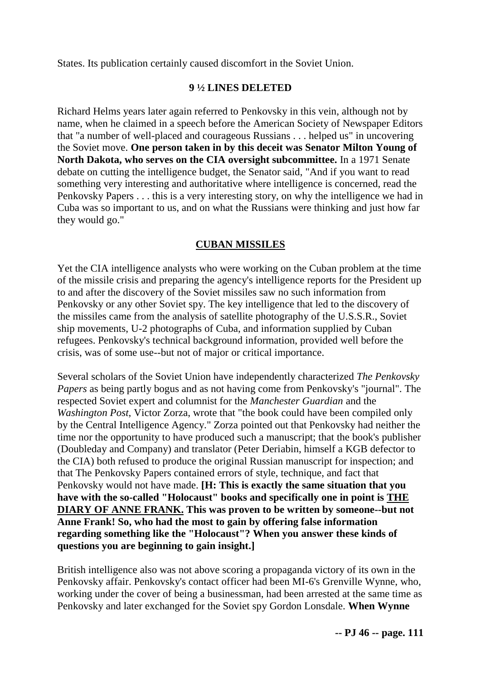States. Its publication certainly caused discomfort in the Soviet Union.

# **9 ½ LINES DELETED**

Richard Helms years later again referred to Penkovsky in this vein, although not by name, when he claimed in a speech before the American Society of Newspaper Editors that "a number of well-placed and courageous Russians . . . helped us" in uncovering the Soviet move. **One person taken in by this deceit was Senator Milton Young of North Dakota, who serves on the CIA oversight subcommittee.** In a 1971 Senate debate on cutting the intelligence budget, the Senator said, "And if you want to read something very interesting and authoritative where intelligence is concerned, read the Penkovsky Papers . . . this is a very interesting story, on why the intelligence we had in Cuba was so important to us, and on what the Russians were thinking and just how far they would go."

# **CUBAN MISSILES**

Yet the CIA intelligence analysts who were working on the Cuban problem at the time of the missile crisis and preparing the agency's intelligence reports for the President up to and after the discovery of the Soviet missiles saw no such information from Penkovsky or any other Soviet spy. The key intelligence that led to the discovery of the missiles came from the analysis of satellite photography of the U.S.S.R., Soviet ship movements, U-2 photographs of Cuba, and information supplied by Cuban refugees. Penkovsky's technical background information, provided well before the crisis, was of some use--but not of major or critical importance.

Several scholars of the Soviet Union have independently characterized *The Penkovsky Papers* as being partly bogus and as not having come from Penkovsky's "journal". The respected Soviet expert and columnist for the *Manchester Guardian* and the *Washington Post*, Victor Zorza, wrote that "the book could have been compiled only by the Central Intelligence Agency." Zorza pointed out that Penkovsky had neither the time nor the opportunity to have produced such a manuscript; that the book's publisher (Doubleday and Company) and translator (Peter Deriabin, himself a KGB defector to the CIA) both refused to produce the original Russian manuscript for inspection; and that The Penkovsky Papers contained errors of style, technique, and fact that Penkovsky would not have made. **[H: This is exactly the same situation that you have with the so-called "Holocaust" books and specifically one in point is THE DIARY OF ANNE FRANK. This was proven to be written by someone--but not Anne Frank! So, who had the most to gain by offering false information regarding something like the "Holocaust"? When you answer these kinds of questions you are beginning to gain insight.]**

British intelligence also was not above scoring a propaganda victory of its own in the Penkovsky affair. Penkovsky's contact officer had been MI-6's Grenville Wynne, who, working under the cover of being a businessman, had been arrested at the same time as Penkovsky and later exchanged for the Soviet spy Gordon Lonsdale. **When Wynne**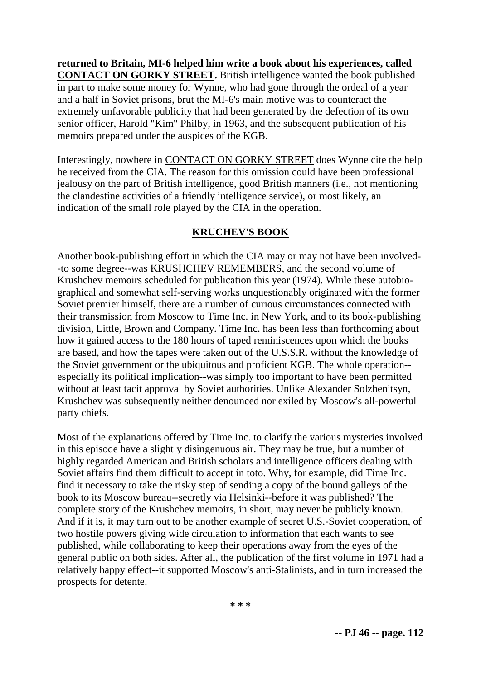**returned to Britain, MI-6 helped him write a book about his experiences, called CONTACT ON GORKY STREET.** British intelligence wanted the book published in part to make some money for Wynne, who had gone through the ordeal of a year and a half in Soviet prisons, brut the MI-6's main motive was to counteract the extremely unfavorable publicity that had been generated by the defection of its own senior officer, Harold "Kim" Philby, in 1963, and the subsequent publication of his memoirs prepared under the auspices of the KGB.

Interestingly, nowhere in CONTACT ON GORKY STREET does Wynne cite the help he received from the CIA. The reason for this omission could have been professional jealousy on the part of British intelligence, good British manners (i.e., not mentioning the clandestine activities of a friendly intelligence service), or most likely, an indication of the small role played by the CIA in the operation.

# **KRUCHEV'S BOOK**

Another book-publishing effort in which the CIA may or may not have been involved- -to some degree--was KRUSHCHEV REMEMBERS, and the second volume of Krushchev memoirs scheduled for publication this year (1974). While these autobiographical and somewhat self-serving works unquestionably originated with the former Soviet premier himself, there are a number of curious circumstances connected with their transmission from Moscow to Time Inc. in New York, and to its book-publishing division, Little, Brown and Company. Time Inc. has been less than forthcoming about how it gained access to the 180 hours of taped reminiscences upon which the books are based, and how the tapes were taken out of the U.S.S.R. without the knowledge of the Soviet government or the ubiquitous and proficient KGB. The whole operation- especially its political implication--was simply too important to have been permitted without at least tacit approval by Soviet authorities. Unlike Alexander Solzhenitsyn, Krushchev was subsequently neither denounced nor exiled by Moscow's all-powerful party chiefs.

Most of the explanations offered by Time Inc. to clarify the various mysteries involved in this episode have a slightly disingenuous air. They may be true, but a number of highly regarded American and British scholars and intelligence officers dealing with Soviet affairs find them difficult to accept in toto. Why, for example, did Time Inc. find it necessary to take the risky step of sending a copy of the bound galleys of the book to its Moscow bureau--secretly via Helsinki--before it was published? The complete story of the Krushchev memoirs, in short, may never be publicly known. And if it is, it may turn out to be another example of secret U.S.-Soviet cooperation, of two hostile powers giving wide circulation to information that each wants to see published, while collaborating to keep their operations away from the eyes of the general public on both sides. After all, the publication of the first volume in 1971 had a relatively happy effect--it supported Moscow's anti-Stalinists, and in turn increased the prospects for detente.

**\* \* \***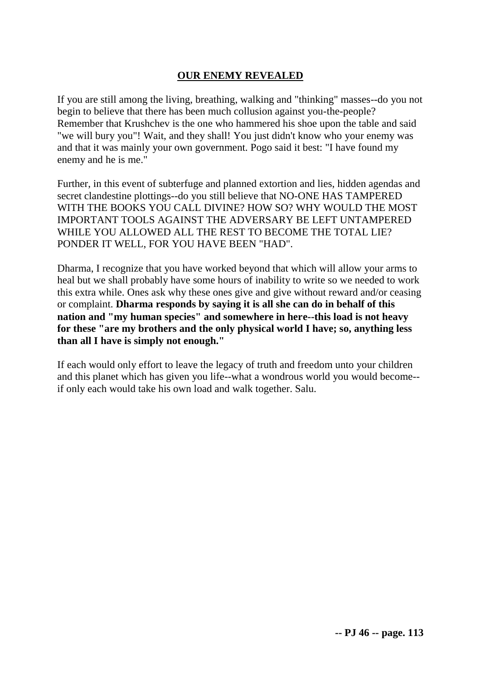# **OUR ENEMY REVEALED**

If you are still among the living, breathing, walking and "thinking" masses--do you not begin to believe that there has been much collusion against you-the-people? Remember that Krushchev is the one who hammered his shoe upon the table and said "we will bury you"! Wait, and they shall! You just didn't know who your enemy was and that it was mainly your own government. Pogo said it best: "I have found my enemy and he is me."

Further, in this event of subterfuge and planned extortion and lies, hidden agendas and secret clandestine plottings--do you still believe that NO-ONE HAS TAMPERED WITH THE BOOKS YOU CALL DIVINE? HOW SO? WHY WOULD THE MOST IMPORTANT TOOLS AGAINST THE ADVERSARY BE LEFT UNTAMPERED WHILE YOU ALLOWED ALL THE REST TO BECOME THE TOTAL LIE? PONDER IT WELL, FOR YOU HAVE BEEN "HAD".

Dharma, I recognize that you have worked beyond that which will allow your arms to heal but we shall probably have some hours of inability to write so we needed to work this extra while. Ones ask why these ones give and give without reward and/or ceasing or complaint. **Dharma responds by saying it is all she can do in behalf of this nation and "my human species" and somewhere in here--this load is not heavy for these "are my brothers and the only physical world I have; so, anything less than all I have is simply not enough."**

If each would only effort to leave the legacy of truth and freedom unto your children and this planet which has given you life--what a wondrous world you would become- if only each would take his own load and walk together. Salu.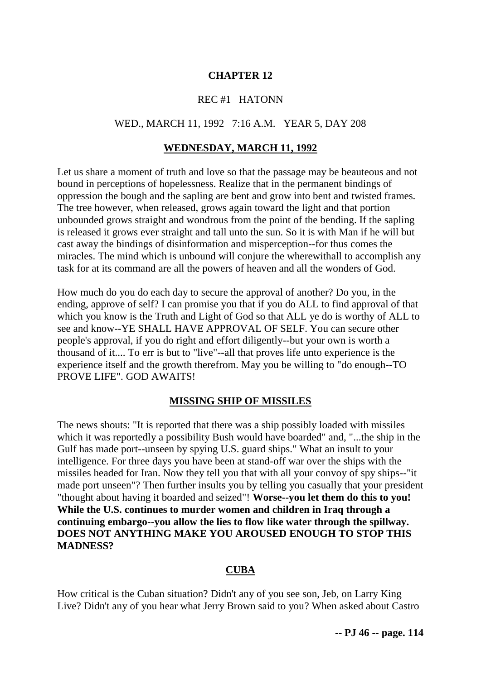## **CHAPTER 12**

## REC #1 HATONN

## WED., MARCH 11, 1992 7:16 A.M. YEAR 5, DAY 208

#### **WEDNESDAY, MARCH 11, 1992**

Let us share a moment of truth and love so that the passage may be beauteous and not bound in perceptions of hopelessness. Realize that in the permanent bindings of oppression the bough and the sapling are bent and grow into bent and twisted frames. The tree however, when released, grows again toward the light and that portion unbounded grows straight and wondrous from the point of the bending. If the sapling is released it grows ever straight and tall unto the sun. So it is with Man if he will but cast away the bindings of disinformation and misperception--for thus comes the miracles. The mind which is unbound will conjure the wherewithall to accomplish any task for at its command are all the powers of heaven and all the wonders of God.

How much do you do each day to secure the approval of another? Do you, in the ending, approve of self? I can promise you that if you do ALL to find approval of that which you know is the Truth and Light of God so that ALL ye do is worthy of ALL to see and know--YE SHALL HAVE APPROVAL OF SELF. You can secure other people's approval, if you do right and effort diligently--but your own is worth a thousand of it.... To err is but to "live"--all that proves life unto experience is the experience itself and the growth therefrom. May you be willing to "do enough--TO PROVE LIFE". GOD AWAITS!

#### **MISSING SHIP OF MISSILES**

The news shouts: "It is reported that there was a ship possibly loaded with missiles which it was reportedly a possibility Bush would have boarded" and, "...the ship in the Gulf has made port--unseen by spying U.S. guard ships." What an insult to your intelligence. For three days you have been at stand-off war over the ships with the missiles headed for Iran. Now they tell you that with all your convoy of spy ships--"it made port unseen"? Then further insults you by telling you casually that your president "thought about having it boarded and seized"! **Worse--you let them do this to you! While the U.S. continues to murder women and children in Iraq through a continuing embargo--you allow the lies to flow like water through the spillway. DOES NOT ANYTHING MAKE YOU AROUSED ENOUGH TO STOP THIS MADNESS?**

#### **CUBA**

How critical is the Cuban situation? Didn't any of you see son, Jeb, on Larry King Live? Didn't any of you hear what Jerry Brown said to you? When asked about Castro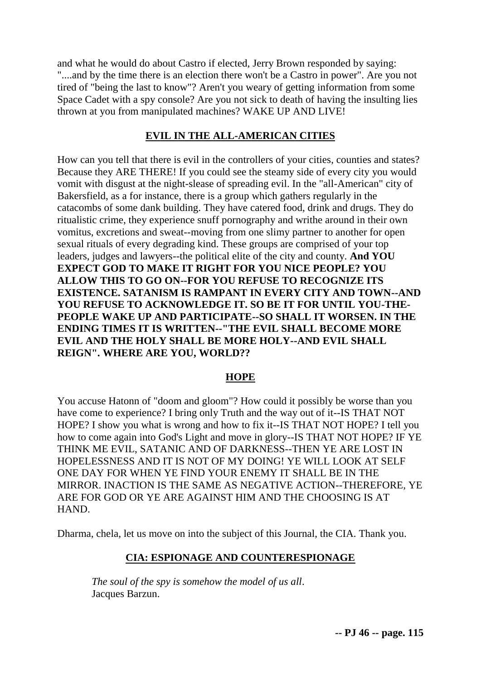and what he would do about Castro if elected, Jerry Brown responded by saying: "....and by the time there is an election there won't be a Castro in power". Are you not tired of "being the last to know"? Aren't you weary of getting information from some Space Cadet with a spy console? Are you not sick to death of having the insulting lies thrown at you from manipulated machines? WAKE UP AND LIVE!

# **EVIL IN THE ALL-AMERICAN CITIES**

How can you tell that there is evil in the controllers of your cities, counties and states? Because they ARE THERE! If you could see the steamy side of every city you would vomit with disgust at the night-slease of spreading evil. In the "all-American" city of Bakersfield, as a for instance, there is a group which gathers regularly in the catacombs of some dank building. They have catered food, drink and drugs. They do ritualistic crime, they experience snuff pornography and writhe around in their own vomitus, excretions and sweat--moving from one slimy partner to another for open sexual rituals of every degrading kind. These groups are comprised of your top leaders, judges and lawyers--the political elite of the city and county. **And YOU EXPECT GOD TO MAKE IT RIGHT FOR YOU NICE PEOPLE? YOU ALLOW THIS TO GO ON--FOR YOU REFUSE TO RECOGNIZE ITS EXISTENCE. SATANISM IS RAMPANT IN EVERY CITY AND TOWN--AND YOU REFUSE TO ACKNOWLEDGE IT. SO BE IT FOR UNTIL YOU-THE-PEOPLE WAKE UP AND PARTICIPATE--SO SHALL IT WORSEN. IN THE ENDING TIMES IT IS WRITTEN--"THE EVIL SHALL BECOME MORE EVIL AND THE HOLY SHALL BE MORE HOLY--AND EVIL SHALL REIGN". WHERE ARE YOU, WORLD??**

# **HOPE**

You accuse Hatonn of "doom and gloom"? How could it possibly be worse than you have come to experience? I bring only Truth and the way out of it--IS THAT NOT HOPE? I show you what is wrong and how to fix it--IS THAT NOT HOPE? I tell you how to come again into God's Light and move in glory--IS THAT NOT HOPE? IF YE THINK ME EVIL, SATANIC AND OF DARKNESS--THEN YE ARE LOST IN HOPELESSNESS AND IT IS NOT OF MY DOING! YE WILL LOOK AT SELF ONE DAY FOR WHEN YE FIND YOUR ENEMY IT SHALL BE IN THE MIRROR. INACTION IS THE SAME AS NEGATIVE ACTION--THEREFORE, YE ARE FOR GOD OR YE ARE AGAINST HIM AND THE CHOOSING IS AT HAND.

Dharma, chela, let us move on into the subject of this Journal, the CIA. Thank you.

# **CIA: ESPIONAGE AND COUNTERESPIONAGE**

*The soul of the spy is somehow the model of us all*. Jacques Barzun.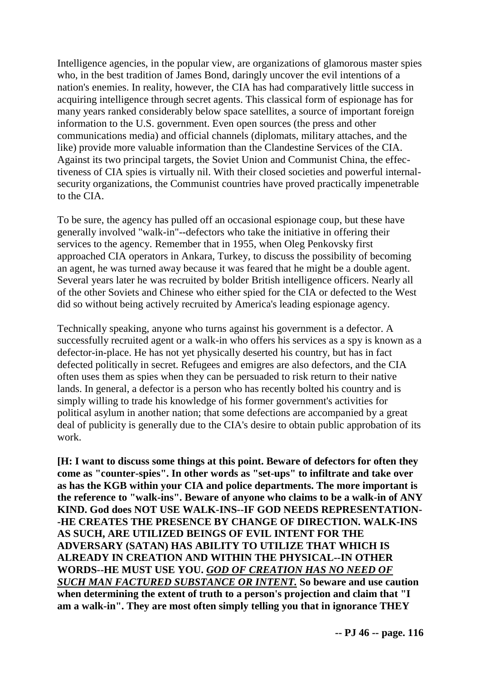Intelligence agencies, in the popular view, are organizations of glamorous master spies who, in the best tradition of James Bond, daringly uncover the evil intentions of a nation's enemies. In reality, however, the CIA has had comparatively little success in acquiring intelligence through secret agents. This classical form of espionage has for many years ranked considerably below space satellites, a source of important foreign information to the U.S. government. Even open sources (the press and other communications media) and official channels (diplomats, military attaches, and the like) provide more valuable information than the Clandestine Services of the CIA. Against its two principal targets, the Soviet Union and Communist China, the effectiveness of CIA spies is virtually nil. With their closed societies and powerful internalsecurity organizations, the Communist countries have proved practically impenetrable to the CIA.

To be sure, the agency has pulled off an occasional espionage coup, but these have generally involved "walk-in"--defectors who take the initiative in offering their services to the agency. Remember that in 1955, when Oleg Penkovsky first approached CIA operators in Ankara, Turkey, to discuss the possibility of becoming an agent, he was turned away because it was feared that he might be a double agent. Several years later he was recruited by bolder British intelligence officers. Nearly all of the other Soviets and Chinese who either spied for the CIA or defected to the West did so without being actively recruited by America's leading espionage agency.

Technically speaking, anyone who turns against his government is a defector. A successfully recruited agent or a walk-in who offers his services as a spy is known as a defector-in-place. He has not yet physically deserted his country, but has in fact defected politically in secret. Refugees and emigres are also defectors, and the CIA often uses them as spies when they can be persuaded to risk return to their native lands. In general, a defector is a person who has recently bolted his country and is simply willing to trade his knowledge of his former government's activities for political asylum in another nation; that some defections are accompanied by a great deal of publicity is generally due to the CIA's desire to obtain public approbation of its work.

**[H: I want to discuss some things at this point. Beware of defectors for often they come as "counter-spies". In other words as "set-ups" to infiltrate and take over as has the KGB within your CIA and police departments. The more important is the reference to "walk-ins". Beware of anyone who claims to be a walk-in of ANY KIND. God does NOT USE WALK-INS--IF GOD NEEDS REPRESENTATION- -HE CREATES THE PRESENCE BY CHANGE OF DIRECTION. WALK-INS AS SUCH, ARE UTILIZED BEINGS OF EVIL INTENT FOR THE ADVERSARY (SATAN) HAS ABILITY TO UTILIZE THAT WHICH IS ALREADY IN CREATION AND WITHIN THE PHYSICAL--IN OTHER WORDS--HE MUST USE YOU.** *GOD OF CREATION HAS NO NEED OF SUCH MAN FACTURED SUBSTANCE OR INTENT.* **So beware and use caution when determining the extent of truth to a person's projection and claim that "I am a walk-in". They are most often simply telling you that in ignorance THEY**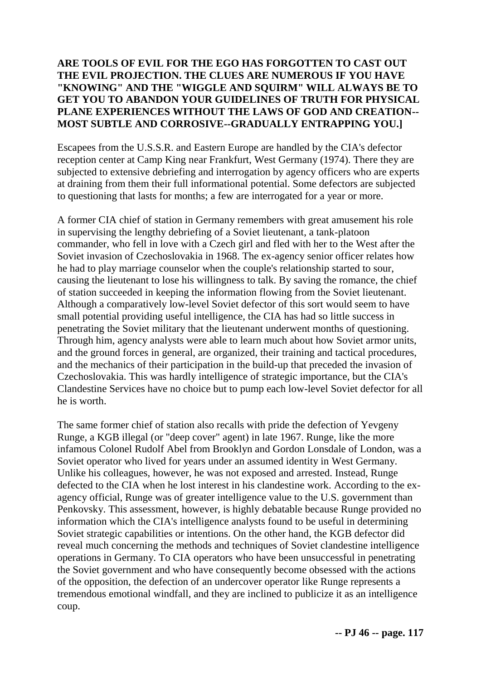# **ARE TOOLS OF EVIL FOR THE EGO HAS FORGOTTEN TO CAST OUT THE EVIL PROJECTION. THE CLUES ARE NUMEROUS IF YOU HAVE "KNOWING" AND THE "WIGGLE AND SQUIRM" WILL ALWAYS BE TO GET YOU TO ABANDON YOUR GUIDELINES OF TRUTH FOR PHYSICAL PLANE EXPERIENCES WITHOUT THE LAWS OF GOD AND CREATION-- MOST SUBTLE AND CORROSIVE--GRADUALLY ENTRAPPING YOU.]**

Escapees from the U.S.S.R. and Eastern Europe are handled by the CIA's defector reception center at Camp King near Frankfurt, West Germany (1974). There they are subjected to extensive debriefing and interrogation by agency officers who are experts at draining from them their full informational potential. Some defectors are subjected to questioning that lasts for months; a few are interrogated for a year or more.

A former CIA chief of station in Germany remembers with great amusement his role in supervising the lengthy debriefing of a Soviet lieutenant, a tank-platoon commander, who fell in love with a Czech girl and fled with her to the West after the Soviet invasion of Czechoslovakia in 1968. The ex-agency senior officer relates how he had to play marriage counselor when the couple's relationship started to sour, causing the lieutenant to lose his willingness to talk. By saving the romance, the chief of station succeeded in keeping the information flowing from the Soviet lieutenant. Although a comparatively low-level Soviet defector of this sort would seem to have small potential providing useful intelligence, the CIA has had so little success in penetrating the Soviet military that the lieutenant underwent months of questioning. Through him, agency analysts were able to learn much about how Soviet armor units, and the ground forces in general, are organized, their training and tactical procedures, and the mechanics of their participation in the build-up that preceded the invasion of Czechoslovakia. This was hardly intelligence of strategic importance, but the CIA's Clandestine Services have no choice but to pump each low-level Soviet defector for all he is worth.

The same former chief of station also recalls with pride the defection of Yevgeny Runge, a KGB illegal (or "deep cover" agent) in late 1967. Runge, like the more infamous Colonel Rudolf Abel from Brooklyn and Gordon Lonsdale of London, was a Soviet operator who lived for years under an assumed identity in West Germany. Unlike his colleagues, however, he was not exposed and arrested. Instead, Runge defected to the CIA when he lost interest in his clandestine work. According to the exagency official, Runge was of greater intelligence value to the U.S. government than Penkovsky. This assessment, however, is highly debatable because Runge provided no information which the CIA's intelligence analysts found to be useful in determining Soviet strategic capabilities or intentions. On the other hand, the KGB defector did reveal much concerning the methods and techniques of Soviet clandestine intelligence operations in Germany. To CIA operators who have been unsuccessful in penetrating the Soviet government and who have consequently become obsessed with the actions of the opposition, the defection of an undercover operator like Runge represents a tremendous emotional windfall, and they are inclined to publicize it as an intelligence coup.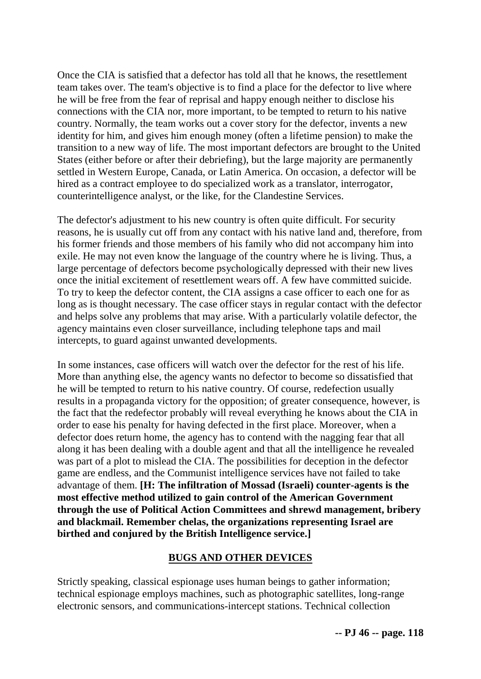Once the CIA is satisfied that a defector has told all that he knows, the resettlement team takes over. The team's objective is to find a place for the defector to live where he will be free from the fear of reprisal and happy enough neither to disclose his connections with the CIA nor, more important, to be tempted to return to his native country. Normally, the team works out a cover story for the defector, invents a new identity for him, and gives him enough money (often a lifetime pension) to make the transition to a new way of life. The most important defectors are brought to the United States (either before or after their debriefing), but the large majority are permanently settled in Western Europe, Canada, or Latin America. On occasion, a defector will be hired as a contract employee to do specialized work as a translator, interrogator, counterintelligence analyst, or the like, for the Clandestine Services.

The defector's adjustment to his new country is often quite difficult. For security reasons, he is usually cut off from any contact with his native land and, therefore, from his former friends and those members of his family who did not accompany him into exile. He may not even know the language of the country where he is living. Thus, a large percentage of defectors become psychologically depressed with their new lives once the initial excitement of resettlement wears off. A few have committed suicide. To try to keep the defector content, the CIA assigns a case officer to each one for as long as is thought necessary. The case officer stays in regular contact with the defector and helps solve any problems that may arise. With a particularly volatile defector, the agency maintains even closer surveillance, including telephone taps and mail intercepts, to guard against unwanted developments.

In some instances, case officers will watch over the defector for the rest of his life. More than anything else, the agency wants no defector to become so dissatisfied that he will be tempted to return to his native country. Of course, redefection usually results in a propaganda victory for the opposition; of greater consequence, however, is the fact that the redefector probably will reveal everything he knows about the CIA in order to ease his penalty for having defected in the first place. Moreover, when a defector does return home, the agency has to contend with the nagging fear that all along it has been dealing with a double agent and that all the intelligence he revealed was part of a plot to mislead the CIA. The possibilities for deception in the defector game are endless, and the Communist intelligence services have not failed to take advantage of them. **[H: The infiltration of Mossad (Israeli) counter-agents is the most effective method utilized to gain control of the American Government through the use of Political Action Committees and shrewd management, bribery and blackmail. Remember chelas, the organizations representing Israel are birthed and conjured by the British Intelligence service.]**

# **BUGS AND OTHER DEVICES**

Strictly speaking, classical espionage uses human beings to gather information; technical espionage employs machines, such as photographic satellites, long-range electronic sensors, and communications-intercept stations. Technical collection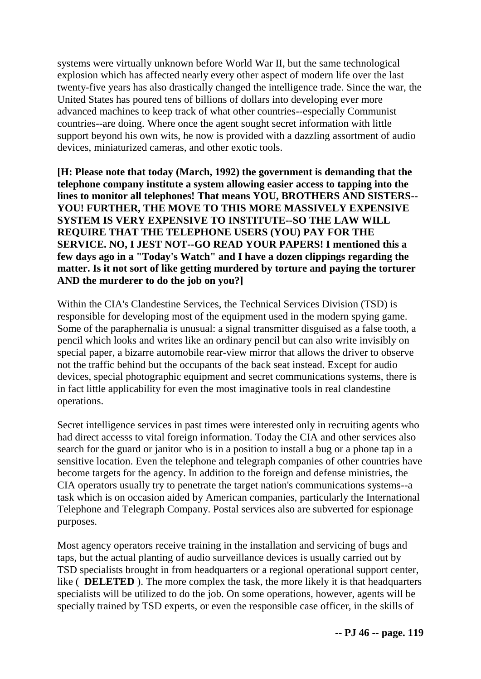systems were virtually unknown before World War II, but the same technological explosion which has affected nearly every other aspect of modern life over the last twenty-five years has also drastically changed the intelligence trade. Since the war, the United States has poured tens of billions of dollars into developing ever more advanced machines to keep track of what other countries--especially Communist countries--are doing. Where once the agent sought secret information with little support beyond his own wits, he now is provided with a dazzling assortment of audio devices, miniaturized cameras, and other exotic tools.

**[H: Please note that today (March, 1992) the government is demanding that the telephone company institute a system allowing easier access to tapping into the lines to monitor all telephones! That means YOU, BROTHERS AND SISTERS-- YOU! FURTHER, THE MOVE TO THIS MORE MASSIVELY EXPENSIVE SYSTEM IS VERY EXPENSIVE TO INSTITUTE--SO THE LAW WILL REQUIRE THAT THE TELEPHONE USERS (YOU) PAY FOR THE SERVICE. NO, I JEST NOT--GO READ YOUR PAPERS! I mentioned this a few days ago in a "Today's Watch" and I have a dozen clippings regarding the matter. Is it not sort of like getting murdered by torture and paying the torturer AND the murderer to do the job on you?]**

Within the CIA's Clandestine Services, the Technical Services Division (TSD) is responsible for developing most of the equipment used in the modern spying game. Some of the paraphernalia is unusual: a signal transmitter disguised as a false tooth, a pencil which looks and writes like an ordinary pencil but can also write invisibly on special paper, a bizarre automobile rear-view mirror that allows the driver to observe not the traffic behind but the occupants of the back seat instead. Except for audio devices, special photographic equipment and secret communications systems, there is in fact little applicability for even the most imaginative tools in real clandestine operations.

Secret intelligence services in past times were interested only in recruiting agents who had direct accesss to vital foreign information. Today the CIA and other services also search for the guard or janitor who is in a position to install a bug or a phone tap in a sensitive location. Even the telephone and telegraph companies of other countries have become targets for the agency. In addition to the foreign and defense ministries, the CIA operators usually try to penetrate the target nation's communications systems--a task which is on occasion aided by American companies, particularly the International Telephone and Telegraph Company. Postal services also are subverted for espionage purposes.

Most agency operators receive training in the installation and servicing of bugs and taps, but the actual planting of audio surveillance devices is usually carried out by TSD specialists brought in from headquarters or a regional operational support center, like ( **DELETED** ). The more complex the task, the more likely it is that headquarters specialists will be utilized to do the job. On some operations, however, agents will be specially trained by TSD experts, or even the responsible case officer, in the skills of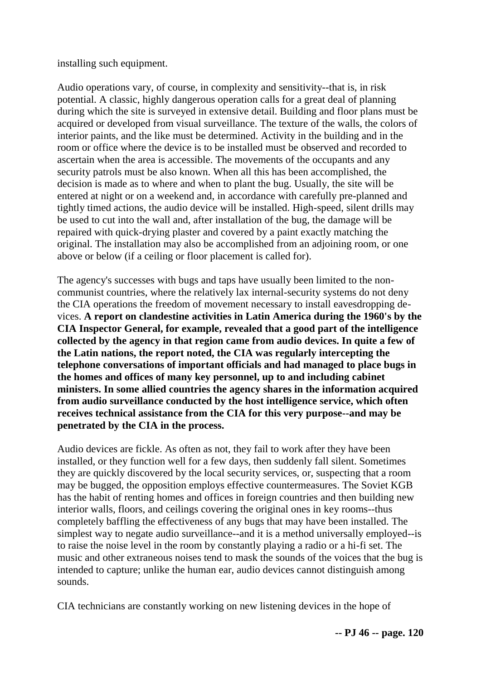installing such equipment.

Audio operations vary, of course, in complexity and sensitivity--that is, in risk potential. A classic, highly dangerous operation calls for a great deal of planning during which the site is surveyed in extensive detail. Building and floor plans must be acquired or developed from visual surveillance. The texture of the walls, the colors of interior paints, and the like must be determined. Activity in the building and in the room or office where the device is to be installed must be observed and recorded to ascertain when the area is accessible. The movements of the occupants and any security patrols must be also known. When all this has been accomplished, the decision is made as to where and when to plant the bug. Usually, the site will be entered at night or on a weekend and, in accordance with carefully pre-planned and tightly timed actions, the audio device will be installed. High-speed, silent drills may be used to cut into the wall and, after installation of the bug, the damage will be repaired with quick-drying plaster and covered by a paint exactly matching the original. The installation may also be accomplished from an adjoining room, or one above or below (if a ceiling or floor placement is called for).

The agency's successes with bugs and taps have usually been limited to the noncommunist countries, where the relatively lax internal-security systems do not deny the CIA operations the freedom of movement necessary to install eavesdropping devices. **A report on clandestine activities in Latin America during the 1960's by the CIA Inspector General, for example, revealed that a good part of the intelligence collected by the agency in that region came from audio devices. In quite a few of the Latin nations, the report noted, the CIA was regularly intercepting the telephone conversations of important officials and had managed to place bugs in the homes and offices of many key personnel, up to and including cabinet ministers. In some allied countries the agency shares in the information acquired from audio surveillance conducted by the host intelligence service, which often receives technical assistance from the CIA for this very purpose--and may be penetrated by the CIA in the process.**

Audio devices are fickle. As often as not, they fail to work after they have been installed, or they function well for a few days, then suddenly fall silent. Sometimes they are quickly discovered by the local security services, or, suspecting that a room may be bugged, the opposition employs effective countermeasures. The Soviet KGB has the habit of renting homes and offices in foreign countries and then building new interior walls, floors, and ceilings covering the original ones in key rooms--thus completely baffling the effectiveness of any bugs that may have been installed. The simplest way to negate audio surveillance--and it is a method universally employed--is to raise the noise level in the room by constantly playing a radio or a hi-fi set. The music and other extraneous noises tend to mask the sounds of the voices that the bug is intended to capture; unlike the human ear, audio devices cannot distinguish among sounds.

CIA technicians are constantly working on new listening devices in the hope of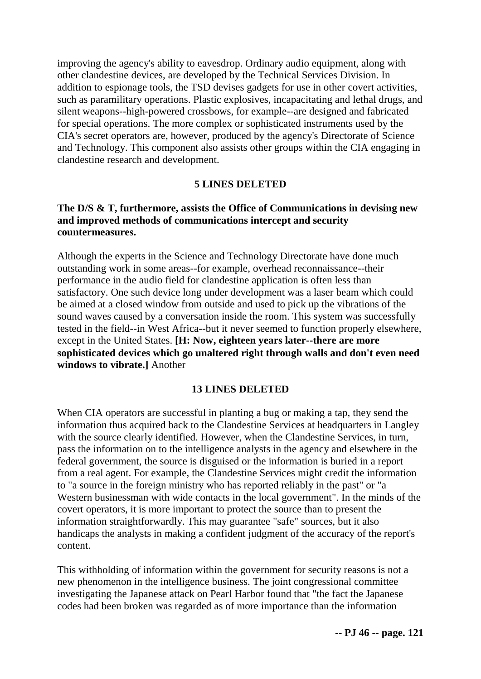improving the agency's ability to eavesdrop. Ordinary audio equipment, along with other clandestine devices, are developed by the Technical Services Division. In addition to espionage tools, the TSD devises gadgets for use in other covert activities, such as paramilitary operations. Plastic explosives, incapacitating and lethal drugs, and silent weapons--high-powered crossbows, for example--are designed and fabricated for special operations. The more complex or sophisticated instruments used by the CIA's secret operators are, however, produced by the agency's Directorate of Science and Technology. This component also assists other groups within the CIA engaging in clandestine research and development.

#### **5 LINES DELETED**

## **The D/S & T, furthermore, assists the Office of Communications in devising new and improved methods of communications intercept and security countermeasures.**

Although the experts in the Science and Technology Directorate have done much outstanding work in some areas--for example, overhead reconnaissance--their performance in the audio field for clandestine application is often less than satisfactory. One such device long under development was a laser beam which could be aimed at a closed window from outside and used to pick up the vibrations of the sound waves caused by a conversation inside the room. This system was successfully tested in the field--in West Africa--but it never seemed to function properly elsewhere, except in the United States. **[H: Now, eighteen years later--there are more sophisticated devices which go unaltered right through walls and don't even need windows to vibrate.]** Another

#### **13 LINES DELETED**

When CIA operators are successful in planting a bug or making a tap, they send the information thus acquired back to the Clandestine Services at headquarters in Langley with the source clearly identified. However, when the Clandestine Services, in turn, pass the information on to the intelligence analysts in the agency and elsewhere in the federal government, the source is disguised or the information is buried in a report from a real agent. For example, the Clandestine Services might credit the information to "a source in the foreign ministry who has reported reliably in the past" or "a Western businessman with wide contacts in the local government". In the minds of the covert operators, it is more important to protect the source than to present the information straightforwardly. This may guarantee "safe" sources, but it also handicaps the analysts in making a confident judgment of the accuracy of the report's content.

This withholding of information within the government for security reasons is not a new phenomenon in the intelligence business. The joint congressional committee investigating the Japanese attack on Pearl Harbor found that "the fact the Japanese codes had been broken was regarded as of more importance than the information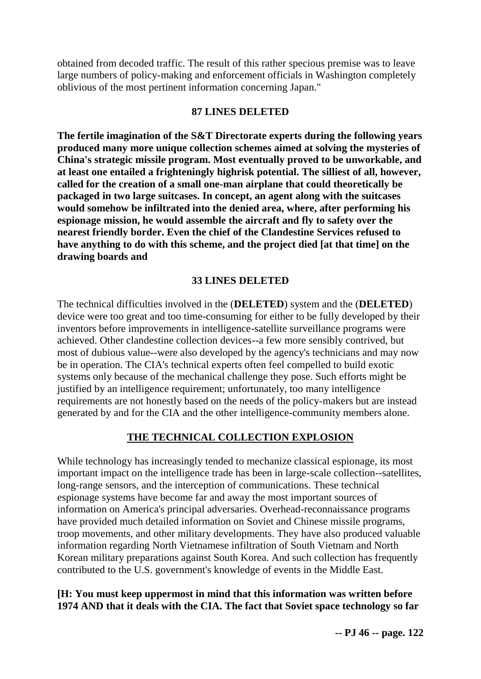obtained from decoded traffic. The result of this rather specious premise was to leave large numbers of policy-making and enforcement officials in Washington completely oblivious of the most pertinent information concerning Japan."

## **87 LINES DELETED**

**The fertile imagination of the S&T Directorate experts during the following years produced many more unique collection schemes aimed at solving the mysteries of China's strategic missile program. Most eventually proved to be unworkable, and at least one entailed a frighteningly highrisk potential. The silliest of all, however, called for the creation of a small one-man airplane that could theoretically be packaged in two large suitcases. In concept, an agent along with the suitcases would somehow be infiltrated into the denied area, where, after performing his espionage mission, he would assemble the aircraft and fly to safety over the nearest friendly border. Even the chief of the Clandestine Services refused to have anything to do with this scheme, and the project died [at that time] on the drawing boards and**

## **33 LINES DELETED**

The technical difficulties involved in the (**DELETED**) system and the (**DELETED**) device were too great and too time-consuming for either to be fully developed by their inventors before improvements in intelligence-satellite surveillance programs were achieved. Other clandestine collection devices--a few more sensibly contrived, but most of dubious value--were also developed by the agency's technicians and may now be in operation. The CIA's technical experts often feel compelled to build exotic systems only because of the mechanical challenge they pose. Such efforts might be justified by an intelligence requirement; unfortunately, too many intelligence requirements are not honestly based on the needs of the policy-makers but are instead generated by and for the CIA and the other intelligence-community members alone.

# **THE TECHNICAL COLLECTION EXPLOSION**

While technology has increasingly tended to mechanize classical espionage, its most important impact on the intelligence trade has been in large-scale collection--satellites, long-range sensors, and the interception of communications. These technical espionage systems have become far and away the most important sources of information on America's principal adversaries. Overhead-reconnaissance programs have provided much detailed information on Soviet and Chinese missile programs, troop movements, and other military developments. They have also produced valuable information regarding North Vietnamese infiltration of South Vietnam and North Korean military preparations against South Korea. And such collection has frequently contributed to the U.S. government's knowledge of events in the Middle East.

# **[H: You must keep uppermost in mind that this information was written before 1974 AND that it deals with the CIA. The fact that Soviet space technology so far**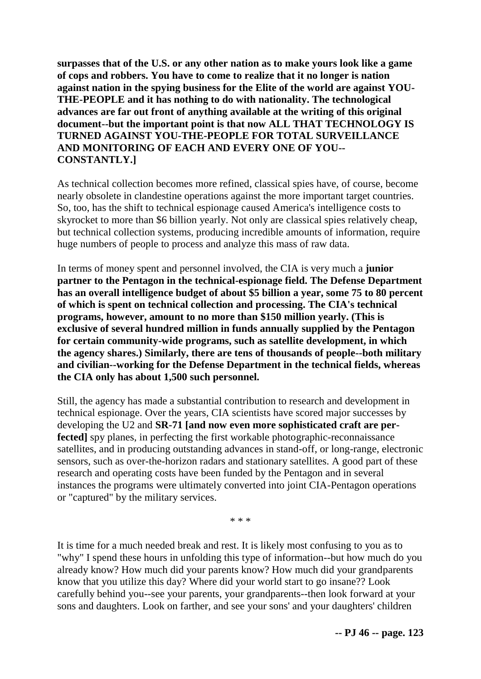**surpasses that of the U.S. or any other nation as to make yours look like a game of cops and robbers. You have to come to realize that it no longer is nation against nation in the spying business for the Elite of the world are against YOU-THE-PEOPLE and it has nothing to do with nationality. The technological advances are far out front of anything available at the writing of this original document--but the important point is that now ALL THAT TECHNOLOGY IS TURNED AGAINST YOU-THE-PEOPLE FOR TOTAL SURVEILLANCE AND MONITORING OF EACH AND EVERY ONE OF YOU-- CONSTANTLY.]**

As technical collection becomes more refined, classical spies have, of course, become nearly obsolete in clandestine operations against the more important target countries. So, too, has the shift to technical espionage caused America's intelligence costs to skyrocket to more than \$6 billion yearly. Not only are classical spies relatively cheap, but technical collection systems, producing incredible amounts of information, require huge numbers of people to process and analyze this mass of raw data.

In terms of money spent and personnel involved, the CIA is very much a **junior partner to the Pentagon in the technical-espionage field. The Defense Department has an overall intelligence budget of about \$5 billion a year, some 75 to 80 percent of which is spent on technical collection and processing. The CIA's technical programs, however, amount to no more than \$150 million yearly. (This is exclusive of several hundred million in funds annually supplied by the Pentagon for certain community-wide programs, such as satellite development, in which the agency shares.) Similarly, there are tens of thousands of people--both military and civilian--working for the Defense Department in the technical fields, whereas the CIA only has about 1,500 such personnel.**

Still, the agency has made a substantial contribution to research and development in technical espionage. Over the years, CIA scientists have scored major successes by developing the U2 and **SR-71 [and now even more sophisticated craft are perfected]** spy planes, in perfecting the first workable photographic-reconnaissance satellites, and in producing outstanding advances in stand-off, or long-range, electronic sensors, such as over-the-horizon radars and stationary satellites. A good part of these research and operating costs have been funded by the Pentagon and in several instances the programs were ultimately converted into joint CIA-Pentagon operations or "captured" by the military services.

\* \* \*

It is time for a much needed break and rest. It is likely most confusing to you as to "why" I spend these hours in unfolding this type of information--but how much do you already know? How much did your parents know? How much did your grandparents know that you utilize this day? Where did your world start to go insane?? Look carefully behind you--see your parents, your grandparents--then look forward at your sons and daughters. Look on farther, and see your sons' and your daughters' children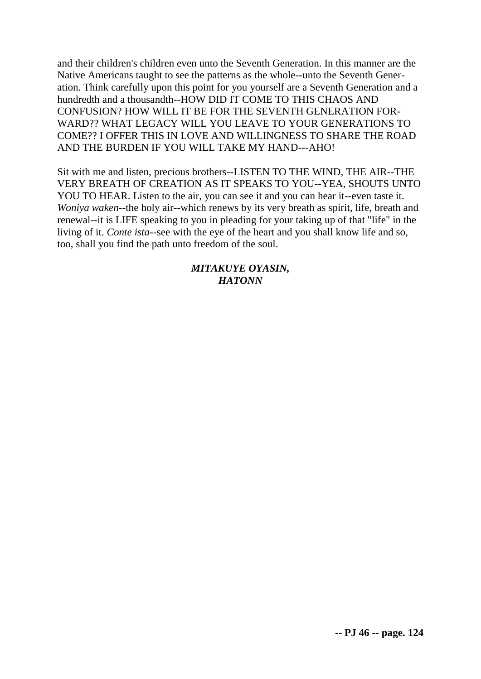and their children's children even unto the Seventh Generation. In this manner are the Native Americans taught to see the patterns as the whole--unto the Seventh Generation. Think carefully upon this point for you yourself are a Seventh Generation and a hundredth and a thousandth--HOW DID IT COME TO THIS CHAOS AND CONFUSION? HOW WILL IT BE FOR THE SEVENTH GENERATION FOR-WARD?? WHAT LEGACY WILL YOU LEAVE TO YOUR GENERATIONS TO COME?? I OFFER THIS IN LOVE AND WILLINGNESS TO SHARE THE ROAD AND THE BURDEN IF YOU WILL TAKE MY HAND---AHO!

Sit with me and listen, precious brothers--LISTEN TO THE WIND, THE AIR--THE VERY BREATH OF CREATION AS IT SPEAKS TO YOU--YEA, SHOUTS UNTO YOU TO HEAR. Listen to the air, you can see it and you can hear it--even taste it. *Woniya waken*--the holy air--which renews by its very breath as spirit, life, breath and renewal--it is LIFE speaking to you in pleading for your taking up of that "life" in the living of it. *Conte ista*--see with the eye of the heart and you shall know life and so, too, shall you find the path unto freedom of the soul.

# *MITAKUYE OYASIN, HATONN*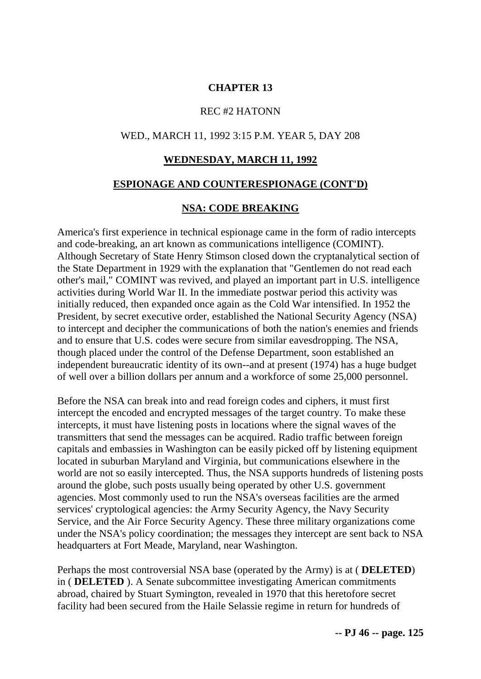#### **CHAPTER 13**

#### REC #2 HATONN

#### WED., MARCH 11, 1992 3:15 P.M. YEAR 5, DAY 208

## **WEDNESDAY, MARCH 11, 1992**

#### **ESPIONAGE AND COUNTERESPIONAGE (CONT'D)**

#### **NSA: CODE BREAKING**

America's first experience in technical espionage came in the form of radio intercepts and code-breaking, an art known as communications intelligence (COMINT). Although Secretary of State Henry Stimson closed down the cryptanalytical section of the State Department in 1929 with the explanation that "Gentlemen do not read each other's mail," COMINT was revived, and played an important part in U.S. intelligence activities during World War II. In the immediate postwar period this activity was initially reduced, then expanded once again as the Cold War intensified. In 1952 the President, by secret executive order, established the National Security Agency (NSA) to intercept and decipher the communications of both the nation's enemies and friends and to ensure that U.S. codes were secure from similar eavesdropping. The NSA, though placed under the control of the Defense Department, soon established an independent bureaucratic identity of its own--and at present (1974) has a huge budget of well over a billion dollars per annum and a workforce of some 25,000 personnel.

Before the NSA can break into and read foreign codes and ciphers, it must first intercept the encoded and encrypted messages of the target country. To make these intercepts, it must have listening posts in locations where the signal waves of the transmitters that send the messages can be acquired. Radio traffic between foreign capitals and embassies in Washington can be easily picked off by listening equipment located in suburban Maryland and Virginia, but communications elsewhere in the world are not so easily intercepted. Thus, the NSA supports hundreds of listening posts around the globe, such posts usually being operated by other U.S. government agencies. Most commonly used to run the NSA's overseas facilities are the armed services' cryptological agencies: the Army Security Agency, the Navy Security Service, and the Air Force Security Agency. These three military organizations come under the NSA's policy coordination; the messages they intercept are sent back to NSA headquarters at Fort Meade, Maryland, near Washington.

Perhaps the most controversial NSA base (operated by the Army) is at ( **DELETED**) in ( **DELETED** ). A Senate subcommittee investigating American commitments abroad, chaired by Stuart Symington, revealed in 1970 that this heretofore secret facility had been secured from the Haile Selassie regime in return for hundreds of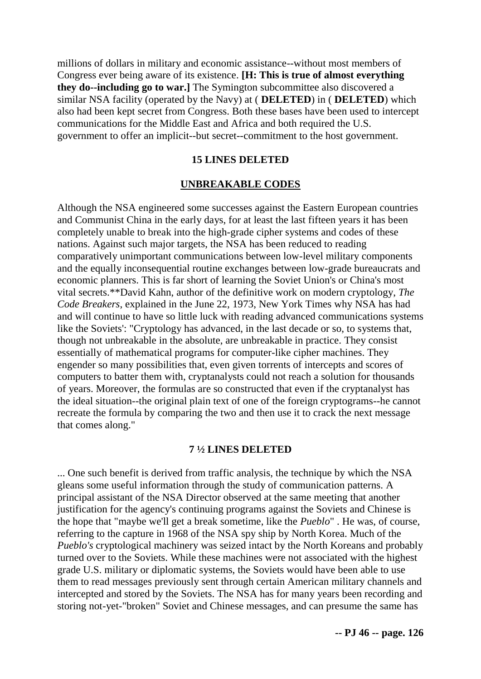millions of dollars in military and economic assistance--without most members of Congress ever being aware of its existence. **[H: This is true of almost everything they do--including go to war.]** The Symington subcommittee also discovered a similar NSA facility (operated by the Navy) at ( **DELETED**) in ( **DELETED**) which also had been kept secret from Congress. Both these bases have been used to intercept communications for the Middle East and Africa and both required the U.S. government to offer an implicit--but secret--commitment to the host government.

## **15 LINES DELETED**

#### **UNBREAKABLE CODES**

Although the NSA engineered some successes against the Eastern European countries and Communist China in the early days, for at least the last fifteen years it has been completely unable to break into the high-grade cipher systems and codes of these nations. Against such major targets, the NSA has been reduced to reading comparatively unimportant communications between low-level military components and the equally inconsequential routine exchanges between low-grade bureaucrats and economic planners. This is far short of learning the Soviet Union's or China's most vital secrets.\*\*David Kahn, author of the definitive work on modern cryptology, *The Code Breakers*, explained in the June 22, 1973, New York Times why NSA has had and will continue to have so little luck with reading advanced communications systems like the Soviets': "Cryptology has advanced, in the last decade or so, to systems that, though not unbreakable in the absolute, are unbreakable in practice. They consist essentially of mathematical programs for computer-like cipher machines. They engender so many possibilities that, even given torrents of intercepts and scores of computers to batter them with, cryptanalysts could not reach a solution for thousands of years. Moreover, the formulas are so constructed that even if the cryptanalyst has the ideal situation--the original plain text of one of the foreign cryptograms--he cannot recreate the formula by comparing the two and then use it to crack the next message that comes along."

#### **7 ½ LINES DELETED**

... One such benefit is derived from traffic analysis, the technique by which the NSA gleans some useful information through the study of communication patterns. A principal assistant of the NSA Director observed at the same meeting that another justification for the agency's continuing programs against the Soviets and Chinese is the hope that "maybe we'll get a break sometime, like the *Pueblo*" . He was, of course, referring to the capture in 1968 of the NSA spy ship by North Korea. Much of the *Pueblo's* cryptological machinery was seized intact by the North Koreans and probably turned over to the Soviets. While these machines were not associated with the highest grade U.S. military or diplomatic systems, the Soviets would have been able to use them to read messages previously sent through certain American military channels and intercepted and stored by the Soviets. The NSA has for many years been recording and storing not-yet-"broken" Soviet and Chinese messages, and can presume the same has

**-- PJ 46 -- page. 126**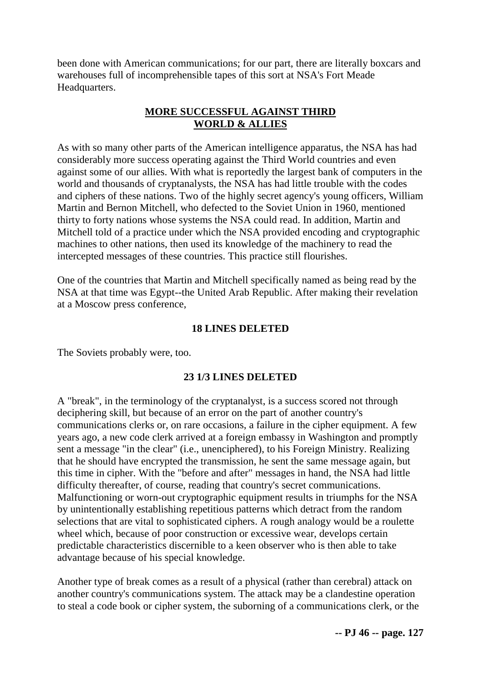been done with American communications; for our part, there are literally boxcars and warehouses full of incomprehensible tapes of this sort at NSA's Fort Meade Headquarters.

# **MORE SUCCESSFUL AGAINST THIRD WORLD & ALLIES**

As with so many other parts of the American intelligence apparatus, the NSA has had considerably more success operating against the Third World countries and even against some of our allies. With what is reportedly the largest bank of computers in the world and thousands of cryptanalysts, the NSA has had little trouble with the codes and ciphers of these nations. Two of the highly secret agency's young officers, William Martin and Bernon Mitchell, who defected to the Soviet Union in 1960, mentioned thirty to forty nations whose systems the NSA could read. In addition, Martin and Mitchell told of a practice under which the NSA provided encoding and cryptographic machines to other nations, then used its knowledge of the machinery to read the intercepted messages of these countries. This practice still flourishes.

One of the countries that Martin and Mitchell specifically named as being read by the NSA at that time was Egypt--the United Arab Republic. After making their revelation at a Moscow press conference,

# **18 LINES DELETED**

The Soviets probably were, too.

# **23 1/3 LINES DELETED**

A "break", in the terminology of the cryptanalyst, is a success scored not through deciphering skill, but because of an error on the part of another country's communications clerks or, on rare occasions, a failure in the cipher equipment. A few years ago, a new code clerk arrived at a foreign embassy in Washington and promptly sent a message "in the clear" (i.e., unenciphered), to his Foreign Ministry. Realizing that he should have encrypted the transmission, he sent the same message again, but this time in cipher. With the "before and after" messages in hand, the NSA had little difficulty thereafter, of course, reading that country's secret communications. Malfunctioning or worn-out cryptographic equipment results in triumphs for the NSA by unintentionally establishing repetitious patterns which detract from the random selections that are vital to sophisticated ciphers. A rough analogy would be a roulette wheel which, because of poor construction or excessive wear, develops certain predictable characteristics discernible to a keen observer who is then able to take advantage because of his special knowledge.

Another type of break comes as a result of a physical (rather than cerebral) attack on another country's communications system. The attack may be a clandestine operation to steal a code book or cipher system, the suborning of a communications clerk, or the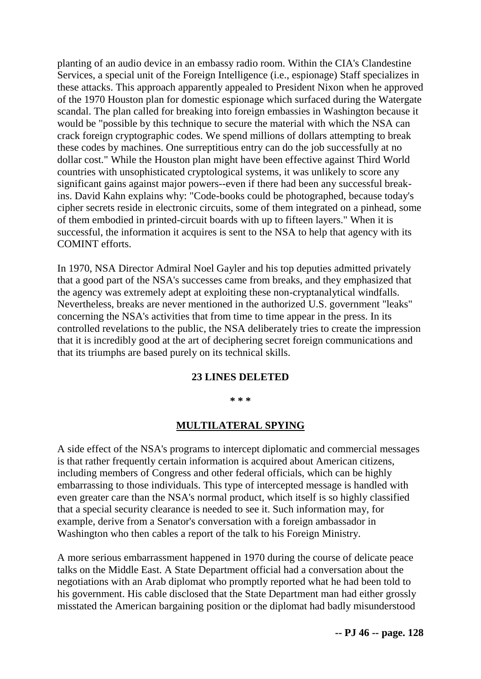planting of an audio device in an embassy radio room. Within the CIA's Clandestine Services, a special unit of the Foreign Intelligence (i.e., espionage) Staff specializes in these attacks. This approach apparently appealed to President Nixon when he approved of the 1970 Houston plan for domestic espionage which surfaced during the Watergate scandal. The plan called for breaking into foreign embassies in Washington because it would be "possible by this technique to secure the material with which the NSA can crack foreign cryptographic codes. We spend millions of dollars attempting to break these codes by machines. One surreptitious entry can do the job successfully at no dollar cost." While the Houston plan might have been effective against Third World countries with unsophisticated cryptological systems, it was unlikely to score any significant gains against major powers--even if there had been any successful breakins. David Kahn explains why: "Code-books could be photographed, because today's cipher secrets reside in electronic circuits, some of them integrated on a pinhead, some of them embodied in printed-circuit boards with up to fifteen layers." When it is successful, the information it acquires is sent to the NSA to help that agency with its COMINT efforts.

In 1970, NSA Director Admiral Noel Gayler and his top deputies admitted privately that a good part of the NSA's successes came from breaks, and they emphasized that the agency was extremely adept at exploiting these non-cryptanalytical windfalls. Nevertheless, breaks are never mentioned in the authorized U.S. government "leaks" concerning the NSA's activities that from time to time appear in the press. In its controlled revelations to the public, the NSA deliberately tries to create the impression that it is incredibly good at the art of deciphering secret foreign communications and that its triumphs are based purely on its technical skills.

#### **23 LINES DELETED**

#### **\* \* \***

#### **MULTILATERAL SPYING**

A side effect of the NSA's programs to intercept diplomatic and commercial messages is that rather frequently certain information is acquired about American citizens, including members of Congress and other federal officials, which can be highly embarrassing to those individuals. This type of intercepted message is handled with even greater care than the NSA's normal product, which itself is so highly classified that a special security clearance is needed to see it. Such information may, for example, derive from a Senator's conversation with a foreign ambassador in Washington who then cables a report of the talk to his Foreign Ministry.

A more serious embarrassment happened in 1970 during the course of delicate peace talks on the Middle East. A State Department official had a conversation about the negotiations with an Arab diplomat who promptly reported what he had been told to his government. His cable disclosed that the State Department man had either grossly misstated the American bargaining position or the diplomat had badly misunderstood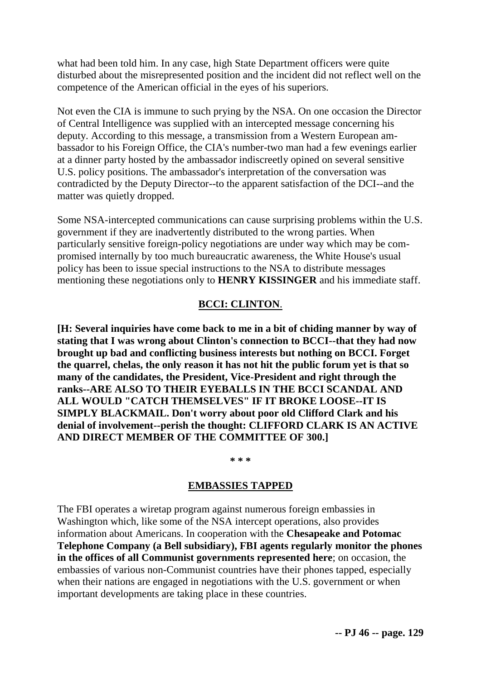what had been told him. In any case, high State Department officers were quite disturbed about the misrepresented position and the incident did not reflect well on the competence of the American official in the eyes of his superiors.

Not even the CIA is immune to such prying by the NSA. On one occasion the Director of Central Intelligence was supplied with an intercepted message concerning his deputy. According to this message, a transmission from a Western European ambassador to his Foreign Office, the CIA's number-two man had a few evenings earlier at a dinner party hosted by the ambassador indiscreetly opined on several sensitive U.S. policy positions. The ambassador's interpretation of the conversation was contradicted by the Deputy Director--to the apparent satisfaction of the DCI--and the matter was quietly dropped.

Some NSA-intercepted communications can cause surprising problems within the U.S. government if they are inadvertently distributed to the wrong parties. When particularly sensitive foreign-policy negotiations are under way which may be compromised internally by too much bureaucratic awareness, the White House's usual policy has been to issue special instructions to the NSA to distribute messages mentioning these negotiations only to **HENRY KISSINGER** and his immediate staff.

## **BCCI: CLINTON**.

**[H: Several inquiries have come back to me in a bit of chiding manner by way of stating that I was wrong about Clinton's connection to BCCI--that they had now brought up bad and conflicting business interests but nothing on BCCI. Forget the quarrel, chelas, the only reason it has not hit the public forum yet is that so many of the candidates, the President, Vice-President and right through the ranks--ARE ALSO TO THEIR EYEBALLS IN THE BCCI SCANDAL AND ALL WOULD "CATCH THEMSELVES" IF IT BROKE LOOSE--IT IS SIMPLY BLACKMAIL. Don't worry about poor old Clifford Clark and his denial of involvement--perish the thought: CLIFFORD CLARK IS AN ACTIVE AND DIRECT MEMBER OF THE COMMITTEE OF 300.]**

#### **\* \* \***

#### **EMBASSIES TAPPED**

The FBI operates a wiretap program against numerous foreign embassies in Washington which, like some of the NSA intercept operations, also provides information about Americans. In cooperation with the **Chesapeake and Potomac Telephone Company (a Bell subsidiary), FBI agents regularly monitor the phones in the offices of all Communist governments represented here**; on occasion, the embassies of various non-Communist countries have their phones tapped, especially when their nations are engaged in negotiations with the U.S. government or when important developments are taking place in these countries.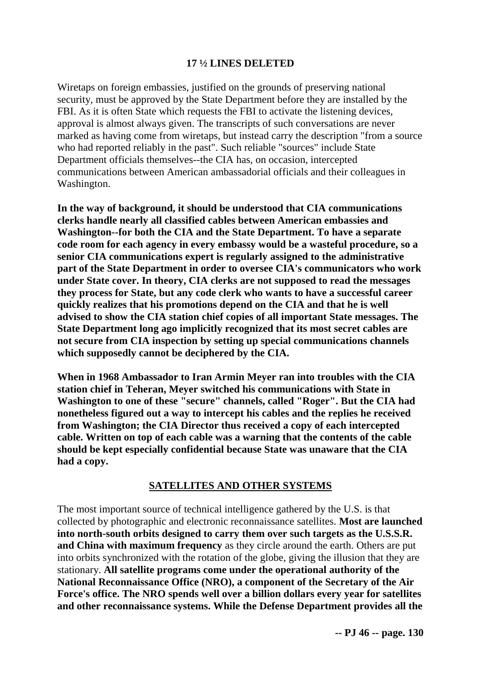#### **17 ½ LINES DELETED**

Wiretaps on foreign embassies, justified on the grounds of preserving national security, must be approved by the State Department before they are installed by the FBI. As it is often State which requests the FBI to activate the listening devices, approval is almost always given. The transcripts of such conversations are never marked as having come from wiretaps, but instead carry the description "from a source who had reported reliably in the past". Such reliable "sources" include State Department officials themselves--the CIA has, on occasion, intercepted communications between American ambassadorial officials and their colleagues in Washington.

**In the way of background, it should be understood that CIA communications clerks handle nearly all classified cables between American embassies and Washington--for both the CIA and the State Department. To have a separate code room for each agency in every embassy would be a wasteful procedure, so a senior CIA communications expert is regularly assigned to the administrative part of the State Department in order to oversee CIA's communicators who work under State cover. In theory, CIA clerks are not supposed to read the messages they process for State, but any code clerk who wants to have a successful career quickly realizes that his promotions depend on the CIA and that he is well advised to show the CIA station chief copies of all important State messages. The State Department long ago implicitly recognized that its most secret cables are not secure from CIA inspection by setting up special communications channels which supposedly cannot be deciphered by the CIA.**

**When in 1968 Ambassador to Iran Armin Meyer ran into troubles with the CIA station chief in Teheran, Meyer switched his communications with State in Washington to one of these "secure" channels, called "Roger". But the CIA had nonetheless figured out a way to intercept his cables and the replies he received from Washington; the CIA Director thus received a copy of each intercepted cable. Written on top of each cable was a warning that the contents of the cable should be kept especially confidential because State was unaware that the CIA had a copy.**

# **SATELLITES AND OTHER SYSTEMS**

The most important source of technical intelligence gathered by the U.S. is that collected by photographic and electronic reconnaissance satellites. **Most are launched into north-south orbits designed to carry them over such targets as the U.S.S.R. and China with maximum frequency** as they circle around the earth. Others are put into orbits synchronized with the rotation of the globe, giving the illusion that they are stationary. **All satellite programs come under the operational authority of the National Reconnaissance Office (NRO), a component of the Secretary of the Air Force's office. The NRO spends well over a billion dollars every year for satellites and other reconnaissance systems. While the Defense Department provides all the**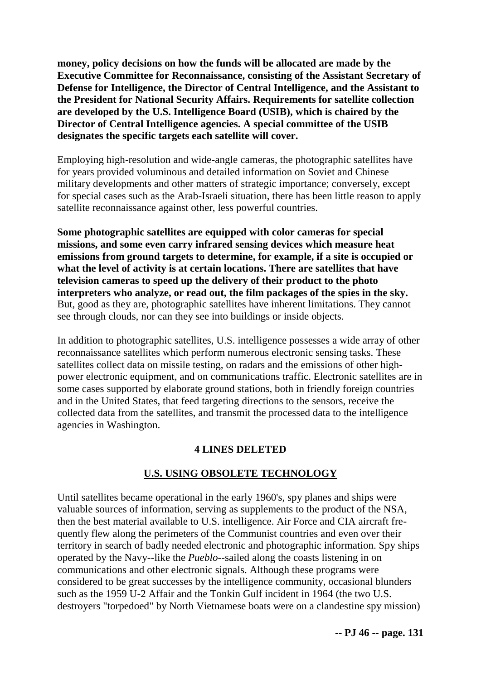**money, policy decisions on how the funds will be allocated are made by the Executive Committee for Reconnaissance, consisting of the Assistant Secretary of Defense for Intelligence, the Director of Central Intelligence, and the Assistant to the President for National Security Affairs. Requirements for satellite collection are developed by the U.S. Intelligence Board (USIB), which is chaired by the Director of Central Intelligence agencies. A special committee of the USIB designates the specific targets each satellite will cover.**

Employing high-resolution and wide-angle cameras, the photographic satellites have for years provided voluminous and detailed information on Soviet and Chinese military developments and other matters of strategic importance; conversely, except for special cases such as the Arab-Israeli situation, there has been little reason to apply satellite reconnaissance against other, less powerful countries.

**Some photographic satellites are equipped with color cameras for special missions, and some even carry infrared sensing devices which measure heat emissions from ground targets to determine, for example, if a site is occupied or what the level of activity is at certain locations. There are satellites that have television cameras to speed up the delivery of their product to the photo interpreters who analyze, or read out, the film packages of the spies in the sky.** But, good as they are, photographic satellites have inherent limitations. They cannot see through clouds, nor can they see into buildings or inside objects.

In addition to photographic satellites, U.S. intelligence possesses a wide array of other reconnaissance satellites which perform numerous electronic sensing tasks. These satellites collect data on missile testing, on radars and the emissions of other highpower electronic equipment, and on communications traffic. Electronic satellites are in some cases supported by elaborate ground stations, both in friendly foreign countries and in the United States, that feed targeting directions to the sensors, receive the collected data from the satellites, and transmit the processed data to the intelligence agencies in Washington.

# **4 LINES DELETED**

# **U.S. USING OBSOLETE TECHNOLOGY**

Until satellites became operational in the early 1960's, spy planes and ships were valuable sources of information, serving as supplements to the product of the NSA, then the best material available to U.S. intelligence. Air Force and CIA aircraft frequently flew along the perimeters of the Communist countries and even over their territory in search of badly needed electronic and photographic information. Spy ships operated by the Navy--like the *Pueblo*--sailed along the coasts listening in on communications and other electronic signals. Although these programs were considered to be great successes by the intelligence community, occasional blunders such as the 1959 U-2 Affair and the Tonkin Gulf incident in 1964 (the two U.S. destroyers "torpedoed" by North Vietnamese boats were on a clandestine spy mission)

**-- PJ 46 -- page. 131**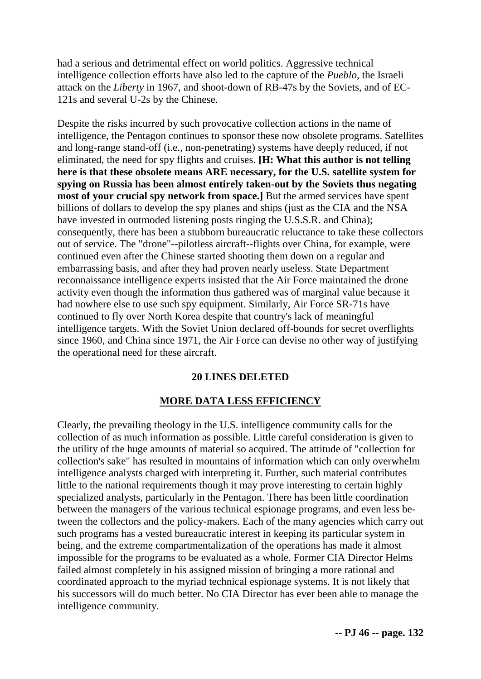had a serious and detrimental effect on world politics. Aggressive technical intelligence collection efforts have also led to the capture of the *Pueblo*, the Israeli attack on the *Liberty* in 1967, and shoot-down of RB-47s by the Soviets, and of EC-121s and several U-2s by the Chinese.

Despite the risks incurred by such provocative collection actions in the name of intelligence, the Pentagon continues to sponsor these now obsolete programs. Satellites and long-range stand-off (i.e., non-penetrating) systems have deeply reduced, if not eliminated, the need for spy flights and cruises. **[H: What this author is not telling here is that these obsolete means ARE necessary, for the U.S. satellite system for spying on Russia has been almost entirely taken-out by the Soviets thus negating most of your crucial spy network from space.]** But the armed services have spent billions of dollars to develop the spy planes and ships (just as the CIA and the NSA have invested in outmoded listening posts ringing the U.S.S.R. and China); consequently, there has been a stubborn bureaucratic reluctance to take these collectors out of service. The "drone"--pilotless aircraft--flights over China, for example, were continued even after the Chinese started shooting them down on a regular and embarrassing basis, and after they had proven nearly useless. State Department reconnaissance intelligence experts insisted that the Air Force maintained the drone activity even though the information thus gathered was of marginal value because it had nowhere else to use such spy equipment. Similarly, Air Force SR-71s have continued to fly over North Korea despite that country's lack of meaningful intelligence targets. With the Soviet Union declared off-bounds for secret overflights since 1960, and China since 1971, the Air Force can devise no other way of justifying the operational need for these aircraft.

#### **20 LINES DELETED**

# **MORE DATA LESS EFFICIENCY**

Clearly, the prevailing theology in the U.S. intelligence community calls for the collection of as much information as possible. Little careful consideration is given to the utility of the huge amounts of material so acquired. The attitude of "collection for collection's sake" has resulted in mountains of information which can only overwhelm intelligence analysts charged with interpreting it. Further, such material contributes little to the national requirements though it may prove interesting to certain highly specialized analysts, particularly in the Pentagon. There has been little coordination between the managers of the various technical espionage programs, and even less between the collectors and the policy-makers. Each of the many agencies which carry out such programs has a vested bureaucratic interest in keeping its particular system in being, and the extreme compartmentalization of the operations has made it almost impossible for the programs to be evaluated as a whole. Former CIA Director Helms failed almost completely in his assigned mission of bringing a more rational and coordinated approach to the myriad technical espionage systems. It is not likely that his successors will do much better. No CIA Director has ever been able to manage the intelligence community.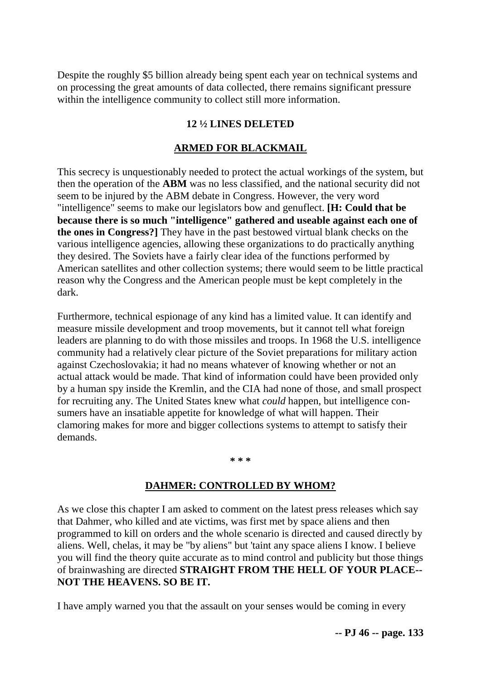Despite the roughly \$5 billion already being spent each year on technical systems and on processing the great amounts of data collected, there remains significant pressure within the intelligence community to collect still more information.

## **12 ½ LINES DELETED**

## **ARMED FOR BLACKMAIL**

This secrecy is unquestionably needed to protect the actual workings of the system, but then the operation of the **ABM** was no less classified, and the national security did not seem to be injured by the ABM debate in Congress. However, the very word "intelligence" seems to make our legislators bow and genuflect. **[H: Could that be because there is so much "intelligence" gathered and useable against each one of the ones in Congress?]** They have in the past bestowed virtual blank checks on the various intelligence agencies, allowing these organizations to do practically anything they desired. The Soviets have a fairly clear idea of the functions performed by American satellites and other collection systems; there would seem to be little practical reason why the Congress and the American people must be kept completely in the dark.

Furthermore, technical espionage of any kind has a limited value. It can identify and measure missile development and troop movements, but it cannot tell what foreign leaders are planning to do with those missiles and troops. In 1968 the U.S. intelligence community had a relatively clear picture of the Soviet preparations for military action against Czechoslovakia; it had no means whatever of knowing whether or not an actual attack would be made. That kind of information could have been provided only by a human spy inside the Kremlin, and the CIA had none of those, and small prospect for recruiting any. The United States knew what *could* happen, but intelligence consumers have an insatiable appetite for knowledge of what will happen. Their clamoring makes for more and bigger collections systems to attempt to satisfy their demands.

#### **\* \* \***

#### **DAHMER: CONTROLLED BY WHOM?**

As we close this chapter I am asked to comment on the latest press releases which say that Dahmer, who killed and ate victims, was first met by space aliens and then programmed to kill on orders and the whole scenario is directed and caused directly by aliens. Well, chelas, it may be "by aliens" but 'taint any space aliens I know. I believe you will find the theory quite accurate as to mind control and publicity but those things of brainwashing are directed **STRAIGHT FROM THE HELL OF YOUR PLACE-- NOT THE HEAVENS. SO BE IT.**

I have amply warned you that the assault on your senses would be coming in every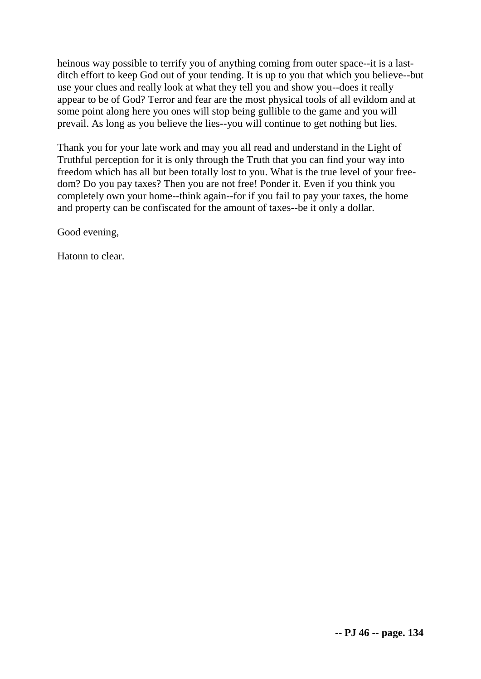heinous way possible to terrify you of anything coming from outer space--it is a lastditch effort to keep God out of your tending. It is up to you that which you believe--but use your clues and really look at what they tell you and show you--does it really appear to be of God? Terror and fear are the most physical tools of all evildom and at some point along here you ones will stop being gullible to the game and you will prevail. As long as you believe the lies--you will continue to get nothing but lies.

Thank you for your late work and may you all read and understand in the Light of Truthful perception for it is only through the Truth that you can find your way into freedom which has all but been totally lost to you. What is the true level of your freedom? Do you pay taxes? Then you are not free! Ponder it. Even if you think you completely own your home--think again--for if you fail to pay your taxes, the home and property can be confiscated for the amount of taxes--be it only a dollar.

Good evening,

Hatonn to clear.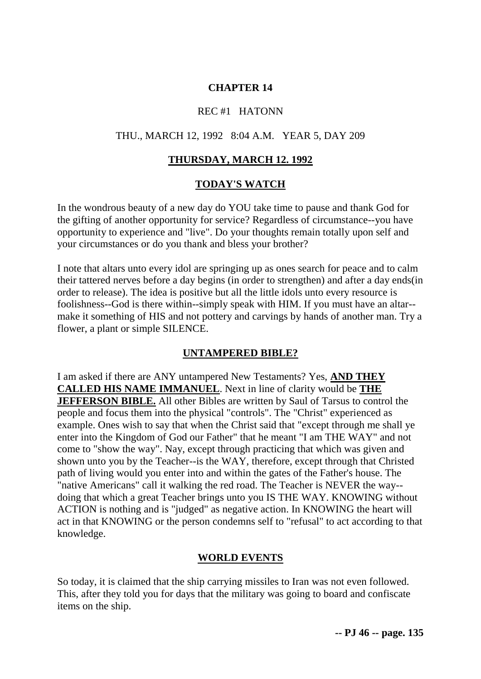#### **CHAPTER 14**

## REC #1 HATONN

#### THU., MARCH 12, 1992 8:04 A.M. YEAR 5, DAY 209

## **THURSDAY, MARCH 12. 1992**

#### **TODAY'S WATCH**

In the wondrous beauty of a new day do YOU take time to pause and thank God for the gifting of another opportunity for service? Regardless of circumstance--you have opportunity to experience and "live". Do your thoughts remain totally upon self and your circumstances or do you thank and bless your brother?

I note that altars unto every idol are springing up as ones search for peace and to calm their tattered nerves before a day begins (in order to strengthen) and after a day ends(in order to release). The idea is positive but all the little idols unto every resource is foolishness--God is there within--simply speak with HIM. If you must have an altar- make it something of HIS and not pottery and carvings by hands of another man. Try a flower, a plant or simple SILENCE.

#### **UNTAMPERED BIBLE?**

I am asked if there are ANY untampered New Testaments? Yes, **AND THEY CALLED HIS NAME IMMANUEL**. Next in line of clarity would be **THE JEFFERSON BIBLE.** All other Bibles are written by Saul of Tarsus to control the people and focus them into the physical "controls". The "Christ" experienced as example. Ones wish to say that when the Christ said that "except through me shall ye enter into the Kingdom of God our Father" that he meant "I am THE WAY" and not come to "show the way". Nay, except through practicing that which was given and shown unto you by the Teacher--is the WAY, therefore, except through that Christed path of living would you enter into and within the gates of the Father's house. The "native Americans" call it walking the red road. The Teacher is NEVER the way- doing that which a great Teacher brings unto you IS THE WAY. KNOWING without ACTION is nothing and is "judged" as negative action. In KNOWING the heart will act in that KNOWING or the person condemns self to "refusal" to act according to that knowledge.

#### **WORLD EVENTS**

So today, it is claimed that the ship carrying missiles to Iran was not even followed. This, after they told you for days that the military was going to board and confiscate items on the ship.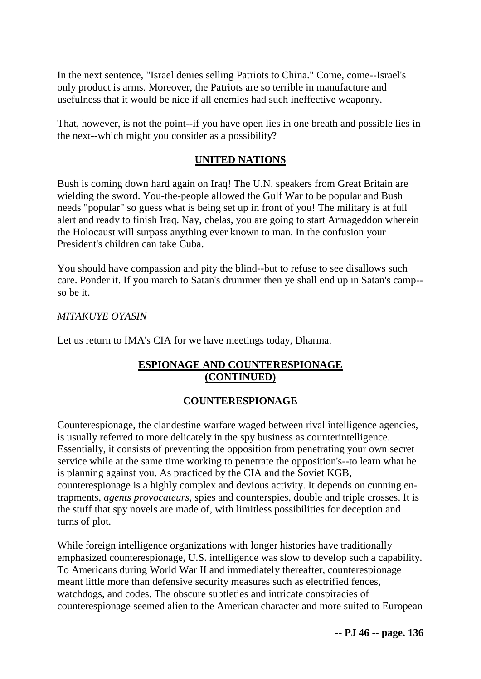In the next sentence, "Israel denies selling Patriots to China." Come, come--Israel's only product is arms. Moreover, the Patriots are so terrible in manufacture and usefulness that it would be nice if all enemies had such ineffective weaponry.

That, however, is not the point--if you have open lies in one breath and possible lies in the next--which might you consider as a possibility?

# **UNITED NATIONS**

Bush is coming down hard again on Iraq! The U.N. speakers from Great Britain are wielding the sword. You-the-people allowed the Gulf War to be popular and Bush needs "popular" so guess what is being set up in front of you! The military is at full alert and ready to finish Iraq. Nay, chelas, you are going to start Armageddon wherein the Holocaust will surpass anything ever known to man. In the confusion your President's children can take Cuba.

You should have compassion and pity the blind--but to refuse to see disallows such care. Ponder it. If you march to Satan's drummer then ye shall end up in Satan's camp- so be it.

## *MITAKUYE OYASIN*

Let us return to IMA's CIA for we have meetings today, Dharma.

# **ESPIONAGE AND COUNTERESPIONAGE (CONTINUED)**

# **COUNTERESPIONAGE**

Counterespionage, the clandestine warfare waged between rival intelligence agencies, is usually referred to more delicately in the spy business as counterintelligence. Essentially, it consists of preventing the opposition from penetrating your own secret service while at the same time working to penetrate the opposition's--to learn what he is planning against you. As practiced by the CIA and the Soviet KGB, counterespionage is a highly complex and devious activity. It depends on cunning entrapments, *agents provocateurs*, spies and counterspies, double and triple crosses. It is the stuff that spy novels are made of, with limitless possibilities for deception and turns of plot.

While foreign intelligence organizations with longer histories have traditionally emphasized counterespionage, U.S. intelligence was slow to develop such a capability. To Americans during World War II and immediately thereafter, counterespionage meant little more than defensive security measures such as electrified fences, watchdogs, and codes. The obscure subtleties and intricate conspiracies of counterespionage seemed alien to the American character and more suited to European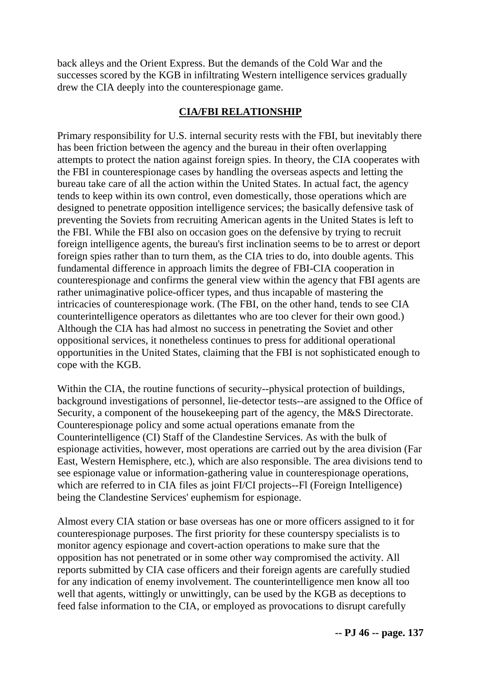back alleys and the Orient Express. But the demands of the Cold War and the successes scored by the KGB in infiltrating Western intelligence services gradually drew the CIA deeply into the counterespionage game.

# **CIA/FBI RELATIONSHIP**

Primary responsibility for U.S. internal security rests with the FBI, but inevitably there has been friction between the agency and the bureau in their often overlapping attempts to protect the nation against foreign spies. In theory, the CIA cooperates with the FBI in counterespionage cases by handling the overseas aspects and letting the bureau take care of all the action within the United States. In actual fact, the agency tends to keep within its own control, even domestically, those operations which are designed to penetrate opposition intelligence services; the basically defensive task of preventing the Soviets from recruiting American agents in the United States is left to the FBI. While the FBI also on occasion goes on the defensive by trying to recruit foreign intelligence agents, the bureau's first inclination seems to be to arrest or deport foreign spies rather than to turn them, as the CIA tries to do, into double agents. This fundamental difference in approach limits the degree of FBI-CIA cooperation in counterespionage and confirms the general view within the agency that FBI agents are rather unimaginative police-officer types, and thus incapable of mastering the intricacies of counterespionage work. (The FBI, on the other hand, tends to see CIA counterintelligence operators as dilettantes who are too clever for their own good.) Although the CIA has had almost no success in penetrating the Soviet and other oppositional services, it nonetheless continues to press for additional operational opportunities in the United States, claiming that the FBI is not sophisticated enough to cope with the KGB.

Within the CIA, the routine functions of security--physical protection of buildings, background investigations of personnel, lie-detector tests--are assigned to the Office of Security, a component of the housekeeping part of the agency, the M&S Directorate. Counterespionage policy and some actual operations emanate from the Counterintelligence (CI) Staff of the Clandestine Services. As with the bulk of espionage activities, however, most operations are carried out by the area division (Far East, Western Hemisphere, etc.), which are also responsible. The area divisions tend to see espionage value or information-gathering value in counterespionage operations, which are referred to in CIA files as joint FI/CI projects--Fl (Foreign Intelligence) being the Clandestine Services' euphemism for espionage.

Almost every CIA station or base overseas has one or more officers assigned to it for counterespionage purposes. The first priority for these counterspy specialists is to monitor agency espionage and covert-action operations to make sure that the opposition has not penetrated or in some other way compromised the activity. All reports submitted by CIA case officers and their foreign agents are carefully studied for any indication of enemy involvement. The counterintelligence men know all too well that agents, wittingly or unwittingly, can be used by the KGB as deceptions to feed false information to the CIA, or employed as provocations to disrupt carefully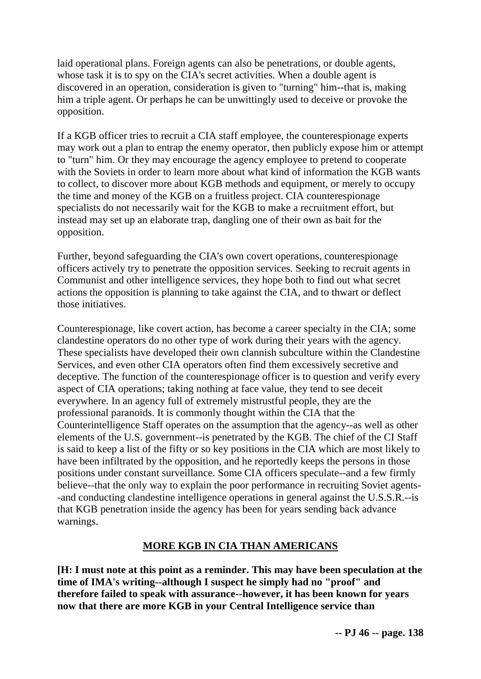laid operational plans. Foreign agents can also be penetrations, or double agents, whose task it is to spy on the CIA's secret activities. When a double agent is discovered in an operation, consideration is given to "turning" him--that is, making him a triple agent. Or perhaps he can be unwittingly used to deceive or provoke the opposition.

If a KGB officer tries to recruit a CIA staff employee, the counterespionage experts may work out a plan to entrap the enemy operator, then publicly expose him or attempt to "turn" him. Or they may encourage the agency employee to pretend to cooperate with the Soviets in order to learn more about what kind of information the KGB wants to collect, to discover more about KGB methods and equipment, or merely to occupy the time and money of the KGB on a fruitless project. CIA counterespionage specialists do not necessarily wait for the KGB to make a recruitment effort, but instead may set up an elaborate trap, dangling one of their own as bait for the opposition.

Further, beyond safeguarding the CIA's own covert operations, counterespionage officers actively try to penetrate the opposition services. Seeking to recruit agents in Communist and other intelligence services, they hope both to find out what secret actions the opposition is planning to take against the CIA, and to thwart or deflect those initiatives.

Counterespionage, like covert action, has become a career specialty in the CIA; some clandestine operators do no other type of work during their years with the agency. These specialists have developed their own clannish subculture within the Clandestine Services, and even other CIA operators often find them excessively secretive and deceptive. The function of the counterespionage officer is to question and verify every aspect of CIA operations; taking nothing at face value, they tend to see deceit everywhere. In an agency full of extremely mistrustful people, they are the professional paranoids. It is commonly thought within the CIA that the Counterintelligence Staff operates on the assumption that the agency--as well as other elements of the U.S. government--is penetrated by the KGB. The chief of the CI Staff is said to keep a list of the fifty or so key positions in the CIA which are most likely to have been infiltrated by the opposition, and he reportedly keeps the persons in those positions under constant surveillance. Some CIA officers speculate--and a few firmly believe--that the only way to explain the poor performance in recruiting Soviet agents- -and conducting clandestine intelligence operations in general against the U.S.S.R.--is that KGB penetration inside the agency has been for years sending back advance warnings.

# **MORE KGB IN CIA THAN AMERICANS**

**[H: I must note at this point as a reminder. This may have been speculation at the time of IMA's writing--although I suspect he simply had no "proof" and therefore failed to speak with assurance--however, it has been known for years now that there are more KGB in your Central Intelligence service than**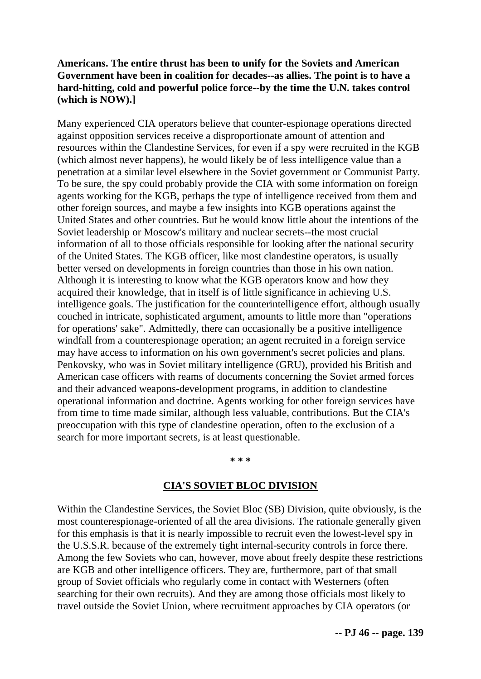## **Americans. The entire thrust has been to unify for the Soviets and American Government have been in coalition for decades--as allies. The point is to have a hard-hitting, cold and powerful police force--by the time the U.N. takes control (which is NOW).]**

Many experienced CIA operators believe that counter-espionage operations directed against opposition services receive a disproportionate amount of attention and resources within the Clandestine Services, for even if a spy were recruited in the KGB (which almost never happens), he would likely be of less intelligence value than a penetration at a similar level elsewhere in the Soviet government or Communist Party. To be sure, the spy could probably provide the CIA with some information on foreign agents working for the KGB, perhaps the type of intelligence received from them and other foreign sources, and maybe a few insights into KGB operations against the United States and other countries. But he would know little about the intentions of the Soviet leadership or Moscow's military and nuclear secrets--the most crucial information of all to those officials responsible for looking after the national security of the United States. The KGB officer, like most clandestine operators, is usually better versed on developments in foreign countries than those in his own nation. Although it is interesting to know what the KGB operators know and how they acquired their knowledge, that in itself is of little significance in achieving U.S. intelligence goals. The justification for the counterintelligence effort, although usually couched in intricate, sophisticated argument, amounts to little more than "operations for operations' sake". Admittedly, there can occasionally be a positive intelligence windfall from a counterespionage operation; an agent recruited in a foreign service may have access to information on his own government's secret policies and plans. Penkovsky, who was in Soviet military intelligence (GRU), provided his British and American case officers with reams of documents concerning the Soviet armed forces and their advanced weapons-development programs, in addition to clandestine operational information and doctrine. Agents working for other foreign services have from time to time made similar, although less valuable, contributions. But the CIA's preoccupation with this type of clandestine operation, often to the exclusion of a search for more important secrets, is at least questionable.

#### **\* \* \***

#### **CIA'S SOVIET BLOC DIVISION**

Within the Clandestine Services, the Soviet Bloc (SB) Division, quite obviously, is the most counterespionage-oriented of all the area divisions. The rationale generally given for this emphasis is that it is nearly impossible to recruit even the lowest-level spy in the U.S.S.R. because of the extremely tight internal-security controls in force there. Among the few Soviets who can, however, move about freely despite these restrictions are KGB and other intelligence officers. They are, furthermore, part of that small group of Soviet officials who regularly come in contact with Westerners (often searching for their own recruits). And they are among those officials most likely to travel outside the Soviet Union, where recruitment approaches by CIA operators (or

**-- PJ 46 -- page. 139**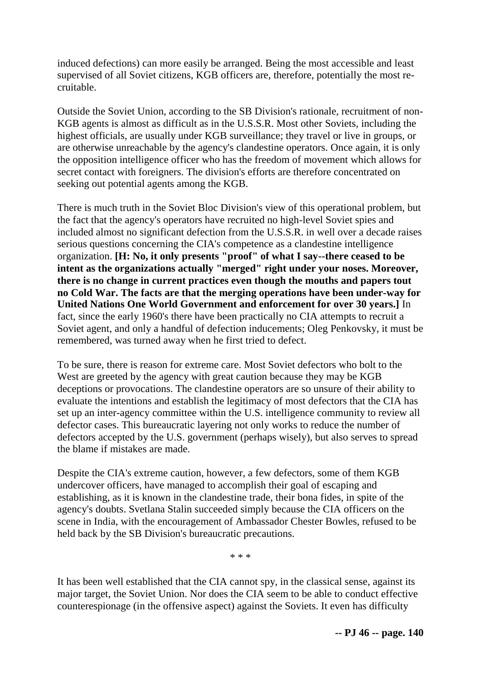induced defections) can more easily be arranged. Being the most accessible and least supervised of all Soviet citizens, KGB officers are, therefore, potentially the most recruitable.

Outside the Soviet Union, according to the SB Division's rationale, recruitment of non-KGB agents is almost as difficult as in the U.S.S.R. Most other Soviets, including the highest officials, are usually under KGB surveillance; they travel or live in groups, or are otherwise unreachable by the agency's clandestine operators. Once again, it is only the opposition intelligence officer who has the freedom of movement which allows for secret contact with foreigners. The division's efforts are therefore concentrated on seeking out potential agents among the KGB.

There is much truth in the Soviet Bloc Division's view of this operational problem, but the fact that the agency's operators have recruited no high-level Soviet spies and included almost no significant defection from the U.S.S.R. in well over a decade raises serious questions concerning the CIA's competence as a clandestine intelligence organization. **[H: No, it only presents "proof" of what I say--there ceased to be intent as the organizations actually "merged" right under your noses. Moreover, there is no change in current practices even though the mouths and papers tout no Cold War. The facts are that the merging operations have been under-way for United Nations One World Government and enforcement for over 30 years.]** In fact, since the early 1960's there have been practically no CIA attempts to recruit a Soviet agent, and only a handful of defection inducements; Oleg Penkovsky, it must be remembered, was turned away when he first tried to defect.

To be sure, there is reason for extreme care. Most Soviet defectors who bolt to the West are greeted by the agency with great caution because they may be KGB deceptions or provocations. The clandestine operators are so unsure of their ability to evaluate the intentions and establish the legitimacy of most defectors that the CIA has set up an inter-agency committee within the U.S. intelligence community to review all defector cases. This bureaucratic layering not only works to reduce the number of defectors accepted by the U.S. government (perhaps wisely), but also serves to spread the blame if mistakes are made.

Despite the CIA's extreme caution, however, a few defectors, some of them KGB undercover officers, have managed to accomplish their goal of escaping and establishing, as it is known in the clandestine trade, their bona fides, in spite of the agency's doubts. Svetlana Stalin succeeded simply because the CIA officers on the scene in India, with the encouragement of Ambassador Chester Bowles, refused to be held back by the SB Division's bureaucratic precautions.

\* \* \*

It has been well established that the CIA cannot spy, in the classical sense, against its major target, the Soviet Union. Nor does the CIA seem to be able to conduct effective counterespionage (in the offensive aspect) against the Soviets. It even has difficulty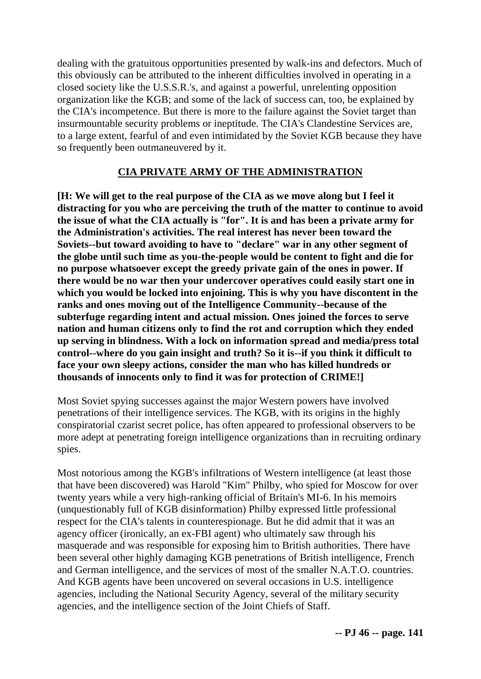dealing with the gratuitous opportunities presented by walk-ins and defectors. Much of this obviously can be attributed to the inherent difficulties involved in operating in a closed society like the U.S.S.R.'s, and against a powerful, unrelenting opposition organization like the KGB; and some of the lack of success can, too, be explained by the CIA's incompetence. But there is more to the failure against the Soviet target than insurmountable security problems or ineptitude. The CIA's Clandestine Services are, to a large extent, fearful of and even intimidated by the Soviet KGB because they have so frequently been outmaneuvered by it.

# **CIA PRIVATE ARMY OF THE ADMINISTRATION**

**[H: We will get to the real purpose of the CIA as we move along but I feel it distracting for you who are perceiving the truth of the matter to continue to avoid the issue of what the CIA actually is "for". It is and has been a private army for the Administration's activities. The real interest has never been toward the Soviets--but toward avoiding to have to "declare" war in any other segment of the globe until such time as you-the-people would be content to fight and die for no purpose whatsoever except the greedy private gain of the ones in power. If there would be no war then your undercover operatives could easily start one in which you would be locked into enjoining. This is why you have discontent in the ranks and ones moving out of the Intelligence Community--because of the subterfuge regarding intent and actual mission. Ones joined the forces to serve nation and human citizens only to find the rot and corruption which they ended up serving in blindness. With a lock on information spread and media/press total control--where do you gain insight and truth? So it is--if you think it difficult to face your own sleepy actions, consider the man who has killed hundreds or thousands of innocents only to find it was for protection of CRIME!]**

Most Soviet spying successes against the major Western powers have involved penetrations of their intelligence services. The KGB, with its origins in the highly conspiratorial czarist secret police, has often appeared to professional observers to be more adept at penetrating foreign intelligence organizations than in recruiting ordinary spies.

Most notorious among the KGB's infiltrations of Western intelligence (at least those that have been discovered) was Harold "Kim" Philby, who spied for Moscow for over twenty years while a very high-ranking official of Britain's MI-6. In his memoirs (unquestionably full of KGB disinformation) Philby expressed little professional respect for the CIA's talents in counterespionage. But he did admit that it was an agency officer (ironically, an ex-FBI agent) who ultimately saw through his masquerade and was responsible for exposing him to British authorities. There have been several other highly damaging KGB penetrations of British intelligence, French and German intelligence, and the services of most of the smaller N.A.T.O. countries. And KGB agents have been uncovered on several occasions in U.S. intelligence agencies, including the National Security Agency, several of the military security agencies, and the intelligence section of the Joint Chiefs of Staff.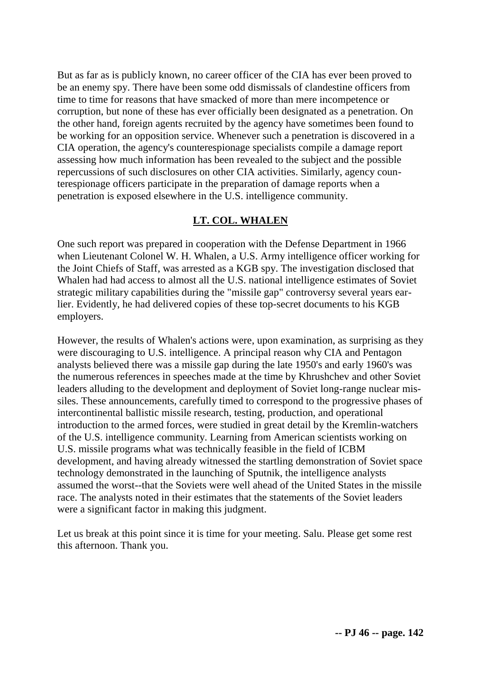But as far as is publicly known, no career officer of the CIA has ever been proved to be an enemy spy. There have been some odd dismissals of clandestine officers from time to time for reasons that have smacked of more than mere incompetence or corruption, but none of these has ever officially been designated as a penetration. On the other hand, foreign agents recruited by the agency have sometimes been found to be working for an opposition service. Whenever such a penetration is discovered in a CIA operation, the agency's counterespionage specialists compile a damage report assessing how much information has been revealed to the subject and the possible repercussions of such disclosures on other CIA activities. Similarly, agency counterespionage officers participate in the preparation of damage reports when a penetration is exposed elsewhere in the U.S. intelligence community.

# **LT. COL. WHALEN**

One such report was prepared in cooperation with the Defense Department in 1966 when Lieutenant Colonel W. H. Whalen, a U.S. Army intelligence officer working for the Joint Chiefs of Staff, was arrested as a KGB spy. The investigation disclosed that Whalen had had access to almost all the U.S. national intelligence estimates of Soviet strategic military capabilities during the "missile gap" controversy several years earlier. Evidently, he had delivered copies of these top-secret documents to his KGB employers.

However, the results of Whalen's actions were, upon examination, as surprising as they were discouraging to U.S. intelligence. A principal reason why CIA and Pentagon analysts believed there was a missile gap during the late 1950's and early 1960's was the numerous references in speeches made at the time by Khrushchev and other Soviet leaders alluding to the development and deployment of Soviet long-range nuclear missiles. These announcements, carefully timed to correspond to the progressive phases of intercontinental ballistic missile research, testing, production, and operational introduction to the armed forces, were studied in great detail by the Kremlin-watchers of the U.S. intelligence community. Learning from American scientists working on U.S. missile programs what was technically feasible in the field of ICBM development, and having already witnessed the startling demonstration of Soviet space technology demonstrated in the launching of Sputnik, the intelligence analysts assumed the worst--that the Soviets were well ahead of the United States in the missile race. The analysts noted in their estimates that the statements of the Soviet leaders were a significant factor in making this judgment.

Let us break at this point since it is time for your meeting. Salu. Please get some rest this afternoon. Thank you.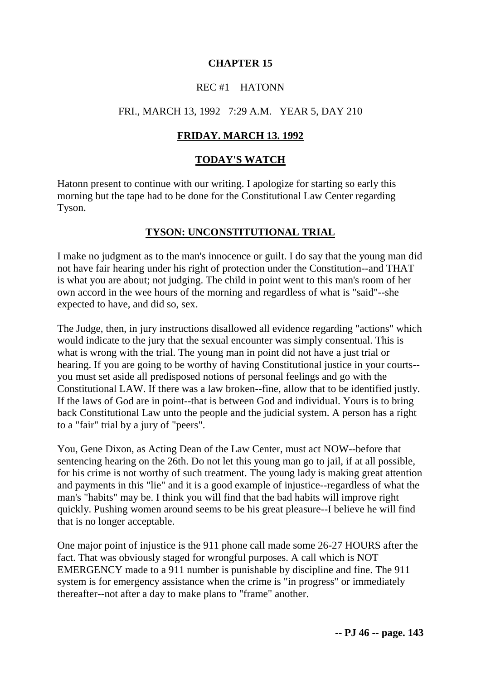#### **CHAPTER 15**

#### REC #1 HATONN

#### FRI., MARCH 13, 1992 7:29 A.M. YEAR 5, DAY 210

# **FRIDAY. MARCH 13. 1992**

## **TODAY'S WATCH**

Hatonn present to continue with our writing. I apologize for starting so early this morning but the tape had to be done for the Constitutional Law Center regarding Tyson.

# **TYSON: UNCONSTITUTIONAL TRIAL**

I make no judgment as to the man's innocence or guilt. I do say that the young man did not have fair hearing under his right of protection under the Constitution--and THAT is what you are about; not judging. The child in point went to this man's room of her own accord in the wee hours of the morning and regardless of what is "said"--she expected to have, and did so, sex.

The Judge, then, in jury instructions disallowed all evidence regarding "actions" which would indicate to the jury that the sexual encounter was simply consentual. This is what is wrong with the trial. The young man in point did not have a just trial or hearing. If you are going to be worthy of having Constitutional justice in your courts- you must set aside all predisposed notions of personal feelings and go with the Constitutional LAW. If there was a law broken--fine, allow that to be identified justly. If the laws of God are in point--that is between God and individual. Yours is to bring back Constitutional Law unto the people and the judicial system. A person has a right to a "fair" trial by a jury of "peers".

You, Gene Dixon, as Acting Dean of the Law Center, must act NOW--before that sentencing hearing on the 26th. Do not let this young man go to jail, if at all possible, for his crime is not worthy of such treatment. The young lady is making great attention and payments in this "lie" and it is a good example of injustice--regardless of what the man's "habits" may be. I think you will find that the bad habits will improve right quickly. Pushing women around seems to be his great pleasure--I believe he will find that is no longer acceptable.

One major point of injustice is the 911 phone call made some 26-27 HOURS after the fact. That was obviously staged for wrongful purposes. A call which is NOT EMERGENCY made to a 911 number is punishable by discipline and fine. The 911 system is for emergency assistance when the crime is "in progress" or immediately thereafter--not after a day to make plans to "frame" another.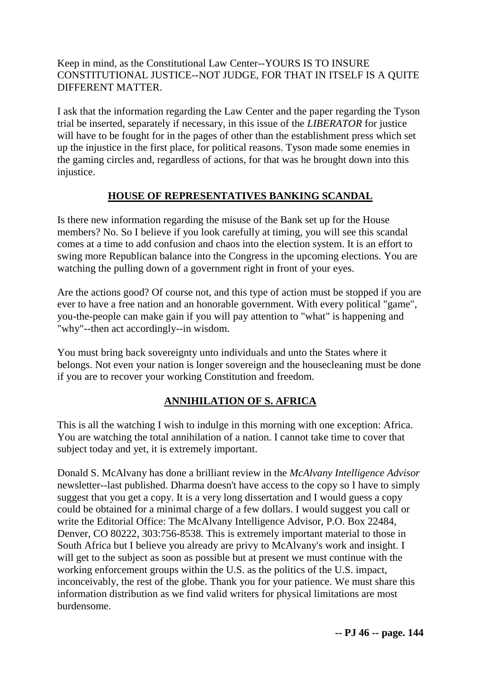Keep in mind, as the Constitutional Law Center--YOURS IS TO INSURE CONSTITUTIONAL JUSTICE--NOT JUDGE, FOR THAT IN ITSELF IS A QUITE DIFFERENT MATTER.

I ask that the information regarding the Law Center and the paper regarding the Tyson trial be inserted, separately if necessary, in this issue of the *LIBERATOR* for justice will have to be fought for in the pages of other than the establishment press which set up the injustice in the first place, for political reasons. Tyson made some enemies in the gaming circles and, regardless of actions, for that was he brought down into this injustice.

# **HOUSE OF REPRESENTATIVES BANKING SCANDAL**

Is there new information regarding the misuse of the Bank set up for the House members? No. So I believe if you look carefully at timing, you will see this scandal comes at a time to add confusion and chaos into the election system. It is an effort to swing more Republican balance into the Congress in the upcoming elections. You are watching the pulling down of a government right in front of your eyes.

Are the actions good? Of course not, and this type of action must be stopped if you are ever to have a free nation and an honorable government. With every political "game", you-the-people can make gain if you will pay attention to "what" is happening and "why"--then act accordingly--in wisdom.

You must bring back sovereignty unto individuals and unto the States where it belongs. Not even your nation is longer sovereign and the housecleaning must be done if you are to recover your working Constitution and freedom.

# **ANNIHILATION OF S. AFRICA**

This is all the watching I wish to indulge in this morning with one exception: Africa. You are watching the total annihilation of a nation. I cannot take time to cover that subject today and yet, it is extremely important.

Donald S. McAlvany has done a brilliant review in the *McAlvany Intelligence Advisor* newsletter--last published. Dharma doesn't have access to the copy so I have to simply suggest that you get a copy. It is a very long dissertation and I would guess a copy could be obtained for a minimal charge of a few dollars. I would suggest you call or write the Editorial Office: The McAlvany Intelligence Advisor, P.O. Box 22484, Denver, CO 80222, 303:756-8538. This is extremely important material to those in South Africa but I believe you already are privy to McAlvany's work and insight. I will get to the subject as soon as possible but at present we must continue with the working enforcement groups within the U.S. as the politics of the U.S. impact, inconceivably, the rest of the globe. Thank you for your patience. We must share this information distribution as we find valid writers for physical limitations are most burdensome.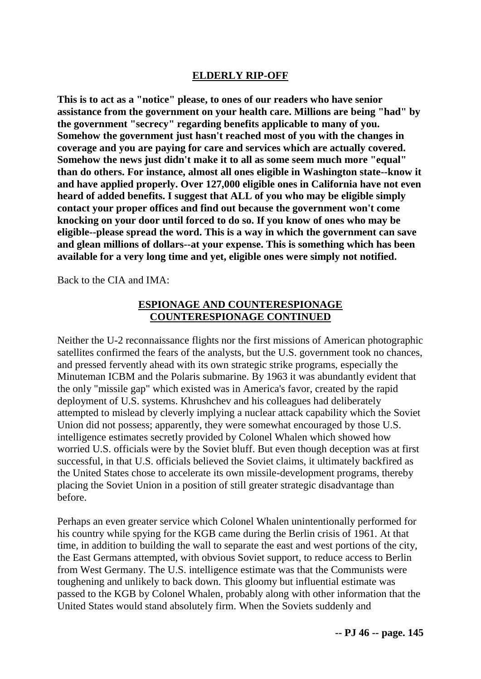## **ELDERLY RIP-OFF**

**This is to act as a "notice" please, to ones of our readers who have senior assistance from the government on your health care. Millions are being "had" by the government "secrecy" regarding benefits applicable to many of you. Somehow the government just hasn't reached most of you with the changes in coverage and you are paying for care and services which are actually covered. Somehow the news just didn't make it to all as some seem much more "equal" than do others. For instance, almost all ones eligible in Washington state--know it and have applied properly. Over 127,000 eligible ones in California have not even heard of added benefits. I suggest that ALL of you who may be eligible simply contact your proper offices and find out because the government won't come knocking on your door until forced to do so. If you know of ones who may be eligible--please spread the word. This is a way in which the government can save and glean millions of dollars--at your expense. This is something which has been available for a very long time and yet, eligible ones were simply not notified.**

Back to the CIA and IMA:

### **ESPIONAGE AND COUNTERESPIONAGE COUNTERESPIONAGE CONTINUED**

Neither the U-2 reconnaissance flights nor the first missions of American photographic satellites confirmed the fears of the analysts, but the U.S. government took no chances, and pressed fervently ahead with its own strategic strike programs, especially the Minuteman ICBM and the Polaris submarine. By 1963 it was abundantly evident that the only "missile gap" which existed was in America's favor, created by the rapid deployment of U.S. systems. Khrushchev and his colleagues had deliberately attempted to mislead by cleverly implying a nuclear attack capability which the Soviet Union did not possess; apparently, they were somewhat encouraged by those U.S. intelligence estimates secretly provided by Colonel Whalen which showed how worried U.S. officials were by the Soviet bluff. But even though deception was at first successful, in that U.S. officials believed the Soviet claims, it ultimately backfired as the United States chose to accelerate its own missile-development programs, thereby placing the Soviet Union in a position of still greater strategic disadvantage than before.

Perhaps an even greater service which Colonel Whalen unintentionally performed for his country while spying for the KGB came during the Berlin crisis of 1961. At that time, in addition to building the wall to separate the east and west portions of the city, the East Germans attempted, with obvious Soviet support, to reduce access to Berlin from West Germany. The U.S. intelligence estimate was that the Communists were toughening and unlikely to back down. This gloomy but influential estimate was passed to the KGB by Colonel Whalen, probably along with other information that the United States would stand absolutely firm. When the Soviets suddenly and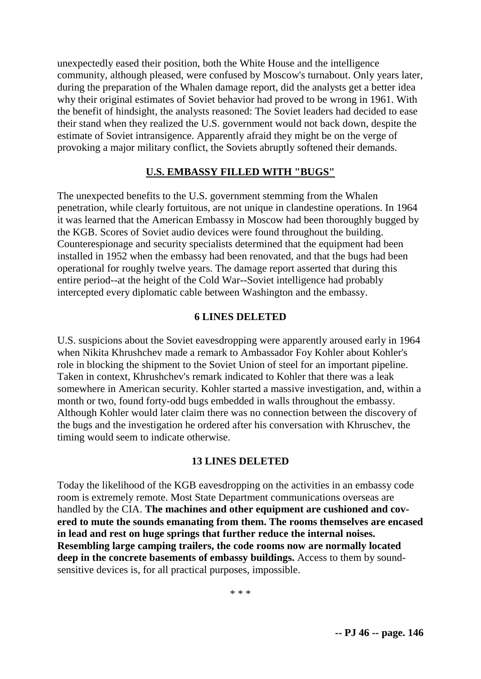unexpectedly eased their position, both the White House and the intelligence community, although pleased, were confused by Moscow's turnabout. Only years later, during the preparation of the Whalen damage report, did the analysts get a better idea why their original estimates of Soviet behavior had proved to be wrong in 1961. With the benefit of hindsight, the analysts reasoned: The Soviet leaders had decided to ease their stand when they realized the U.S. government would not back down, despite the estimate of Soviet intransigence. Apparently afraid they might be on the verge of provoking a major military conflict, the Soviets abruptly softened their demands.

### **U.S. EMBASSY FILLED WITH "BUGS"**

The unexpected benefits to the U.S. government stemming from the Whalen penetration, while clearly fortuitous, are not unique in clandestine operations. In 1964 it was learned that the American Embassy in Moscow had been thoroughly bugged by the KGB. Scores of Soviet audio devices were found throughout the building. Counterespionage and security specialists determined that the equipment had been installed in 1952 when the embassy had been renovated, and that the bugs had been operational for roughly twelve years. The damage report asserted that during this entire period--at the height of the Cold War--Soviet intelligence had probably intercepted every diplomatic cable between Washington and the embassy.

## **6 LINES DELETED**

U.S. suspicions about the Soviet eavesdropping were apparently aroused early in 1964 when Nikita Khrushchev made a remark to Ambassador Foy Kohler about Kohler's role in blocking the shipment to the Soviet Union of steel for an important pipeline. Taken in context, Khrushchev's remark indicated to Kohler that there was a leak somewhere in American security. Kohler started a massive investigation, and, within a month or two, found forty-odd bugs embedded in walls throughout the embassy. Although Kohler would later claim there was no connection between the discovery of the bugs and the investigation he ordered after his conversation with Khruschev, the timing would seem to indicate otherwise.

### **13 LINES DELETED**

Today the likelihood of the KGB eavesdropping on the activities in an embassy code room is extremely remote. Most State Department communications overseas are handled by the CIA. **The machines and other equipment are cushioned and covered to mute the sounds emanating from them. The rooms themselves are encased in lead and rest on huge springs that further reduce the internal noises. Resembling large camping trailers, the code rooms now are normally located deep in the concrete basements of embassy buildings.** Access to them by soundsensitive devices is, for all practical purposes, impossible.

\* \* \*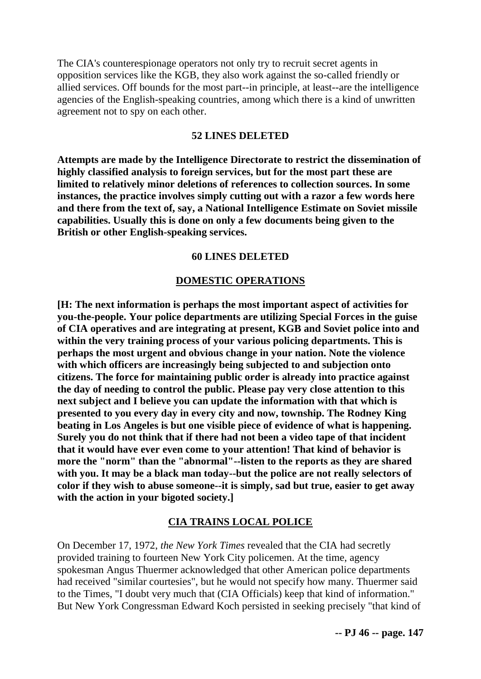The CIA's counterespionage operators not only try to recruit secret agents in opposition services like the KGB, they also work against the so-called friendly or allied services. Off bounds for the most part--in principle, at least--are the intelligence agencies of the English-speaking countries, among which there is a kind of unwritten agreement not to spy on each other.

#### **52 LINES DELETED**

**Attempts are made by the Intelligence Directorate to restrict the dissemination of highly classified analysis to foreign services, but for the most part these are limited to relatively minor deletions of references to collection sources. In some instances, the practice involves simply cutting out with a razor a few words here and there from the text of, say, a National Intelligence Estimate on Soviet missile capabilities. Usually this is done on only a few documents being given to the British or other English-speaking services.**

#### **60 LINES DELETED**

#### **DOMESTIC OPERATIONS**

**[H: The next information is perhaps the most important aspect of activities for you-the-people. Your police departments are utilizing Special Forces in the guise of CIA operatives and are integrating at present, KGB and Soviet police into and within the very training process of your various policing departments. This is perhaps the most urgent and obvious change in your nation. Note the violence with which officers are increasingly being subjected to and subjection onto citizens. The force for maintaining public order is already into practice against the day of needing to control the public. Please pay very close attention to this next subject and I believe you can update the information with that which is presented to you every day in every city and now, township. The Rodney King beating in Los Angeles is but one visible piece of evidence of what is happening. Surely you do not think that if there had not been a video tape of that incident that it would have ever even come to your attention! That kind of behavior is more the "norm" than the "abnormal"--listen to the reports as they are shared with you. It may be a black man today--but the police are not really selectors of color if they wish to abuse someone--it is simply, sad but true, easier to get away with the action in your bigoted society.]**

#### **CIA TRAINS LOCAL POLICE**

On December 17, 1972, *the New York Times* revealed that the CIA had secretly provided training to fourteen New York City policemen. At the time, agency spokesman Angus Thuermer acknowledged that other American police departments had received "similar courtesies", but he would not specify how many. Thuermer said to the Times, "I doubt very much that (CIA Officials) keep that kind of information." But New York Congressman Edward Koch persisted in seeking precisely "that kind of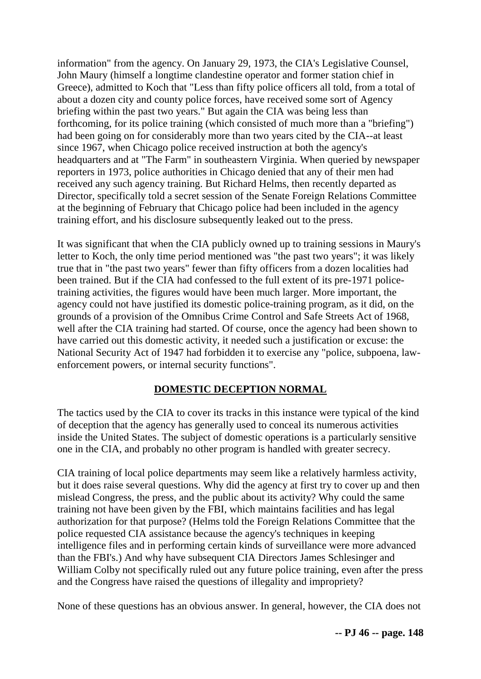information" from the agency. On January 29, 1973, the CIA's Legislative Counsel, John Maury (himself a longtime clandestine operator and former station chief in Greece), admitted to Koch that "Less than fifty police officers all told, from a total of about a dozen city and county police forces, have received some sort of Agency briefing within the past two years." But again the CIA was being less than forthcoming, for its police training (which consisted of much more than a "briefing") had been going on for considerably more than two years cited by the CIA--at least since 1967, when Chicago police received instruction at both the agency's headquarters and at "The Farm" in southeastern Virginia. When queried by newspaper reporters in 1973, police authorities in Chicago denied that any of their men had received any such agency training. But Richard Helms, then recently departed as Director, specifically told a secret session of the Senate Foreign Relations Committee at the beginning of February that Chicago police had been included in the agency training effort, and his disclosure subsequently leaked out to the press.

It was significant that when the CIA publicly owned up to training sessions in Maury's letter to Koch, the only time period mentioned was "the past two years"; it was likely true that in "the past two years" fewer than fifty officers from a dozen localities had been trained. But if the CIA had confessed to the full extent of its pre-1971 policetraining activities, the figures would have been much larger. More important, the agency could not have justified its domestic police-training program, as it did, on the grounds of a provision of the Omnibus Crime Control and Safe Streets Act of 1968, well after the CIA training had started. Of course, once the agency had been shown to have carried out this domestic activity, it needed such a justification or excuse: the National Security Act of 1947 had forbidden it to exercise any "police, subpoena, lawenforcement powers, or internal security functions".

# **DOMESTIC DECEPTION NORMAL**

The tactics used by the CIA to cover its tracks in this instance were typical of the kind of deception that the agency has generally used to conceal its numerous activities inside the United States. The subject of domestic operations is a particularly sensitive one in the CIA, and probably no other program is handled with greater secrecy.

CIA training of local police departments may seem like a relatively harmless activity, but it does raise several questions. Why did the agency at first try to cover up and then mislead Congress, the press, and the public about its activity? Why could the same training not have been given by the FBI, which maintains facilities and has legal authorization for that purpose? (Helms told the Foreign Relations Committee that the police requested CIA assistance because the agency's techniques in keeping intelligence files and in performing certain kinds of surveillance were more advanced than the FBI's.) And why have subsequent CIA Directors James Schlesinger and William Colby not specifically ruled out any future police training, even after the press and the Congress have raised the questions of illegality and impropriety?

None of these questions has an obvious answer. In general, however, the CIA does not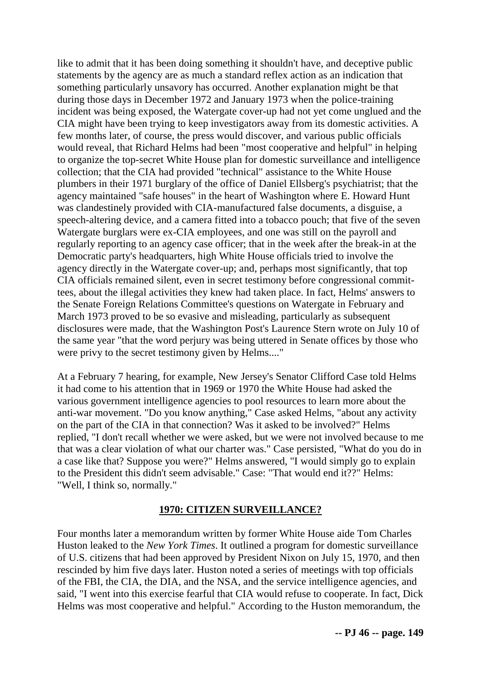like to admit that it has been doing something it shouldn't have, and deceptive public statements by the agency are as much a standard reflex action as an indication that something particularly unsavory has occurred. Another explanation might be that during those days in December 1972 and January 1973 when the police-training incident was being exposed, the Watergate cover-up had not yet come unglued and the CIA might have been trying to keep investigators away from its domestic activities. A few months later, of course, the press would discover, and various public officials would reveal, that Richard Helms had been "most cooperative and helpful" in helping to organize the top-secret White House plan for domestic surveillance and intelligence collection; that the CIA had provided "technical" assistance to the White House plumbers in their 1971 burglary of the office of Daniel Ellsberg's psychiatrist; that the agency maintained "safe houses" in the heart of Washington where E. Howard Hunt was clandestinely provided with CIA-manufactured false documents, a disguise, a speech-altering device, and a camera fitted into a tobacco pouch; that five of the seven Watergate burglars were ex-CIA employees, and one was still on the payroll and regularly reporting to an agency case officer; that in the week after the break-in at the Democratic party's headquarters, high White House officials tried to involve the agency directly in the Watergate cover-up; and, perhaps most significantly, that top CIA officials remained silent, even in secret testimony before congressional committees, about the illegal activities they knew had taken place. In fact, Helms' answers to the Senate Foreign Relations Committee's questions on Watergate in February and March 1973 proved to be so evasive and misleading, particularly as subsequent disclosures were made, that the Washington Post's Laurence Stern wrote on July 10 of the same year "that the word perjury was being uttered in Senate offices by those who were privy to the secret testimony given by Helms...."

At a February 7 hearing, for example, New Jersey's Senator Clifford Case told Helms it had come to his attention that in 1969 or 1970 the White House had asked the various government intelligence agencies to pool resources to learn more about the anti-war movement. "Do you know anything," Case asked Helms, "about any activity on the part of the CIA in that connection? Was it asked to be involved?" Helms replied, "I don't recall whether we were asked, but we were not involved because to me that was a clear violation of what our charter was." Case persisted, "What do you do in a case like that? Suppose you were?" Helms answered, "I would simply go to explain to the President this didn't seem advisable." Case: "That would end it??" Helms: "Well, I think so, normally."

### **1970: CITIZEN SURVEILLANCE?**

Four months later a memorandum written by former White House aide Tom Charles Huston leaked to the *New York Times*. It outlined a program for domestic surveillance of U.S. citizens that had been approved by President Nixon on July 15, 1970, and then rescinded by him five days later. Huston noted a series of meetings with top officials of the FBI, the CIA, the DIA, and the NSA, and the service intelligence agencies, and said, "I went into this exercise fearful that CIA would refuse to cooperate. In fact, Dick Helms was most cooperative and helpful." According to the Huston memorandum, the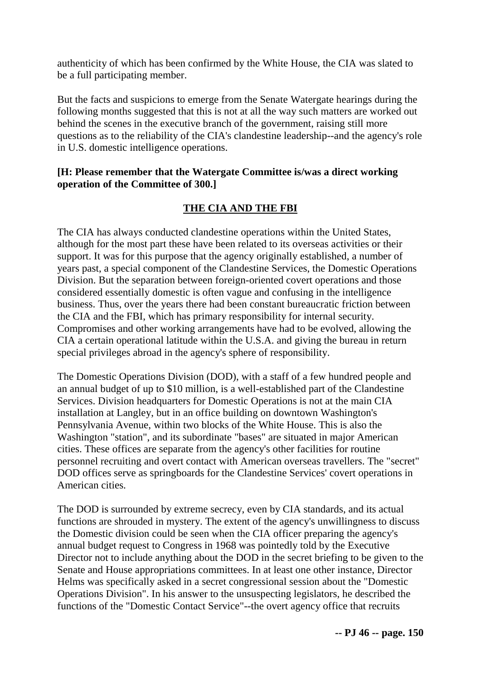authenticity of which has been confirmed by the White House, the CIA was slated to be a full participating member.

But the facts and suspicions to emerge from the Senate Watergate hearings during the following months suggested that this is not at all the way such matters are worked out behind the scenes in the executive branch of the government, raising still more questions as to the reliability of the CIA's clandestine leadership--and the agency's role in U.S. domestic intelligence operations.

# **[H: Please remember that the Watergate Committee is/was a direct working operation of the Committee of 300.]**

# **THE CIA AND THE FBI**

The CIA has always conducted clandestine operations within the United States, although for the most part these have been related to its overseas activities or their support. It was for this purpose that the agency originally established, a number of years past, a special component of the Clandestine Services, the Domestic Operations Division. But the separation between foreign-oriented covert operations and those considered essentially domestic is often vague and confusing in the intelligence business. Thus, over the years there had been constant bureaucratic friction between the CIA and the FBI, which has primary responsibility for internal security. Compromises and other working arrangements have had to be evolved, allowing the CIA a certain operational latitude within the U.S.A. and giving the bureau in return special privileges abroad in the agency's sphere of responsibility.

The Domestic Operations Division (DOD), with a staff of a few hundred people and an annual budget of up to \$10 million, is a well-established part of the Clandestine Services. Division headquarters for Domestic Operations is not at the main CIA installation at Langley, but in an office building on downtown Washington's Pennsylvania Avenue, within two blocks of the White House. This is also the Washington "station", and its subordinate "bases" are situated in major American cities. These offices are separate from the agency's other facilities for routine personnel recruiting and overt contact with American overseas travellers. The "secret" DOD offices serve as springboards for the Clandestine Services' covert operations in American cities.

The DOD is surrounded by extreme secrecy, even by CIA standards, and its actual functions are shrouded in mystery. The extent of the agency's unwillingness to discuss the Domestic division could be seen when the CIA officer preparing the agency's annual budget request to Congress in 1968 was pointedly told by the Executive Director not to include anything about the DOD in the secret briefing to be given to the Senate and House appropriations committees. In at least one other instance, Director Helms was specifically asked in a secret congressional session about the "Domestic Operations Division". In his answer to the unsuspecting legislators, he described the functions of the "Domestic Contact Service"--the overt agency office that recruits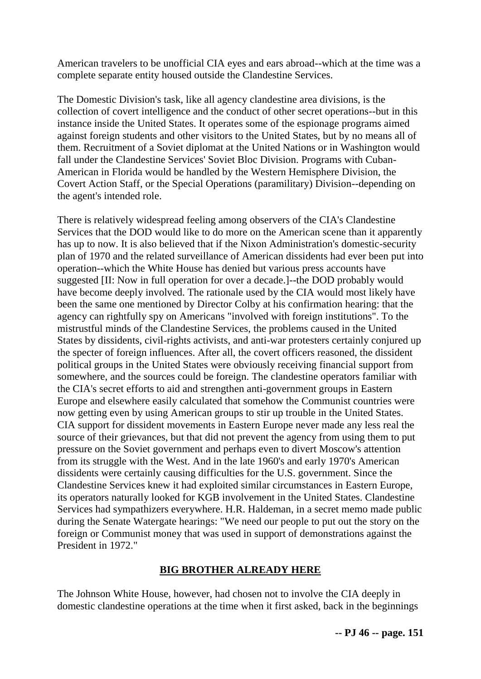American travelers to be unofficial CIA eyes and ears abroad--which at the time was a complete separate entity housed outside the Clandestine Services.

The Domestic Division's task, like all agency clandestine area divisions, is the collection of covert intelligence and the conduct of other secret operations--but in this instance inside the United States. It operates some of the espionage programs aimed against foreign students and other visitors to the United States, but by no means all of them. Recruitment of a Soviet diplomat at the United Nations or in Washington would fall under the Clandestine Services' Soviet Bloc Division. Programs with Cuban-American in Florida would be handled by the Western Hemisphere Division, the Covert Action Staff, or the Special Operations (paramilitary) Division--depending on the agent's intended role.

There is relatively widespread feeling among observers of the CIA's Clandestine Services that the DOD would like to do more on the American scene than it apparently has up to now. It is also believed that if the Nixon Administration's domestic-security plan of 1970 and the related surveillance of American dissidents had ever been put into operation--which the White House has denied but various press accounts have suggested [II: Now in full operation for over a decade.]--the DOD probably would have become deeply involved. The rationale used by the CIA would most likely have been the same one mentioned by Director Colby at his confirmation hearing: that the agency can rightfully spy on Americans "involved with foreign institutions". To the mistrustful minds of the Clandestine Services, the problems caused in the United States by dissidents, civil-rights activists, and anti-war protesters certainly conjured up the specter of foreign influences. After all, the covert officers reasoned, the dissident political groups in the United States were obviously receiving financial support from somewhere, and the sources could be foreign. The clandestine operators familiar with the CIA's secret efforts to aid and strengthen anti-government groups in Eastern Europe and elsewhere easily calculated that somehow the Communist countries were now getting even by using American groups to stir up trouble in the United States. CIA support for dissident movements in Eastern Europe never made any less real the source of their grievances, but that did not prevent the agency from using them to put pressure on the Soviet government and perhaps even to divert Moscow's attention from its struggle with the West. And in the late 1960's and early 1970's American dissidents were certainly causing difficulties for the U.S. government. Since the Clandestine Services knew it had exploited similar circumstances in Eastern Europe, its operators naturally looked for KGB involvement in the United States. Clandestine Services had sympathizers everywhere. H.R. Haldeman, in a secret memo made public during the Senate Watergate hearings: "We need our people to put out the story on the foreign or Communist money that was used in support of demonstrations against the President in 1972."

# **BIG BROTHER ALREADY HERE**

The Johnson White House, however, had chosen not to involve the CIA deeply in domestic clandestine operations at the time when it first asked, back in the beginnings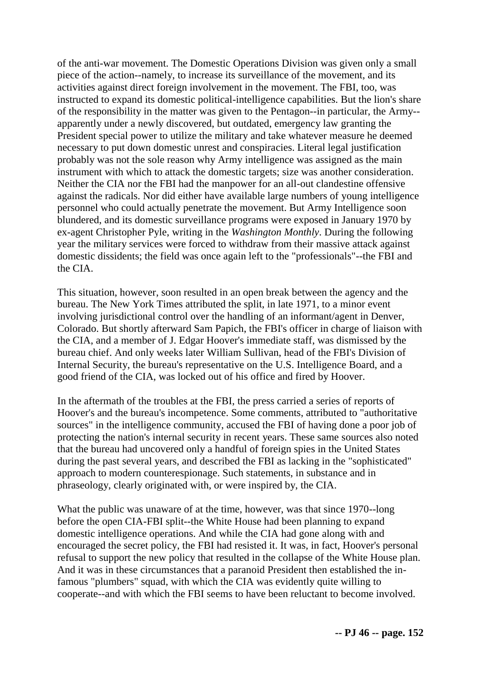of the anti-war movement. The Domestic Operations Division was given only a small piece of the action--namely, to increase its surveillance of the movement, and its activities against direct foreign involvement in the movement. The FBI, too, was instructed to expand its domestic political-intelligence capabilities. But the lion's share of the responsibility in the matter was given to the Pentagon--in particular, the Army- apparently under a newly discovered, but outdated, emergency law granting the President special power to utilize the military and take whatever measure he deemed necessary to put down domestic unrest and conspiracies. Literal legal justification probably was not the sole reason why Army intelligence was assigned as the main instrument with which to attack the domestic targets; size was another consideration. Neither the CIA nor the FBI had the manpower for an all-out clandestine offensive against the radicals. Nor did either have available large numbers of young intelligence personnel who could actually penetrate the movement. But Army Intelligence soon blundered, and its domestic surveillance programs were exposed in January 1970 by ex-agent Christopher Pyle, writing in the *Washington Monthly*. During the following year the military services were forced to withdraw from their massive attack against domestic dissidents; the field was once again left to the "professionals"--the FBI and the CIA.

This situation, however, soon resulted in an open break between the agency and the bureau. The New York Times attributed the split, in late 1971, to a minor event involving jurisdictional control over the handling of an informant/agent in Denver, Colorado. But shortly afterward Sam Papich, the FBI's officer in charge of liaison with the CIA, and a member of J. Edgar Hoover's immediate staff, was dismissed by the bureau chief. And only weeks later William Sullivan, head of the FBI's Division of Internal Security, the bureau's representative on the U.S. Intelligence Board, and a good friend of the CIA, was locked out of his office and fired by Hoover.

In the aftermath of the troubles at the FBI, the press carried a series of reports of Hoover's and the bureau's incompetence. Some comments, attributed to "authoritative sources" in the intelligence community, accused the FBI of having done a poor job of protecting the nation's internal security in recent years. These same sources also noted that the bureau had uncovered only a handful of foreign spies in the United States during the past several years, and described the FBI as lacking in the "sophisticated" approach to modern counterespionage. Such statements, in substance and in phraseology, clearly originated with, or were inspired by, the CIA.

What the public was unaware of at the time, however, was that since 1970--long before the open CIA-FBI split--the White House had been planning to expand domestic intelligence operations. And while the CIA had gone along with and encouraged the secret policy, the FBI had resisted it. It was, in fact, Hoover's personal refusal to support the new policy that resulted in the collapse of the White House plan. And it was in these circumstances that a paranoid President then established the infamous "plumbers" squad, with which the CIA was evidently quite willing to cooperate--and with which the FBI seems to have been reluctant to become involved.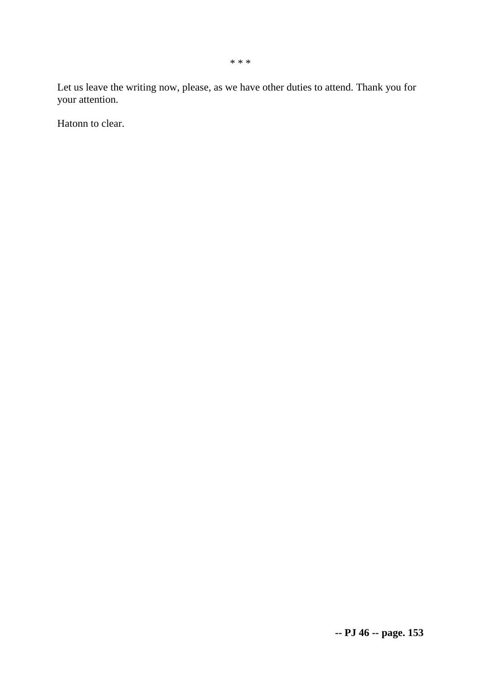Let us leave the writing now, please, as we have other duties to attend. Thank you for your attention.

Hatonn to clear.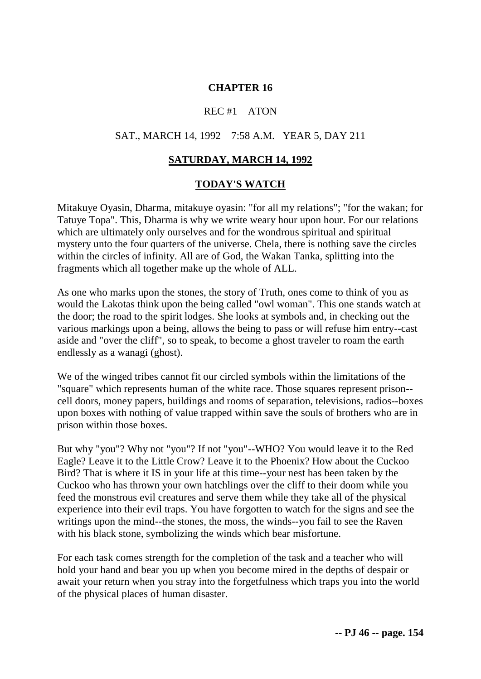### **CHAPTER 16**

## REC #1 ATON

### SAT., MARCH 14, 1992 7:58 A.M. YEAR 5, DAY 211

## **SATURDAY, MARCH 14, 1992**

#### **TODAY'S WATCH**

Mitakuye Oyasin, Dharma, mitakuye oyasin: "for all my relations"; "for the wakan; for Tatuye Topa". This, Dharma is why we write weary hour upon hour. For our relations which are ultimately only ourselves and for the wondrous spiritual and spiritual mystery unto the four quarters of the universe. Chela, there is nothing save the circles within the circles of infinity. All are of God, the Wakan Tanka, splitting into the fragments which all together make up the whole of ALL.

As one who marks upon the stones, the story of Truth, ones come to think of you as would the Lakotas think upon the being called "owl woman". This one stands watch at the door; the road to the spirit lodges. She looks at symbols and, in checking out the various markings upon a being, allows the being to pass or will refuse him entry--cast aside and "over the cliff", so to speak, to become a ghost traveler to roam the earth endlessly as a wanagi (ghost).

We of the winged tribes cannot fit our circled symbols within the limitations of the "square" which represents human of the white race. Those squares represent prison- cell doors, money papers, buildings and rooms of separation, televisions, radios--boxes upon boxes with nothing of value trapped within save the souls of brothers who are in prison within those boxes.

But why "you"? Why not "you"? If not "you"--WHO? You would leave it to the Red Eagle? Leave it to the Little Crow? Leave it to the Phoenix? How about the Cuckoo Bird? That is where it IS in your life at this time--your nest has been taken by the Cuckoo who has thrown your own hatchlings over the cliff to their doom while you feed the monstrous evil creatures and serve them while they take all of the physical experience into their evil traps. You have forgotten to watch for the signs and see the writings upon the mind--the stones, the moss, the winds--you fail to see the Raven with his black stone, symbolizing the winds which bear misfortune.

For each task comes strength for the completion of the task and a teacher who will hold your hand and bear you up when you become mired in the depths of despair or await your return when you stray into the forgetfulness which traps you into the world of the physical places of human disaster.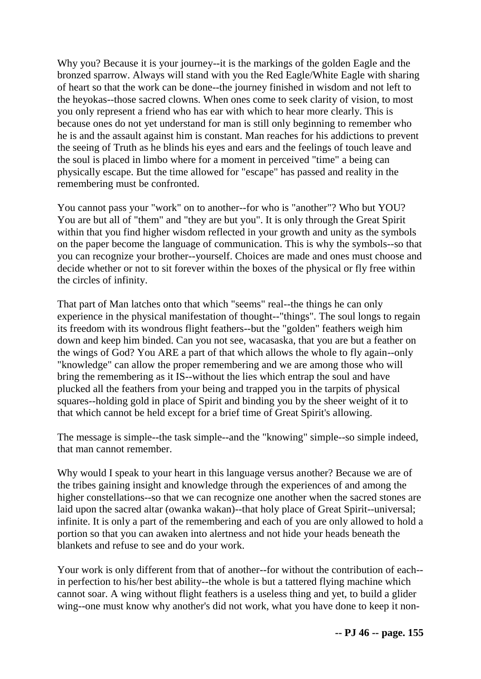Why you? Because it is your journey--it is the markings of the golden Eagle and the bronzed sparrow. Always will stand with you the Red Eagle/White Eagle with sharing of heart so that the work can be done--the journey finished in wisdom and not left to the heyokas--those sacred clowns. When ones come to seek clarity of vision, to most you only represent a friend who has ear with which to hear more clearly. This is because ones do not yet understand for man is still only beginning to remember who he is and the assault against him is constant. Man reaches for his addictions to prevent the seeing of Truth as he blinds his eyes and ears and the feelings of touch leave and the soul is placed in limbo where for a moment in perceived "time" a being can physically escape. But the time allowed for "escape" has passed and reality in the remembering must be confronted.

You cannot pass your "work" on to another--for who is "another"? Who but YOU? You are but all of "them" and "they are but you". It is only through the Great Spirit within that you find higher wisdom reflected in your growth and unity as the symbols on the paper become the language of communication. This is why the symbols--so that you can recognize your brother--yourself. Choices are made and ones must choose and decide whether or not to sit forever within the boxes of the physical or fly free within the circles of infinity.

That part of Man latches onto that which "seems" real--the things he can only experience in the physical manifestation of thought--"things". The soul longs to regain its freedom with its wondrous flight feathers--but the "golden" feathers weigh him down and keep him binded. Can you not see, wacasaska, that you are but a feather on the wings of God? You ARE a part of that which allows the whole to fly again--only "knowledge" can allow the proper remembering and we are among those who will bring the remembering as it IS--without the lies which entrap the soul and have plucked all the feathers from your being and trapped you in the tarpits of physical squares--holding gold in place of Spirit and binding you by the sheer weight of it to that which cannot be held except for a brief time of Great Spirit's allowing.

The message is simple--the task simple--and the "knowing" simple--so simple indeed, that man cannot remember.

Why would I speak to your heart in this language versus another? Because we are of the tribes gaining insight and knowledge through the experiences of and among the higher constellations--so that we can recognize one another when the sacred stones are laid upon the sacred altar (owanka wakan)--that holy place of Great Spirit--universal; infinite. It is only a part of the remembering and each of you are only allowed to hold a portion so that you can awaken into alertness and not hide your heads beneath the blankets and refuse to see and do your work.

Your work is only different from that of another--for without the contribution of each- in perfection to his/her best ability--the whole is but a tattered flying machine which cannot soar. A wing without flight feathers is a useless thing and yet, to build a glider wing--one must know why another's did not work, what you have done to keep it non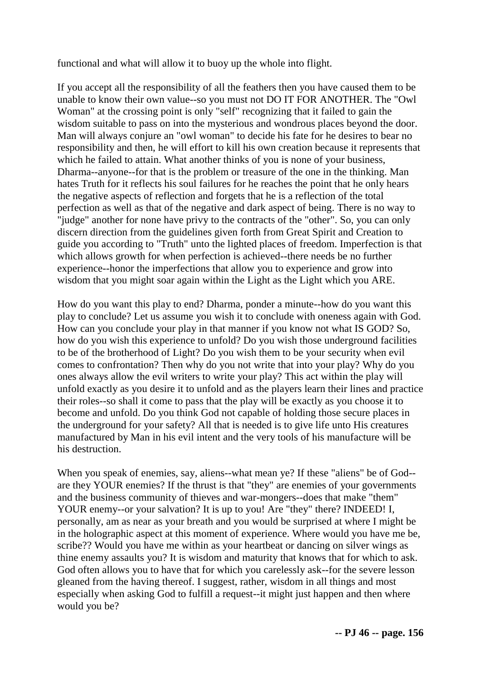functional and what will allow it to buoy up the whole into flight.

If you accept all the responsibility of all the feathers then you have caused them to be unable to know their own value--so you must not DO IT FOR ANOTHER. The "Owl Woman" at the crossing point is only "self" recognizing that it failed to gain the wisdom suitable to pass on into the mysterious and wondrous places beyond the door. Man will always conjure an "owl woman" to decide his fate for he desires to bear no responsibility and then, he will effort to kill his own creation because it represents that which he failed to attain. What another thinks of you is none of your business, Dharma--anyone--for that is the problem or treasure of the one in the thinking. Man hates Truth for it reflects his soul failures for he reaches the point that he only hears the negative aspects of reflection and forgets that he is a reflection of the total perfection as well as that of the negative and dark aspect of being. There is no way to "judge" another for none have privy to the contracts of the "other". So, you can only discern direction from the guidelines given forth from Great Spirit and Creation to guide you according to "Truth" unto the lighted places of freedom. Imperfection is that which allows growth for when perfection is achieved--there needs be no further experience--honor the imperfections that allow you to experience and grow into wisdom that you might soar again within the Light as the Light which you ARE.

How do you want this play to end? Dharma, ponder a minute--how do you want this play to conclude? Let us assume you wish it to conclude with oneness again with God. How can you conclude your play in that manner if you know not what IS GOD? So, how do you wish this experience to unfold? Do you wish those underground facilities to be of the brotherhood of Light? Do you wish them to be your security when evil comes to confrontation? Then why do you not write that into your play? Why do you ones always allow the evil writers to write your play? This act within the play will unfold exactly as you desire it to unfold and as the players learn their lines and practice their roles--so shall it come to pass that the play will be exactly as you choose it to become and unfold. Do you think God not capable of holding those secure places in the underground for your safety? All that is needed is to give life unto His creatures manufactured by Man in his evil intent and the very tools of his manufacture will be his destruction.

When you speak of enemies, say, aliens--what mean ye? If these "aliens" be of God- are they YOUR enemies? If the thrust is that "they" are enemies of your governments and the business community of thieves and war-mongers--does that make "them" YOUR enemy--or your salvation? It is up to you! Are "they" there? INDEED! I, personally, am as near as your breath and you would be surprised at where I might be in the holographic aspect at this moment of experience. Where would you have me be, scribe?? Would you have me within as your heartbeat or dancing on silver wings as thine enemy assaults you? It is wisdom and maturity that knows that for which to ask. God often allows you to have that for which you carelessly ask--for the severe lesson gleaned from the having thereof. I suggest, rather, wisdom in all things and most especially when asking God to fulfill a request--it might just happen and then where would you be?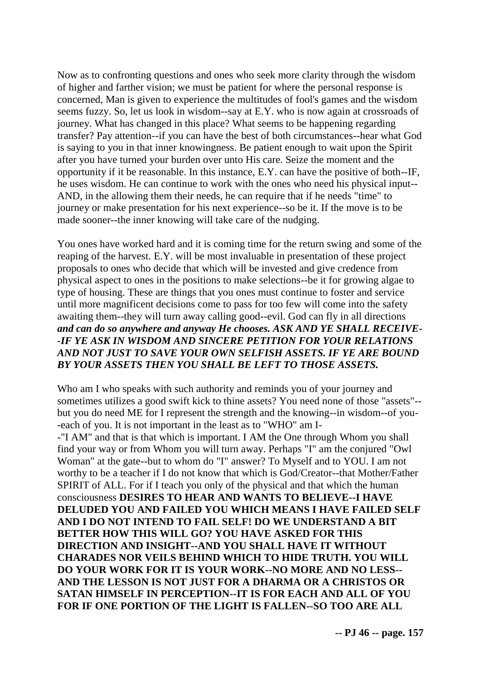Now as to confronting questions and ones who seek more clarity through the wisdom of higher and farther vision; we must be patient for where the personal response is concerned, Man is given to experience the multitudes of fool's games and the wisdom seems fuzzy. So, let us look in wisdom--say at E.Y. who is now again at crossroads of journey. What has changed in this place? What seems to be happening regarding transfer? Pay attention--if you can have the best of both circumstances--hear what God is saying to you in that inner knowingness. Be patient enough to wait upon the Spirit after you have turned your burden over unto His care. Seize the moment and the opportunity if it be reasonable. In this instance, E.Y. can have the positive of both--IF, he uses wisdom. He can continue to work with the ones who need his physical input-- AND, in the allowing them their needs, he can require that if he needs "time" to journey or make presentation for his next experience--so be it. If the move is to be made sooner--the inner knowing will take care of the nudging.

You ones have worked hard and it is coming time for the return swing and some of the reaping of the harvest. E.Y. will be most invaluable in presentation of these project proposals to ones who decide that which will be invested and give credence from physical aspect to ones in the positions to make selections--be it for growing algae to type of housing. These are things that you ones must continue to foster and service until more magnificent decisions come to pass for too few will come into the safety awaiting them--they will turn away calling good--evil. God can fly in all directions *and can do so anywhere and anyway He chooses. ASK AND YE SHALL RECEIVE- -IF YE ASK IN WISDOM AND SINCERE PETITION FOR YOUR RELATIONS AND NOT JUST TO SAVE YOUR OWN SELFISH ASSETS. IF YE ARE BOUND BY YOUR ASSETS THEN YOU SHALL BE LEFT TO THOSE ASSETS.*

Who am I who speaks with such authority and reminds you of your journey and sometimes utilizes a good swift kick to thine assets? You need none of those "assets"- but you do need ME for I represent the strength and the knowing--in wisdom--of you- -each of you. It is not important in the least as to "WHO" am I- -"I AM" and that is that which is important. I AM the One through Whom you shall find your way or from Whom you will turn away. Perhaps "I" am the conjured "Owl Woman" at the gate--but to whom do "I" answer? To Myself and to YOU. I am not worthy to be a teacher if I do not know that which is God/Creator--that Mother/Father SPIRIT of ALL. For if I teach you only of the physical and that which the human consciousness **DESIRES TO HEAR AND WANTS TO BELIEVE--I HAVE DELUDED YOU AND FAILED YOU WHICH MEANS I HAVE FAILED SELF AND I DO NOT INTEND TO FAIL SELF! DO WE UNDERSTAND A BIT BETTER HOW THIS WILL GO? YOU HAVE ASKED FOR THIS DIRECTION AND INSIGHT--AND YOU SHALL HAVE IT WITHOUT CHARADES NOR VEILS BEHIND WHICH TO HIDE TRUTH. YOU WILL DO YOUR WORK FOR IT IS YOUR WORK--NO MORE AND NO LESS-- AND THE LESSON IS NOT JUST FOR A DHARMA OR A CHRISTOS OR SATAN HIMSELF IN PERCEPTION--IT IS FOR EACH AND ALL OF YOU FOR IF ONE PORTION OF THE LIGHT IS FALLEN--SO TOO ARE ALL**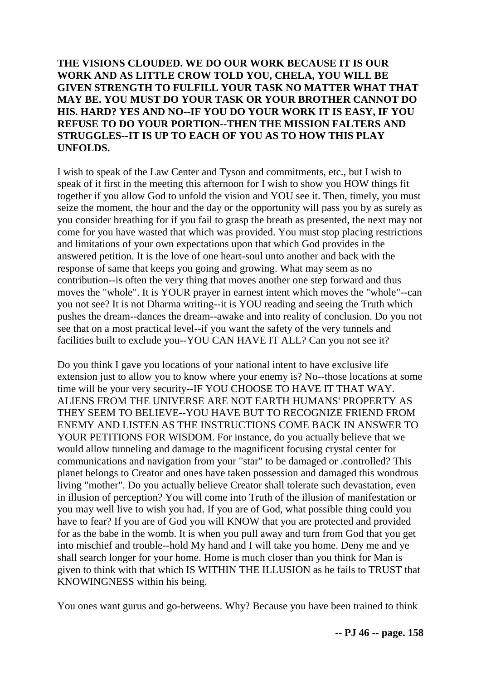# **THE VISIONS CLOUDED. WE DO OUR WORK BECAUSE IT IS OUR WORK AND AS LITTLE CROW TOLD YOU, CHELA, YOU WILL BE GIVEN STRENGTH TO FULFILL YOUR TASK NO MATTER WHAT THAT MAY BE. YOU MUST DO YOUR TASK OR YOUR BROTHER CANNOT DO HIS. HARD? YES AND NO--IF YOU DO YOUR WORK IT IS EASY, IF YOU REFUSE TO DO YOUR PORTION--THEN THE MISSION FALTERS AND STRUGGLES--IT IS UP TO EACH OF YOU AS TO HOW THIS PLAY UNFOLDS.**

I wish to speak of the Law Center and Tyson and commitments, etc., but I wish to speak of it first in the meeting this afternoon for I wish to show you HOW things fit together if you allow God to unfold the vision and YOU see it. Then, timely, you must seize the moment, the hour and the day or the opportunity will pass you by as surely as you consider breathing for if you fail to grasp the breath as presented, the next may not come for you have wasted that which was provided. You must stop placing restrictions and limitations of your own expectations upon that which God provides in the answered petition. It is the love of one heart-soul unto another and back with the response of same that keeps you going and growing. What may seem as no contribution--is often the very thing that moves another one step forward and thus moves the "whole". It is YOUR prayer in earnest intent which moves the "whole"--can you not see? It is not Dharma writing--it is YOU reading and seeing the Truth which pushes the dream--dances the dream--awake and into reality of conclusion. Do you not see that on a most practical level--if you want the safety of the very tunnels and facilities built to exclude you--YOU CAN HAVE IT ALL? Can you not see it?

Do you think I gave you locations of your national intent to have exclusive life extension just to allow you to know where your enemy is? No--those locations at some time will be your very security--IF YOU CHOOSE TO HAVE IT THAT WAY. ALIENS FROM THE UNIVERSE ARE NOT EARTH HUMANS' PROPERTY AS THEY SEEM TO BELIEVE--YOU HAVE BUT TO RECOGNIZE FRIEND FROM ENEMY AND LISTEN AS THE INSTRUCTIONS COME BACK IN ANSWER TO YOUR PETITIONS FOR WISDOM. For instance, do you actually believe that we would allow tunneling and damage to the magnificent focusing crystal center for communications and navigation from your "star" to be damaged or .controlled? This planet belongs to Creator and ones have taken possession and damaged this wondrous living "mother". Do you actually believe Creator shall tolerate such devastation, even in illusion of perception? You will come into Truth of the illusion of manifestation or you may well live to wish you had. If you are of God, what possible thing could you have to fear? If you are of God you will KNOW that you are protected and provided for as the babe in the womb. It is when you pull away and turn from God that you get into mischief and trouble--hold My hand and I will take you home. Deny me and ye shall search longer for your home. Home is much closer than you think for Man is given to think with that which IS WITHIN THE ILLUSION as he fails to TRUST that KNOWINGNESS within his being.

You ones want gurus and go-betweens. Why? Because you have been trained to think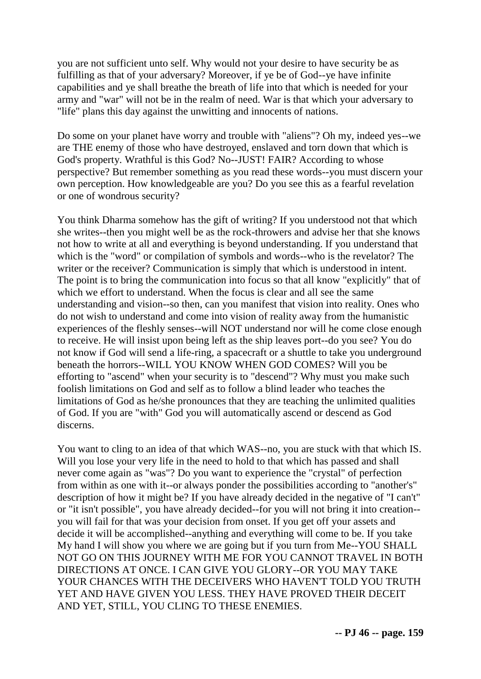you are not sufficient unto self. Why would not your desire to have security be as fulfilling as that of your adversary? Moreover, if ye be of God--ye have infinite capabilities and ye shall breathe the breath of life into that which is needed for your army and "war" will not be in the realm of need. War is that which your adversary to "life" plans this day against the unwitting and innocents of nations.

Do some on your planet have worry and trouble with "aliens"? Oh my, indeed yes--we are THE enemy of those who have destroyed, enslaved and torn down that which is God's property. Wrathful is this God? No--JUST! FAIR? According to whose perspective? But remember something as you read these words--you must discern your own perception. How knowledgeable are you? Do you see this as a fearful revelation or one of wondrous security?

You think Dharma somehow has the gift of writing? If you understood not that which she writes--then you might well be as the rock-throwers and advise her that she knows not how to write at all and everything is beyond understanding. If you understand that which is the "word" or compilation of symbols and words--who is the revelator? The writer or the receiver? Communication is simply that which is understood in intent. The point is to bring the communication into focus so that all know "explicitly" that of which we effort to understand. When the focus is clear and all see the same understanding and vision--so then, can you manifest that vision into reality. Ones who do not wish to understand and come into vision of reality away from the humanistic experiences of the fleshly senses--will NOT understand nor will he come close enough to receive. He will insist upon being left as the ship leaves port--do you see? You do not know if God will send a life-ring, a spacecraft or a shuttle to take you underground beneath the horrors--WILL YOU KNOW WHEN GOD COMES? Will you be efforting to "ascend" when your security is to "descend"? Why must you make such foolish limitations on God and self as to follow a blind leader who teaches the limitations of God as he/she pronounces that they are teaching the unlimited qualities of God. If you are "with" God you will automatically ascend or descend as God discerns.

You want to cling to an idea of that which WAS--no, you are stuck with that which IS. Will you lose your very life in the need to hold to that which has passed and shall never come again as "was"? Do you want to experience the "crystal" of perfection from within as one with it--or always ponder the possibilities according to "another's" description of how it might be? If you have already decided in the negative of "I can't" or "it isn't possible", you have already decided--for you will not bring it into creation- you will fail for that was your decision from onset. If you get off your assets and decide it will be accomplished--anything and everything will come to be. If you take My hand I will show you where we are going but if you turn from Me--YOU SHALL NOT GO ON THIS JOURNEY WITH ME FOR YOU CANNOT TRAVEL IN BOTH DIRECTIONS AT ONCE. I CAN GIVE YOU GLORY--OR YOU MAY TAKE YOUR CHANCES WITH THE DECEIVERS WHO HAVEN'T TOLD YOU TRUTH YET AND HAVE GIVEN YOU LESS. THEY HAVE PROVED THEIR DECEIT AND YET, STILL, YOU CLING TO THESE ENEMIES.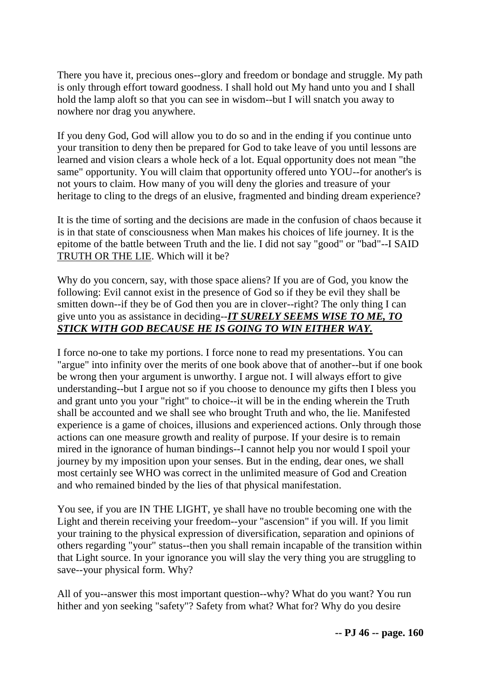There you have it, precious ones--glory and freedom or bondage and struggle. My path is only through effort toward goodness. I shall hold out My hand unto you and I shall hold the lamp aloft so that you can see in wisdom--but I will snatch you away to nowhere nor drag you anywhere.

If you deny God, God will allow you to do so and in the ending if you continue unto your transition to deny then be prepared for God to take leave of you until lessons are learned and vision clears a whole heck of a lot. Equal opportunity does not mean "the same" opportunity. You will claim that opportunity offered unto YOU--for another's is not yours to claim. How many of you will deny the glories and treasure of your heritage to cling to the dregs of an elusive, fragmented and binding dream experience?

It is the time of sorting and the decisions are made in the confusion of chaos because it is in that state of consciousness when Man makes his choices of life journey. It is the epitome of the battle between Truth and the lie. I did not say "good" or "bad"--I SAID TRUTH OR THE LIE. Which will it be?

Why do you concern, say, with those space aliens? If you are of God, you know the following: Evil cannot exist in the presence of God so if they be evil they shall be smitten down--if they be of God then you are in clover--right? The only thing I can give unto you as assistance in deciding--*IT SURELY SEEMS WISE TO ME, TO STICK WITH GOD BECAUSE HE IS GOING TO WIN EITHER WAY.*

I force no-one to take my portions. I force none to read my presentations. You can "argue" into infinity over the merits of one book above that of another--but if one book be wrong then your argument is unworthy. I argue not. I will always effort to give understanding--but I argue not so if you choose to denounce my gifts then I bless you and grant unto you your "right" to choice--it will be in the ending wherein the Truth shall be accounted and we shall see who brought Truth and who, the lie. Manifested experience is a game of choices, illusions and experienced actions. Only through those actions can one measure growth and reality of purpose. If your desire is to remain mired in the ignorance of human bindings--I cannot help you nor would I spoil your journey by my imposition upon your senses. But in the ending, dear ones, we shall most certainly see WHO was correct in the unlimited measure of God and Creation and who remained binded by the lies of that physical manifestation.

You see, if you are IN THE LIGHT, ye shall have no trouble becoming one with the Light and therein receiving your freedom--your "ascension" if you will. If you limit your training to the physical expression of diversification, separation and opinions of others regarding "your" status--then you shall remain incapable of the transition within that Light source. In your ignorance you will slay the very thing you are struggling to save--your physical form. Why?

All of you--answer this most important question--why? What do you want? You run hither and yon seeking "safety"? Safety from what? What for? Why do you desire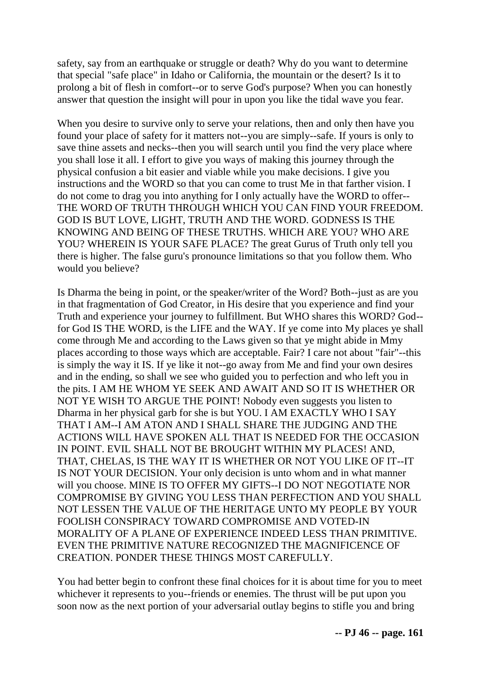safety, say from an earthquake or struggle or death? Why do you want to determine that special "safe place" in Idaho or California, the mountain or the desert? Is it to prolong a bit of flesh in comfort--or to serve God's purpose? When you can honestly answer that question the insight will pour in upon you like the tidal wave you fear.

When you desire to survive only to serve your relations, then and only then have you found your place of safety for it matters not--you are simply--safe. If yours is only to save thine assets and necks--then you will search until you find the very place where you shall lose it all. I effort to give you ways of making this journey through the physical confusion a bit easier and viable while you make decisions. I give you instructions and the WORD so that you can come to trust Me in that farther vision. I do not come to drag you into anything for I only actually have the WORD to offer-- THE WORD OF TRUTH THROUGH WHICH YOU CAN FIND YOUR FREEDOM. GOD IS BUT LOVE, LIGHT, TRUTH AND THE WORD. GODNESS IS THE KNOWING AND BEING OF THESE TRUTHS. WHICH ARE YOU? WHO ARE YOU? WHEREIN IS YOUR SAFE PLACE? The great Gurus of Truth only tell you there is higher. The false guru's pronounce limitations so that you follow them. Who would you believe?

Is Dharma the being in point, or the speaker/writer of the Word? Both--just as are you in that fragmentation of God Creator, in His desire that you experience and find your Truth and experience your journey to fulfillment. But WHO shares this WORD? God- for God IS THE WORD, is the LIFE and the WAY. If ye come into My places ye shall come through Me and according to the Laws given so that ye might abide in Mmy places according to those ways which are acceptable. Fair? I care not about "fair"--this is simply the way it IS. If ye like it not--go away from Me and find your own desires and in the ending, so shall we see who guided you to perfection and who left you in the pits. I AM HE WHOM YE SEEK AND AWAIT AND SO IT IS WHETHER OR NOT YE WISH TO ARGUE THE POINT! Nobody even suggests you listen to Dharma in her physical garb for she is but YOU. I AM EXACTLY WHO I SAY THAT I AM--I AM ATON AND I SHALL SHARE THE JUDGING AND THE ACTIONS WILL HAVE SPOKEN ALL THAT IS NEEDED FOR THE OCCASION IN POINT. EVIL SHALL NOT BE BROUGHT WITHIN MY PLACES! AND, THAT, CHELAS, IS THE WAY IT IS WHETHER OR NOT YOU LIKE OF IT--IT IS NOT YOUR DECISION. Your only decision is unto whom and in what manner will you choose. MINE IS TO OFFER MY GIFTS--I DO NOT NEGOTIATE NOR COMPROMISE BY GIVING YOU LESS THAN PERFECTION AND YOU SHALL NOT LESSEN THE VALUE OF THE HERITAGE UNTO MY PEOPLE BY YOUR FOOLISH CONSPIRACY TOWARD COMPROMISE AND VOTED-IN MORALITY OF A PLANE OF EXPERIENCE INDEED LESS THAN PRIMITIVE. EVEN THE PRIMITIVE NATURE RECOGNIZED THE MAGNIFICENCE OF CREATION. PONDER THESE THINGS MOST CAREFULLY.

You had better begin to confront these final choices for it is about time for you to meet whichever it represents to you--friends or enemies. The thrust will be put upon you soon now as the next portion of your adversarial outlay begins to stifle you and bring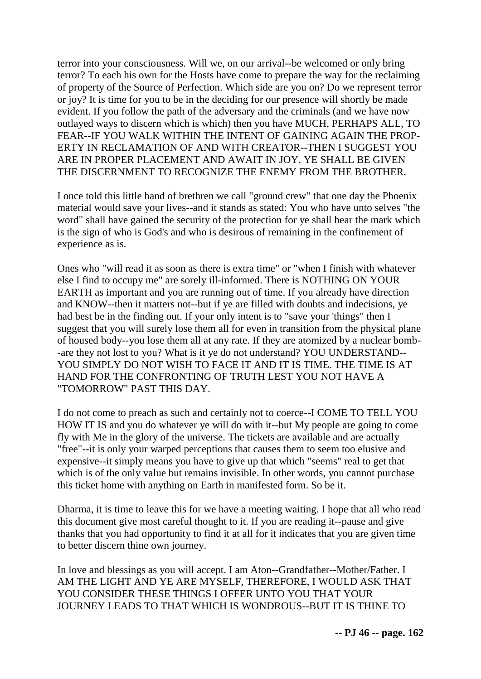terror into your consciousness. Will we, on our arrival--be welcomed or only bring terror? To each his own for the Hosts have come to prepare the way for the reclaiming of property of the Source of Perfection. Which side are you on? Do we represent terror or joy? It is time for you to be in the deciding for our presence will shortly be made evident. If you follow the path of the adversary and the criminals (and we have now outlayed ways to discern which is which) then you have MUCH, PERHAPS ALL, TO FEAR--IF YOU WALK WITHIN THE INTENT OF GAINING AGAIN THE PROP-ERTY IN RECLAMATION OF AND WITH CREATOR--THEN I SUGGEST YOU ARE IN PROPER PLACEMENT AND AWAIT IN [JOY. YE](http://joy.ye/) SHALL BE GIVEN THE DISCERNMENT TO RECOGNIZE THE ENEMY FROM THE BROTHER.

I once told this little band of brethren we call "ground crew" that one day the Phoenix material would save your lives--and it stands as stated: You who have unto selves "the word" shall have gained the security of the protection for ye shall bear the mark which is the sign of who is God's and who is desirous of remaining in the confinement of experience as is.

Ones who "will read it as soon as there is extra time" or "when I finish with whatever else I find to occupy me" are sorely ill-informed. There is NOTHING ON YOUR EARTH as important and you are running out of time. If you already have direction and KNOW--then it matters not--but if ye are filled with doubts and indecisions, ye had best be in the finding out. If your only intent is to "save your 'things" then I suggest that you will surely lose them all for even in transition from the physical plane of housed body--you lose them all at any rate. If they are atomized by a nuclear bomb- -are they not lost to you? What is it ye do not understand? YOU UNDERSTAND-- YOU SIMPLY DO NOT WISH TO FACE IT AND IT IS TIME. THE TIME IS AT HAND FOR THE CONFRONTING OF TRUTH LEST YOU NOT HAVE A "TOMORROW" PAST THIS DAY.

I do not come to preach as such and certainly not to coerce--I COME TO TELL YOU HOW IT IS and you do whatever ye will do with it--but My people are going to come fly with Me in the glory of the universe. The tickets are available and are actually "free"--it is only your warped perceptions that causes them to seem too elusive and expensive--it simply means you have to give up that which "seems" real to get that which is of the only value but remains invisible. In other words, you cannot purchase this ticket home with anything on Earth in manifested form. So be it.

Dharma, it is time to leave this for we have a meeting waiting. I hope that all who read this document give most careful thought to it. If you are reading it--pause and give thanks that you had opportunity to find it at all for it indicates that you are given time to better discern thine own journey.

In love and blessings as you will accept. I am Aton--Grandfather--Mother/Father. I AM THE LIGHT AND YE ARE MYSELF, THEREFORE, I WOULD ASK THAT YOU CONSIDER THESE THINGS I OFFER UNTO YOU THAT YOUR JOURNEY LEADS TO THAT WHICH IS WONDROUS--BUT IT IS THINE TO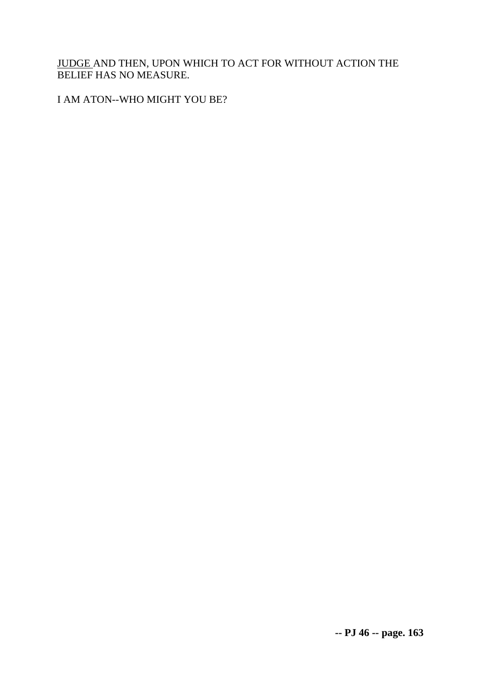JUDGE AND THEN, UPON WHICH TO ACT FOR WITHOUT ACTION THE BELIEF HAS NO MEASURE.

I AM ATON--WHO MIGHT YOU BE?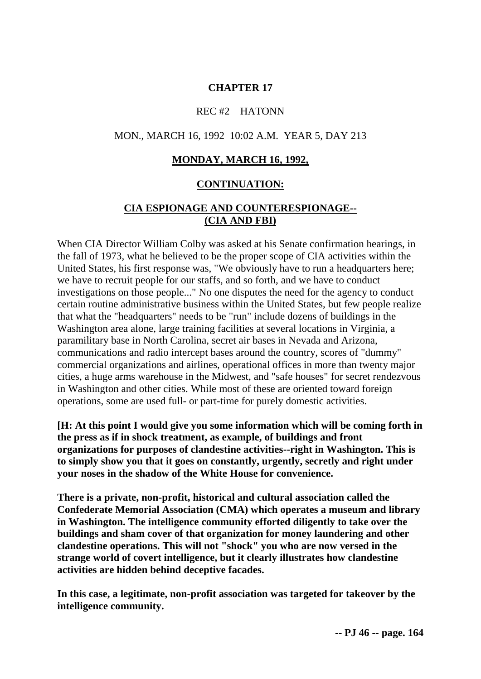### **CHAPTER 17**

## REC #2 HATONN

### MON., MARCH 16, 1992 10:02 A.M. YEAR 5, DAY 213

## **MONDAY, MARCH 16, 1992,**

### **CONTINUATION:**

## **CIA ESPIONAGE AND COUNTERESPIONAGE-- (CIA AND FBI)**

When CIA Director William Colby was asked at his Senate confirmation hearings, in the fall of 1973, what he believed to be the proper scope of CIA activities within the United States, his first response was, "We obviously have to run a headquarters here; we have to recruit people for our staffs, and so forth, and we have to conduct investigations on those people..." No one disputes the need for the agency to conduct certain routine administrative business within the United States, but few people realize that what the "headquarters" needs to be "run" include dozens of buildings in the Washington area alone, large training facilities at several locations in Virginia, a paramilitary base in North Carolina, secret air bases in Nevada and Arizona, communications and radio intercept bases around the country, scores of "dummy" commercial organizations and airlines, operational offices in more than twenty major cities, a huge arms warehouse in the Midwest, and "safe houses" for secret rendezvous in Washington and other cities. While most of these are oriented toward foreign operations, some are used full- or part-time for purely domestic activities.

**[H: At this point I would give you some information which will be coming forth in the press as if in shock treatment, as example, of buildings and front organizations for purposes of clandestine activities--right in Washington. This is to simply show you that it goes on constantly, urgently, secretly and right under your noses in the shadow of the White House for convenience.**

**There is a private, non-profit, historical and cultural association called the Confederate Memorial Association (CMA) which operates a museum and library in Washington. The intelligence community efforted diligently to take over the buildings and sham cover of that organization for money laundering and other clandestine operations. This will not "shock" you who are now versed in the strange world of covert intelligence, but it clearly illustrates how clandestine activities are hidden behind deceptive facades.**

**In this case, a legitimate, non-profit association was targeted for takeover by the intelligence community.**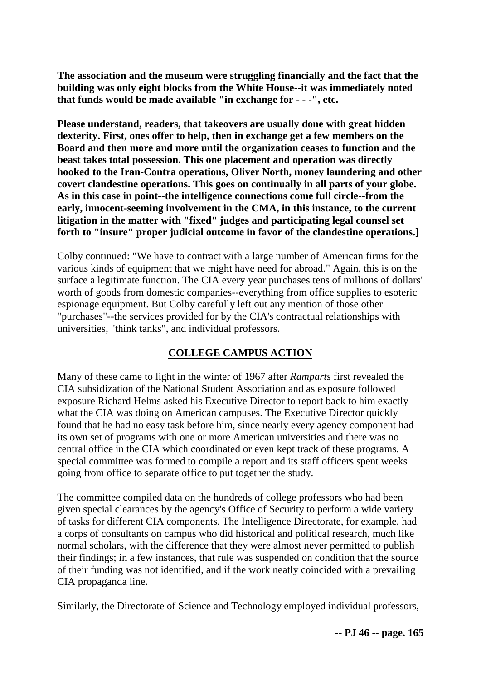**The association and the museum were struggling financially and the fact that the building was only eight blocks from the White House--it was immediately noted that funds would be made available "in exchange for - - -", etc.**

**Please understand, readers, that takeovers are usually done with great hidden dexterity. First, ones offer to help, then in exchange get a few members on the Board and then more and more until the organization ceases to function and the beast takes total possession. This one placement and operation was directly hooked to the Iran-Contra operations, Oliver North, money laundering and other covert clandestine operations. This goes on continually in all parts of your globe. As in this case in point--the intelligence connections come full circle--from the early, innocent-seeming involvement in the CMA, in this instance, to the current litigation in the matter with "fixed" judges and participating legal counsel set forth to "insure" proper judicial outcome in favor of the clandestine operations.]**

Colby continued: "We have to contract with a large number of American firms for the various kinds of equipment that we might have need for abroad." Again, this is on the surface a legitimate function. The CIA every year purchases tens of millions of dollars' worth of goods from domestic companies--everything from office supplies to esoteric espionage equipment. But Colby carefully left out any mention of those other "purchases"--the services provided for by the CIA's contractual relationships with universities, "think tanks", and individual professors.

# **COLLEGE CAMPUS ACTION**

Many of these came to light in the winter of 1967 after *Ramparts* first revealed the CIA subsidization of the National Student Association and as exposure followed exposure Richard Helms asked his Executive Director to report back to him exactly what the CIA was doing on American campuses. The Executive Director quickly found that he had no easy task before him, since nearly every agency component had its own set of programs with one or more American universities and there was no central office in the CIA which coordinated or even kept track of these programs. A special committee was formed to compile a report and its staff officers spent weeks going from office to separate office to put together the study.

The committee compiled data on the hundreds of college professors who had been given special clearances by the agency's Office of Security to perform a wide variety of tasks for different CIA components. The Intelligence Directorate, for example, had a corps of consultants on campus who did historical and political research, much like normal scholars, with the difference that they were almost never permitted to publish their findings; in a few instances, that rule was suspended on condition that the source of their funding was not identified, and if the work neatly coincided with a prevailing CIA propaganda line.

Similarly, the Directorate of Science and Technology employed individual professors,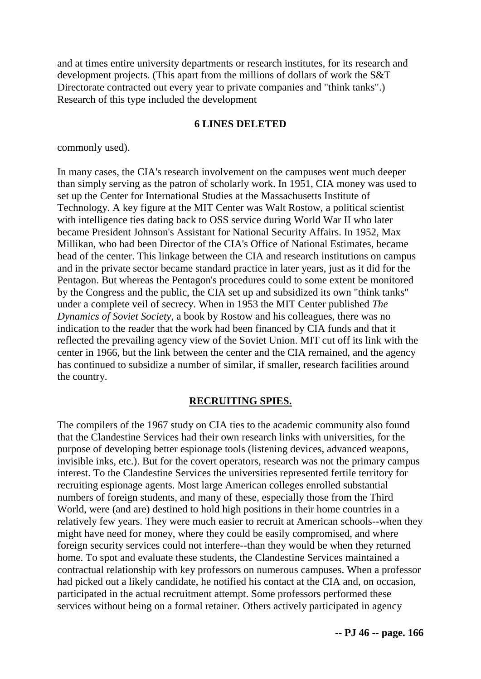and at times entire university departments or research institutes, for its research and development projects. (This apart from the millions of dollars of work the S&T Directorate contracted out every year to private companies and "think tanks".) Research of this type included the development

#### **6 LINES DELETED**

commonly used).

In many cases, the CIA's research involvement on the campuses went much deeper than simply serving as the patron of scholarly work. In 1951, CIA money was used to set up the Center for International Studies at the Massachusetts Institute of Technology. A key figure at the MIT Center was Walt Rostow, a political scientist with intelligence ties dating back to OSS service during World War II who later became President Johnson's Assistant for National Security Affairs. In 1952, Max Millikan, who had been Director of the CIA's Office of National Estimates, became head of the center. This linkage between the CIA and research institutions on campus and in the private sector became standard practice in later years, just as it did for the Pentagon. But whereas the Pentagon's procedures could to some extent be monitored by the Congress and the public, the CIA set up and subsidized its own "think tanks" under a complete veil of secrecy. When in 1953 the MIT Center published *The Dynamics of Soviet Society*, a book by Rostow and his colleagues, there was no indication to the reader that the work had been financed by CIA funds and that it reflected the prevailing agency view of the Soviet Union. MIT cut off its link with the center in 1966, but the link between the center and the CIA remained, and the agency has continued to subsidize a number of similar, if smaller, research facilities around the country.

#### **RECRUITING SPIES.**

The compilers of the 1967 study on CIA ties to the academic community also found that the Clandestine Services had their own research links with universities, for the purpose of developing better espionage tools (listening devices, advanced weapons, invisible inks, etc.). But for the covert operators, research was not the primary campus interest. To the Clandestine Services the universities represented fertile territory for recruiting espionage agents. Most large American colleges enrolled substantial numbers of foreign students, and many of these, especially those from the Third World, were (and are) destined to hold high positions in their home countries in a relatively few years. They were much easier to recruit at American schools--when they might have need for money, where they could be easily compromised, and where foreign security services could not interfere--than they would be when they returned home. To spot and evaluate these students, the Clandestine Services maintained a contractual relationship with key professors on numerous campuses. When a professor had picked out a likely candidate, he notified his contact at the CIA and, on occasion, participated in the actual recruitment attempt. Some professors performed these services without being on a formal retainer. Others actively participated in agency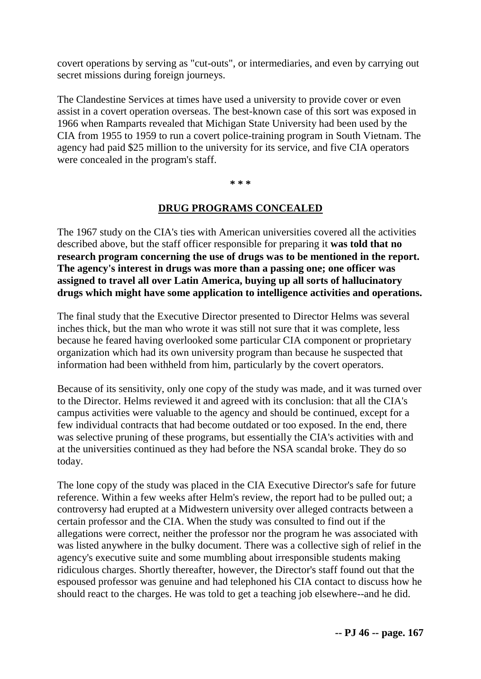covert operations by serving as "cut-outs", or intermediaries, and even by carrying out secret missions during foreign journeys.

The Clandestine Services at times have used a university to provide cover or even assist in a covert operation overseas. The best-known case of this sort was exposed in 1966 when Ramparts revealed that Michigan State University had been used by the CIA from 1955 to 1959 to run a covert police-training program in South Vietnam. The agency had paid \$25 million to the university for its service, and five CIA operators were concealed in the program's staff.

**\* \* \***

# **DRUG PROGRAMS CONCEALED**

The 1967 study on the CIA's ties with American universities covered all the activities described above, but the staff officer responsible for preparing it **was told that no research program concerning the use of drugs was to be mentioned in the report. The agency's interest in drugs was more than a passing one; one officer was assigned to travel all over Latin America, buying up all sorts of hallucinatory drugs which might have some application to intelligence activities and operations.**

The final study that the Executive Director presented to Director Helms was several inches thick, but the man who wrote it was still not sure that it was complete, less because he feared having overlooked some particular CIA component or proprietary organization which had its own university program than because he suspected that information had been withheld from him, particularly by the covert operators.

Because of its sensitivity, only one copy of the study was made, and it was turned over to the Director. Helms reviewed it and agreed with its conclusion: that all the CIA's campus activities were valuable to the agency and should be continued, except for a few individual contracts that had become outdated or too exposed. In the end, there was selective pruning of these programs, but essentially the CIA's activities with and at the universities continued as they had before the NSA scandal broke. They do so today.

The lone copy of the study was placed in the CIA Executive Director's safe for future reference. Within a few weeks after Helm's review, the report had to be pulled out; a controversy had erupted at a Midwestern university over alleged contracts between a certain professor and the CIA. When the study was consulted to find out if the allegations were correct, neither the professor nor the program he was associated with was listed anywhere in the bulky document. There was a collective sigh of relief in the agency's executive suite and some mumbling about irresponsible students making ridiculous charges. Shortly thereafter, however, the Director's staff found out that the espoused professor was genuine and had telephoned his CIA contact to discuss how he should react to the charges. He was told to get a teaching job elsewhere--and he did.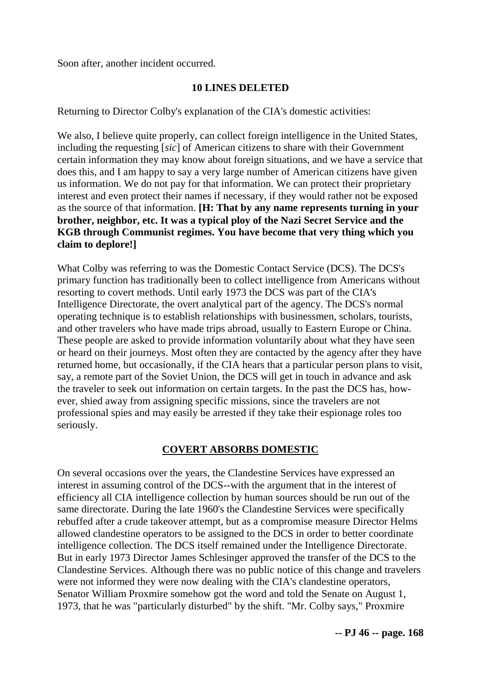Soon after, another incident occurred.

### **10 LINES DELETED**

Returning to Director Colby's explanation of the CIA's domestic activities:

We also, I believe quite properly, can collect foreign intelligence in the United States, including the requesting [*sic*] of American citizens to share with their Government certain information they may know about foreign situations, and we have a service that does this, and I am happy to say a very large number of American citizens have given us information. We do not pay for that information. We can protect their proprietary interest and even protect their names if necessary, if they would rather not be exposed as the source of that information. **[H: That by any name represents turning in your brother, neighbor, etc. It was a typical ploy of the Nazi Secret Service and the KGB through Communist regimes. You have become that very thing which you claim to deplore!]**

What Colby was referring to was the Domestic Contact Service (DCS). The DCS's primary function has traditionally been to collect intelligence from Americans without resorting to covert methods. Until early 1973 the DCS was part of the CIA's Intelligence Directorate, the overt analytical part of the agency. The DCS's normal operating technique is to establish relationships with businessmen, scholars, tourists, and other travelers who have made trips abroad, usually to Eastern Europe or China. These people are asked to provide information voluntarily about what they have seen or heard on their journeys. Most often they are contacted by the agency after they have returned home, but occasionally, if the CIA hears that a particular person plans to visit, say, a remote part of the Soviet Union, the DCS will get in touch in advance and ask the traveler to seek out information on certain targets. In the past the DCS has, however, shied away from assigning specific missions, since the travelers are not professional spies and may easily be arrested if they take their espionage roles too seriously.

# **COVERT ABSORBS DOMESTIC**

On several occasions over the years, the Clandestine Services have expressed an interest in assuming control of the DCS--with the argument that in the interest of efficiency all CIA intelligence collection by human sources should be run out of the same directorate. During the late 1960's the Clandestine Services were specifically rebuffed after a crude takeover attempt, but as a compromise measure Director Helms allowed clandestine operators to be assigned to the DCS in order to better coordinate intelligence collection. The DCS itself remained under the Intelligence Directorate. But in early 1973 Director James Schlesinger approved the transfer of the DCS to the Clandestine Services. Although there was no public notice of this change and travelers were not informed they were now dealing with the CIA's clandestine operators, Senator William Proxmire somehow got the word and told the Senate on August 1, 1973, that he was "particularly disturbed" by the shift. "Mr. Colby says," Proxmire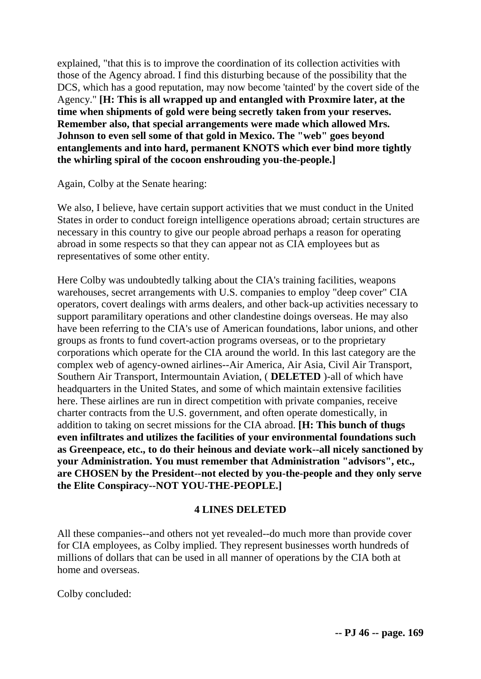explained, "that this is to improve the coordination of its collection activities with those of the Agency abroad. I find this disturbing because of the possibility that the DCS, which has a good reputation, may now become 'tainted' by the covert side of the Agency." **[H: This is all wrapped up and entangled with Proxmire later, at the time when shipments of gold were being secretly taken from your reserves. Remember also, that special arrangements were made which allowed Mrs. Johnson to even sell some of that gold in Mexico. The "web" goes beyond entanglements and into hard, permanent KNOTS which ever bind more tightly the whirling spiral of the cocoon enshrouding you-the-people.]**

Again, Colby at the Senate hearing:

We also, I believe, have certain support activities that we must conduct in the United States in order to conduct foreign intelligence operations abroad; certain structures are necessary in this country to give our people abroad perhaps a reason for operating abroad in some respects so that they can appear not as CIA employees but as representatives of some other entity.

Here Colby was undoubtedly talking about the CIA's training facilities, weapons warehouses, secret arrangements with U.S. companies to employ "deep cover" CIA operators, covert dealings with arms dealers, and other back-up activities necessary to support paramilitary operations and other clandestine doings overseas. He may also have been referring to the CIA's use of American foundations, labor unions, and other groups as fronts to fund covert-action programs overseas, or to the proprietary corporations which operate for the CIA around the world. In this last category are the complex web of agency-owned airlines--Air America, Air Asia, Civil Air Transport, Southern Air Transport, Intermountain Aviation, ( **DELETED** )-all of which have headquarters in the United States, and some of which maintain extensive facilities here. These airlines are run in direct competition with private companies, receive charter contracts from the U.S. government, and often operate domestically, in addition to taking on secret missions for the CIA abroad. **[H: This bunch of thugs even infiltrates and utilizes the facilities of your environmental foundations such as Greenpeace, etc., to do their heinous and deviate work--all nicely sanctioned by your Administration. You must remember that Administration "advisors", etc., are CHOSEN by the President--not elected by you-the-people and they only serve the Elite Conspiracy--NOT YOU-THE-PEOPLE.]**

# **4 LINES DELETED**

All these companies--and others not yet revealed--do much more than provide cover for CIA employees, as Colby implied. They represent businesses worth hundreds of millions of dollars that can be used in all manner of operations by the CIA both at home and overseas.

Colby concluded: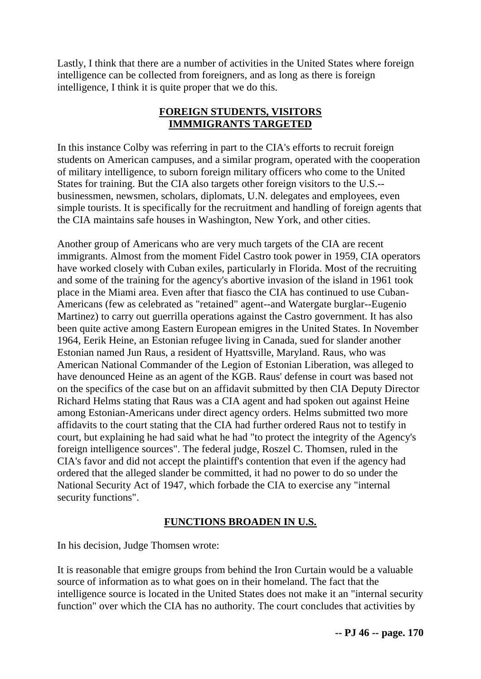Lastly, I think that there are a number of activities in the United States where foreign intelligence can be collected from foreigners, and as long as there is foreign intelligence, I think it is quite proper that we do this.

## **FOREIGN STUDENTS, VISITORS IMMMIGRANTS TARGETED**

In this instance Colby was referring in part to the CIA's efforts to recruit foreign students on American campuses, and a similar program, operated with the cooperation of military intelligence, to suborn foreign military officers who come to the United States for training. But the CIA also targets other foreign visitors to the U.S.- businessmen, newsmen, scholars, diplomats, U.N. delegates and employees, even simple tourists. It is specifically for the recruitment and handling of foreign agents that the CIA maintains safe houses in Washington, New York, and other cities.

Another group of Americans who are very much targets of the CIA are recent immigrants. Almost from the moment Fidel Castro took power in 1959, CIA operators have worked closely with Cuban exiles, particularly in Florida. Most of the recruiting and some of the training for the agency's abortive invasion of the island in 1961 took place in the Miami area. Even after that fiasco the CIA has continued to use Cuban-Americans (few as celebrated as "retained" agent--and Watergate burglar--Eugenio Martinez) to carry out guerrilla operations against the Castro government. It has also been quite active among Eastern European emigres in the United States. In November 1964, Eerik Heine, an Estonian refugee living in Canada, sued for slander another Estonian named Jun Raus, a resident of Hyattsville, Maryland. Raus, who was American National Commander of the Legion of Estonian Liberation, was alleged to have denounced Heine as an agent of the KGB. Raus' defense in court was based not on the specifics of the case but on an affidavit submitted by then CIA Deputy Director Richard Helms stating that Raus was a CIA agent and had spoken out against Heine among Estonian-Americans under direct agency orders. Helms submitted two more affidavits to the court stating that the CIA had further ordered Raus not to testify in court, but explaining he had said what he had "to protect the integrity of the Agency's foreign intelligence sources". The federal judge, Roszel C. Thomsen, ruled in the CIA's favor and did not accept the plaintiff's contention that even if the agency had ordered that the alleged slander be committed, it had no power to do so under the National Security Act of 1947, which forbade the CIA to exercise any "internal security functions".

# **FUNCTIONS BROADEN IN U.S.**

In his decision, Judge Thomsen wrote:

It is reasonable that emigre groups from behind the Iron Curtain would be a valuable source of information as to what goes on in their homeland. The fact that the intelligence source is located in the United States does not make it an "internal security function" over which the CIA has no authority. The court concludes that activities by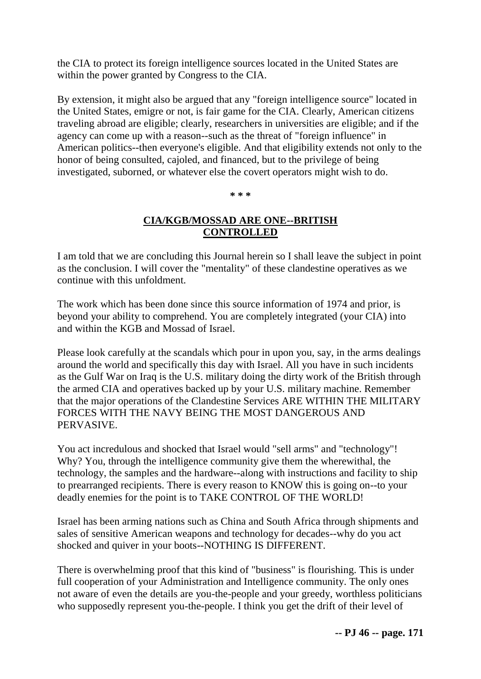the CIA to protect its foreign intelligence sources located in the United States are within the power granted by Congress to the CIA.

By extension, it might also be argued that any "foreign intelligence source" located in the United States, emigre or not, is fair game for the CIA. Clearly, American citizens traveling abroad are eligible; clearly, researchers in universities are eligible; and if the agency can come up with a reason--such as the threat of "foreign influence" in American politics--then everyone's eligible. And that eligibility extends not only to the honor of being consulted, cajoled, and financed, but to the privilege of being investigated, suborned, or whatever else the covert operators might wish to do.

**\* \* \***

# **CIA/KGB/MOSSAD ARE ONE--BRITISH CONTROLLED**

I am told that we are concluding this Journal herein so I shall leave the subject in point as the conclusion. I will cover the "mentality" of these clandestine operatives as we continue with this unfoldment.

The work which has been done since this source information of 1974 and prior, is beyond your ability to comprehend. You are completely integrated (your CIA) into and within the KGB and Mossad of Israel.

Please look carefully at the scandals which pour in upon you, say, in the arms dealings around the world and specifically this day with Israel. All you have in such incidents as the Gulf War on Iraq is the U.S. military doing the dirty work of the British through the armed CIA and operatives backed up by your U.S. military machine. Remember that the major operations of the Clandestine Services ARE WITHIN THE MILITARY FORCES WITH THE NAVY BEING THE MOST DANGEROUS AND PERVASIVE.

You act incredulous and shocked that Israel would "sell arms" and "technology"! Why? You, through the intelligence community give them the wherewithal, the technology, the samples and the hardware--along with instructions and facility to ship to prearranged recipients. There is every reason to KNOW this is going on--to your deadly enemies for the point is to TAKE CONTROL OF THE WORLD!

Israel has been arming nations such as China and South Africa through shipments and sales of sensitive American weapons and technology for decades--why do you act shocked and quiver in your boots--NOTHING IS DIFFERENT.

There is overwhelming proof that this kind of "business" is flourishing. This is under full cooperation of your Administration and Intelligence community. The only ones not aware of even the details are you-the-people and your greedy, worthless politicians who supposedly represent you-the-people. I think you get the drift of their level of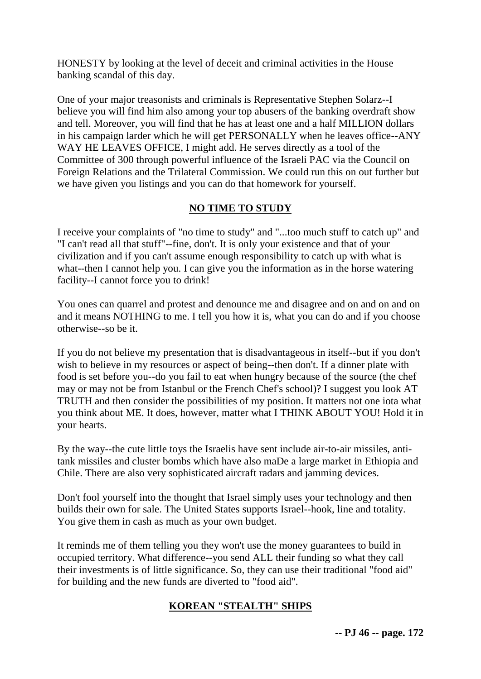HONESTY by looking at the level of deceit and criminal activities in the House banking scandal of this day.

One of your major treasonists and criminals is Representative Stephen Solarz--I believe you will find him also among your top abusers of the banking overdraft show and tell. Moreover, you will find that he has at least one and a half MILLION dollars in his campaign larder which he will get PERSONALLY when he leaves office--ANY WAY HE LEAVES OFFICE, I might add. He serves directly as a tool of the Committee of 300 through powerful influence of the Israeli PAC via the Council on Foreign Relations and the Trilateral Commission. We could run this on out further but we have given you listings and you can do that homework for yourself.

# **NO TIME TO STUDY**

I receive your complaints of "no time to study" and "...too much stuff to catch up" and "I can't read all that stuff"--fine, don't. It is only your existence and that of your civilization and if you can't assume enough responsibility to catch up with what is what--then I cannot help you. I can give you the information as in the horse watering facility--I cannot force you to drink!

You ones can quarrel and protest and denounce me and disagree and on and on and on and it means NOTHING to me. I tell you how it is, what you can do and if you choose otherwise--so be it.

If you do not believe my presentation that is disadvantageous in itself--but if you don't wish to believe in my resources or aspect of being--then don't. If a dinner plate with food is set before you--do you fail to eat when hungry because of the source (the chef may or may not be from Istanbul or the French Chef's school)? I suggest you look AT TRUTH and then consider the possibilities of my position. It matters not one iota what you think about ME. It does, however, matter what I THINK ABOUT YOU! Hold it in your hearts.

By the way--the cute little toys the Israelis have sent include air-to-air missiles, antitank missiles and cluster bombs which have also maDe a large market in Ethiopia and Chile. There are also very sophisticated aircraft radars and jamming devices.

Don't fool yourself into the thought that Israel simply uses your technology and then builds their own for sale. The United States supports Israel--hook, line and totality. You give them in cash as much as your own budget.

It reminds me of them telling you they won't use the money guarantees to build in occupied territory. What difference--you send ALL their funding so what they call their investments is of little significance. So, they can use their traditional "food aid" for building and the new funds are diverted to "food aid".

# **KOREAN "STEALTH" SHIPS**